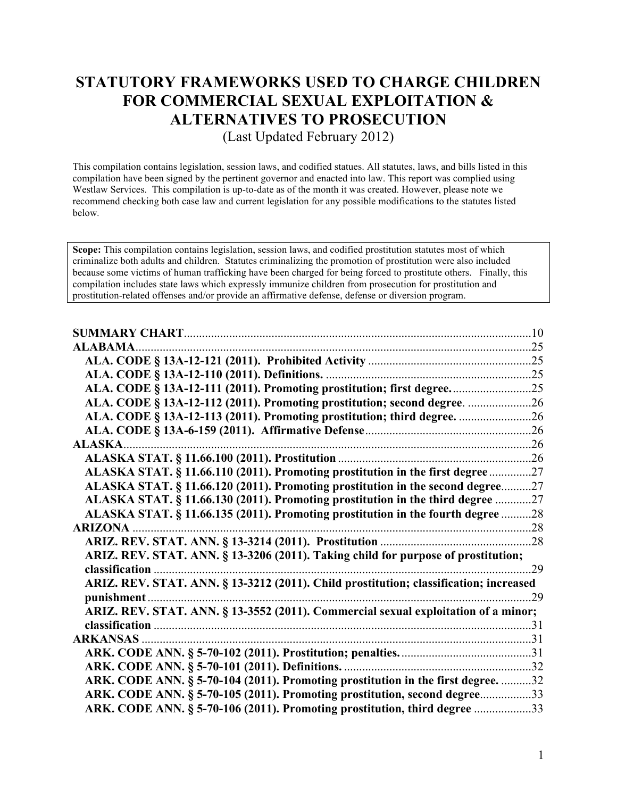# **STATUTORY FRAMEWORKS USED TO CHARGE CHILDREN FOR COMMERCIAL SEXUAL EXPLOITATION & ALTERNATIVES TO PROSECUTION**

(Last Updated February 2012)

This compilation contains legislation, session laws, and codified statues. All statutes, laws, and bills listed in this compilation have been signed by the pertinent governor and enacted into law. This report was complied using Westlaw Services. This compilation is up-to-date as of the month it was created. However, please note we recommend checking both case law and current legislation for any possible modifications to the statutes listed below*.*

**Scope:** This compilation contains legislation, session laws, and codified prostitution statutes most of which criminalize both adults and children. Statutes criminalizing the promotion of prostitution were also included because some victims of human trafficking have been charged for being forced to prostitute others. Finally, this compilation includes state laws which expressly immunize children from prosecution for prostitution and prostitution-related offenses and/or provide an affirmative defense, defense or diversion program.

| ALA. CODE § 13A-12-112 (2011). Promoting prostitution; second degree. 26              |    |
|---------------------------------------------------------------------------------------|----|
| ALA. CODE § 13A-12-113 (2011). Promoting prostitution; third degree. 26               |    |
|                                                                                       |    |
| <b>ALASKA.</b>                                                                        |    |
|                                                                                       |    |
| ALASKA STAT. § 11.66.110 (2011). Promoting prostitution in the first degree 27        |    |
| ALASKA STAT. § 11.66.120 (2011). Promoting prostitution in the second degree27        |    |
| ALASKA STAT. § 11.66.130 (2011). Promoting prostitution in the third degree 27        |    |
| ALASKA STAT. § 11.66.135 (2011). Promoting prostitution in the fourth degree 28       |    |
| <b>ARIZONA</b>                                                                        |    |
|                                                                                       |    |
| ARIZ. REV. STAT. ANN. § 13-3206 (2011). Taking child for purpose of prostitution;     |    |
| classification.                                                                       | 29 |
| ARIZ. REV. STAT. ANN. § 13-3212 (2011). Child prostitution; classification; increased |    |
|                                                                                       | 29 |
| ARIZ. REV. STAT. ANN. § 13-3552 (2011). Commercial sexual exploitation of a minor;    |    |
|                                                                                       |    |
|                                                                                       |    |
|                                                                                       |    |
|                                                                                       |    |
| ARK. CODE ANN. § 5-70-104 (2011). Promoting prostitution in the first degree. 32      |    |
| ARK. CODE ANN. § 5-70-105 (2011). Promoting prostitution, second degree33             |    |
| ARK. CODE ANN. § 5-70-106 (2011). Promoting prostitution, third degree 33             |    |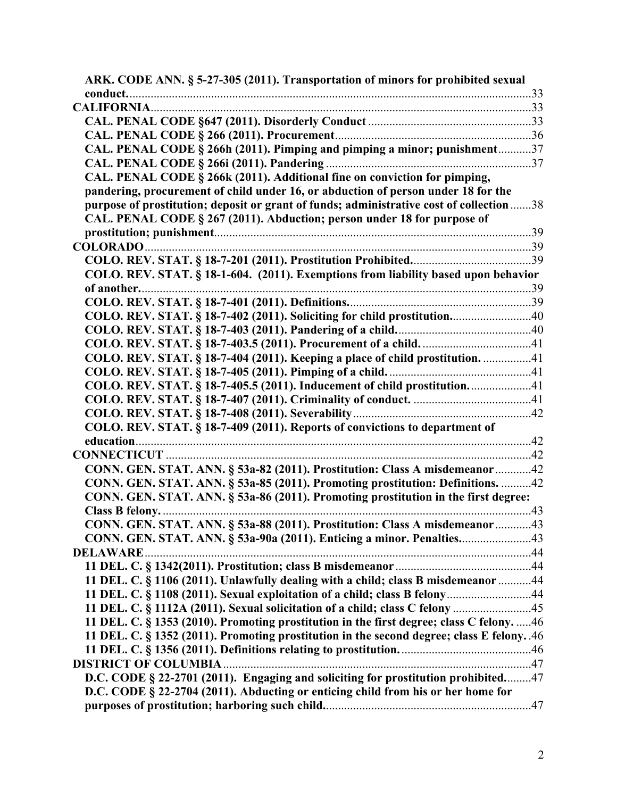| ARK. CODE ANN. § 5-27-305 (2011). Transportation of minors for prohibited sexual           |  |
|--------------------------------------------------------------------------------------------|--|
|                                                                                            |  |
|                                                                                            |  |
|                                                                                            |  |
|                                                                                            |  |
| CAL. PENAL CODE § 266h (2011). Pimping and pimping a minor; punishment37                   |  |
|                                                                                            |  |
| CAL. PENAL CODE § 266k (2011). Additional fine on conviction for pimping,                  |  |
| pandering, procurement of child under 16, or abduction of person under 18 for the          |  |
| purpose of prostitution; deposit or grant of funds; administrative cost of collection 38   |  |
| CAL. PENAL CODE § 267 (2011). Abduction; person under 18 for purpose of                    |  |
|                                                                                            |  |
|                                                                                            |  |
|                                                                                            |  |
| COLO. REV. STAT. § 18-1-604. (2011). Exemptions from liability based upon behavior         |  |
|                                                                                            |  |
|                                                                                            |  |
| COLO. REV. STAT. § 18-7-402 (2011). Soliciting for child prostitution40                    |  |
|                                                                                            |  |
|                                                                                            |  |
| COLO. REV. STAT. § 18-7-404 (2011). Keeping a place of child prostitution. 41              |  |
|                                                                                            |  |
| COLO. REV. STAT. § 18-7-405.5 (2011). Inducement of child prostitution. 41                 |  |
|                                                                                            |  |
|                                                                                            |  |
| COLO. REV. STAT. § 18-7-409 (2011). Reports of convictions to department of                |  |
|                                                                                            |  |
|                                                                                            |  |
|                                                                                            |  |
| CONN. GEN. STAT. ANN. § 53a-82 (2011). Prostitution: Class A misdemeanor42                 |  |
| CONN. GEN. STAT. ANN. § 53a-85 (2011). Promoting prostitution: Definitions.  42            |  |
| CONN. GEN. STAT. ANN. § 53a-86 (2011). Promoting prostitution in the first degree:         |  |
|                                                                                            |  |
| CONN. GEN. STAT. ANN. § 53a-88 (2011). Prostitution: Class A misdemeanor43                 |  |
|                                                                                            |  |
| <b>DELAWARE.</b>                                                                           |  |
|                                                                                            |  |
| 11 DEL. C. § 1106 (2011). Unlawfully dealing with a child; class B misdemeanor 44          |  |
| 11 DEL. C. § 1108 (2011). Sexual exploitation of a child; class B felony44                 |  |
|                                                                                            |  |
| 11 DEL. C. § 1353 (2010). Promoting prostitution in the first degree; class C felony.  46  |  |
| 11 DEL. C. § 1352 (2011). Promoting prostitution in the second degree; class E felony. .46 |  |
|                                                                                            |  |
| <b>DISTRICT OF COLUMBIA</b>                                                                |  |
| D.C. CODE § 22-2701 (2011). Engaging and soliciting for prostitution prohibited47          |  |
| D.C. CODE § 22-2704 (2011). Abducting or enticing child from his or her home for           |  |
|                                                                                            |  |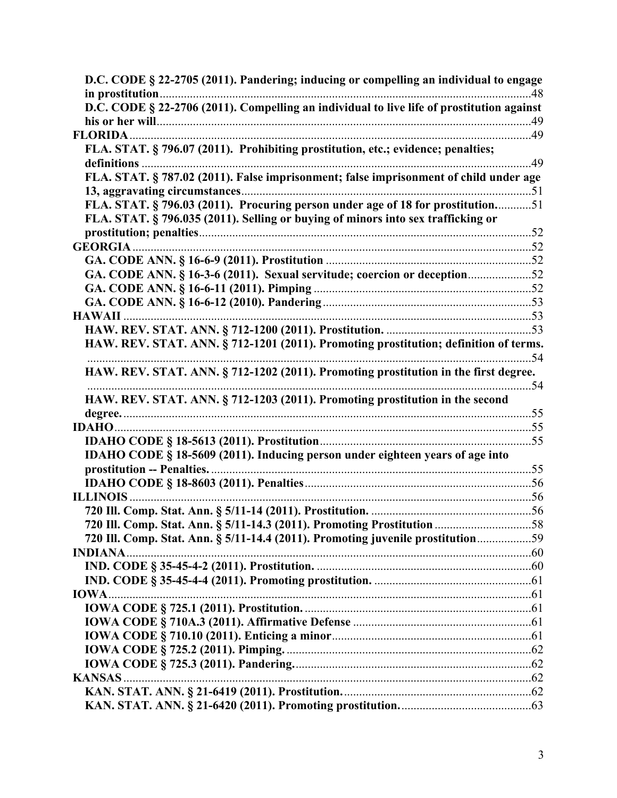| D.C. CODE § 22-2705 (2011). Pandering; inducing or compelling an individual to engage     |             |
|-------------------------------------------------------------------------------------------|-------------|
|                                                                                           |             |
| D.C. CODE § 22-2706 (2011). Compelling an individual to live life of prostitution against |             |
|                                                                                           |             |
|                                                                                           |             |
| FLA. STAT. § 796.07 (2011). Prohibiting prostitution, etc.; evidence; penalties;          |             |
|                                                                                           | $\ldots$ 49 |
| FLA. STAT. § 787.02 (2011). False imprisonment; false imprisonment of child under age     |             |
|                                                                                           |             |
| FLA. STAT. § 796.03 (2011). Procuring person under age of 18 for prostitution51           |             |
| FLA. STAT. § 796.035 (2011). Selling or buying of minors into sex trafficking or          |             |
|                                                                                           |             |
|                                                                                           |             |
|                                                                                           |             |
| GA. CODE ANN. § 16-3-6 (2011). Sexual servitude; coercion or deception52                  |             |
|                                                                                           |             |
|                                                                                           |             |
|                                                                                           |             |
|                                                                                           |             |
| HAW. REV. STAT. ANN. § 712-1201 (2011). Promoting prostitution; definition of terms.      |             |
| HAW. REV. STAT. ANN. § 712-1202 (2011). Promoting prostitution in the first degree.       |             |
|                                                                                           |             |
| HAW. REV. STAT. ANN. § 712-1203 (2011). Promoting prostitution in the second              |             |
|                                                                                           |             |
|                                                                                           |             |
|                                                                                           |             |
| IDAHO CODE § 18-5609 (2011). Inducing person under eighteen years of age into             |             |
|                                                                                           |             |
|                                                                                           |             |
| ILLINOIS                                                                                  |             |
|                                                                                           |             |
|                                                                                           |             |
| 720 Ill. Comp. Stat. Ann. § 5/11-14.4 (2011). Promoting juvenile prostitution59           |             |
| <b>INDIANA</b> .                                                                          |             |
|                                                                                           |             |
|                                                                                           |             |
|                                                                                           |             |
|                                                                                           |             |
|                                                                                           |             |
|                                                                                           |             |
|                                                                                           |             |
|                                                                                           |             |
| <b>KANSAS.</b>                                                                            |             |
|                                                                                           |             |
|                                                                                           |             |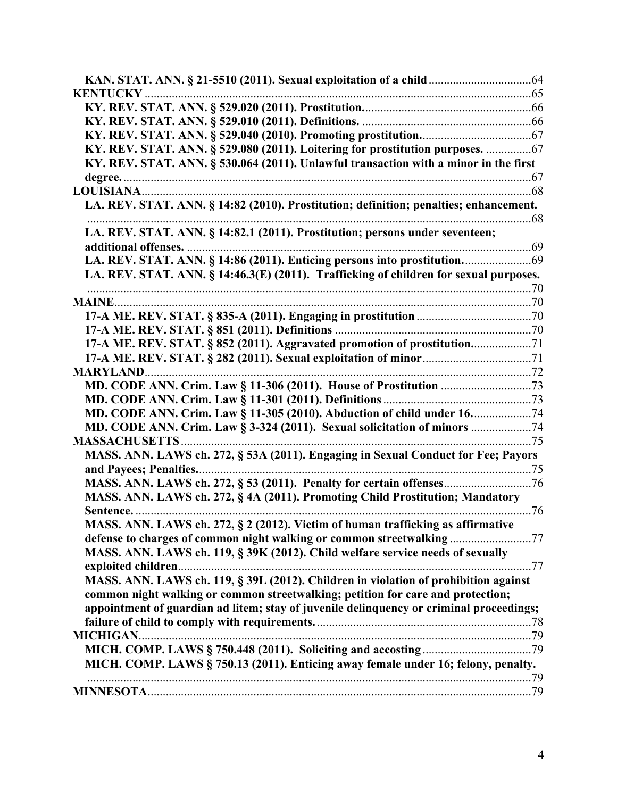| KY. REV. STAT. ANN. § 529.080 (2011). Loitering for prostitution purposes.  67          |  |
|-----------------------------------------------------------------------------------------|--|
| KY. REV. STAT. ANN. § 530.064 (2011). Unlawful transaction with a minor in the first    |  |
|                                                                                         |  |
|                                                                                         |  |
| LA. REV. STAT. ANN. § 14:82 (2010). Prostitution; definition; penalties; enhancement.   |  |
|                                                                                         |  |
| LA. REV. STAT. ANN. § 14:82.1 (2011). Prostitution; persons under seventeen;            |  |
|                                                                                         |  |
|                                                                                         |  |
| LA. REV. STAT. ANN. § 14:46.3(E) (2011). Trafficking of children for sexual purposes.   |  |
|                                                                                         |  |
|                                                                                         |  |
|                                                                                         |  |
|                                                                                         |  |
| 17-A ME. REV. STAT. § 852 (2011). Aggravated promotion of prostitution                  |  |
|                                                                                         |  |
|                                                                                         |  |
|                                                                                         |  |
|                                                                                         |  |
|                                                                                         |  |
|                                                                                         |  |
| MASS. ANN. LAWS ch. 272, § 53A (2011). Engaging in Sexual Conduct for Fee; Payors       |  |
|                                                                                         |  |
|                                                                                         |  |
| MASS. ANN. LAWS ch. 272, § 4A (2011). Promoting Child Prostitution; Mandatory           |  |
|                                                                                         |  |
| MASS. ANN. LAWS ch. 272, § 2 (2012). Victim of human trafficking as affirmative         |  |
| defense to charges of common night walking or common streetwalking77                    |  |
| MASS. ANN. LAWS ch. 119, § 39K (2012). Child welfare service needs of sexually          |  |
|                                                                                         |  |
| MASS. ANN. LAWS ch. 119, § 39L (2012). Children in violation of prohibition against     |  |
| common night walking or common streetwalking; petition for care and protection;         |  |
| appointment of guardian ad litem; stay of juvenile delinquency or criminal proceedings; |  |
|                                                                                         |  |
|                                                                                         |  |
|                                                                                         |  |
| MICH. COMP. LAWS § 750.13 (2011). Enticing away female under 16; felony, penalty.       |  |
|                                                                                         |  |
|                                                                                         |  |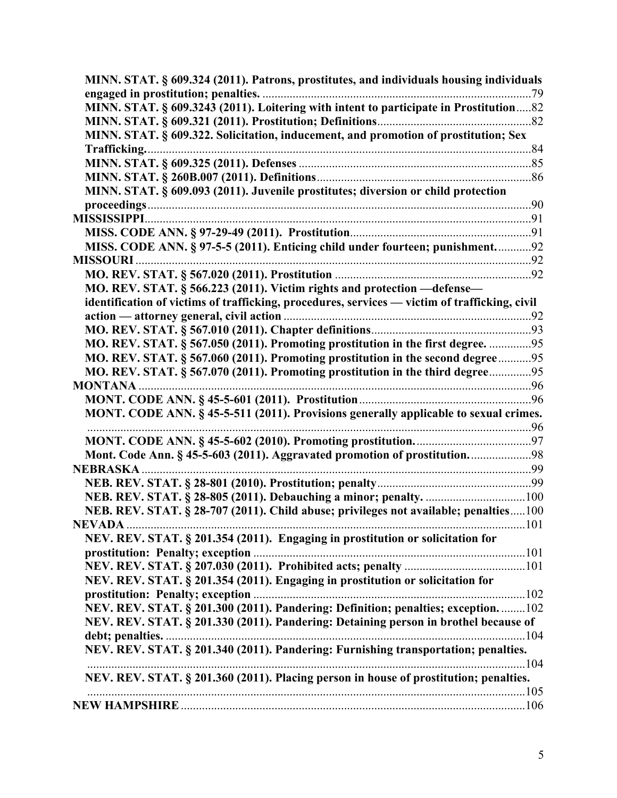| MINN. STAT. § 609.324 (2011). Patrons, prostitutes, and individuals housing individuals       |  |
|-----------------------------------------------------------------------------------------------|--|
|                                                                                               |  |
| MINN. STAT. § 609.3243 (2011). Loitering with intent to participate in Prostitution82         |  |
|                                                                                               |  |
| MINN. STAT. § 609.322. Solicitation, inducement, and promotion of prostitution; Sex           |  |
| Trafficking                                                                                   |  |
|                                                                                               |  |
|                                                                                               |  |
| MINN. STAT. § 609.093 (2011). Juvenile prostitutes; diversion or child protection             |  |
|                                                                                               |  |
|                                                                                               |  |
|                                                                                               |  |
| MISS. CODE ANN. § 97-5-5 (2011). Enticing child under fourteen; punishment92                  |  |
| <b>MISSOURI</b>                                                                               |  |
|                                                                                               |  |
| MO. REV. STAT. § 566.223 (2011). Victim rights and protection - defense-                      |  |
| identification of victims of trafficking, procedures, services - victim of trafficking, civil |  |
|                                                                                               |  |
|                                                                                               |  |
| MO. REV. STAT. § 567.050 (2011). Promoting prostitution in the first degree. 95               |  |
| MO. REV. STAT. § 567.060 (2011). Promoting prostitution in the second degree95                |  |
| MO. REV. STAT. § 567.070 (2011). Promoting prostitution in the third degree95                 |  |
|                                                                                               |  |
|                                                                                               |  |
| MONT. CODE ANN. § 45-5-511 (2011). Provisions generally applicable to sexual crimes.          |  |
|                                                                                               |  |
|                                                                                               |  |
| Mont. Code Ann. § 45-5-603 (2011). Aggravated promotion of prostitution98                     |  |
|                                                                                               |  |
|                                                                                               |  |
|                                                                                               |  |
| NEB. REV. STAT. § 28-707 (2011). Child abuse; privileges not available; penalties100          |  |
| 101                                                                                           |  |
| NEV. REV. STAT. § 201.354 (2011). Engaging in prostitution or solicitation for                |  |
|                                                                                               |  |
|                                                                                               |  |
| NEV. REV. STAT. § 201.354 (2011). Engaging in prostitution or solicitation for                |  |
|                                                                                               |  |
| NEV. REV. STAT. § 201.300 (2011). Pandering: Definition; penalties; exception.  102           |  |
| NEV. REV. STAT. § 201.330 (2011). Pandering: Detaining person in brothel because of           |  |
|                                                                                               |  |
| NEV. REV. STAT. § 201.340 (2011). Pandering: Furnishing transportation; penalties.            |  |
| NEV. REV. STAT. § 201.360 (2011). Placing person in house of prostitution; penalties.         |  |
|                                                                                               |  |
|                                                                                               |  |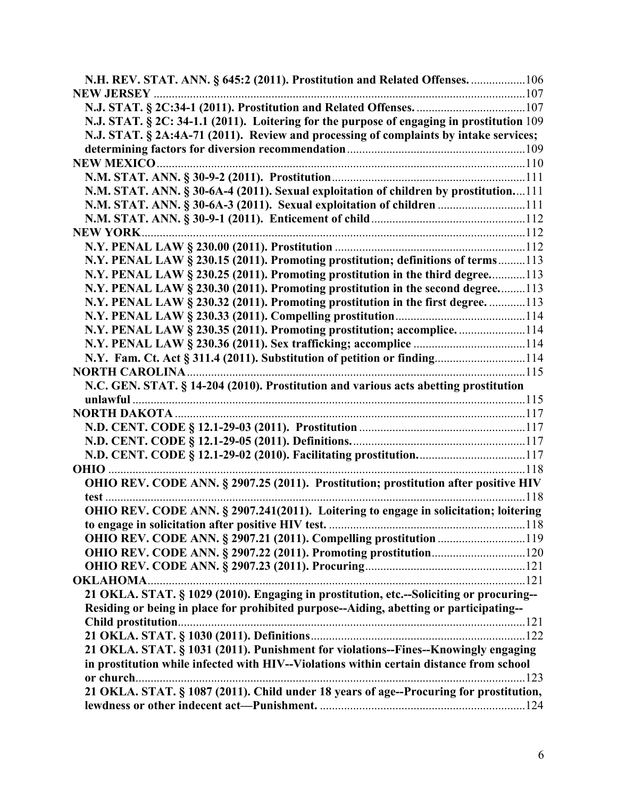| N.H. REV. STAT. ANN. § 645:2 (2011). Prostitution and Related Offenses. 106               |      |
|-------------------------------------------------------------------------------------------|------|
| <b>NEW JERSEY</b>                                                                         |      |
|                                                                                           |      |
| N.J. STAT. § 2C: 34-1.1 (2011). Loitering for the purpose of engaging in prostitution 109 |      |
| N.J. STAT. § 2A:4A-71 (2011). Review and processing of complaints by intake services;     |      |
|                                                                                           |      |
| NEW MEXICO                                                                                |      |
|                                                                                           |      |
| N.M. STAT. ANN. § 30-6A-4 (2011). Sexual exploitation of children by prostitution111      |      |
| N.M. STAT. ANN. § 30-6A-3 (2011). Sexual exploitation of children 111                     |      |
|                                                                                           |      |
| <b>NEW YORK.</b>                                                                          |      |
|                                                                                           |      |
| N.Y. PENAL LAW § 230.15 (2011). Promoting prostitution; definitions of terms113           |      |
| N.Y. PENAL LAW § 230.25 (2011). Promoting prostitution in the third degree113             |      |
| N.Y. PENAL LAW § 230.30 (2011). Promoting prostitution in the second degree113            |      |
| N.Y. PENAL LAW § 230.32 (2011). Promoting prostitution in the first degree. 113           |      |
|                                                                                           |      |
| N.Y. PENAL LAW § 230.35 (2011). Promoting prostitution; accomplice. 114                   |      |
|                                                                                           |      |
| N.Y. Fam. Ct. Act § 311.4 (2011). Substitution of petition or finding114                  |      |
|                                                                                           |      |
| N.C. GEN. STAT. § 14-204 (2010). Prostitution and various acts abetting prostitution      |      |
|                                                                                           |      |
|                                                                                           |      |
|                                                                                           |      |
|                                                                                           |      |
| N.D. CENT. CODE § 12.1-29-02 (2010). Facilitating prostitution117                         |      |
|                                                                                           |      |
| OHIO REV. CODE ANN. § 2907.25 (2011). Prostitution; prostitution after positive HIV       |      |
|                                                                                           | .118 |
| OHIO REV. CODE ANN. § 2907.241(2011). Loitering to engage in solicitation; loitering      |      |
|                                                                                           |      |
|                                                                                           |      |
| <b>OHIO REV. CODE ANN. § 2907.22 (2011). Promoting prostitution120</b>                    |      |
|                                                                                           |      |
| <b>OKLAHOMA.</b>                                                                          |      |
| 21 OKLA. STAT. § 1029 (2010). Engaging in prostitution, etc.--Soliciting or procuring--   |      |
| Residing or being in place for prohibited purpose--Aiding, abetting or participating--    |      |
|                                                                                           |      |
|                                                                                           |      |
| 21 OKLA. STAT. § 1031 (2011). Punishment for violations--Fines--Knowingly engaging        |      |
| in prostitution while infected with HIV--Violations within certain distance from school   |      |
|                                                                                           | 123  |
| 21 OKLA. STAT. § 1087 (2011). Child under 18 years of age--Procuring for prostitution,    |      |
|                                                                                           |      |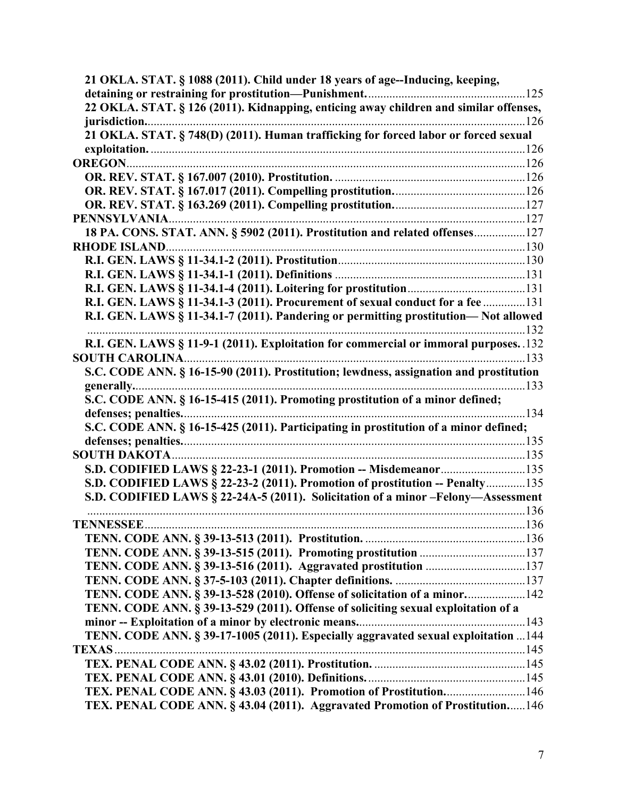| 21 OKLA. STAT. § 1088 (2011). Child under 18 years of age--Inducing, keeping,          |  |
|----------------------------------------------------------------------------------------|--|
|                                                                                        |  |
| 22 OKLA. STAT. § 126 (2011). Kidnapping, enticing away children and similar offenses,  |  |
|                                                                                        |  |
| 21 OKLA. STAT. § 748(D) (2011). Human trafficking for forced labor or forced sexual    |  |
|                                                                                        |  |
|                                                                                        |  |
|                                                                                        |  |
|                                                                                        |  |
|                                                                                        |  |
|                                                                                        |  |
| 18 PA. CONS. STAT. ANN. § 5902 (2011). Prostitution and related offenses127            |  |
|                                                                                        |  |
|                                                                                        |  |
|                                                                                        |  |
|                                                                                        |  |
| R.I. GEN. LAWS § 11-34.1-3 (2011). Procurement of sexual conduct for a fee 131         |  |
| R.I. GEN. LAWS § 11-34.1-7 (2011). Pandering or permitting prostitution— Not allowed   |  |
|                                                                                        |  |
| R.I. GEN. LAWS § 11-9-1 (2011). Exploitation for commercial or immoral purposes. 132   |  |
|                                                                                        |  |
| S.C. CODE ANN. § 16-15-90 (2011). Prostitution; lewdness, assignation and prostitution |  |
|                                                                                        |  |
| S.C. CODE ANN. § 16-15-415 (2011). Promoting prostitution of a minor defined;          |  |
|                                                                                        |  |
| S.C. CODE ANN. § 16-15-425 (2011). Participating in prostitution of a minor defined;   |  |
|                                                                                        |  |
|                                                                                        |  |
| S.D. CODIFIED LAWS § 22-23-1 (2011). Promotion -- Misdemeanor135                       |  |
| S.D. CODIFIED LAWS § 22-23-2 (2011). Promotion of prostitution -- Penalty135           |  |
| S.D. CODIFIED LAWS § 22-24A-5 (2011). Solicitation of a minor -Felony-Assessment       |  |
|                                                                                        |  |
|                                                                                        |  |
|                                                                                        |  |
|                                                                                        |  |
|                                                                                        |  |
|                                                                                        |  |
| TENN. CODE ANN. § 39-13-528 (2010). Offense of solicitation of a minor142              |  |
| TENN. CODE ANN. § 39-13-529 (2011). Offense of soliciting sexual exploitation of a     |  |
|                                                                                        |  |
| TENN. CODE ANN. § 39-17-1005 (2011). Especially aggravated sexual exploitation  144    |  |
|                                                                                        |  |
|                                                                                        |  |
|                                                                                        |  |
| TEX. PENAL CODE ANN. § 43.03 (2011). Promotion of Prostitution146                      |  |
| TEX. PENAL CODE ANN. § 43.04 (2011). Aggravated Promotion of Prostitution146           |  |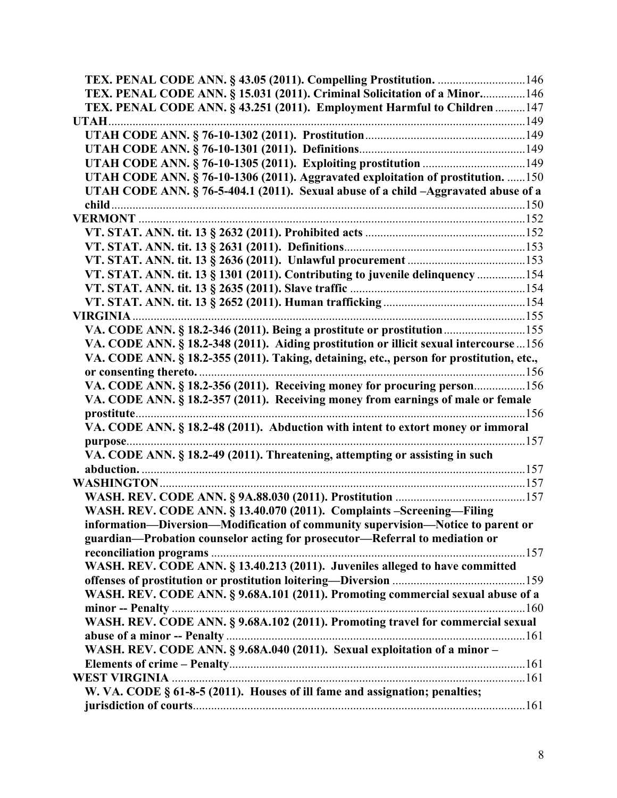| TEX. PENAL CODE ANN. § 15.031 (2011). Criminal Solicitation of a Minor146                |  |
|------------------------------------------------------------------------------------------|--|
| TEX. PENAL CODE ANN. § 43.251 (2011). Employment Harmful to Children  147                |  |
|                                                                                          |  |
|                                                                                          |  |
|                                                                                          |  |
|                                                                                          |  |
| UTAH CODE ANN. § 76-10-1306 (2011). Aggravated exploitation of prostitution. 150         |  |
| UTAH CODE ANN. § 76-5-404.1 (2011). Sexual abuse of a child -Aggravated abuse of a       |  |
|                                                                                          |  |
|                                                                                          |  |
|                                                                                          |  |
|                                                                                          |  |
|                                                                                          |  |
| VT. STAT. ANN. tit. 13 § 1301 (2011). Contributing to juvenile delinquency 154           |  |
|                                                                                          |  |
|                                                                                          |  |
| <b>VIRGINIA.</b>                                                                         |  |
| VA. CODE ANN. § 18.2-346 (2011). Being a prostitute or prostitution155                   |  |
| VA. CODE ANN. § 18.2-348 (2011). Aiding prostitution or illicit sexual intercourse  156  |  |
| VA. CODE ANN. § 18.2-355 (2011). Taking, detaining, etc., person for prostitution, etc., |  |
|                                                                                          |  |
| VA. CODE ANN. § 18.2-356 (2011). Receiving money for procuring person156                 |  |
| VA. CODE ANN. § 18.2-357 (2011). Receiving money from earnings of male or female         |  |
|                                                                                          |  |
| VA. CODE ANN. § 18.2-48 (2011). Abduction with intent to extort money or immoral         |  |
|                                                                                          |  |
| VA. CODE ANN. § 18.2-49 (2011). Threatening, attempting or assisting in such             |  |
|                                                                                          |  |
|                                                                                          |  |
|                                                                                          |  |
| WASH. REV. CODE ANN. § 13.40.070 (2011). Complaints -Screening-Filing                    |  |
| information—Diversion—Modification of community supervision—Notice to parent or          |  |
| guardian—Probation counselor acting for prosecutor—Referral to mediation or              |  |
| WASH. REV. CODE ANN. § 13.40.213 (2011). Juveniles alleged to have committed             |  |
|                                                                                          |  |
|                                                                                          |  |
| WASH. REV. CODE ANN. § 9.68A.101 (2011). Promoting commercial sexual abuse of a          |  |
| WASH. REV. CODE ANN. § 9.68A.102 (2011). Promoting travel for commercial sexual          |  |
|                                                                                          |  |
|                                                                                          |  |
| WASH. REV. CODE ANN. § 9.68A.040 (2011). Sexual exploitation of a minor -                |  |
|                                                                                          |  |
|                                                                                          |  |
| W. VA. CODE § 61-8-5 (2011). Houses of ill fame and assignation; penalties;              |  |
|                                                                                          |  |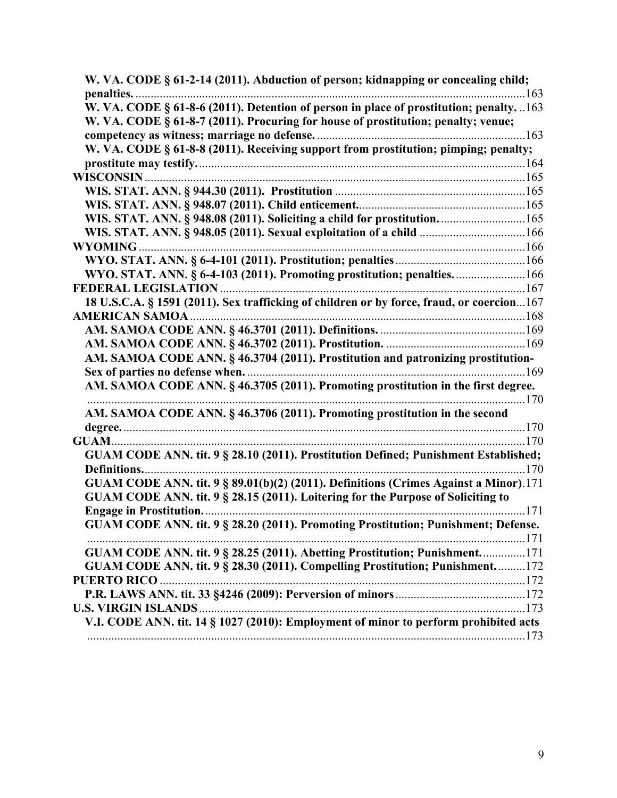| W. VA. CODE § 61-2-14 (2011). Abduction of person; kidnapping or concealing child;        |  |
|-------------------------------------------------------------------------------------------|--|
|                                                                                           |  |
| W. VA. CODE § 61-8-6 (2011). Detention of person in place of prostitution; penalty. 163   |  |
| W. VA. CODE § 61-8-7 (2011). Procuring for house of prostitution; penalty; venue;         |  |
|                                                                                           |  |
| W. VA. CODE § 61-8-8 (2011). Receiving support from prostitution; pimping; penalty;       |  |
|                                                                                           |  |
|                                                                                           |  |
|                                                                                           |  |
|                                                                                           |  |
| WIS. STAT. ANN. § 948.08 (2011). Soliciting a child for prostitution.  165                |  |
|                                                                                           |  |
| <b>WYOMING</b>                                                                            |  |
|                                                                                           |  |
| WYO. STAT. ANN. § 6-4-103 (2011). Promoting prostitution; penalties166                    |  |
| <b>FEDERAL LEGISLATION</b>                                                                |  |
| 18 U.S.C.A. § 1591 (2011). Sex trafficking of children or by force, fraud, or coercion167 |  |
|                                                                                           |  |
|                                                                                           |  |
|                                                                                           |  |
| AM. SAMOA CODE ANN. § 46.3704 (2011). Prostitution and patronizing prostitution-          |  |
|                                                                                           |  |
| AM. SAMOA CODE ANN. § 46.3705 (2011). Promoting prostitution in the first degree.         |  |
|                                                                                           |  |
| AM. SAMOA CODE ANN. § 46.3706 (2011). Promoting prostitution in the second                |  |
|                                                                                           |  |
|                                                                                           |  |
| GUAM CODE ANN. tit. 9 § 28.10 (2011). Prostitution Defined; Punishment Established;       |  |
|                                                                                           |  |
| GUAM CODE ANN. tit. 9 § 89.01(b)(2) (2011). Definitions (Crimes Against a Minor).171      |  |
| GUAM CODE ANN. tit. 9 § 28.15 (2011). Loitering for the Purpose of Soliciting to          |  |
|                                                                                           |  |
| GUAM CODE ANN. tit. 9 § 28.20 (2011). Promoting Prostitution; Punishment; Defense.        |  |
| GUAM CODE ANN. tit. 9 § 28.25 (2011). Abetting Prostitution; Punishment171                |  |
| GUAM CODE ANN. tit. 9 § 28.30 (2011). Compelling Prostitution; Punishment172              |  |
| <b>PUERTO RICO</b>                                                                        |  |
|                                                                                           |  |
|                                                                                           |  |
| V.I. CODE ANN. tit. 14 § 1027 (2010): Employment of minor to perform prohibited acts      |  |
|                                                                                           |  |
|                                                                                           |  |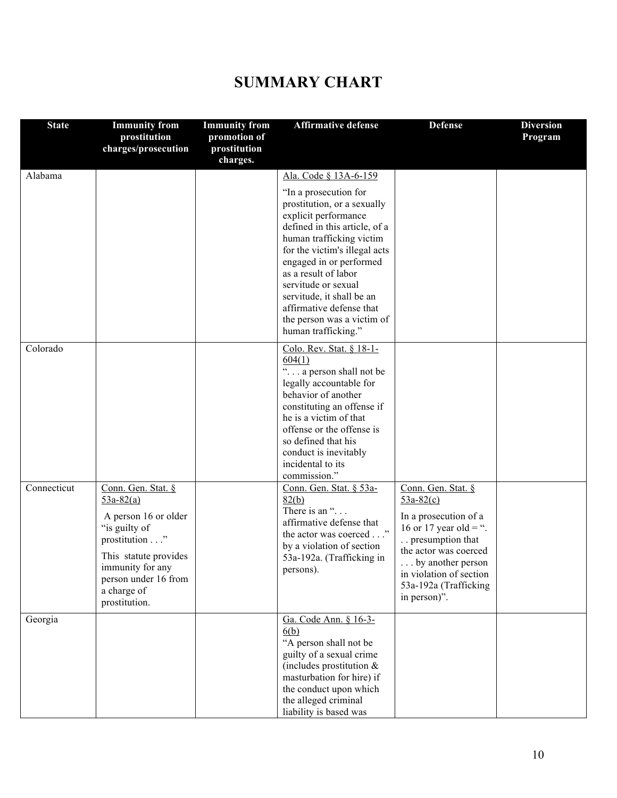# **SUMMARY CHART**

| <b>State</b> | <b>Immunity from</b><br>prostitution<br>charges/prosecution                                                                                                                                      | <b>Immunity from</b><br>promotion of<br>prostitution<br>charges. | <b>Affirmative defense</b>                                                                                                                                                                                                                                                                                                                                         | <b>Defense</b>                                                                                                                                                                                                             | <b>Diversion</b><br>Program |
|--------------|--------------------------------------------------------------------------------------------------------------------------------------------------------------------------------------------------|------------------------------------------------------------------|--------------------------------------------------------------------------------------------------------------------------------------------------------------------------------------------------------------------------------------------------------------------------------------------------------------------------------------------------------------------|----------------------------------------------------------------------------------------------------------------------------------------------------------------------------------------------------------------------------|-----------------------------|
| Alabama      |                                                                                                                                                                                                  |                                                                  | Ala. Code § 13A-6-159                                                                                                                                                                                                                                                                                                                                              |                                                                                                                                                                                                                            |                             |
|              |                                                                                                                                                                                                  |                                                                  | "In a prosecution for<br>prostitution, or a sexually<br>explicit performance<br>defined in this article, of a<br>human trafficking victim<br>for the victim's illegal acts<br>engaged in or performed<br>as a result of labor<br>servitude or sexual<br>servitude, it shall be an<br>affirmative defense that<br>the person was a victim of<br>human trafficking." |                                                                                                                                                                                                                            |                             |
| Colorado     |                                                                                                                                                                                                  |                                                                  | Colo. Rev. Stat. § 18-1-<br>604(1)<br>" a person shall not be<br>legally accountable for<br>behavior of another<br>constituting an offense if<br>he is a victim of that<br>offense or the offense is<br>so defined that his<br>conduct is inevitably<br>incidental to its<br>commission."                                                                          |                                                                                                                                                                                                                            |                             |
| Connecticut  | Conn. Gen. Stat. §<br>$53a-82(a)$<br>A person 16 or older<br>"is guilty of<br>prostitution"<br>This statute provides<br>immunity for any<br>person under 16 from<br>a charge of<br>prostitution. |                                                                  | Conn. Gen. Stat. § 53a-<br>82(b)<br>There is an "<br>affirmative defense that<br>the actor was coerced"<br>by a violation of section<br>53a-192a. (Trafficking in<br>persons).                                                                                                                                                                                     | Conn. Gen. Stat. §<br>$53a-82(c)$<br>In a prosecution of a<br>16 or 17 year old = ".<br>presumption that<br>the actor was coerced<br>by another person<br>in violation of section<br>53a-192a (Trafficking<br>in person)". |                             |
| Georgia      |                                                                                                                                                                                                  |                                                                  | Ga. Code Ann. § 16-3-<br>6(b)<br>"A person shall not be<br>guilty of a sexual crime<br>(includes prostitution &<br>masturbation for hire) if<br>the conduct upon which<br>the alleged criminal<br>liability is based was                                                                                                                                           |                                                                                                                                                                                                                            |                             |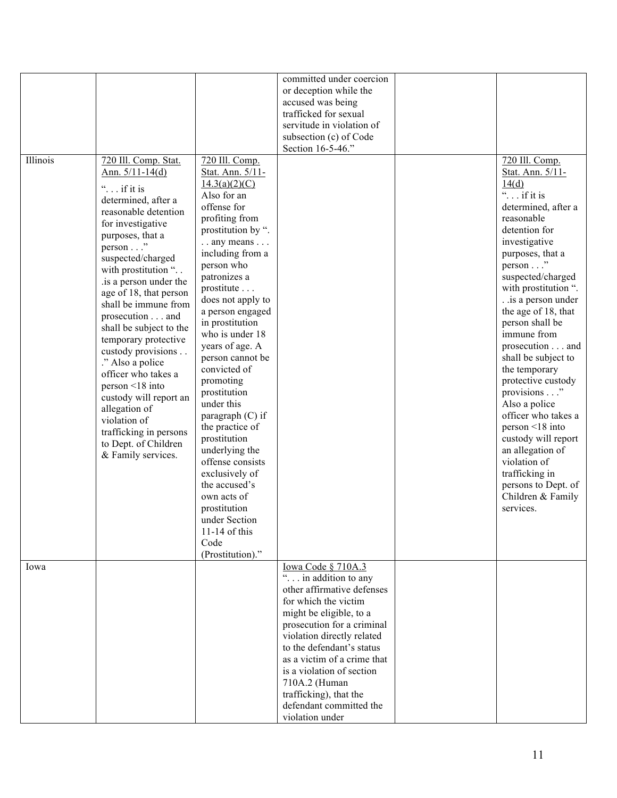|          |                                                                                                                                                                                                                                                                                                                                                                                                                                                                                                 |                                                                                                                                                                                                                                                                                                                                                                                                           | committed under coercion                           |                                                                                                                                                                                                                                                                                                                                                                                                                                    |
|----------|-------------------------------------------------------------------------------------------------------------------------------------------------------------------------------------------------------------------------------------------------------------------------------------------------------------------------------------------------------------------------------------------------------------------------------------------------------------------------------------------------|-----------------------------------------------------------------------------------------------------------------------------------------------------------------------------------------------------------------------------------------------------------------------------------------------------------------------------------------------------------------------------------------------------------|----------------------------------------------------|------------------------------------------------------------------------------------------------------------------------------------------------------------------------------------------------------------------------------------------------------------------------------------------------------------------------------------------------------------------------------------------------------------------------------------|
|          |                                                                                                                                                                                                                                                                                                                                                                                                                                                                                                 |                                                                                                                                                                                                                                                                                                                                                                                                           | or deception while the                             |                                                                                                                                                                                                                                                                                                                                                                                                                                    |
|          |                                                                                                                                                                                                                                                                                                                                                                                                                                                                                                 |                                                                                                                                                                                                                                                                                                                                                                                                           | accused was being                                  |                                                                                                                                                                                                                                                                                                                                                                                                                                    |
|          |                                                                                                                                                                                                                                                                                                                                                                                                                                                                                                 |                                                                                                                                                                                                                                                                                                                                                                                                           | trafficked for sexual                              |                                                                                                                                                                                                                                                                                                                                                                                                                                    |
|          |                                                                                                                                                                                                                                                                                                                                                                                                                                                                                                 |                                                                                                                                                                                                                                                                                                                                                                                                           | servitude in violation of                          |                                                                                                                                                                                                                                                                                                                                                                                                                                    |
|          |                                                                                                                                                                                                                                                                                                                                                                                                                                                                                                 |                                                                                                                                                                                                                                                                                                                                                                                                           | subsection (c) of Code                             |                                                                                                                                                                                                                                                                                                                                                                                                                                    |
|          |                                                                                                                                                                                                                                                                                                                                                                                                                                                                                                 |                                                                                                                                                                                                                                                                                                                                                                                                           | Section 16-5-46."                                  |                                                                                                                                                                                                                                                                                                                                                                                                                                    |
| Illinois | 720 Ill. Comp. Stat.<br>Ann. $5/11-14(d)$<br>" $\ldots$ if it is<br>determined, after a<br>reasonable detention<br>for investigative<br>purposes, that a<br>person"<br>suspected/charged<br>with prostitution "<br>is a person under the<br>age of 18, that person<br>shall be immune from<br>prosecution and<br>shall be subject to the<br>temporary protective<br>custody provisions<br>." Also a police<br>officer who takes a<br>person <18 into<br>custody will report an<br>allegation of | 720 Ill. Comp.<br>Stat. Ann. 5/11-<br>14.3(a)(2)(C)<br>Also for an<br>offense for<br>profiting from<br>prostitution by ".<br>$\ldots$ any means $\ldots$<br>including from a<br>person who<br>patronizes a<br>prostitute<br>does not apply to<br>a person engaged<br>in prostitution<br>who is under 18<br>years of age. A<br>person cannot be<br>convicted of<br>promoting<br>prostitution<br>under this |                                                    | 720 Ill. Comp.<br>Stat. Ann. 5/11-<br>14(d)<br>$\overline{``\ldots}$ if it is<br>determined, after a<br>reasonable<br>detention for<br>investigative<br>purposes, that a<br>person"<br>suspected/charged<br>with prostitution ".<br>. .is a person under<br>the age of 18, that<br>person shall be<br>immune from<br>prosecution and<br>shall be subject to<br>the temporary<br>protective custody<br>provisions"<br>Also a police |
|          | violation of<br>trafficking in persons<br>to Dept. of Children<br>& Family services.                                                                                                                                                                                                                                                                                                                                                                                                            | paragraph (C) if<br>the practice of<br>prostitution<br>underlying the<br>offense consists<br>exclusively of<br>the accused's<br>own acts of<br>prostitution<br>under Section<br>$11-14$ of this<br>Code<br>(Prostitution)."                                                                                                                                                                               |                                                    | officer who takes a<br>$person < 18$ into<br>custody will report<br>an allegation of<br>violation of<br>trafficking in<br>persons to Dept. of<br>Children & Family<br>services.                                                                                                                                                                                                                                                    |
| Iowa     |                                                                                                                                                                                                                                                                                                                                                                                                                                                                                                 |                                                                                                                                                                                                                                                                                                                                                                                                           | Iowa Code § 710A.3                                 |                                                                                                                                                                                                                                                                                                                                                                                                                                    |
|          |                                                                                                                                                                                                                                                                                                                                                                                                                                                                                                 |                                                                                                                                                                                                                                                                                                                                                                                                           | " in addition to any<br>other affirmative defenses |                                                                                                                                                                                                                                                                                                                                                                                                                                    |
|          |                                                                                                                                                                                                                                                                                                                                                                                                                                                                                                 |                                                                                                                                                                                                                                                                                                                                                                                                           | for which the victim                               |                                                                                                                                                                                                                                                                                                                                                                                                                                    |
|          |                                                                                                                                                                                                                                                                                                                                                                                                                                                                                                 |                                                                                                                                                                                                                                                                                                                                                                                                           | might be eligible, to a                            |                                                                                                                                                                                                                                                                                                                                                                                                                                    |
|          |                                                                                                                                                                                                                                                                                                                                                                                                                                                                                                 |                                                                                                                                                                                                                                                                                                                                                                                                           | prosecution for a criminal                         |                                                                                                                                                                                                                                                                                                                                                                                                                                    |
|          |                                                                                                                                                                                                                                                                                                                                                                                                                                                                                                 |                                                                                                                                                                                                                                                                                                                                                                                                           | violation directly related                         |                                                                                                                                                                                                                                                                                                                                                                                                                                    |
|          |                                                                                                                                                                                                                                                                                                                                                                                                                                                                                                 |                                                                                                                                                                                                                                                                                                                                                                                                           | to the defendant's status                          |                                                                                                                                                                                                                                                                                                                                                                                                                                    |
|          |                                                                                                                                                                                                                                                                                                                                                                                                                                                                                                 |                                                                                                                                                                                                                                                                                                                                                                                                           | as a victim of a crime that                        |                                                                                                                                                                                                                                                                                                                                                                                                                                    |
|          |                                                                                                                                                                                                                                                                                                                                                                                                                                                                                                 |                                                                                                                                                                                                                                                                                                                                                                                                           | is a violation of section                          |                                                                                                                                                                                                                                                                                                                                                                                                                                    |
|          |                                                                                                                                                                                                                                                                                                                                                                                                                                                                                                 |                                                                                                                                                                                                                                                                                                                                                                                                           | 710A.2 (Human                                      |                                                                                                                                                                                                                                                                                                                                                                                                                                    |
|          |                                                                                                                                                                                                                                                                                                                                                                                                                                                                                                 |                                                                                                                                                                                                                                                                                                                                                                                                           | trafficking), that the                             |                                                                                                                                                                                                                                                                                                                                                                                                                                    |
|          |                                                                                                                                                                                                                                                                                                                                                                                                                                                                                                 |                                                                                                                                                                                                                                                                                                                                                                                                           | defendant committed the                            |                                                                                                                                                                                                                                                                                                                                                                                                                                    |
|          |                                                                                                                                                                                                                                                                                                                                                                                                                                                                                                 |                                                                                                                                                                                                                                                                                                                                                                                                           | violation under                                    |                                                                                                                                                                                                                                                                                                                                                                                                                                    |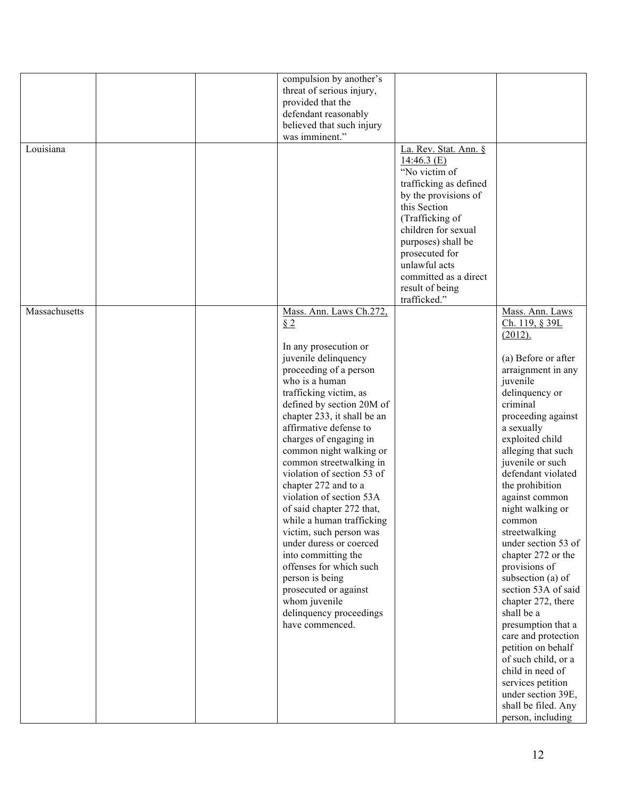| Louisiana     |  | compulsion by another's<br>threat of serious injury,<br>provided that the<br>defendant reasonably<br>believed that such injury<br>was imminent."                                                                                                                                                                                                                                                                                                                                                                                                                                                                                                                                           | La. Rev. Stat. Ann. §<br>$14:46.3$ (E)                                                                                                                                                                                                         |                                                                                                                                                                                                                                                                                                                                                                                                                                                                                                                                                                                                                                                                                                   |
|---------------|--|--------------------------------------------------------------------------------------------------------------------------------------------------------------------------------------------------------------------------------------------------------------------------------------------------------------------------------------------------------------------------------------------------------------------------------------------------------------------------------------------------------------------------------------------------------------------------------------------------------------------------------------------------------------------------------------------|------------------------------------------------------------------------------------------------------------------------------------------------------------------------------------------------------------------------------------------------|---------------------------------------------------------------------------------------------------------------------------------------------------------------------------------------------------------------------------------------------------------------------------------------------------------------------------------------------------------------------------------------------------------------------------------------------------------------------------------------------------------------------------------------------------------------------------------------------------------------------------------------------------------------------------------------------------|
|               |  |                                                                                                                                                                                                                                                                                                                                                                                                                                                                                                                                                                                                                                                                                            | "No victim of<br>trafficking as defined<br>by the provisions of<br>this Section<br>(Trafficking of<br>children for sexual<br>purposes) shall be<br>prosecuted for<br>unlawful acts<br>committed as a direct<br>result of being<br>trafficked." |                                                                                                                                                                                                                                                                                                                                                                                                                                                                                                                                                                                                                                                                                                   |
| Massachusetts |  | Mass. Ann. Laws Ch.272,<br>\$2<br>In any prosecution or<br>juvenile delinquency<br>proceeding of a person<br>who is a human<br>trafficking victim, as<br>defined by section 20M of<br>chapter 233, it shall be an<br>affirmative defense to<br>charges of engaging in<br>common night walking or<br>common streetwalking in<br>violation of section 53 of<br>chapter 272 and to a<br>violation of section 53A<br>of said chapter 272 that,<br>while a human trafficking<br>victim, such person was<br>under duress or coerced<br>into committing the<br>offenses for which such<br>person is being<br>prosecuted or against<br>whom juvenile<br>delinquency proceedings<br>have commenced. |                                                                                                                                                                                                                                                | Mass. Ann. Laws<br>Ch. 119, § 39L<br>(2012).<br>(a) Before or after<br>arraignment in any<br>juvenile<br>delinquency or<br>criminal<br>proceeding against<br>a sexually<br>exploited child<br>alleging that such<br>juvenile or such<br>defendant violated<br>the prohibition<br>against common<br>night walking or<br>common<br>streetwalking<br>under section 53 of<br>chapter 272 or the<br>provisions of<br>subsection (a) of<br>section 53A of said<br>chapter 272, there<br>shall be a<br>presumption that a<br>care and protection<br>petition on behalf<br>of such child, or a<br>child in need of<br>services petition<br>under section 39E,<br>shall be filed. Any<br>person, including |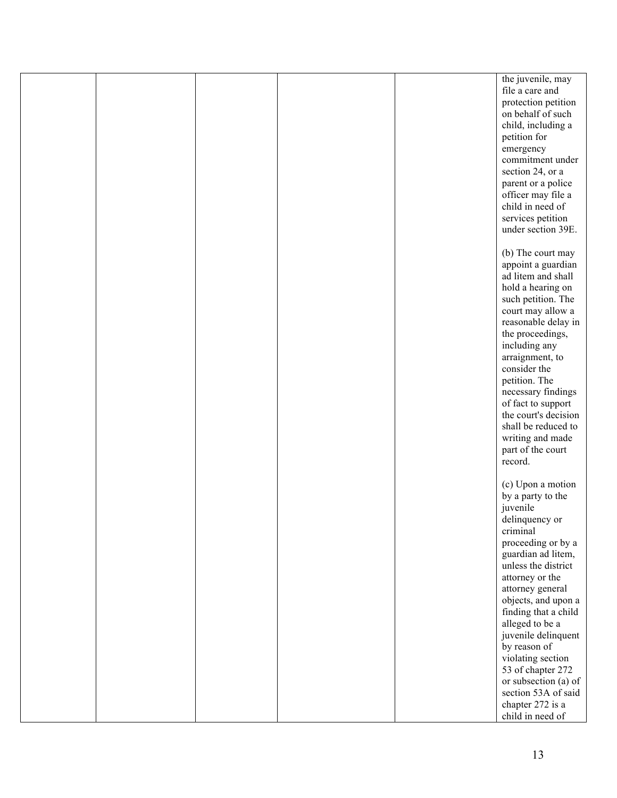|  |  | the juvenile, may    |
|--|--|----------------------|
|  |  | file a care and      |
|  |  | protection petition  |
|  |  | on behalf of such    |
|  |  | child, including a   |
|  |  | petition for         |
|  |  | emergency            |
|  |  | commitment under     |
|  |  | section 24, or a     |
|  |  |                      |
|  |  | parent or a police   |
|  |  | officer may file a   |
|  |  | child in need of     |
|  |  | services petition    |
|  |  | under section 39E.   |
|  |  |                      |
|  |  | (b) The court may    |
|  |  | appoint a guardian   |
|  |  | ad litem and shall   |
|  |  | hold a hearing on    |
|  |  | such petition. The   |
|  |  |                      |
|  |  | court may allow a    |
|  |  | reasonable delay in  |
|  |  | the proceedings,     |
|  |  | including any        |
|  |  | arraignment, to      |
|  |  | consider the         |
|  |  | petition. The        |
|  |  | necessary findings   |
|  |  | of fact to support   |
|  |  | the court's decision |
|  |  | shall be reduced to  |
|  |  | writing and made     |
|  |  | part of the court    |
|  |  |                      |
|  |  | record.              |
|  |  |                      |
|  |  | (c) Upon a motion    |
|  |  | by a party to the    |
|  |  | juvenile             |
|  |  | delinquency or       |
|  |  | criminal             |
|  |  | proceeding or by a   |
|  |  | guardian ad litem,   |
|  |  | unless the district  |
|  |  | attorney or the      |
|  |  | attorney general     |
|  |  | objects, and upon a  |
|  |  | finding that a child |
|  |  |                      |
|  |  | alleged to be a      |
|  |  | juvenile delinquent  |
|  |  | by reason of         |
|  |  | violating section    |
|  |  | 53 of chapter 272    |
|  |  | or subsection (a) of |
|  |  | section 53A of said  |
|  |  | chapter 272 is a     |
|  |  | child in need of     |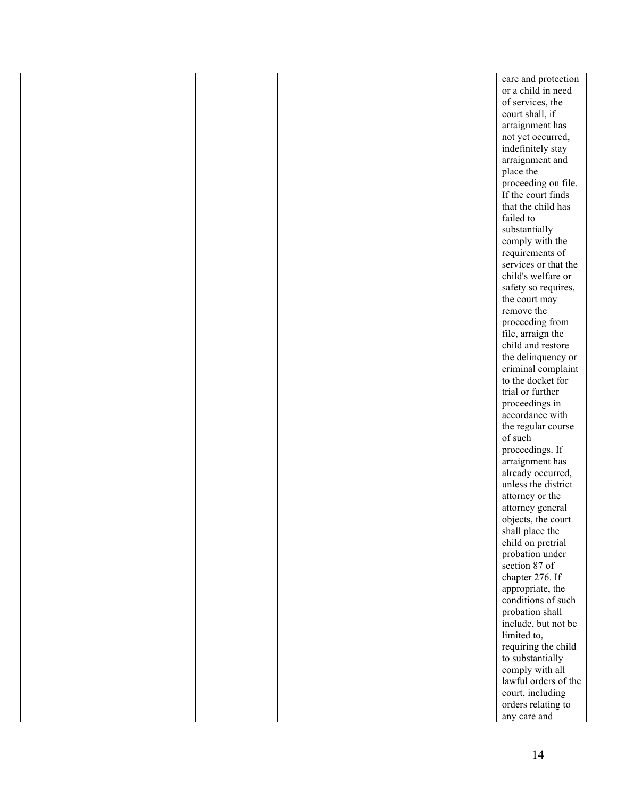|  |  | care and protection  |
|--|--|----------------------|
|  |  | or a child in need   |
|  |  | of services, the     |
|  |  | court shall, if      |
|  |  |                      |
|  |  | arraignment has      |
|  |  | not yet occurred,    |
|  |  | indefinitely stay    |
|  |  | arraignment and      |
|  |  |                      |
|  |  | place the            |
|  |  | proceeding on file.  |
|  |  | If the court finds   |
|  |  | that the child has   |
|  |  | failed to            |
|  |  |                      |
|  |  | substantially        |
|  |  | comply with the      |
|  |  | requirements of      |
|  |  | services or that the |
|  |  | child's welfare or   |
|  |  |                      |
|  |  | safety so requires,  |
|  |  | the court may        |
|  |  | remove the           |
|  |  | proceeding from      |
|  |  | file, arraign the    |
|  |  | child and restore    |
|  |  |                      |
|  |  | the delinquency or   |
|  |  | criminal complaint   |
|  |  | to the docket for    |
|  |  | trial or further     |
|  |  |                      |
|  |  | proceedings in       |
|  |  | accordance with      |
|  |  | the regular course   |
|  |  | of such              |
|  |  | proceedings. If      |
|  |  | arraignment has      |
|  |  |                      |
|  |  | already occurred,    |
|  |  | unless the district  |
|  |  | attorney or the      |
|  |  | attorney general     |
|  |  | objects, the court   |
|  |  | shall place the      |
|  |  |                      |
|  |  | child on pretrial    |
|  |  | probation under      |
|  |  | section 87 of        |
|  |  | chapter 276. If      |
|  |  | appropriate, the     |
|  |  | conditions of such   |
|  |  |                      |
|  |  | probation shall      |
|  |  | include, but not be  |
|  |  | limited to,          |
|  |  | requiring the child  |
|  |  | to substantially     |
|  |  |                      |
|  |  | comply with all      |
|  |  | lawful orders of the |
|  |  | court, including     |
|  |  | orders relating to   |
|  |  | any care and         |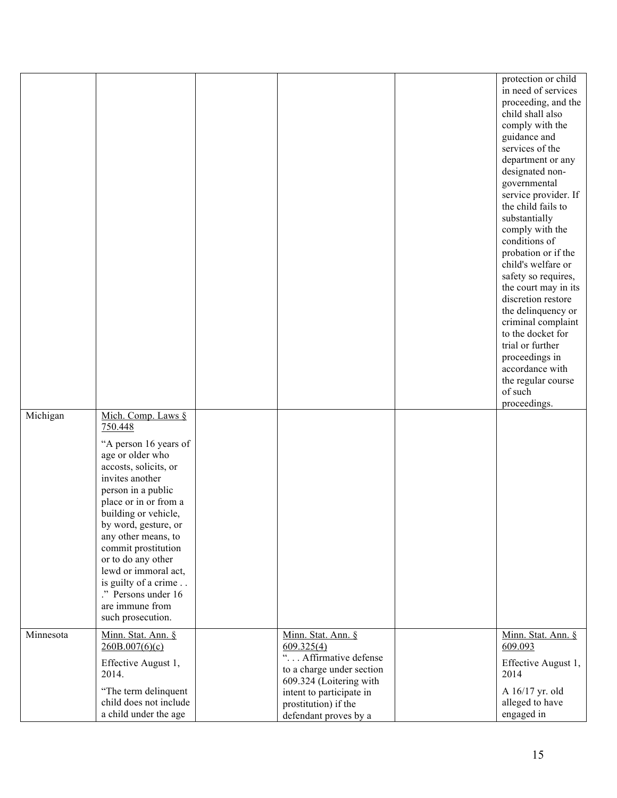|           |                                                                                                                                                                                                                                                                                                                                                                                    |                                                                                                     | protection or child<br>in need of services<br>proceeding, and the<br>child shall also<br>comply with the<br>guidance and<br>services of the<br>department or any<br>designated non-<br>governmental<br>service provider. If<br>the child fails to<br>substantially<br>comply with the<br>conditions of<br>probation or if the<br>child's welfare or<br>safety so requires,<br>the court may in its<br>discretion restore<br>the delinquency or<br>criminal complaint<br>to the docket for |
|-----------|------------------------------------------------------------------------------------------------------------------------------------------------------------------------------------------------------------------------------------------------------------------------------------------------------------------------------------------------------------------------------------|-----------------------------------------------------------------------------------------------------|-------------------------------------------------------------------------------------------------------------------------------------------------------------------------------------------------------------------------------------------------------------------------------------------------------------------------------------------------------------------------------------------------------------------------------------------------------------------------------------------|
|           |                                                                                                                                                                                                                                                                                                                                                                                    |                                                                                                     | trial or further<br>proceedings in<br>accordance with<br>the regular course<br>of such                                                                                                                                                                                                                                                                                                                                                                                                    |
| Michigan  | Mich. Comp. Laws §                                                                                                                                                                                                                                                                                                                                                                 |                                                                                                     | proceedings.                                                                                                                                                                                                                                                                                                                                                                                                                                                                              |
|           | 750.448<br>"A person 16 years of<br>age or older who<br>accosts, solicits, or<br>invites another<br>person in a public<br>place or in or from a<br>building or vehicle,<br>by word, gesture, or<br>any other means, to<br>commit prostitution<br>or to do any other<br>lewd or immoral act,<br>is guilty of a crime<br>." Persons under 16<br>are immune from<br>such prosecution. |                                                                                                     |                                                                                                                                                                                                                                                                                                                                                                                                                                                                                           |
| Minnesota | Minn. Stat. Ann. §<br>260B.007(6)(c)                                                                                                                                                                                                                                                                                                                                               | Minn. Stat. Ann. §<br>609.325(4)                                                                    | Minn. Stat. Ann. §<br>609.093                                                                                                                                                                                                                                                                                                                                                                                                                                                             |
|           | Effective August 1,<br>2014.                                                                                                                                                                                                                                                                                                                                                       | $\epsilon\,\epsilon$<br>Affirmative defense<br>to a charge under section<br>609.324 (Loitering with | Effective August 1,<br>2014                                                                                                                                                                                                                                                                                                                                                                                                                                                               |
|           | "The term delinquent<br>child does not include<br>a child under the age                                                                                                                                                                                                                                                                                                            | intent to participate in<br>prostitution) if the<br>defendant proves by a                           | A 16/17 yr. old<br>alleged to have<br>engaged in                                                                                                                                                                                                                                                                                                                                                                                                                                          |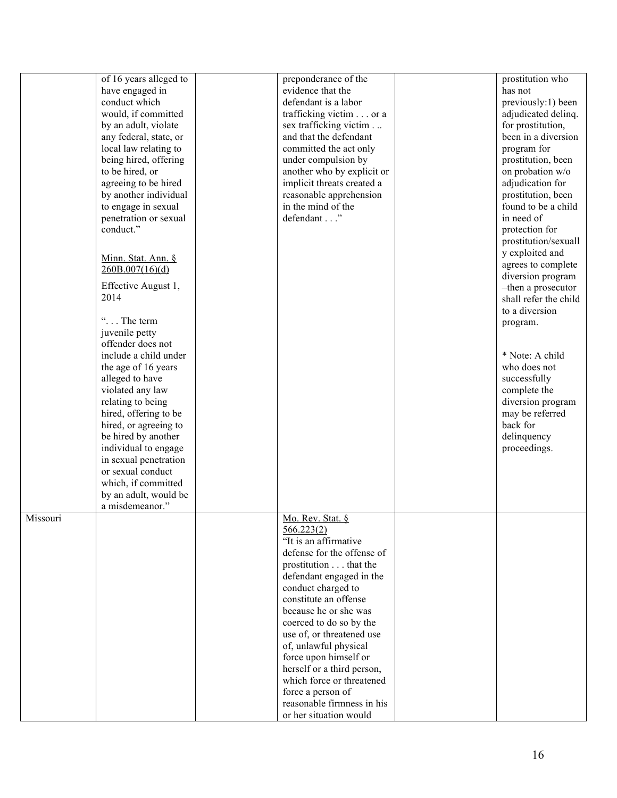|          | of 16 years alleged to<br>have engaged in  | preponderance of the<br>evidence that the | prostitution who<br>has not |
|----------|--------------------------------------------|-------------------------------------------|-----------------------------|
|          | conduct which                              | defendant is a labor                      | previously:1) been          |
|          | would, if committed                        | trafficking victim or a                   | adjudicated delinq.         |
|          | by an adult, violate                       | sex trafficking victim.                   | for prostitution,           |
|          | any federal, state, or                     | and that the defendant                    | been in a diversion         |
|          | local law relating to                      | committed the act only                    | program for                 |
|          | being hired, offering                      | under compulsion by                       | prostitution, been          |
|          | to be hired, or                            | another who by explicit or                | on probation w/o            |
|          | agreeing to be hired                       | implicit threats created a                | adjudication for            |
|          | by another individual                      | reasonable apprehension                   | prostitution, been          |
|          | to engage in sexual                        | in the mind of the                        | found to be a child         |
|          | penetration or sexual                      | defendant"                                | in need of                  |
|          | conduct."                                  |                                           | protection for              |
|          |                                            |                                           | prostitution/sexuall        |
|          | Minn. Stat. Ann. §                         |                                           | y exploited and             |
|          | 260B.007(16)(d)                            |                                           | agrees to complete          |
|          |                                            |                                           | diversion program           |
|          | Effective August 1,                        |                                           | -then a prosecutor          |
|          | 2014                                       |                                           | shall refer the child       |
|          |                                            |                                           | to a diversion              |
|          | $\lq$ The term                             |                                           | program.                    |
|          | juvenile petty                             |                                           |                             |
|          | offender does not                          |                                           |                             |
|          | include a child under                      |                                           | * Note: A child             |
|          | the age of 16 years                        |                                           | who does not                |
|          | alleged to have                            |                                           | successfully                |
|          | violated any law                           |                                           | complete the                |
|          | relating to being                          |                                           | diversion program           |
|          | hired, offering to be                      |                                           | may be referred<br>back for |
|          | hired, or agreeing to                      |                                           |                             |
|          | be hired by another                        |                                           | delinquency                 |
|          | individual to engage                       |                                           | proceedings.                |
|          | in sexual penetration<br>or sexual conduct |                                           |                             |
|          |                                            |                                           |                             |
|          | which, if committed                        |                                           |                             |
|          | by an adult, would be<br>a misdemeanor."   |                                           |                             |
| Missouri |                                            | Mo. Rev. Stat. §                          |                             |
|          |                                            | 566.223(2)                                |                             |
|          |                                            | "It is an affirmative                     |                             |
|          |                                            | defense for the offense of                |                             |
|          |                                            | prostitution that the                     |                             |
|          |                                            | defendant engaged in the                  |                             |
|          |                                            | conduct charged to                        |                             |
|          |                                            | constitute an offense                     |                             |
|          |                                            | because he or she was                     |                             |
|          |                                            | coerced to do so by the                   |                             |
|          |                                            | use of, or threatened use                 |                             |
|          |                                            | of, unlawful physical                     |                             |
|          |                                            | force upon himself or                     |                             |
|          |                                            | herself or a third person,                |                             |
|          |                                            | which force or threatened                 |                             |
|          |                                            | force a person of                         |                             |
|          |                                            | reasonable firmness in his                |                             |
|          |                                            | or her situation would                    |                             |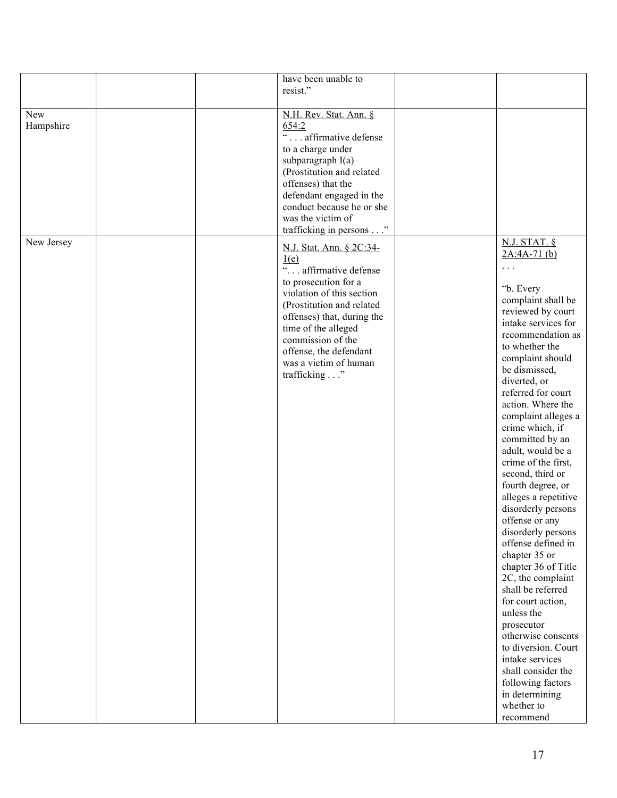|            |  | have been unable to                                   |                                    |
|------------|--|-------------------------------------------------------|------------------------------------|
|            |  | resist."                                              |                                    |
|            |  |                                                       |                                    |
| New        |  | N.H. Rev. Stat. Ann. §                                |                                    |
| Hampshire  |  | 654:2                                                 |                                    |
|            |  | "affirmative defense                                  |                                    |
|            |  | to a charge under                                     |                                    |
|            |  | subparagraph I(a)                                     |                                    |
|            |  | (Prostitution and related                             |                                    |
|            |  | offenses) that the                                    |                                    |
|            |  | defendant engaged in the                              |                                    |
|            |  | conduct because he or she<br>was the victim of        |                                    |
|            |  |                                                       |                                    |
| New Jersey |  | trafficking in persons"                               | N.J. STAT. §                       |
|            |  | N.J. Stat. Ann. § 2C:34-<br>1(e)                      | $2A:4A-71(b)$                      |
|            |  | $\mathfrak{c}\,\mathfrak{c}$<br>. affirmative defense | $\cdots$                           |
|            |  | to prosecution for a                                  |                                    |
|            |  | violation of this section                             | "b. Every                          |
|            |  | (Prostitution and related                             | complaint shall be                 |
|            |  | offenses) that, during the                            | reviewed by court                  |
|            |  | time of the alleged                                   | intake services for                |
|            |  | commission of the                                     | recommendation as                  |
|            |  | offense, the defendant                                | to whether the                     |
|            |  | was a victim of human                                 | complaint should                   |
|            |  | trafficking"                                          | be dismissed,                      |
|            |  |                                                       | diverted, or<br>referred for court |
|            |  |                                                       | action. Where the                  |
|            |  |                                                       | complaint alleges a                |
|            |  |                                                       | crime which, if                    |
|            |  |                                                       | committed by an                    |
|            |  |                                                       | adult, would be a                  |
|            |  |                                                       | crime of the first,                |
|            |  |                                                       | second, third or                   |
|            |  |                                                       | fourth degree, or                  |
|            |  |                                                       | alleges a repetitive               |
|            |  |                                                       | disorderly persons                 |
|            |  |                                                       | offense or any                     |
|            |  |                                                       | disorderly persons                 |
|            |  |                                                       | offense defined in                 |
|            |  |                                                       | chapter 35 or                      |
|            |  |                                                       | chapter 36 of Title                |
|            |  |                                                       | 2C, the complaint                  |
|            |  |                                                       | shall be referred                  |
|            |  |                                                       | for court action,                  |
|            |  |                                                       | unless the                         |
|            |  |                                                       | prosecutor                         |
|            |  |                                                       | otherwise consents                 |
|            |  |                                                       | to diversion. Court                |
|            |  |                                                       | intake services                    |
|            |  |                                                       | shall consider the                 |
|            |  |                                                       | following factors                  |
|            |  |                                                       | in determining<br>whether to       |
|            |  |                                                       | recommend                          |
|            |  |                                                       |                                    |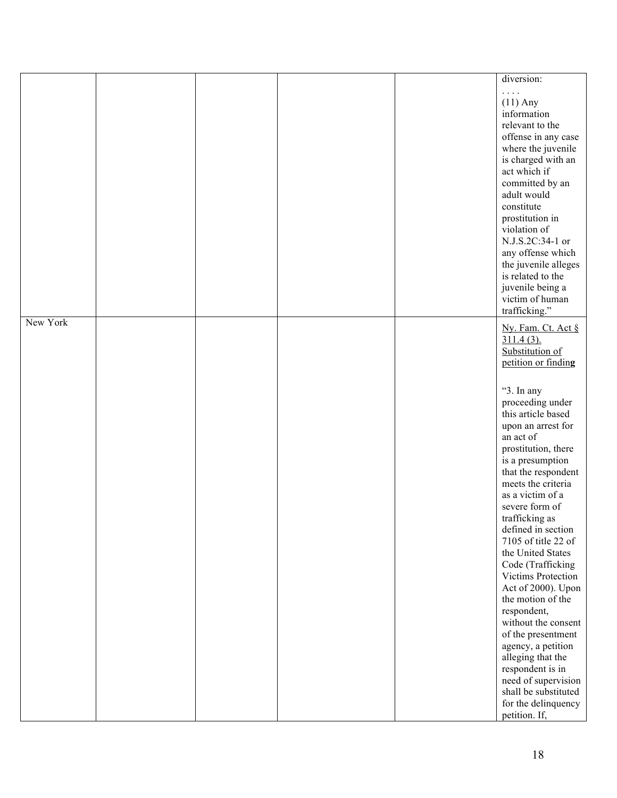|          |  |  | diversion:           |
|----------|--|--|----------------------|
|          |  |  | .                    |
|          |  |  | $(11)$ Any           |
|          |  |  | information          |
|          |  |  | relevant to the      |
|          |  |  | offense in any case  |
|          |  |  | where the juvenile   |
|          |  |  | is charged with an   |
|          |  |  | act which if         |
|          |  |  | committed by an      |
|          |  |  | adult would          |
|          |  |  | constitute           |
|          |  |  | prostitution in      |
|          |  |  | violation of         |
|          |  |  | N.J.S.2C:34-1 or     |
|          |  |  | any offense which    |
|          |  |  | the juvenile alleges |
|          |  |  | is related to the    |
|          |  |  | juvenile being a     |
|          |  |  | victim of human      |
|          |  |  | trafficking."        |
| New York |  |  | Ny. Fam. Ct. Act §   |
|          |  |  | $311.4(3)$ .         |
|          |  |  | Substitution of      |
|          |  |  | petition or finding  |
|          |  |  |                      |
|          |  |  |                      |
|          |  |  | "3. In any           |
|          |  |  | proceeding under     |
|          |  |  | this article based   |
|          |  |  | upon an arrest for   |
|          |  |  | an act of            |
|          |  |  | prostitution, there  |
|          |  |  | is a presumption     |
|          |  |  | that the respondent  |
|          |  |  | meets the criteria   |
|          |  |  | as a victim of a     |
|          |  |  | severe form of       |
|          |  |  | trafficking as       |
|          |  |  | defined in section   |
|          |  |  | 7105 of title 22 of  |
|          |  |  | the United States    |
|          |  |  | Code (Trafficking    |
|          |  |  | Victims Protection   |
|          |  |  | Act of 2000). Upon   |
|          |  |  | the motion of the    |
|          |  |  | respondent,          |
|          |  |  | without the consent  |
|          |  |  | of the presentment   |
|          |  |  | agency, a petition   |
|          |  |  | alleging that the    |
|          |  |  | respondent is in     |
|          |  |  | need of supervision  |
|          |  |  | shall be substituted |
|          |  |  | for the delinquency  |
|          |  |  | petition. If,        |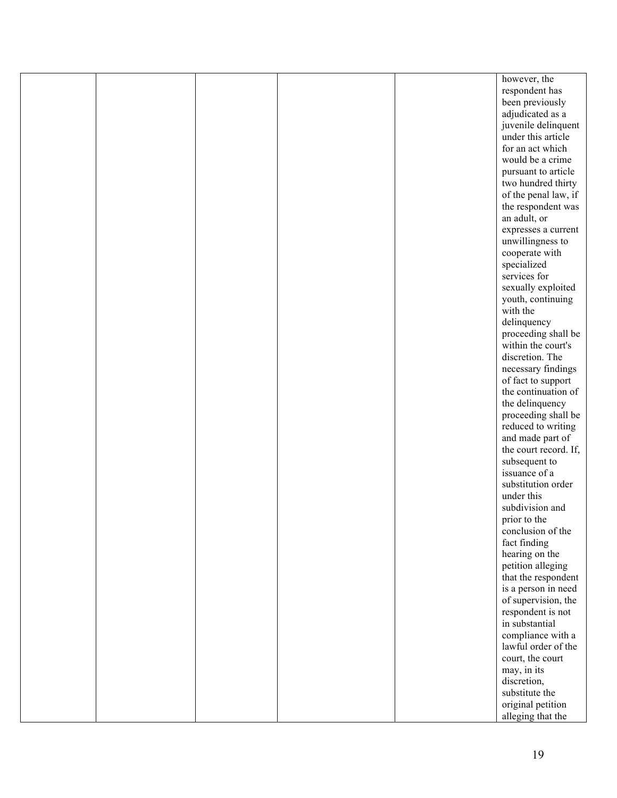|  |  | however, the          |
|--|--|-----------------------|
|  |  | respondent has        |
|  |  | been previously       |
|  |  |                       |
|  |  | adjudicated as a      |
|  |  | juvenile delinquent   |
|  |  | under this article    |
|  |  | for an act which      |
|  |  | would be a crime      |
|  |  | pursuant to article   |
|  |  | two hundred thirty    |
|  |  |                       |
|  |  | of the penal law, if  |
|  |  | the respondent was    |
|  |  | an adult, or          |
|  |  | expresses a current   |
|  |  | unwillingness to      |
|  |  | cooperate with        |
|  |  | specialized           |
|  |  | services for          |
|  |  |                       |
|  |  | sexually exploited    |
|  |  | youth, continuing     |
|  |  | with the              |
|  |  | delinquency           |
|  |  | proceeding shall be   |
|  |  | within the court's    |
|  |  | discretion. The       |
|  |  | necessary findings    |
|  |  |                       |
|  |  | of fact to support    |
|  |  | the continuation of   |
|  |  | the delinquency       |
|  |  | proceeding shall be   |
|  |  | reduced to writing    |
|  |  | and made part of      |
|  |  | the court record. If, |
|  |  | subsequent to         |
|  |  | issuance of a         |
|  |  |                       |
|  |  | substitution order    |
|  |  | under this            |
|  |  | subdivision and       |
|  |  | prior to the          |
|  |  | conclusion of the     |
|  |  | fact finding          |
|  |  | hearing on the        |
|  |  |                       |
|  |  | petition alleging     |
|  |  | that the respondent   |
|  |  | is a person in need   |
|  |  | of supervision, the   |
|  |  | respondent is not     |
|  |  | in substantial        |
|  |  | compliance with a     |
|  |  | lawful order of the   |
|  |  |                       |
|  |  | court, the court      |
|  |  | may, in its           |
|  |  | discretion,           |
|  |  | substitute the        |
|  |  | original petition     |
|  |  | alleging that the     |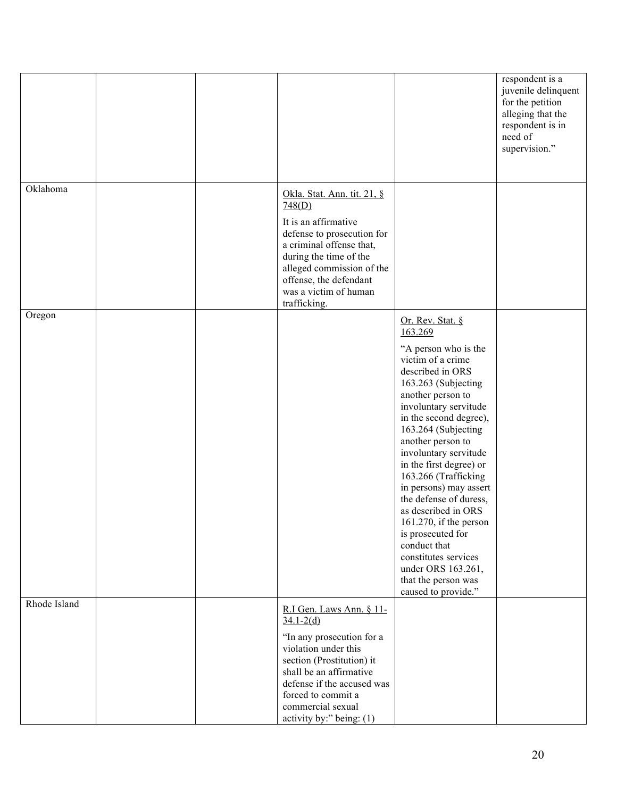|              |  |                                                                                                                                                                                                                                                             |                                                                                                                                                                                                                                                                                                                                                                                                                                                                                                                                                           | respondent is a<br>juvenile delinquent<br>for the petition<br>alleging that the<br>respondent is in<br>need of<br>supervision." |
|--------------|--|-------------------------------------------------------------------------------------------------------------------------------------------------------------------------------------------------------------------------------------------------------------|-----------------------------------------------------------------------------------------------------------------------------------------------------------------------------------------------------------------------------------------------------------------------------------------------------------------------------------------------------------------------------------------------------------------------------------------------------------------------------------------------------------------------------------------------------------|---------------------------------------------------------------------------------------------------------------------------------|
| Oklahoma     |  | Okla. Stat. Ann. tit. 21, §<br>748(D)<br>It is an affirmative<br>defense to prosecution for<br>a criminal offense that,<br>during the time of the<br>alleged commission of the<br>offense, the defendant<br>was a victim of human<br>trafficking.           |                                                                                                                                                                                                                                                                                                                                                                                                                                                                                                                                                           |                                                                                                                                 |
| Oregon       |  |                                                                                                                                                                                                                                                             | Or. Rev. Stat. §<br>163.269<br>"A person who is the<br>victim of a crime<br>described in ORS<br>163.263 (Subjecting<br>another person to<br>involuntary servitude<br>in the second degree),<br>163.264 (Subjecting<br>another person to<br>involuntary servitude<br>in the first degree) or<br>163.266 (Trafficking<br>in persons) may assert<br>the defense of duress,<br>as described in ORS<br>161.270, if the person<br>is prosecuted for<br>conduct that<br>constitutes services<br>under ORS 163.261,<br>that the person was<br>caused to provide." |                                                                                                                                 |
| Rhode Island |  | R.I Gen. Laws Ann. § 11-<br>$34.1 - 2(d)$<br>"In any prosecution for a<br>violation under this<br>section (Prostitution) it<br>shall be an affirmative<br>defense if the accused was<br>forced to commit a<br>commercial sexual<br>activity by:" being: (1) |                                                                                                                                                                                                                                                                                                                                                                                                                                                                                                                                                           |                                                                                                                                 |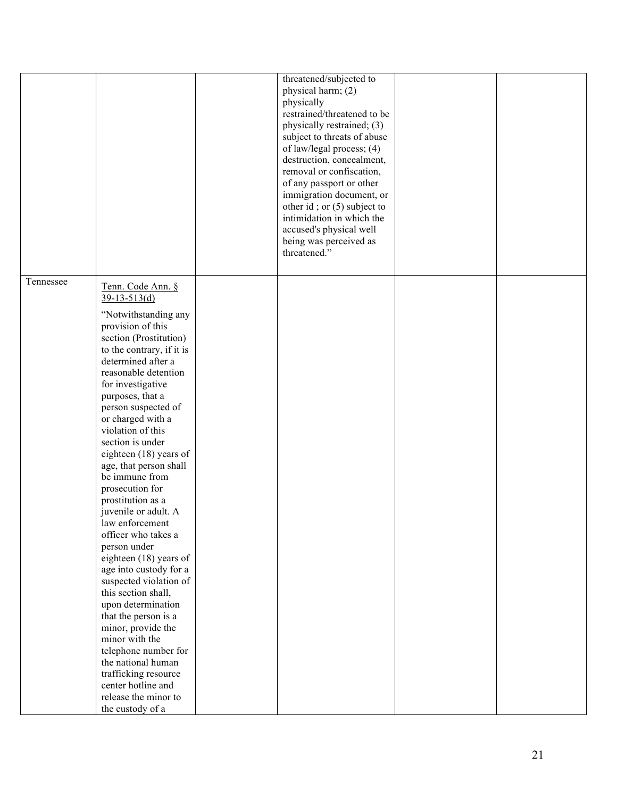|           |                                                                                                                                                                                                                                                                                                                                                                                                                                                                                                                                                                                                                                                                                                                                                                                                                                                            | threatened/subjected to<br>physical harm; (2)<br>physically<br>restrained/threatened to be<br>physically restrained; (3)<br>subject to threats of abuse<br>of law/legal process; (4)<br>destruction, concealment,<br>removal or confiscation,<br>of any passport or other<br>immigration document, or<br>other id; or $(5)$ subject to<br>intimidation in which the<br>accused's physical well<br>being was perceived as<br>threatened." |  |
|-----------|------------------------------------------------------------------------------------------------------------------------------------------------------------------------------------------------------------------------------------------------------------------------------------------------------------------------------------------------------------------------------------------------------------------------------------------------------------------------------------------------------------------------------------------------------------------------------------------------------------------------------------------------------------------------------------------------------------------------------------------------------------------------------------------------------------------------------------------------------------|------------------------------------------------------------------------------------------------------------------------------------------------------------------------------------------------------------------------------------------------------------------------------------------------------------------------------------------------------------------------------------------------------------------------------------------|--|
| Tennessee | Tenn. Code Ann. §<br>$39 - 13 - 513(d)$<br>"Notwithstanding any<br>provision of this<br>section (Prostitution)<br>to the contrary, if it is<br>determined after a<br>reasonable detention<br>for investigative<br>purposes, that a<br>person suspected of<br>or charged with a<br>violation of this<br>section is under<br>eighteen (18) years of<br>age, that person shall<br>be immune from<br>prosecution for<br>prostitution as a<br>juvenile or adult. A<br>law enforcement<br>officer who takes a<br>person under<br>eighteen (18) years of<br>age into custody for a<br>suspected violation of<br>this section shall,<br>upon determination<br>that the person is a<br>minor, provide the<br>minor with the<br>telephone number for<br>the national human<br>trafficking resource<br>center hotline and<br>release the minor to<br>the custody of a |                                                                                                                                                                                                                                                                                                                                                                                                                                          |  |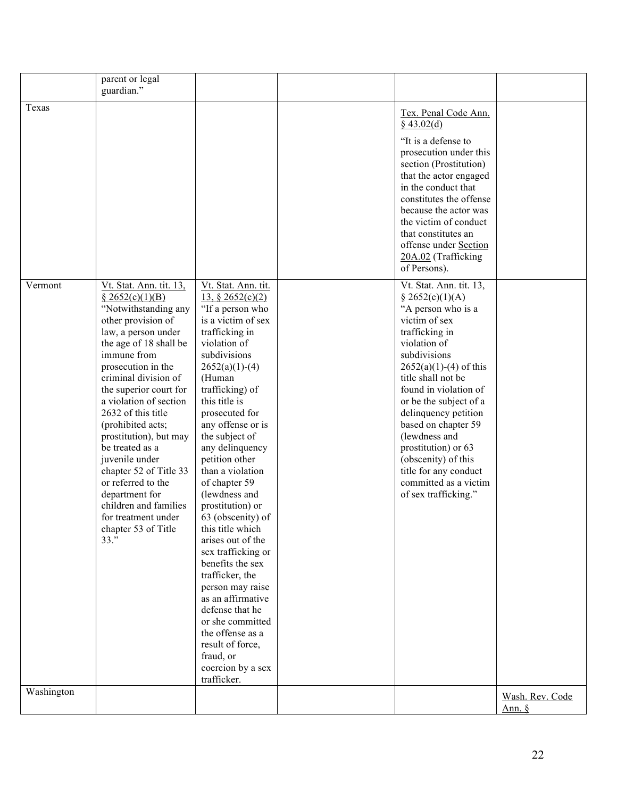|            | parent or legal<br>guardian."                                                                                                                                                                                                                                                                                                                                                                                                                                                                                            |                                                                                                                                                                                                                                                                                                                                                                                                                                                                                                                                                                                                                                                                                   |                                                                                                                                                                                                                                                                                                                                                                                                                                  |                              |
|------------|--------------------------------------------------------------------------------------------------------------------------------------------------------------------------------------------------------------------------------------------------------------------------------------------------------------------------------------------------------------------------------------------------------------------------------------------------------------------------------------------------------------------------|-----------------------------------------------------------------------------------------------------------------------------------------------------------------------------------------------------------------------------------------------------------------------------------------------------------------------------------------------------------------------------------------------------------------------------------------------------------------------------------------------------------------------------------------------------------------------------------------------------------------------------------------------------------------------------------|----------------------------------------------------------------------------------------------------------------------------------------------------------------------------------------------------------------------------------------------------------------------------------------------------------------------------------------------------------------------------------------------------------------------------------|------------------------------|
| Texas      |                                                                                                                                                                                                                                                                                                                                                                                                                                                                                                                          |                                                                                                                                                                                                                                                                                                                                                                                                                                                                                                                                                                                                                                                                                   | Tex. Penal Code Ann.<br>\$43.02(d)<br>"It is a defense to<br>prosecution under this<br>section (Prostitution)<br>that the actor engaged<br>in the conduct that<br>constitutes the offense<br>because the actor was<br>the victim of conduct<br>that constitutes an<br>offense under Section<br>20A.02 (Trafficking<br>of Persons).                                                                                               |                              |
| Vermont    | Vt. Stat. Ann. tit. 13,<br>\$2652(c)(1)(B)<br>"Notwithstanding any<br>other provision of<br>law, a person under<br>the age of 18 shall be<br>immune from<br>prosecution in the<br>criminal division of<br>the superior court for<br>a violation of section<br>2632 of this title<br>(prohibited acts;<br>prostitution), but may<br>be treated as a<br>juvenile under<br>chapter 52 of Title 33<br>or referred to the<br>department for<br>children and families<br>for treatment under<br>chapter 53 of Title<br>$33$ ." | Vt. Stat. Ann. tit.<br>13, § 2652(c)(2)<br>"If a person who<br>is a victim of sex<br>trafficking in<br>violation of<br>subdivisions<br>$2652(a)(1)-(4)$<br>(Human<br>trafficking) of<br>this title is<br>prosecuted for<br>any offense or is<br>the subject of<br>any delinquency<br>petition other<br>than a violation<br>of chapter 59<br>(lewdness and<br>prostitution) or<br>63 (obscenity) of<br>this title which<br>arises out of the<br>sex trafficking or<br>benefits the sex<br>trafficker, the<br>person may raise<br>as an affirmative<br>defense that he<br>or she committed<br>the offense as a<br>result of force,<br>fraud, or<br>coercion by a sex<br>trafficker. | Vt. Stat. Ann. tit. 13,<br>§ 2652(c)(1)(A)<br>"A person who is a<br>victim of sex<br>trafficking in<br>violation of<br>subdivisions<br>$2652(a)(1)-(4)$ of this<br>title shall not be<br>found in violation of<br>or be the subject of a<br>delinquency petition<br>based on chapter 59<br>(lewdness and<br>prostitution) or 63<br>(obscenity) of this<br>title for any conduct<br>committed as a victim<br>of sex trafficking." |                              |
| Washington |                                                                                                                                                                                                                                                                                                                                                                                                                                                                                                                          |                                                                                                                                                                                                                                                                                                                                                                                                                                                                                                                                                                                                                                                                                   |                                                                                                                                                                                                                                                                                                                                                                                                                                  | Wash. Rev. Code<br>Ann. $\S$ |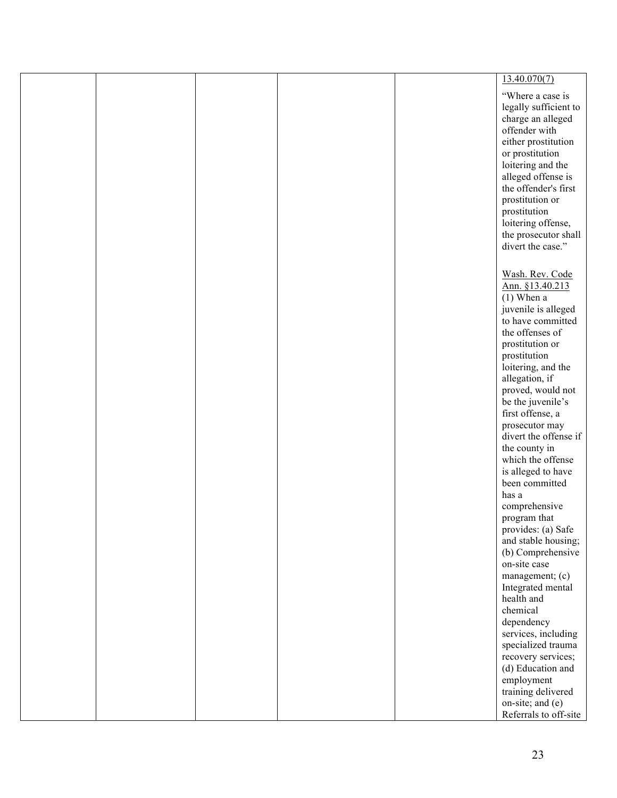|  |  | 13.40.070(7)          |
|--|--|-----------------------|
|  |  | "Where a case is      |
|  |  | legally sufficient to |
|  |  | charge an alleged     |
|  |  |                       |
|  |  | offender with         |
|  |  | either prostitution   |
|  |  | or prostitution       |
|  |  | loitering and the     |
|  |  | alleged offense is    |
|  |  | the offender's first  |
|  |  | prostitution or       |
|  |  | prostitution          |
|  |  | loitering offense,    |
|  |  | the prosecutor shall  |
|  |  | divert the case."     |
|  |  |                       |
|  |  |                       |
|  |  | Wash. Rev. Code       |
|  |  | Ann. §13.40.213       |
|  |  | $(1)$ When a          |
|  |  | juvenile is alleged   |
|  |  | to have committed     |
|  |  | the offenses of       |
|  |  | prostitution or       |
|  |  | prostitution          |
|  |  |                       |
|  |  | loitering, and the    |
|  |  | allegation, if        |
|  |  | proved, would not     |
|  |  | be the juvenile's     |
|  |  | first offense, a      |
|  |  | prosecutor may        |
|  |  | divert the offense if |
|  |  | the county in         |
|  |  | which the offense     |
|  |  | is alleged to have    |
|  |  | been committed        |
|  |  | has a                 |
|  |  | comprehensive         |
|  |  | program that          |
|  |  | provides: (a) Safe    |
|  |  | and stable housing;   |
|  |  | (b) Comprehensive     |
|  |  |                       |
|  |  | on-site case          |
|  |  | management; (c)       |
|  |  | Integrated mental     |
|  |  | health and            |
|  |  | chemical              |
|  |  | dependency            |
|  |  | services, including   |
|  |  | specialized trauma    |
|  |  | recovery services;    |
|  |  | (d) Education and     |
|  |  | employment            |
|  |  | training delivered    |
|  |  | on-site; and (e)      |
|  |  | Referrals to off-site |
|  |  |                       |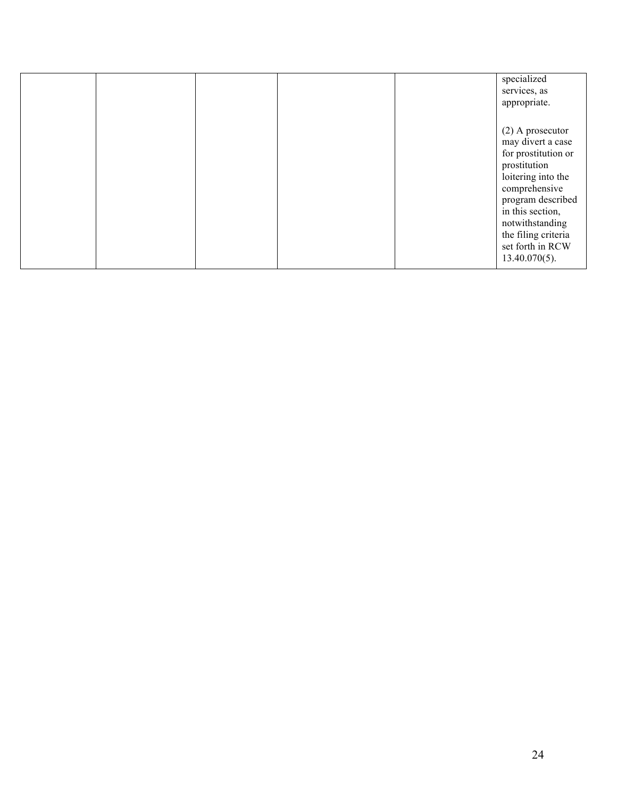|  |  | specialized<br>services, as<br>appropriate.                                                                                                                                                                                                      |
|--|--|--------------------------------------------------------------------------------------------------------------------------------------------------------------------------------------------------------------------------------------------------|
|  |  | $(2)$ A prosecutor<br>may divert a case<br>for prostitution or<br>prostitution<br>loitering into the<br>comprehensive<br>program described<br>in this section,<br>notwithstanding<br>the filing criteria<br>set forth in RCW<br>$13.40.070(5)$ . |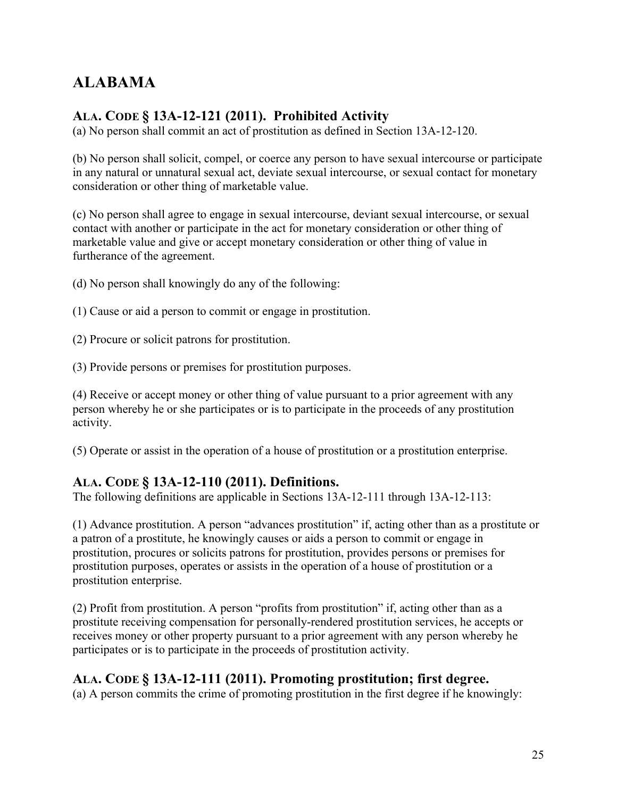# **ALABAMA**

## **ALA. CODE § 13A-12-121 (2011). Prohibited Activity**

(a) No person shall commit an act of prostitution as defined in Section 13A-12-120.

(b) No person shall solicit, compel, or coerce any person to have sexual intercourse or participate in any natural or unnatural sexual act, deviate sexual intercourse, or sexual contact for monetary consideration or other thing of marketable value.

(c) No person shall agree to engage in sexual intercourse, deviant sexual intercourse, or sexual contact with another or participate in the act for monetary consideration or other thing of marketable value and give or accept monetary consideration or other thing of value in furtherance of the agreement.

(d) No person shall knowingly do any of the following:

- (1) Cause or aid a person to commit or engage in prostitution.
- (2) Procure or solicit patrons for prostitution.

(3) Provide persons or premises for prostitution purposes.

(4) Receive or accept money or other thing of value pursuant to a prior agreement with any person whereby he or she participates or is to participate in the proceeds of any prostitution activity.

(5) Operate or assist in the operation of a house of prostitution or a prostitution enterprise.

#### **ALA. CODE § 13A-12-110 (2011). Definitions.**

The following definitions are applicable in Sections 13A-12-111 through 13A-12-113:

(1) Advance prostitution. A person "advances prostitution" if, acting other than as a prostitute or a patron of a prostitute, he knowingly causes or aids a person to commit or engage in prostitution, procures or solicits patrons for prostitution, provides persons or premises for prostitution purposes, operates or assists in the operation of a house of prostitution or a prostitution enterprise.

(2) Profit from prostitution. A person "profits from prostitution" if, acting other than as a prostitute receiving compensation for personally-rendered prostitution services, he accepts or receives money or other property pursuant to a prior agreement with any person whereby he participates or is to participate in the proceeds of prostitution activity.

#### **ALA. CODE § 13A-12-111 (2011). Promoting prostitution; first degree.**

(a) A person commits the crime of promoting prostitution in the first degree if he knowingly: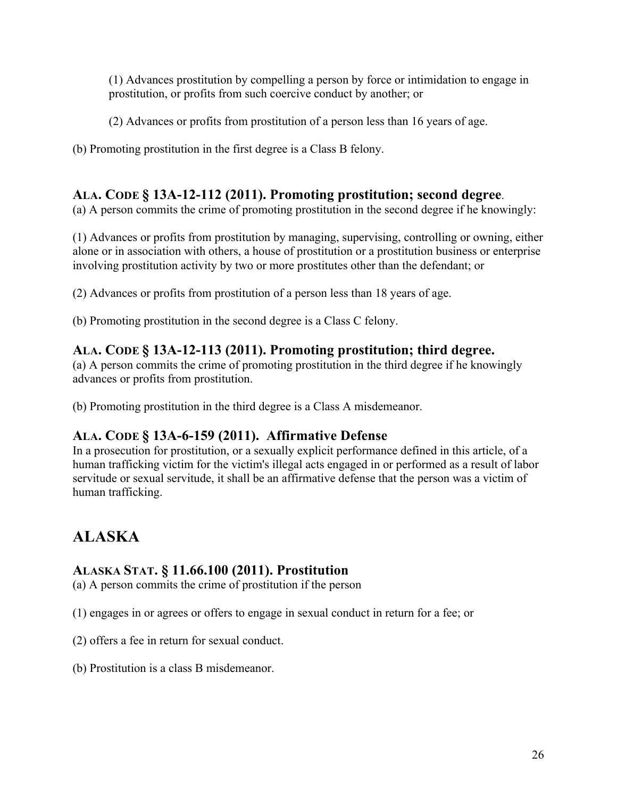(1) Advances prostitution by compelling a person by force or intimidation to engage in prostitution, or profits from such coercive conduct by another; or

(2) Advances or profits from prostitution of a person less than 16 years of age.

(b) Promoting prostitution in the first degree is a Class B felony.

#### **ALA. CODE § 13A-12-112 (2011). Promoting prostitution; second degree**.

(a) A person commits the crime of promoting prostitution in the second degree if he knowingly:

(1) Advances or profits from prostitution by managing, supervising, controlling or owning, either alone or in association with others, a house of prostitution or a prostitution business or enterprise involving prostitution activity by two or more prostitutes other than the defendant; or

(2) Advances or profits from prostitution of a person less than 18 years of age.

(b) Promoting prostitution in the second degree is a Class C felony.

#### **ALA. CODE § 13A-12-113 (2011). Promoting prostitution; third degree.**

(a) A person commits the crime of promoting prostitution in the third degree if he knowingly advances or profits from prostitution.

(b) Promoting prostitution in the third degree is a Class A misdemeanor.

#### **ALA. CODE § 13A-6-159 (2011). Affirmative Defense**

In a prosecution for prostitution, or a sexually explicit performance defined in this article, of a human trafficking victim for the victim's illegal acts engaged in or performed as a result of labor servitude or sexual servitude, it shall be an affirmative defense that the person was a victim of human trafficking.

## **ALASKA**

## **ALASKA STAT. § 11.66.100 (2011). Prostitution**

(a) A person commits the crime of prostitution if the person

(1) engages in or agrees or offers to engage in sexual conduct in return for a fee; or

(2) offers a fee in return for sexual conduct.

(b) Prostitution is a class B misdemeanor.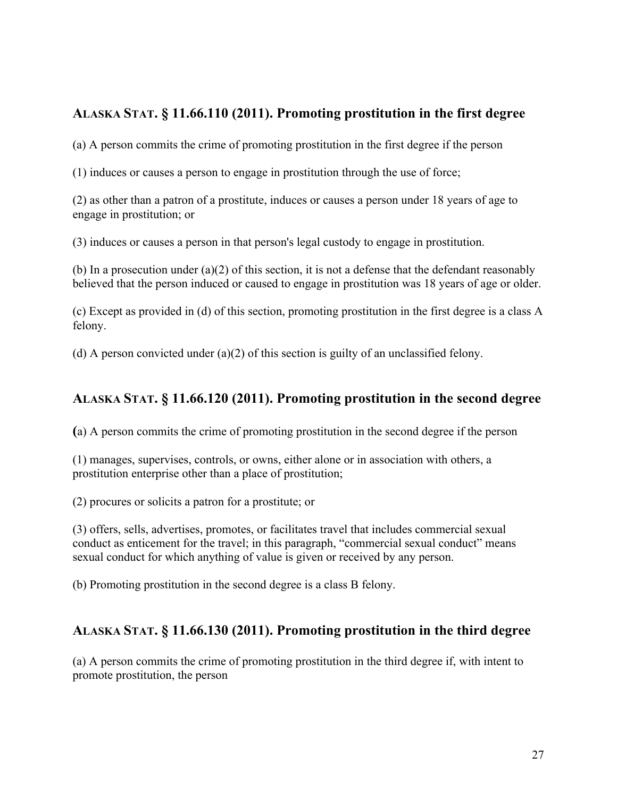## **ALASKA STAT. § 11.66.110 (2011). Promoting prostitution in the first degree**

(a) A person commits the crime of promoting prostitution in the first degree if the person

(1) induces or causes a person to engage in prostitution through the use of force;

(2) as other than a patron of a prostitute, induces or causes a person under 18 years of age to engage in prostitution; or

(3) induces or causes a person in that person's legal custody to engage in prostitution.

(b) In a prosecution under (a)(2) of this section, it is not a defense that the defendant reasonably believed that the person induced or caused to engage in prostitution was 18 years of age or older.

(c) Except as provided in (d) of this section, promoting prostitution in the first degree is a class A felony.

(d) A person convicted under (a)(2) of this section is guilty of an unclassified felony.

#### **ALASKA STAT. § 11.66.120 (2011). Promoting prostitution in the second degree**

**(**a) A person commits the crime of promoting prostitution in the second degree if the person

(1) manages, supervises, controls, or owns, either alone or in association with others, a prostitution enterprise other than a place of prostitution;

(2) procures or solicits a patron for a prostitute; or

(3) offers, sells, advertises, promotes, or facilitates travel that includes commercial sexual conduct as enticement for the travel; in this paragraph, "commercial sexual conduct" means sexual conduct for which anything of value is given or received by any person.

(b) Promoting prostitution in the second degree is a class B felony.

## **ALASKA STAT. § 11.66.130 (2011). Promoting prostitution in the third degree**

(a) A person commits the crime of promoting prostitution in the third degree if, with intent to promote prostitution, the person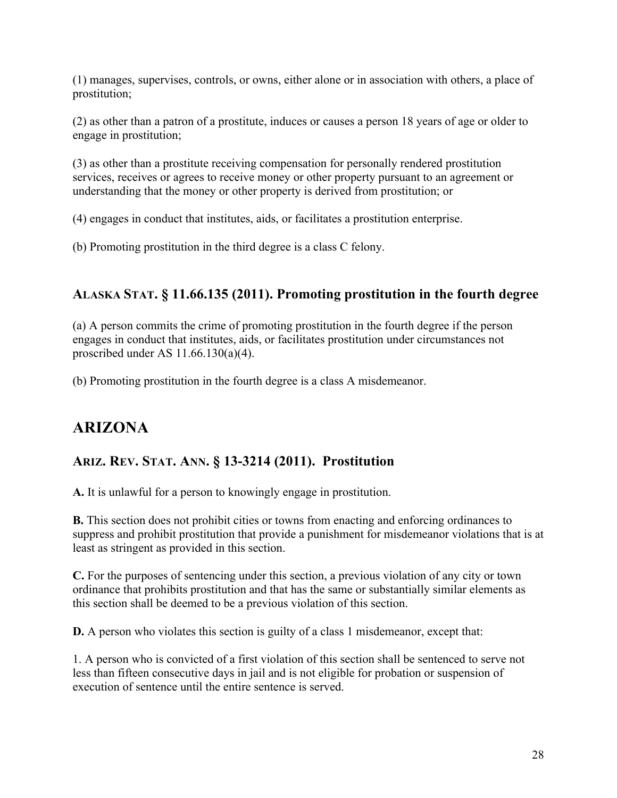(1) manages, supervises, controls, or owns, either alone or in association with others, a place of prostitution;

(2) as other than a patron of a prostitute, induces or causes a person 18 years of age or older to engage in prostitution;

(3) as other than a prostitute receiving compensation for personally rendered prostitution services, receives or agrees to receive money or other property pursuant to an agreement or understanding that the money or other property is derived from prostitution; or

(4) engages in conduct that institutes, aids, or facilitates a prostitution enterprise.

(b) Promoting prostitution in the third degree is a class C felony.

## **ALASKA STAT. § 11.66.135 (2011). Promoting prostitution in the fourth degree**

(a) A person commits the crime of promoting prostitution in the fourth degree if the person engages in conduct that institutes, aids, or facilitates prostitution under circumstances not proscribed under AS  $11.66.130(a)(4)$ .

(b) Promoting prostitution in the fourth degree is a class A misdemeanor.

# **ARIZONA**

## **ARIZ. REV. STAT. ANN. § 13-3214 (2011). Prostitution**

**A.** It is unlawful for a person to knowingly engage in prostitution.

**B.** This section does not prohibit cities or towns from enacting and enforcing ordinances to suppress and prohibit prostitution that provide a punishment for misdemeanor violations that is at least as stringent as provided in this section.

**C.** For the purposes of sentencing under this section, a previous violation of any city or town ordinance that prohibits prostitution and that has the same or substantially similar elements as this section shall be deemed to be a previous violation of this section.

**D.** A person who violates this section is guilty of a class 1 misdemeanor, except that:

1. A person who is convicted of a first violation of this section shall be sentenced to serve not less than fifteen consecutive days in jail and is not eligible for probation or suspension of execution of sentence until the entire sentence is served.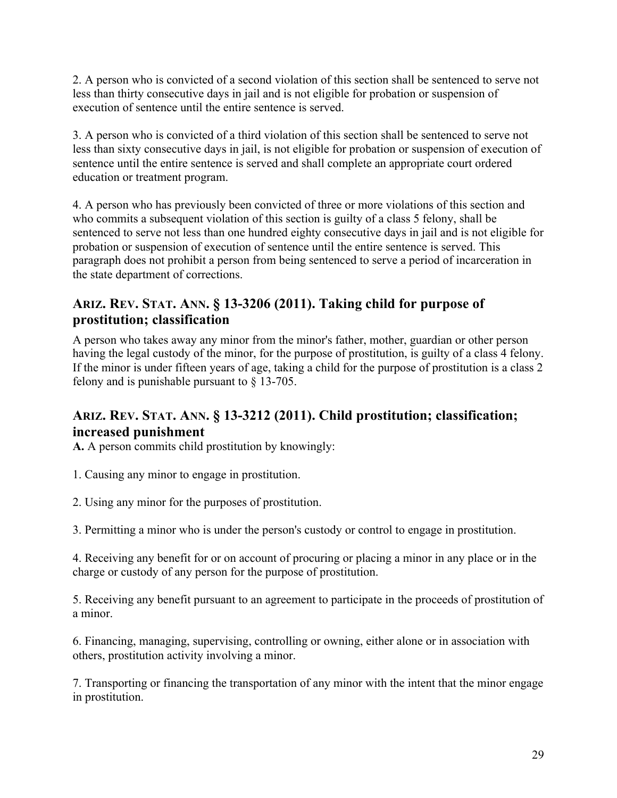2. A person who is convicted of a second violation of this section shall be sentenced to serve not less than thirty consecutive days in jail and is not eligible for probation or suspension of execution of sentence until the entire sentence is served.

3. A person who is convicted of a third violation of this section shall be sentenced to serve not less than sixty consecutive days in jail, is not eligible for probation or suspension of execution of sentence until the entire sentence is served and shall complete an appropriate court ordered education or treatment program.

4. A person who has previously been convicted of three or more violations of this section and who commits a subsequent violation of this section is guilty of a class 5 felony, shall be sentenced to serve not less than one hundred eighty consecutive days in jail and is not eligible for probation or suspension of execution of sentence until the entire sentence is served. This paragraph does not prohibit a person from being sentenced to serve a period of incarceration in the state department of corrections.

## **ARIZ. REV. STAT. ANN. § 13-3206 (2011). Taking child for purpose of prostitution; classification**

A person who takes away any minor from the minor's father, mother, guardian or other person having the legal custody of the minor, for the purpose of prostitution, is guilty of a class 4 felony. If the minor is under fifteen years of age, taking a child for the purpose of prostitution is a class 2 felony and is punishable pursuant to § 13-705.

## **ARIZ. REV. STAT. ANN. § 13-3212 (2011). Child prostitution; classification; increased punishment**

**A.** A person commits child prostitution by knowingly:

1. Causing any minor to engage in prostitution.

2. Using any minor for the purposes of prostitution.

3. Permitting a minor who is under the person's custody or control to engage in prostitution.

4. Receiving any benefit for or on account of procuring or placing a minor in any place or in the charge or custody of any person for the purpose of prostitution.

5. Receiving any benefit pursuant to an agreement to participate in the proceeds of prostitution of a minor.

6. Financing, managing, supervising, controlling or owning, either alone or in association with others, prostitution activity involving a minor.

7. Transporting or financing the transportation of any minor with the intent that the minor engage in prostitution.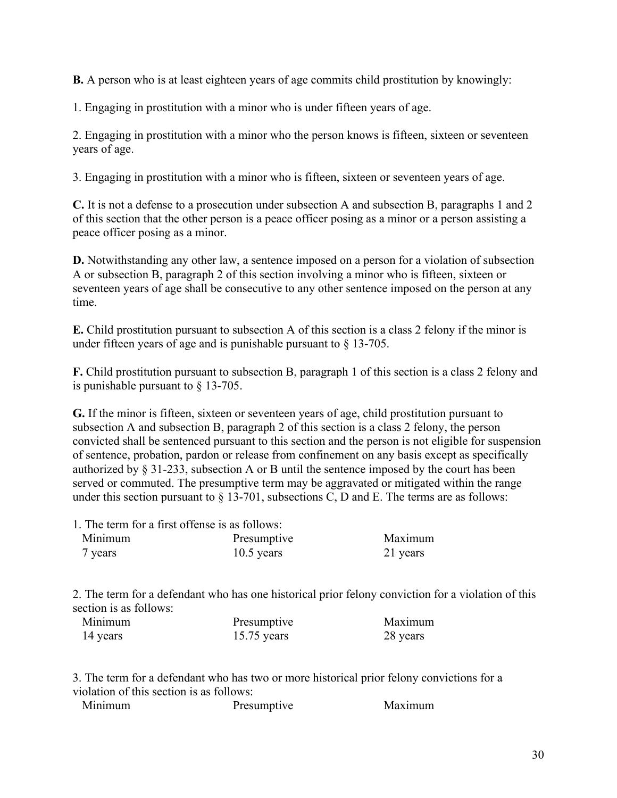**B.** A person who is at least eighteen years of age commits child prostitution by knowingly:

1. Engaging in prostitution with a minor who is under fifteen years of age.

2. Engaging in prostitution with a minor who the person knows is fifteen, sixteen or seventeen years of age.

3. Engaging in prostitution with a minor who is fifteen, sixteen or seventeen years of age.

**C.** It is not a defense to a prosecution under subsection A and subsection B, paragraphs 1 and 2 of this section that the other person is a peace officer posing as a minor or a person assisting a peace officer posing as a minor.

**D.** Notwithstanding any other law, a sentence imposed on a person for a violation of subsection A or subsection B, paragraph 2 of this section involving a minor who is fifteen, sixteen or seventeen years of age shall be consecutive to any other sentence imposed on the person at any time.

**E.** Child prostitution pursuant to subsection A of this section is a class 2 felony if the minor is under fifteen years of age and is punishable pursuant to § 13-705.

**F.** Child prostitution pursuant to subsection B, paragraph 1 of this section is a class 2 felony and is punishable pursuant to § 13-705.

**G.** If the minor is fifteen, sixteen or seventeen years of age, child prostitution pursuant to subsection A and subsection B, paragraph 2 of this section is a class 2 felony, the person convicted shall be sentenced pursuant to this section and the person is not eligible for suspension of sentence, probation, pardon or release from confinement on any basis except as specifically authorized by § 31-233, subsection A or B until the sentence imposed by the court has been served or commuted. The presumptive term may be aggravated or mitigated within the range under this section pursuant to  $\S$  13-701, subsections C, D and E. The terms are as follows:

1. The term for a first offense is as follows:

| Minimum | Presumptive  | Maximum  |
|---------|--------------|----------|
| 7 years | $10.5$ years | 21 years |

2. The term for a defendant who has one historical prior felony conviction for a violation of this section is as follows:

| Minimum  | Presumptive   | Maximum  |
|----------|---------------|----------|
| 14 years | $15.75$ years | 28 years |

3. The term for a defendant who has two or more historical prior felony convictions for a violation of this section is as follows:

| Minimum | Presumptive | Maximum |
|---------|-------------|---------|
|---------|-------------|---------|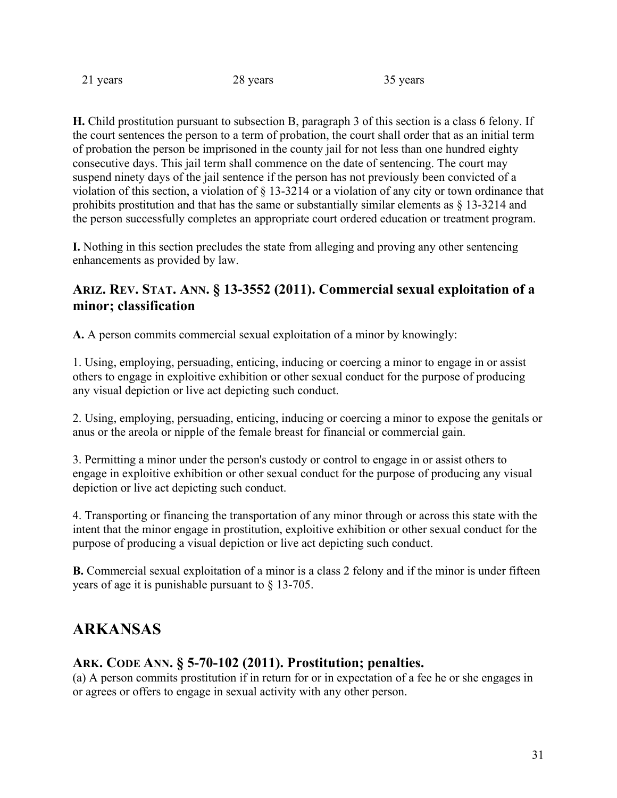21 years 28 years 35 years 35 years

**H.** Child prostitution pursuant to subsection B, paragraph 3 of this section is a class 6 felony. If the court sentences the person to a term of probation, the court shall order that as an initial term of probation the person be imprisoned in the county jail for not less than one hundred eighty consecutive days. This jail term shall commence on the date of sentencing. The court may suspend ninety days of the jail sentence if the person has not previously been convicted of a violation of this section, a violation of § 13-3214 or a violation of any city or town ordinance that prohibits prostitution and that has the same or substantially similar elements as § 13-3214 and the person successfully completes an appropriate court ordered education or treatment program.

**I.** Nothing in this section precludes the state from alleging and proving any other sentencing enhancements as provided by law.

## **ARIZ. REV. STAT. ANN. § 13-3552 (2011). Commercial sexual exploitation of a minor; classification**

**A.** A person commits commercial sexual exploitation of a minor by knowingly:

1. Using, employing, persuading, enticing, inducing or coercing a minor to engage in or assist others to engage in exploitive exhibition or other sexual conduct for the purpose of producing any visual depiction or live act depicting such conduct.

2. Using, employing, persuading, enticing, inducing or coercing a minor to expose the genitals or anus or the areola or nipple of the female breast for financial or commercial gain.

3. Permitting a minor under the person's custody or control to engage in or assist others to engage in exploitive exhibition or other sexual conduct for the purpose of producing any visual depiction or live act depicting such conduct.

4. Transporting or financing the transportation of any minor through or across this state with the intent that the minor engage in prostitution, exploitive exhibition or other sexual conduct for the purpose of producing a visual depiction or live act depicting such conduct.

**B.** Commercial sexual exploitation of a minor is a class 2 felony and if the minor is under fifteen years of age it is punishable pursuant to § 13-705.

## **ARKANSAS**

#### **ARK. CODE ANN. § 5-70-102 (2011). Prostitution; penalties.**

(a) A person commits prostitution if in return for or in expectation of a fee he or she engages in or agrees or offers to engage in sexual activity with any other person.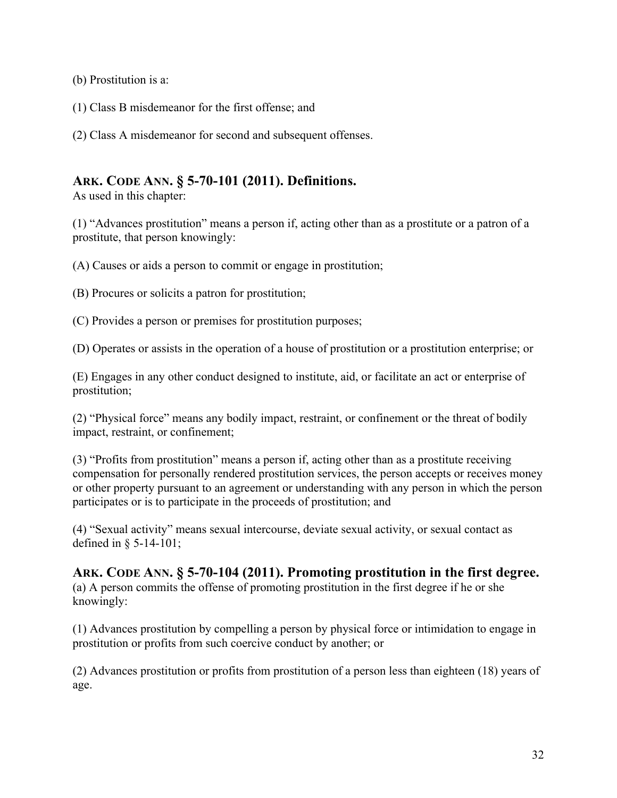(b) Prostitution is a:

- (1) Class B misdemeanor for the first offense; and
- (2) Class A misdemeanor for second and subsequent offenses.

#### **ARK. CODE ANN. § 5-70-101 (2011). Definitions.**

As used in this chapter:

(1) "Advances prostitution" means a person if, acting other than as a prostitute or a patron of a prostitute, that person knowingly:

(A) Causes or aids a person to commit or engage in prostitution;

(B) Procures or solicits a patron for prostitution;

(C) Provides a person or premises for prostitution purposes;

(D) Operates or assists in the operation of a house of prostitution or a prostitution enterprise; or

(E) Engages in any other conduct designed to institute, aid, or facilitate an act or enterprise of prostitution;

(2) "Physical force" means any bodily impact, restraint, or confinement or the threat of bodily impact, restraint, or confinement;

(3) "Profits from prostitution" means a person if, acting other than as a prostitute receiving compensation for personally rendered prostitution services, the person accepts or receives money or other property pursuant to an agreement or understanding with any person in which the person participates or is to participate in the proceeds of prostitution; and

(4) "Sexual activity" means sexual intercourse, deviate sexual activity, or sexual contact as defined in § 5-14-101;

## **ARK. CODE ANN. § 5-70-104 (2011). Promoting prostitution in the first degree.**

(a) A person commits the offense of promoting prostitution in the first degree if he or she knowingly:

(1) Advances prostitution by compelling a person by physical force or intimidation to engage in prostitution or profits from such coercive conduct by another; or

(2) Advances prostitution or profits from prostitution of a person less than eighteen (18) years of age.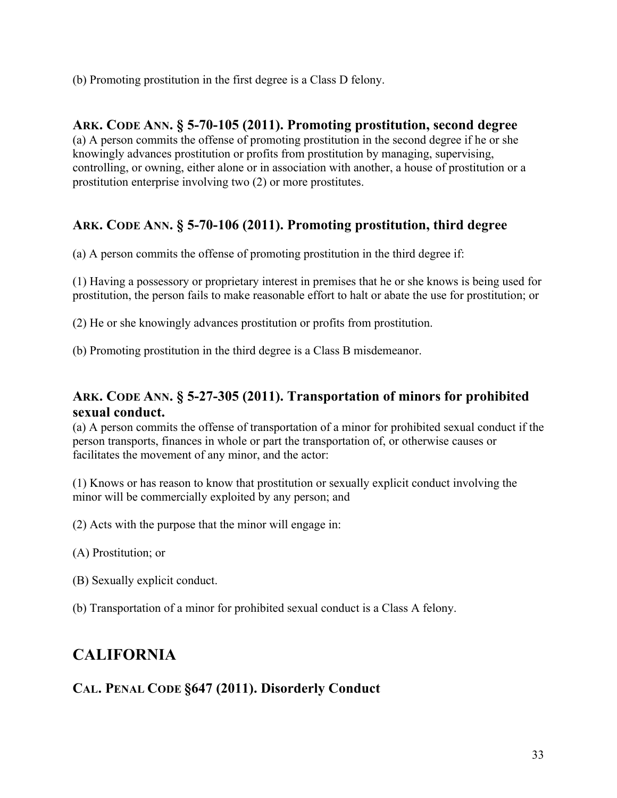(b) Promoting prostitution in the first degree is a Class D felony.

#### **ARK. CODE ANN. § 5-70-105 (2011). Promoting prostitution, second degree**

(a) A person commits the offense of promoting prostitution in the second degree if he or she knowingly advances prostitution or profits from prostitution by managing, supervising, controlling, or owning, either alone or in association with another, a house of prostitution or a prostitution enterprise involving two (2) or more prostitutes.

## **ARK. CODE ANN. § 5-70-106 (2011). Promoting prostitution, third degree**

(a) A person commits the offense of promoting prostitution in the third degree if:

(1) Having a possessory or proprietary interest in premises that he or she knows is being used for prostitution, the person fails to make reasonable effort to halt or abate the use for prostitution; or

(2) He or she knowingly advances prostitution or profits from prostitution.

(b) Promoting prostitution in the third degree is a Class B misdemeanor.

#### **ARK. CODE ANN. § 5-27-305 (2011). Transportation of minors for prohibited sexual conduct.**

(a) A person commits the offense of transportation of a minor for prohibited sexual conduct if the person transports, finances in whole or part the transportation of, or otherwise causes or facilitates the movement of any minor, and the actor:

(1) Knows or has reason to know that prostitution or sexually explicit conduct involving the minor will be commercially exploited by any person; and

(2) Acts with the purpose that the minor will engage in:

(A) Prostitution; or

(B) Sexually explicit conduct.

(b) Transportation of a minor for prohibited sexual conduct is a Class A felony.

## **CALIFORNIA**

## **CAL. PENAL CODE §647 (2011). Disorderly Conduct**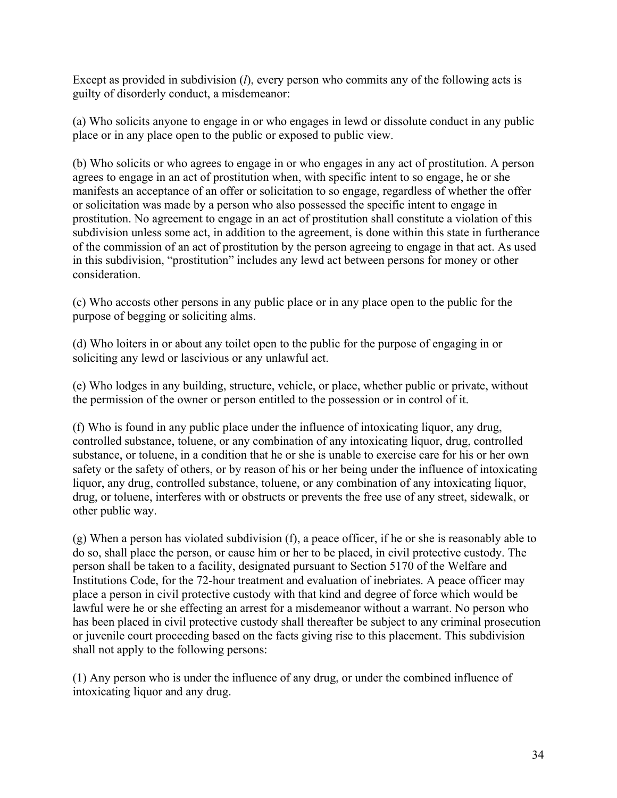Except as provided in subdivision (*l*), every person who commits any of the following acts is guilty of disorderly conduct, a misdemeanor:

(a) Who solicits anyone to engage in or who engages in lewd or dissolute conduct in any public place or in any place open to the public or exposed to public view.

(b) Who solicits or who agrees to engage in or who engages in any act of prostitution. A person agrees to engage in an act of prostitution when, with specific intent to so engage, he or she manifests an acceptance of an offer or solicitation to so engage, regardless of whether the offer or solicitation was made by a person who also possessed the specific intent to engage in prostitution. No agreement to engage in an act of prostitution shall constitute a violation of this subdivision unless some act, in addition to the agreement, is done within this state in furtherance of the commission of an act of prostitution by the person agreeing to engage in that act. As used in this subdivision, "prostitution" includes any lewd act between persons for money or other consideration.

(c) Who accosts other persons in any public place or in any place open to the public for the purpose of begging or soliciting alms.

(d) Who loiters in or about any toilet open to the public for the purpose of engaging in or soliciting any lewd or lascivious or any unlawful act.

(e) Who lodges in any building, structure, vehicle, or place, whether public or private, without the permission of the owner or person entitled to the possession or in control of it.

(f) Who is found in any public place under the influence of intoxicating liquor, any drug, controlled substance, toluene, or any combination of any intoxicating liquor, drug, controlled substance, or toluene, in a condition that he or she is unable to exercise care for his or her own safety or the safety of others, or by reason of his or her being under the influence of intoxicating liquor, any drug, controlled substance, toluene, or any combination of any intoxicating liquor, drug, or toluene, interferes with or obstructs or prevents the free use of any street, sidewalk, or other public way.

(g) When a person has violated subdivision (f), a peace officer, if he or she is reasonably able to do so, shall place the person, or cause him or her to be placed, in civil protective custody. The person shall be taken to a facility, designated pursuant to Section 5170 of the Welfare and Institutions Code, for the 72-hour treatment and evaluation of inebriates. A peace officer may place a person in civil protective custody with that kind and degree of force which would be lawful were he or she effecting an arrest for a misdemeanor without a warrant. No person who has been placed in civil protective custody shall thereafter be subject to any criminal prosecution or juvenile court proceeding based on the facts giving rise to this placement. This subdivision shall not apply to the following persons:

(1) Any person who is under the influence of any drug, or under the combined influence of intoxicating liquor and any drug.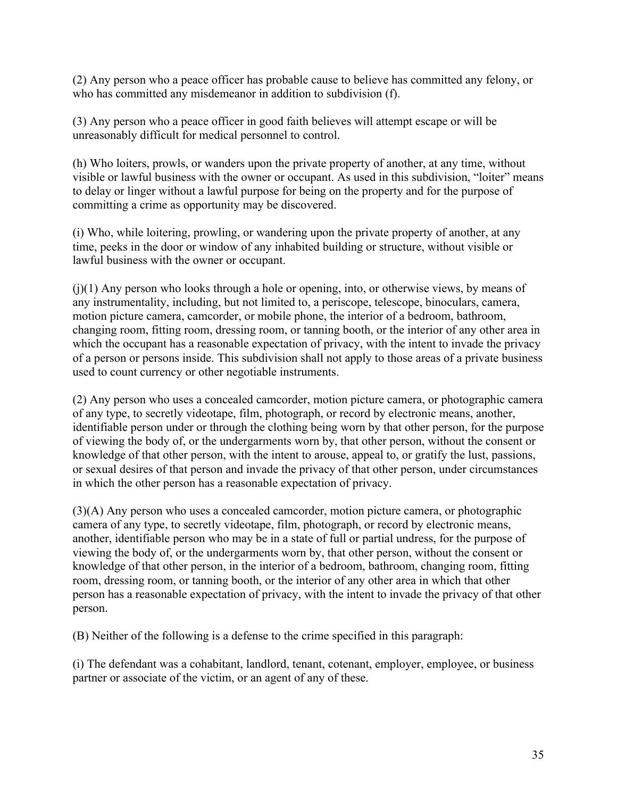(2) Any person who a peace officer has probable cause to believe has committed any felony, or who has committed any misdemeanor in addition to subdivision (f).

(3) Any person who a peace officer in good faith believes will attempt escape or will be unreasonably difficult for medical personnel to control.

(h) Who loiters, prowls, or wanders upon the private property of another, at any time, without visible or lawful business with the owner or occupant. As used in this subdivision, "loiter" means to delay or linger without a lawful purpose for being on the property and for the purpose of committing a crime as opportunity may be discovered.

(i) Who, while loitering, prowling, or wandering upon the private property of another, at any time, peeks in the door or window of any inhabited building or structure, without visible or lawful business with the owner or occupant.

 $(j)(1)$  Any person who looks through a hole or opening, into, or otherwise views, by means of any instrumentality, including, but not limited to, a periscope, telescope, binoculars, camera, motion picture camera, camcorder, or mobile phone, the interior of a bedroom, bathroom, changing room, fitting room, dressing room, or tanning booth, or the interior of any other area in which the occupant has a reasonable expectation of privacy, with the intent to invade the privacy of a person or persons inside. This subdivision shall not apply to those areas of a private business used to count currency or other negotiable instruments.

(2) Any person who uses a concealed camcorder, motion picture camera, or photographic camera of any type, to secretly videotape, film, photograph, or record by electronic means, another, identifiable person under or through the clothing being worn by that other person, for the purpose of viewing the body of, or the undergarments worn by, that other person, without the consent or knowledge of that other person, with the intent to arouse, appeal to, or gratify the lust, passions, or sexual desires of that person and invade the privacy of that other person, under circumstances in which the other person has a reasonable expectation of privacy.

(3)(A) Any person who uses a concealed camcorder, motion picture camera, or photographic camera of any type, to secretly videotape, film, photograph, or record by electronic means, another, identifiable person who may be in a state of full or partial undress, for the purpose of viewing the body of, or the undergarments worn by, that other person, without the consent or knowledge of that other person, in the interior of a bedroom, bathroom, changing room, fitting room, dressing room, or tanning booth, or the interior of any other area in which that other person has a reasonable expectation of privacy, with the intent to invade the privacy of that other person.

(B) Neither of the following is a defense to the crime specified in this paragraph:

(i) The defendant was a cohabitant, landlord, tenant, cotenant, employer, employee, or business partner or associate of the victim, or an agent of any of these.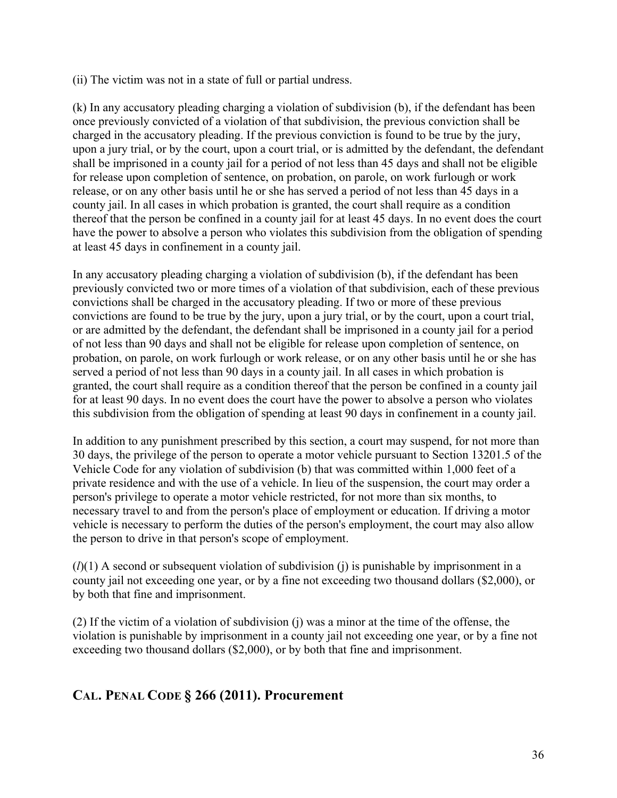(ii) The victim was not in a state of full or partial undress.

(k) In any accusatory pleading charging a violation of subdivision (b), if the defendant has been once previously convicted of a violation of that subdivision, the previous conviction shall be charged in the accusatory pleading. If the previous conviction is found to be true by the jury, upon a jury trial, or by the court, upon a court trial, or is admitted by the defendant, the defendant shall be imprisoned in a county jail for a period of not less than 45 days and shall not be eligible for release upon completion of sentence, on probation, on parole, on work furlough or work release, or on any other basis until he or she has served a period of not less than 45 days in a county jail. In all cases in which probation is granted, the court shall require as a condition thereof that the person be confined in a county jail for at least 45 days. In no event does the court have the power to absolve a person who violates this subdivision from the obligation of spending at least 45 days in confinement in a county jail.

In any accusatory pleading charging a violation of subdivision (b), if the defendant has been previously convicted two or more times of a violation of that subdivision, each of these previous convictions shall be charged in the accusatory pleading. If two or more of these previous convictions are found to be true by the jury, upon a jury trial, or by the court, upon a court trial, or are admitted by the defendant, the defendant shall be imprisoned in a county jail for a period of not less than 90 days and shall not be eligible for release upon completion of sentence, on probation, on parole, on work furlough or work release, or on any other basis until he or she has served a period of not less than 90 days in a county jail. In all cases in which probation is granted, the court shall require as a condition thereof that the person be confined in a county jail for at least 90 days. In no event does the court have the power to absolve a person who violates this subdivision from the obligation of spending at least 90 days in confinement in a county jail.

In addition to any punishment prescribed by this section, a court may suspend, for not more than 30 days, the privilege of the person to operate a motor vehicle pursuant to Section 13201.5 of the Vehicle Code for any violation of subdivision (b) that was committed within 1,000 feet of a private residence and with the use of a vehicle. In lieu of the suspension, the court may order a person's privilege to operate a motor vehicle restricted, for not more than six months, to necessary travel to and from the person's place of employment or education. If driving a motor vehicle is necessary to perform the duties of the person's employment, the court may also allow the person to drive in that person's scope of employment.

(*l*)(1) A second or subsequent violation of subdivision (j) is punishable by imprisonment in a county jail not exceeding one year, or by a fine not exceeding two thousand dollars (\$2,000), or by both that fine and imprisonment.

(2) If the victim of a violation of subdivision (j) was a minor at the time of the offense, the violation is punishable by imprisonment in a county jail not exceeding one year, or by a fine not exceeding two thousand dollars (\$2,000), or by both that fine and imprisonment.

#### **CAL. PENAL CODE § 266 (2011). Procurement**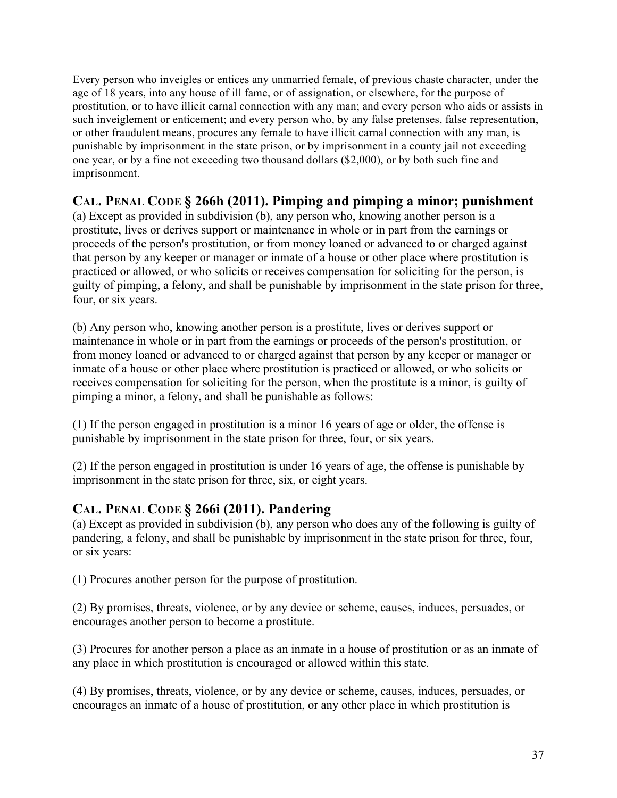Every person who inveigles or entices any unmarried female, of previous chaste character, under the age of 18 years, into any house of ill fame, or of assignation, or elsewhere, for the purpose of prostitution, or to have illicit carnal connection with any man; and every person who aids or assists in such inveiglement or enticement; and every person who, by any false pretenses, false representation, or other fraudulent means, procures any female to have illicit carnal connection with any man, is punishable by imprisonment in the state prison, or by imprisonment in a county jail not exceeding one year, or by a fine not exceeding two thousand dollars (\$2,000), or by both such fine and imprisonment.

#### **CAL. PENAL CODE § 266h (2011). Pimping and pimping a minor; punishment**

(a) Except as provided in subdivision (b), any person who, knowing another person is a prostitute, lives or derives support or maintenance in whole or in part from the earnings or proceeds of the person's prostitution, or from money loaned or advanced to or charged against that person by any keeper or manager or inmate of a house or other place where prostitution is practiced or allowed, or who solicits or receives compensation for soliciting for the person, is guilty of pimping, a felony, and shall be punishable by imprisonment in the state prison for three, four, or six years.

(b) Any person who, knowing another person is a prostitute, lives or derives support or maintenance in whole or in part from the earnings or proceeds of the person's prostitution, or from money loaned or advanced to or charged against that person by any keeper or manager or inmate of a house or other place where prostitution is practiced or allowed, or who solicits or receives compensation for soliciting for the person, when the prostitute is a minor, is guilty of pimping a minor, a felony, and shall be punishable as follows:

(1) If the person engaged in prostitution is a minor 16 years of age or older, the offense is punishable by imprisonment in the state prison for three, four, or six years.

(2) If the person engaged in prostitution is under 16 years of age, the offense is punishable by imprisonment in the state prison for three, six, or eight years.

#### **CAL. PENAL CODE § 266i (2011). Pandering**

(a) Except as provided in subdivision (b), any person who does any of the following is guilty of pandering, a felony, and shall be punishable by imprisonment in the state prison for three, four, or six years:

(1) Procures another person for the purpose of prostitution.

(2) By promises, threats, violence, or by any device or scheme, causes, induces, persuades, or encourages another person to become a prostitute.

(3) Procures for another person a place as an inmate in a house of prostitution or as an inmate of any place in which prostitution is encouraged or allowed within this state.

(4) By promises, threats, violence, or by any device or scheme, causes, induces, persuades, or encourages an inmate of a house of prostitution, or any other place in which prostitution is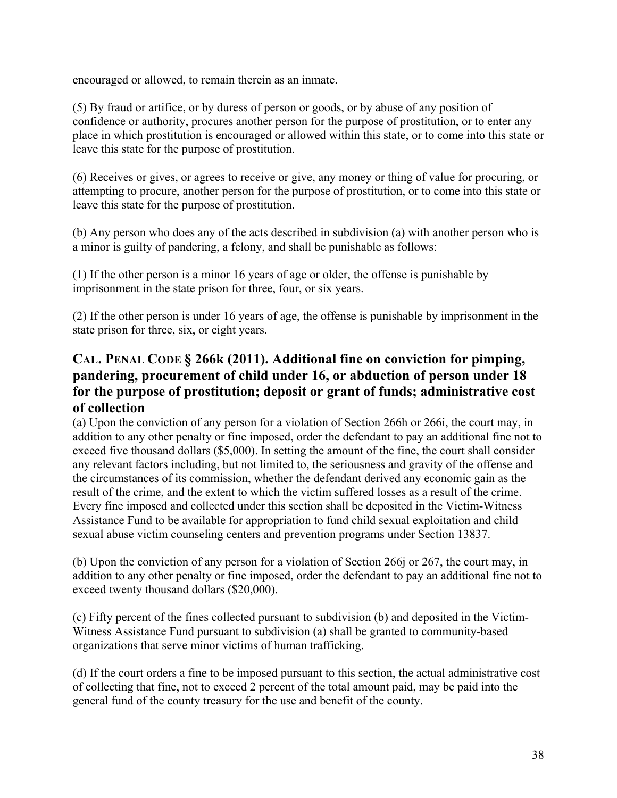encouraged or allowed, to remain therein as an inmate.

(5) By fraud or artifice, or by duress of person or goods, or by abuse of any position of confidence or authority, procures another person for the purpose of prostitution, or to enter any place in which prostitution is encouraged or allowed within this state, or to come into this state or leave this state for the purpose of prostitution.

(6) Receives or gives, or agrees to receive or give, any money or thing of value for procuring, or attempting to procure, another person for the purpose of prostitution, or to come into this state or leave this state for the purpose of prostitution.

(b) Any person who does any of the acts described in subdivision (a) with another person who is a minor is guilty of pandering, a felony, and shall be punishable as follows:

(1) If the other person is a minor 16 years of age or older, the offense is punishable by imprisonment in the state prison for three, four, or six years.

(2) If the other person is under 16 years of age, the offense is punishable by imprisonment in the state prison for three, six, or eight years.

## **CAL. PENAL CODE § 266k (2011). Additional fine on conviction for pimping, pandering, procurement of child under 16, or abduction of person under 18 for the purpose of prostitution; deposit or grant of funds; administrative cost of collection**

(a) Upon the conviction of any person for a violation of Section 266h or 266i, the court may, in addition to any other penalty or fine imposed, order the defendant to pay an additional fine not to exceed five thousand dollars (\$5,000). In setting the amount of the fine, the court shall consider any relevant factors including, but not limited to, the seriousness and gravity of the offense and the circumstances of its commission, whether the defendant derived any economic gain as the result of the crime, and the extent to which the victim suffered losses as a result of the crime. Every fine imposed and collected under this section shall be deposited in the Victim-Witness Assistance Fund to be available for appropriation to fund child sexual exploitation and child sexual abuse victim counseling centers and prevention programs under Section 13837.

(b) Upon the conviction of any person for a violation of Section 266j or 267, the court may, in addition to any other penalty or fine imposed, order the defendant to pay an additional fine not to exceed twenty thousand dollars (\$20,000).

(c) Fifty percent of the fines collected pursuant to subdivision (b) and deposited in the Victim-Witness Assistance Fund pursuant to subdivision (a) shall be granted to community-based organizations that serve minor victims of human trafficking.

(d) If the court orders a fine to be imposed pursuant to this section, the actual administrative cost of collecting that fine, not to exceed 2 percent of the total amount paid, may be paid into the general fund of the county treasury for the use and benefit of the county.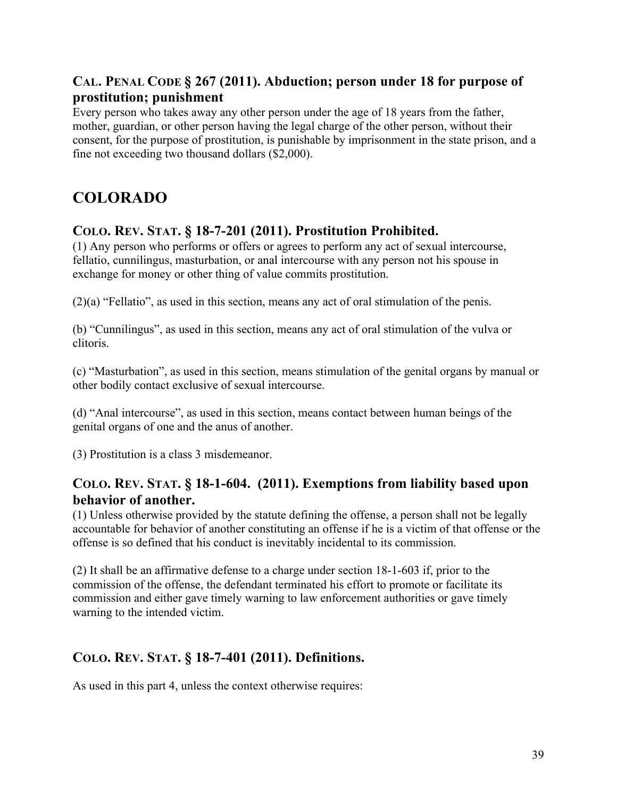## **CAL. PENAL CODE § 267 (2011). Abduction; person under 18 for purpose of prostitution; punishment**

Every person who takes away any other person under the age of 18 years from the father, mother, guardian, or other person having the legal charge of the other person, without their consent, for the purpose of prostitution, is punishable by imprisonment in the state prison, and a fine not exceeding two thousand dollars (\$2,000).

# **COLORADO**

#### **COLO. REV. STAT. § 18-7-201 (2011). Prostitution Prohibited.**

(1) Any person who performs or offers or agrees to perform any act of sexual intercourse, fellatio, cunnilingus, masturbation, or anal intercourse with any person not his spouse in exchange for money or other thing of value commits prostitution.

(2)(a) "Fellatio", as used in this section, means any act of oral stimulation of the penis.

(b) "Cunnilingus", as used in this section, means any act of oral stimulation of the vulva or clitoris.

(c) "Masturbation", as used in this section, means stimulation of the genital organs by manual or other bodily contact exclusive of sexual intercourse.

(d) "Anal intercourse", as used in this section, means contact between human beings of the genital organs of one and the anus of another.

(3) Prostitution is a class 3 misdemeanor.

#### **COLO. REV. STAT. § 18-1-604. (2011). Exemptions from liability based upon behavior of another.**

(1) Unless otherwise provided by the statute defining the offense, a person shall not be legally accountable for behavior of another constituting an offense if he is a victim of that offense or the offense is so defined that his conduct is inevitably incidental to its commission.

(2) It shall be an affirmative defense to a charge under section 18-1-603 if, prior to the commission of the offense, the defendant terminated his effort to promote or facilitate its commission and either gave timely warning to law enforcement authorities or gave timely warning to the intended victim.

#### **COLO. REV. STAT. § 18-7-401 (2011). Definitions.**

As used in this part 4, unless the context otherwise requires: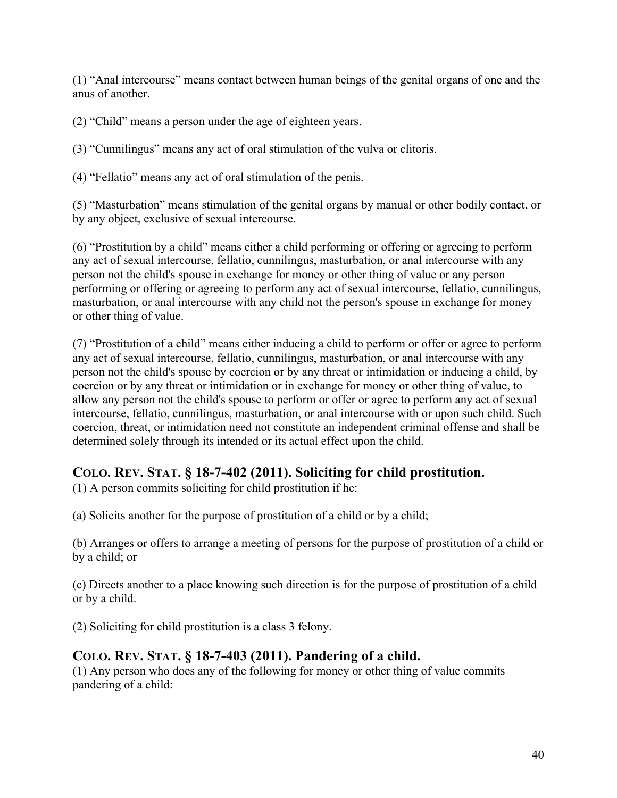(1) "Anal intercourse" means contact between human beings of the genital organs of one and the anus of another.

(2) "Child" means a person under the age of eighteen years.

(3) "Cunnilingus" means any act of oral stimulation of the vulva or clitoris.

(4) "Fellatio" means any act of oral stimulation of the penis.

(5) "Masturbation" means stimulation of the genital organs by manual or other bodily contact, or by any object, exclusive of sexual intercourse.

(6) "Prostitution by a child" means either a child performing or offering or agreeing to perform any act of sexual intercourse, fellatio, cunnilingus, masturbation, or anal intercourse with any person not the child's spouse in exchange for money or other thing of value or any person performing or offering or agreeing to perform any act of sexual intercourse, fellatio, cunnilingus, masturbation, or anal intercourse with any child not the person's spouse in exchange for money or other thing of value.

(7) "Prostitution of a child" means either inducing a child to perform or offer or agree to perform any act of sexual intercourse, fellatio, cunnilingus, masturbation, or anal intercourse with any person not the child's spouse by coercion or by any threat or intimidation or inducing a child, by coercion or by any threat or intimidation or in exchange for money or other thing of value, to allow any person not the child's spouse to perform or offer or agree to perform any act of sexual intercourse, fellatio, cunnilingus, masturbation, or anal intercourse with or upon such child. Such coercion, threat, or intimidation need not constitute an independent criminal offense and shall be determined solely through its intended or its actual effect upon the child.

## **COLO. REV. STAT. § 18-7-402 (2011). Soliciting for child prostitution.**

(1) A person commits soliciting for child prostitution if he:

(a) Solicits another for the purpose of prostitution of a child or by a child;

(b) Arranges or offers to arrange a meeting of persons for the purpose of prostitution of a child or by a child; or

(c) Directs another to a place knowing such direction is for the purpose of prostitution of a child or by a child.

(2) Soliciting for child prostitution is a class 3 felony.

#### **COLO. REV. STAT. § 18-7-403 (2011). Pandering of a child.**

(1) Any person who does any of the following for money or other thing of value commits pandering of a child: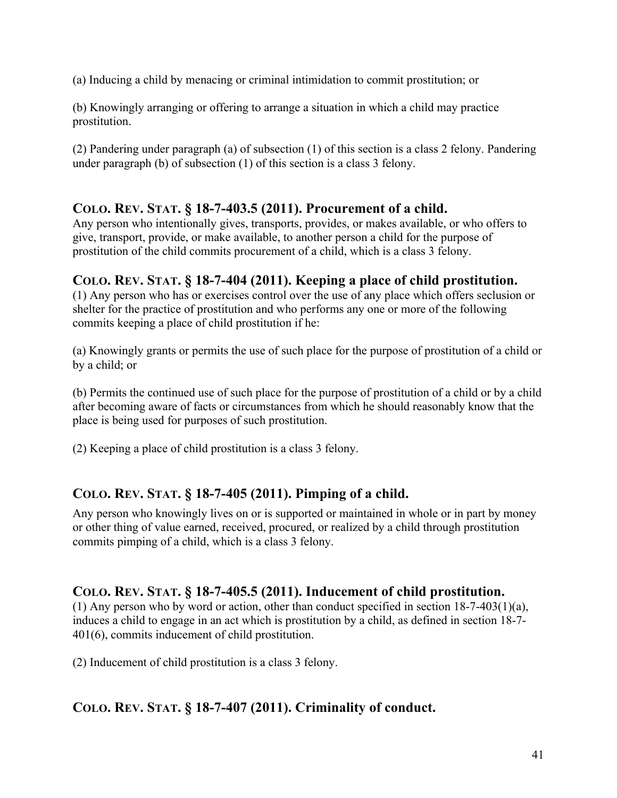(a) Inducing a child by menacing or criminal intimidation to commit prostitution; or

(b) Knowingly arranging or offering to arrange a situation in which a child may practice prostitution.

(2) Pandering under paragraph (a) of subsection (1) of this section is a class 2 felony. Pandering under paragraph (b) of subsection (1) of this section is a class 3 felony.

#### **COLO. REV. STAT. § 18-7-403.5 (2011). Procurement of a child.**

Any person who intentionally gives, transports, provides, or makes available, or who offers to give, transport, provide, or make available, to another person a child for the purpose of prostitution of the child commits procurement of a child, which is a class 3 felony.

#### **COLO. REV. STAT. § 18-7-404 (2011). Keeping a place of child prostitution.**

(1) Any person who has or exercises control over the use of any place which offers seclusion or shelter for the practice of prostitution and who performs any one or more of the following commits keeping a place of child prostitution if he:

(a) Knowingly grants or permits the use of such place for the purpose of prostitution of a child or by a child; or

(b) Permits the continued use of such place for the purpose of prostitution of a child or by a child after becoming aware of facts or circumstances from which he should reasonably know that the place is being used for purposes of such prostitution.

(2) Keeping a place of child prostitution is a class 3 felony.

## **COLO. REV. STAT. § 18-7-405 (2011). Pimping of a child.**

Any person who knowingly lives on or is supported or maintained in whole or in part by money or other thing of value earned, received, procured, or realized by a child through prostitution commits pimping of a child, which is a class 3 felony.

## **COLO. REV. STAT. § 18-7-405.5 (2011). Inducement of child prostitution.**

(1) Any person who by word or action, other than conduct specified in section 18-7-403(1)(a), induces a child to engage in an act which is prostitution by a child, as defined in section 18-7- 401(6), commits inducement of child prostitution.

(2) Inducement of child prostitution is a class 3 felony.

## **COLO. REV. STAT. § 18-7-407 (2011). Criminality of conduct.**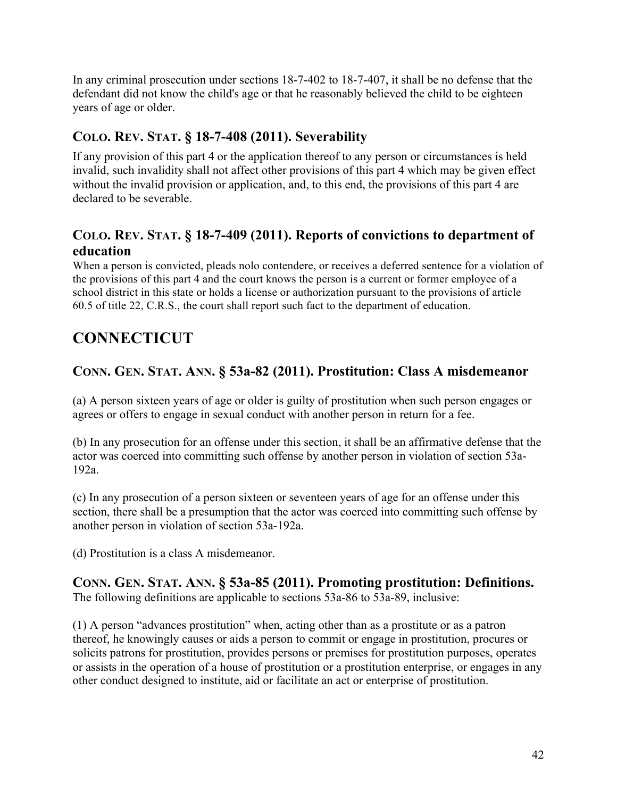In any criminal prosecution under sections 18-7-402 to 18-7-407, it shall be no defense that the defendant did not know the child's age or that he reasonably believed the child to be eighteen years of age or older.

## **COLO. REV. STAT. § 18-7-408 (2011). Severability**

If any provision of this part 4 or the application thereof to any person or circumstances is held invalid, such invalidity shall not affect other provisions of this part 4 which may be given effect without the invalid provision or application, and, to this end, the provisions of this part 4 are declared to be severable.

## **COLO. REV. STAT. § 18-7-409 (2011). Reports of convictions to department of education**

When a person is convicted, pleads nolo contendere, or receives a deferred sentence for a violation of the provisions of this part 4 and the court knows the person is a current or former employee of a school district in this state or holds a license or authorization pursuant to the provisions of article 60.5 of title 22, C.R.S., the court shall report such fact to the department of education.

# **CONNECTICUT**

## **CONN. GEN. STAT. ANN. § 53a-82 (2011). Prostitution: Class A misdemeanor**

(a) A person sixteen years of age or older is guilty of prostitution when such person engages or agrees or offers to engage in sexual conduct with another person in return for a fee.

(b) In any prosecution for an offense under this section, it shall be an affirmative defense that the actor was coerced into committing such offense by another person in violation of section 53a-192a.

(c) In any prosecution of a person sixteen or seventeen years of age for an offense under this section, there shall be a presumption that the actor was coerced into committing such offense by another person in violation of section 53a-192a.

(d) Prostitution is a class A misdemeanor.

**CONN. GEN. STAT. ANN. § 53a-85 (2011). Promoting prostitution: Definitions.** The following definitions are applicable to sections 53a-86 to 53a-89, inclusive:

(1) A person "advances prostitution" when, acting other than as a prostitute or as a patron thereof, he knowingly causes or aids a person to commit or engage in prostitution, procures or solicits patrons for prostitution, provides persons or premises for prostitution purposes, operates or assists in the operation of a house of prostitution or a prostitution enterprise, or engages in any other conduct designed to institute, aid or facilitate an act or enterprise of prostitution.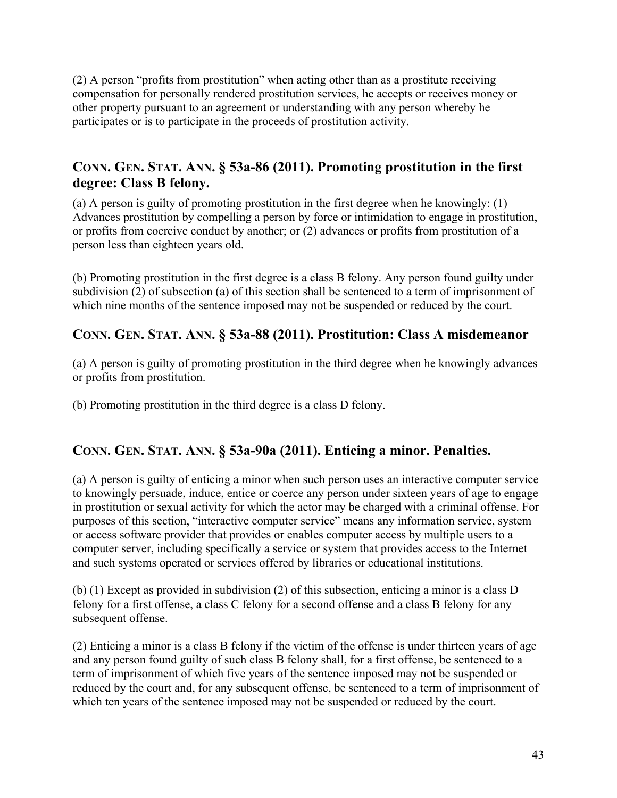(2) A person "profits from prostitution" when acting other than as a prostitute receiving compensation for personally rendered prostitution services, he accepts or receives money or other property pursuant to an agreement or understanding with any person whereby he participates or is to participate in the proceeds of prostitution activity.

#### **CONN. GEN. STAT. ANN. § 53a-86 (2011). Promoting prostitution in the first degree: Class B felony.**

(a) A person is guilty of promoting prostitution in the first degree when he knowingly: (1) Advances prostitution by compelling a person by force or intimidation to engage in prostitution, or profits from coercive conduct by another; or (2) advances or profits from prostitution of a person less than eighteen years old.

(b) Promoting prostitution in the first degree is a class B felony. Any person found guilty under subdivision (2) of subsection (a) of this section shall be sentenced to a term of imprisonment of which nine months of the sentence imposed may not be suspended or reduced by the court.

## **CONN. GEN. STAT. ANN. § 53a-88 (2011). Prostitution: Class A misdemeanor**

(a) A person is guilty of promoting prostitution in the third degree when he knowingly advances or profits from prostitution.

(b) Promoting prostitution in the third degree is a class D felony.

## **CONN. GEN. STAT. ANN. § 53a-90a (2011). Enticing a minor. Penalties.**

(a) A person is guilty of enticing a minor when such person uses an interactive computer service to knowingly persuade, induce, entice or coerce any person under sixteen years of age to engage in prostitution or sexual activity for which the actor may be charged with a criminal offense. For purposes of this section, "interactive computer service" means any information service, system or access software provider that provides or enables computer access by multiple users to a computer server, including specifically a service or system that provides access to the Internet and such systems operated or services offered by libraries or educational institutions.

(b) (1) Except as provided in subdivision (2) of this subsection, enticing a minor is a class D felony for a first offense, a class C felony for a second offense and a class B felony for any subsequent offense.

(2) Enticing a minor is a class B felony if the victim of the offense is under thirteen years of age and any person found guilty of such class B felony shall, for a first offense, be sentenced to a term of imprisonment of which five years of the sentence imposed may not be suspended or reduced by the court and, for any subsequent offense, be sentenced to a term of imprisonment of which ten years of the sentence imposed may not be suspended or reduced by the court.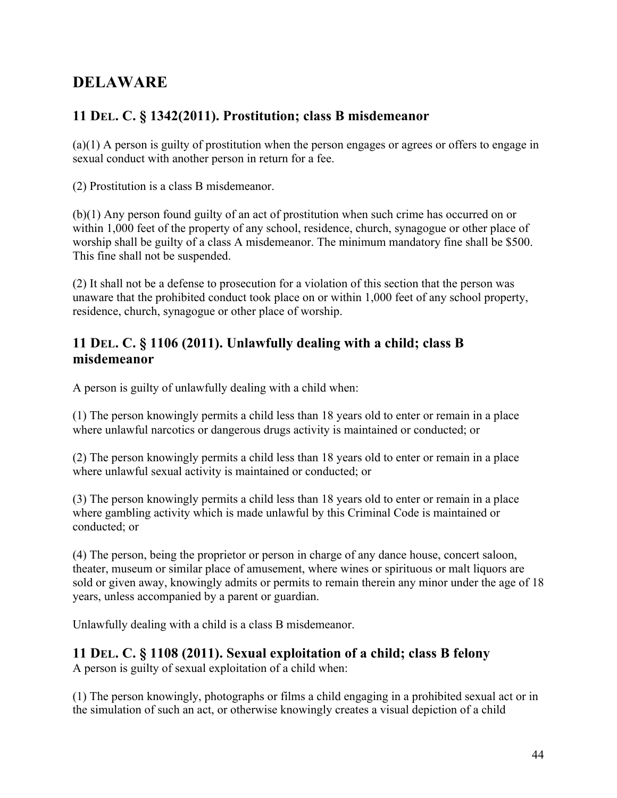## **DELAWARE**

## **11 DEL. C. § 1342(2011). Prostitution; class B misdemeanor**

(a)(1) A person is guilty of prostitution when the person engages or agrees or offers to engage in sexual conduct with another person in return for a fee.

(2) Prostitution is a class B misdemeanor.

(b)(1) Any person found guilty of an act of prostitution when such crime has occurred on or within 1,000 feet of the property of any school, residence, church, synagogue or other place of worship shall be guilty of a class A misdemeanor. The minimum mandatory fine shall be \$500. This fine shall not be suspended.

(2) It shall not be a defense to prosecution for a violation of this section that the person was unaware that the prohibited conduct took place on or within 1,000 feet of any school property, residence, church, synagogue or other place of worship.

#### **11 DEL. C. § 1106 (2011). Unlawfully dealing with a child; class B misdemeanor**

A person is guilty of unlawfully dealing with a child when:

(1) The person knowingly permits a child less than 18 years old to enter or remain in a place where unlawful narcotics or dangerous drugs activity is maintained or conducted; or

(2) The person knowingly permits a child less than 18 years old to enter or remain in a place where unlawful sexual activity is maintained or conducted; or

(3) The person knowingly permits a child less than 18 years old to enter or remain in a place where gambling activity which is made unlawful by this Criminal Code is maintained or conducted; or

(4) The person, being the proprietor or person in charge of any dance house, concert saloon, theater, museum or similar place of amusement, where wines or spirituous or malt liquors are sold or given away, knowingly admits or permits to remain therein any minor under the age of 18 years, unless accompanied by a parent or guardian.

Unlawfully dealing with a child is a class B misdemeanor.

## **11 DEL. C. § 1108 (2011). Sexual exploitation of a child; class B felony**

A person is guilty of sexual exploitation of a child when:

(1) The person knowingly, photographs or films a child engaging in a prohibited sexual act or in the simulation of such an act, or otherwise knowingly creates a visual depiction of a child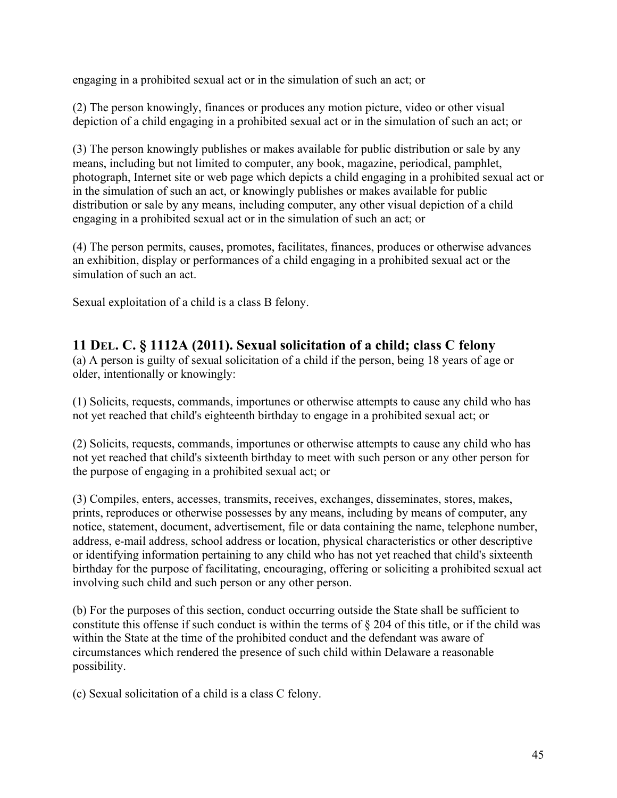engaging in a prohibited sexual act or in the simulation of such an act; or

(2) The person knowingly, finances or produces any motion picture, video or other visual depiction of a child engaging in a prohibited sexual act or in the simulation of such an act; or

(3) The person knowingly publishes or makes available for public distribution or sale by any means, including but not limited to computer, any book, magazine, periodical, pamphlet, photograph, Internet site or web page which depicts a child engaging in a prohibited sexual act or in the simulation of such an act, or knowingly publishes or makes available for public distribution or sale by any means, including computer, any other visual depiction of a child engaging in a prohibited sexual act or in the simulation of such an act; or

(4) The person permits, causes, promotes, facilitates, finances, produces or otherwise advances an exhibition, display or performances of a child engaging in a prohibited sexual act or the simulation of such an act.

Sexual exploitation of a child is a class B felony.

#### **11 DEL. C. § 1112A (2011). Sexual solicitation of a child; class C felony**

(a) A person is guilty of sexual solicitation of a child if the person, being 18 years of age or older, intentionally or knowingly:

(1) Solicits, requests, commands, importunes or otherwise attempts to cause any child who has not yet reached that child's eighteenth birthday to engage in a prohibited sexual act; or

(2) Solicits, requests, commands, importunes or otherwise attempts to cause any child who has not yet reached that child's sixteenth birthday to meet with such person or any other person for the purpose of engaging in a prohibited sexual act; or

(3) Compiles, enters, accesses, transmits, receives, exchanges, disseminates, stores, makes, prints, reproduces or otherwise possesses by any means, including by means of computer, any notice, statement, document, advertisement, file or data containing the name, telephone number, address, e-mail address, school address or location, physical characteristics or other descriptive or identifying information pertaining to any child who has not yet reached that child's sixteenth birthday for the purpose of facilitating, encouraging, offering or soliciting a prohibited sexual act involving such child and such person or any other person.

(b) For the purposes of this section, conduct occurring outside the State shall be sufficient to constitute this offense if such conduct is within the terms of § 204 of this title, or if the child was within the State at the time of the prohibited conduct and the defendant was aware of circumstances which rendered the presence of such child within Delaware a reasonable possibility.

(c) Sexual solicitation of a child is a class C felony.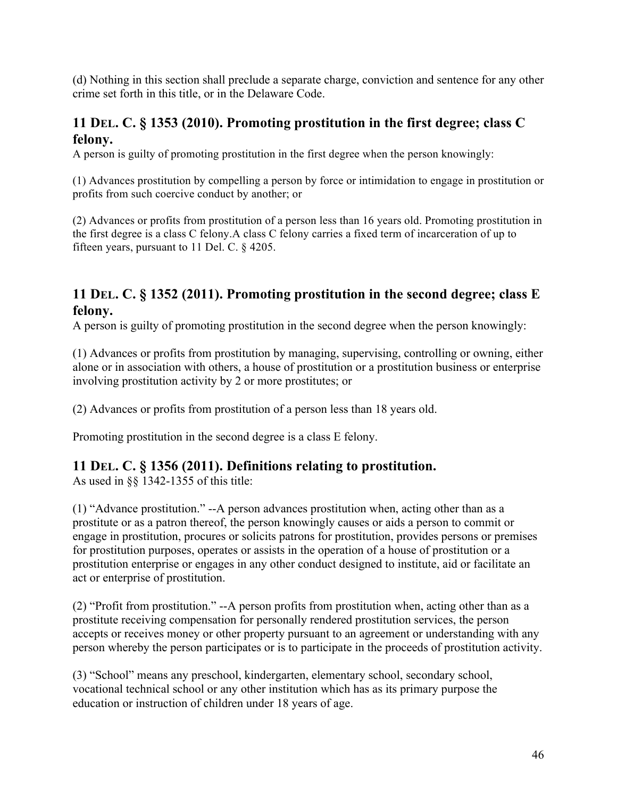(d) Nothing in this section shall preclude a separate charge, conviction and sentence for any other crime set forth in this title, or in the Delaware Code.

#### **11 DEL. C. § 1353 (2010). Promoting prostitution in the first degree; class C felony.**

A person is guilty of promoting prostitution in the first degree when the person knowingly:

(1) Advances prostitution by compelling a person by force or intimidation to engage in prostitution or profits from such coercive conduct by another; or

(2) Advances or profits from prostitution of a person less than 16 years old. Promoting prostitution in the first degree is a class C felony.A class C felony carries a fixed term of incarceration of up to fifteen years, pursuant to 11 Del. C. § 4205.

#### **11 DEL. C. § 1352 (2011). Promoting prostitution in the second degree; class E felony.**

A person is guilty of promoting prostitution in the second degree when the person knowingly:

(1) Advances or profits from prostitution by managing, supervising, controlling or owning, either alone or in association with others, a house of prostitution or a prostitution business or enterprise involving prostitution activity by 2 or more prostitutes; or

(2) Advances or profits from prostitution of a person less than 18 years old.

Promoting prostitution in the second degree is a class E felony.

#### **11 DEL. C. § 1356 (2011). Definitions relating to prostitution.**

As used in §§ 1342-1355 of this title:

(1) "Advance prostitution." --A person advances prostitution when, acting other than as a prostitute or as a patron thereof, the person knowingly causes or aids a person to commit or engage in prostitution, procures or solicits patrons for prostitution, provides persons or premises for prostitution purposes, operates or assists in the operation of a house of prostitution or a prostitution enterprise or engages in any other conduct designed to institute, aid or facilitate an act or enterprise of prostitution.

(2) "Profit from prostitution." --A person profits from prostitution when, acting other than as a prostitute receiving compensation for personally rendered prostitution services, the person accepts or receives money or other property pursuant to an agreement or understanding with any person whereby the person participates or is to participate in the proceeds of prostitution activity.

(3) "School" means any preschool, kindergarten, elementary school, secondary school, vocational technical school or any other institution which has as its primary purpose the education or instruction of children under 18 years of age.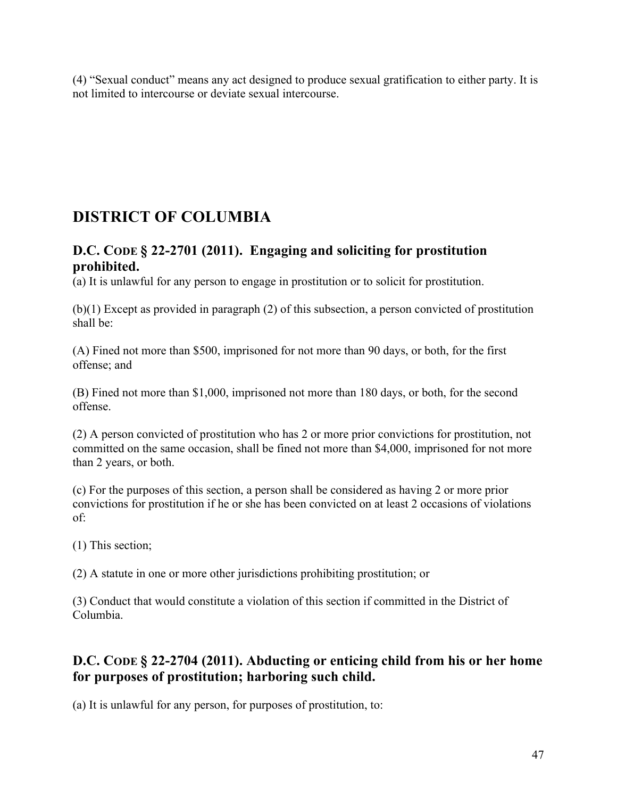(4) "Sexual conduct" means any act designed to produce sexual gratification to either party. It is not limited to intercourse or deviate sexual intercourse.

## **DISTRICT OF COLUMBIA**

## **D.C. CODE § 22-2701 (2011). Engaging and soliciting for prostitution prohibited.**

(a) It is unlawful for any person to engage in prostitution or to solicit for prostitution.

(b)(1) Except as provided in paragraph (2) of this subsection, a person convicted of prostitution shall be:

(A) Fined not more than \$500, imprisoned for not more than 90 days, or both, for the first offense; and

(B) Fined not more than \$1,000, imprisoned not more than 180 days, or both, for the second offense.

(2) A person convicted of prostitution who has 2 or more prior convictions for prostitution, not committed on the same occasion, shall be fined not more than \$4,000, imprisoned for not more than 2 years, or both.

(c) For the purposes of this section, a person shall be considered as having 2 or more prior convictions for prostitution if he or she has been convicted on at least 2 occasions of violations of:

(1) This section;

(2) A statute in one or more other jurisdictions prohibiting prostitution; or

(3) Conduct that would constitute a violation of this section if committed in the District of Columbia.

## **D.C. CODE § 22-2704 (2011). Abducting or enticing child from his or her home for purposes of prostitution; harboring such child.**

(a) It is unlawful for any person, for purposes of prostitution, to: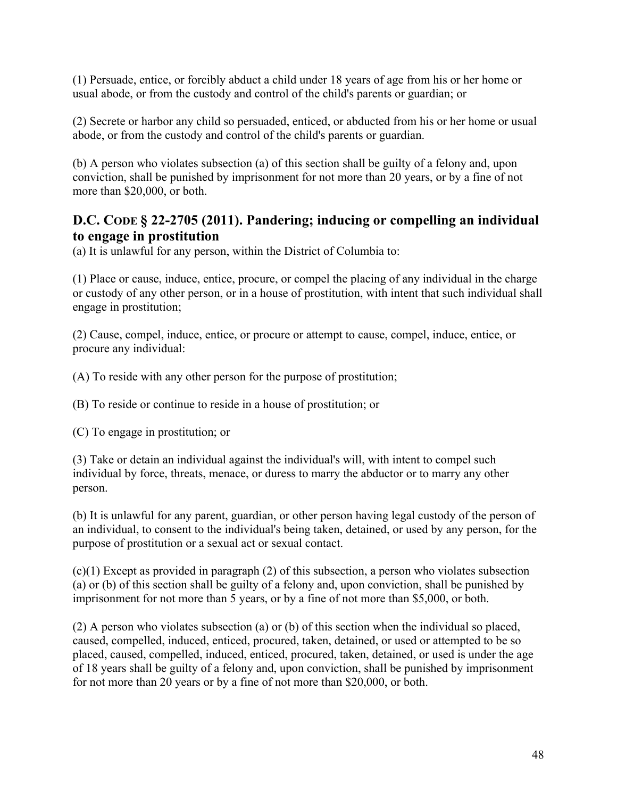(1) Persuade, entice, or forcibly abduct a child under 18 years of age from his or her home or usual abode, or from the custody and control of the child's parents or guardian; or

(2) Secrete or harbor any child so persuaded, enticed, or abducted from his or her home or usual abode, or from the custody and control of the child's parents or guardian.

(b) A person who violates subsection (a) of this section shall be guilty of a felony and, upon conviction, shall be punished by imprisonment for not more than 20 years, or by a fine of not more than \$20,000, or both.

#### **D.C. CODE § 22-2705 (2011). Pandering; inducing or compelling an individual to engage in prostitution**

(a) It is unlawful for any person, within the District of Columbia to:

(1) Place or cause, induce, entice, procure, or compel the placing of any individual in the charge or custody of any other person, or in a house of prostitution, with intent that such individual shall engage in prostitution;

(2) Cause, compel, induce, entice, or procure or attempt to cause, compel, induce, entice, or procure any individual:

(A) To reside with any other person for the purpose of prostitution;

(B) To reside or continue to reside in a house of prostitution; or

(C) To engage in prostitution; or

(3) Take or detain an individual against the individual's will, with intent to compel such individual by force, threats, menace, or duress to marry the abductor or to marry any other person.

(b) It is unlawful for any parent, guardian, or other person having legal custody of the person of an individual, to consent to the individual's being taken, detained, or used by any person, for the purpose of prostitution or a sexual act or sexual contact.

(c)(1) Except as provided in paragraph (2) of this subsection, a person who violates subsection (a) or (b) of this section shall be guilty of a felony and, upon conviction, shall be punished by imprisonment for not more than 5 years, or by a fine of not more than \$5,000, or both.

(2) A person who violates subsection (a) or (b) of this section when the individual so placed, caused, compelled, induced, enticed, procured, taken, detained, or used or attempted to be so placed, caused, compelled, induced, enticed, procured, taken, detained, or used is under the age of 18 years shall be guilty of a felony and, upon conviction, shall be punished by imprisonment for not more than 20 years or by a fine of not more than \$20,000, or both.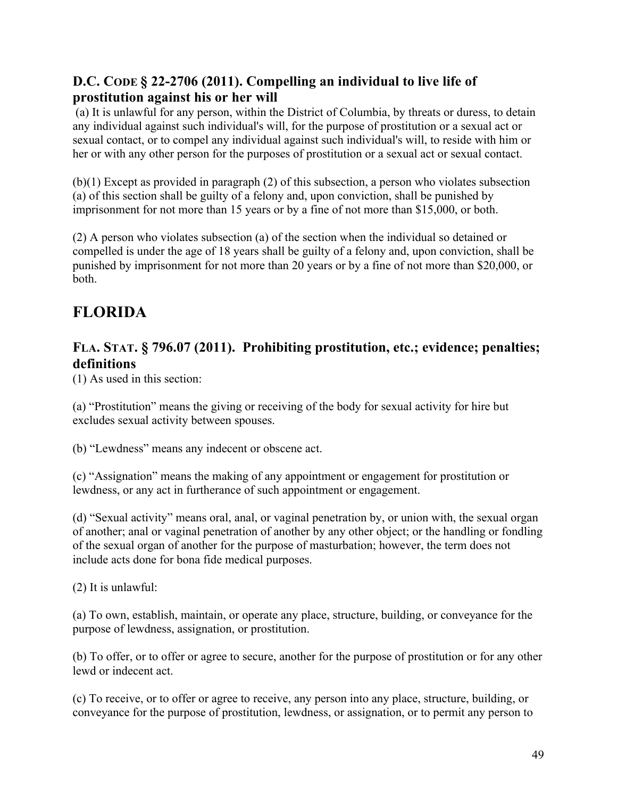## **D.C. CODE § 22-2706 (2011). Compelling an individual to live life of prostitution against his or her will**

 (a) It is unlawful for any person, within the District of Columbia, by threats or duress, to detain any individual against such individual's will, for the purpose of prostitution or a sexual act or sexual contact, or to compel any individual against such individual's will, to reside with him or her or with any other person for the purposes of prostitution or a sexual act or sexual contact.

(b)(1) Except as provided in paragraph (2) of this subsection, a person who violates subsection (a) of this section shall be guilty of a felony and, upon conviction, shall be punished by imprisonment for not more than 15 years or by a fine of not more than \$15,000, or both.

(2) A person who violates subsection (a) of the section when the individual so detained or compelled is under the age of 18 years shall be guilty of a felony and, upon conviction, shall be punished by imprisonment for not more than 20 years or by a fine of not more than \$20,000, or both.

# **FLORIDA**

## **FLA. STAT. § 796.07 (2011). Prohibiting prostitution, etc.; evidence; penalties; definitions**

(1) As used in this section:

(a) "Prostitution" means the giving or receiving of the body for sexual activity for hire but excludes sexual activity between spouses.

(b) "Lewdness" means any indecent or obscene act.

(c) "Assignation" means the making of any appointment or engagement for prostitution or lewdness, or any act in furtherance of such appointment or engagement.

(d) "Sexual activity" means oral, anal, or vaginal penetration by, or union with, the sexual organ of another; anal or vaginal penetration of another by any other object; or the handling or fondling of the sexual organ of another for the purpose of masturbation; however, the term does not include acts done for bona fide medical purposes.

(2) It is unlawful:

(a) To own, establish, maintain, or operate any place, structure, building, or conveyance for the purpose of lewdness, assignation, or prostitution.

(b) To offer, or to offer or agree to secure, another for the purpose of prostitution or for any other lewd or indecent act.

(c) To receive, or to offer or agree to receive, any person into any place, structure, building, or conveyance for the purpose of prostitution, lewdness, or assignation, or to permit any person to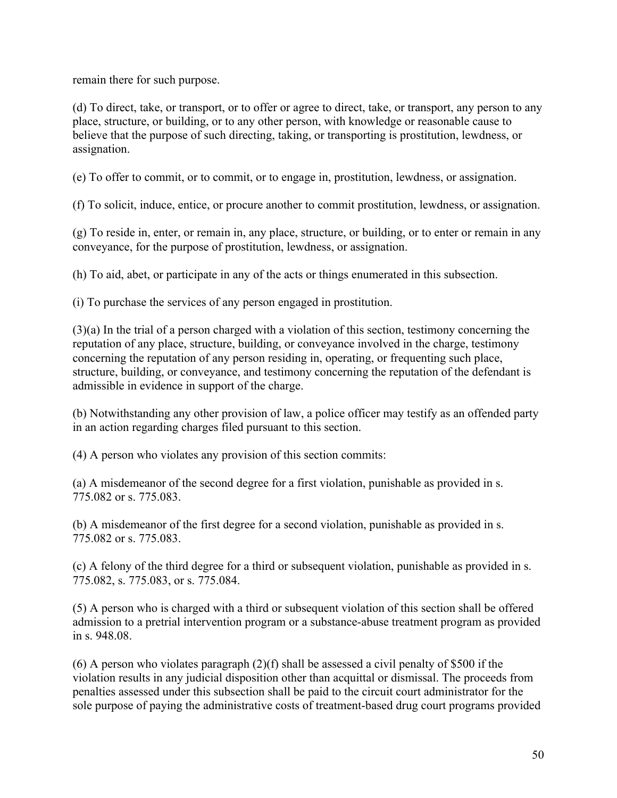remain there for such purpose.

(d) To direct, take, or transport, or to offer or agree to direct, take, or transport, any person to any place, structure, or building, or to any other person, with knowledge or reasonable cause to believe that the purpose of such directing, taking, or transporting is prostitution, lewdness, or assignation.

(e) To offer to commit, or to commit, or to engage in, prostitution, lewdness, or assignation.

(f) To solicit, induce, entice, or procure another to commit prostitution, lewdness, or assignation.

(g) To reside in, enter, or remain in, any place, structure, or building, or to enter or remain in any conveyance, for the purpose of prostitution, lewdness, or assignation.

(h) To aid, abet, or participate in any of the acts or things enumerated in this subsection.

(i) To purchase the services of any person engaged in prostitution.

(3)(a) In the trial of a person charged with a violation of this section, testimony concerning the reputation of any place, structure, building, or conveyance involved in the charge, testimony concerning the reputation of any person residing in, operating, or frequenting such place, structure, building, or conveyance, and testimony concerning the reputation of the defendant is admissible in evidence in support of the charge.

(b) Notwithstanding any other provision of law, a police officer may testify as an offended party in an action regarding charges filed pursuant to this section.

(4) A person who violates any provision of this section commits:

(a) A misdemeanor of the second degree for a first violation, punishable as provided in s. 775.082 or s. 775.083.

(b) A misdemeanor of the first degree for a second violation, punishable as provided in s. 775.082 or s. 775.083.

(c) A felony of the third degree for a third or subsequent violation, punishable as provided in s. 775.082, s. 775.083, or s. 775.084.

(5) A person who is charged with a third or subsequent violation of this section shall be offered admission to a pretrial intervention program or a substance-abuse treatment program as provided in s. 948.08.

(6) A person who violates paragraph  $(2)(f)$  shall be assessed a civil penalty of \$500 if the violation results in any judicial disposition other than acquittal or dismissal. The proceeds from penalties assessed under this subsection shall be paid to the circuit court administrator for the sole purpose of paying the administrative costs of treatment-based drug court programs provided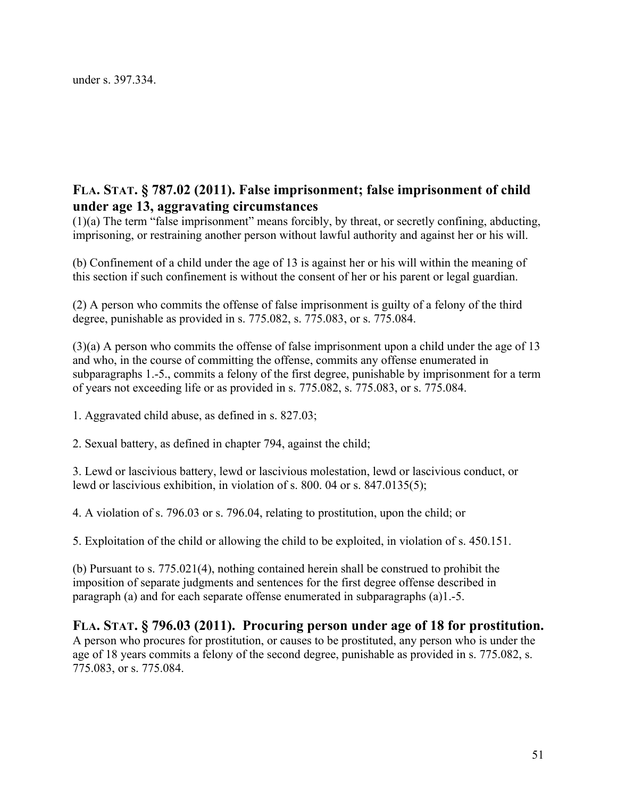under s. 397.334.

#### **FLA. STAT. § 787.02 (2011). False imprisonment; false imprisonment of child under age 13, aggravating circumstances**

(1)(a) The term "false imprisonment" means forcibly, by threat, or secretly confining, abducting, imprisoning, or restraining another person without lawful authority and against her or his will.

(b) Confinement of a child under the age of 13 is against her or his will within the meaning of this section if such confinement is without the consent of her or his parent or legal guardian.

(2) A person who commits the offense of false imprisonment is guilty of a felony of the third degree, punishable as provided in s. 775.082, s. 775.083, or s. 775.084.

(3)(a) A person who commits the offense of false imprisonment upon a child under the age of 13 and who, in the course of committing the offense, commits any offense enumerated in subparagraphs 1.-5., commits a felony of the first degree, punishable by imprisonment for a term of years not exceeding life or as provided in s. 775.082, s. 775.083, or s. 775.084.

1. Aggravated child abuse, as defined in s. 827.03;

2. Sexual battery, as defined in chapter 794, against the child;

3. Lewd or lascivious battery, lewd or lascivious molestation, lewd or lascivious conduct, or lewd or lascivious exhibition, in violation of s. 800. 04 or s. 847.0135(5);

4. A violation of s. 796.03 or s. 796.04, relating to prostitution, upon the child; or

5. Exploitation of the child or allowing the child to be exploited, in violation of s. 450.151.

(b) Pursuant to s. 775.021(4), nothing contained herein shall be construed to prohibit the imposition of separate judgments and sentences for the first degree offense described in paragraph (a) and for each separate offense enumerated in subparagraphs (a)1.-5.

**FLA. STAT. § 796.03 (2011). Procuring person under age of 18 for prostitution.** A person who procures for prostitution, or causes to be prostituted, any person who is under the age of 18 years commits a felony of the second degree, punishable as provided in s. 775.082, s. 775.083, or s. 775.084.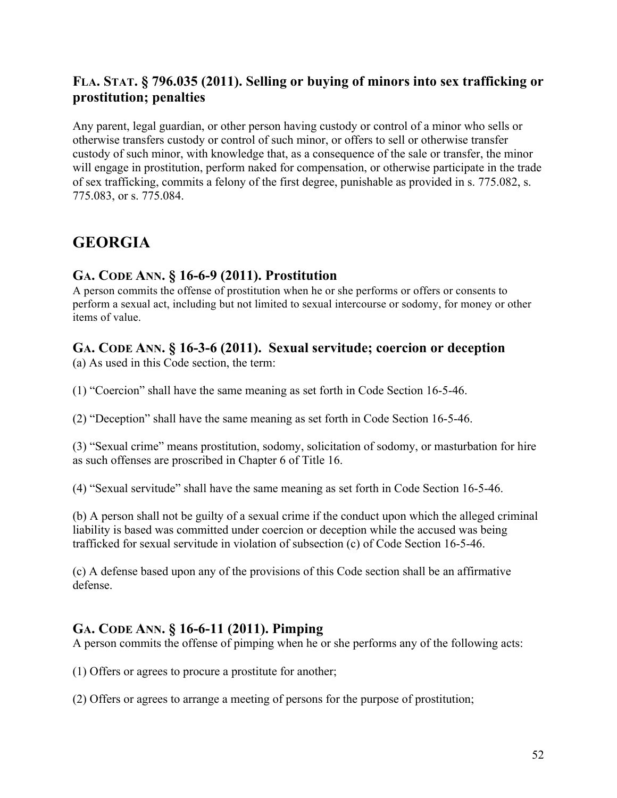### **FLA. STAT. § 796.035 (2011). Selling or buying of minors into sex trafficking or prostitution; penalties**

Any parent, legal guardian, or other person having custody or control of a minor who sells or otherwise transfers custody or control of such minor, or offers to sell or otherwise transfer custody of such minor, with knowledge that, as a consequence of the sale or transfer, the minor will engage in prostitution, perform naked for compensation, or otherwise participate in the trade of sex trafficking, commits a felony of the first degree, punishable as provided in s. 775.082, s. 775.083, or s. 775.084.

## **GEORGIA**

#### **GA. CODE ANN. § 16-6-9 (2011). Prostitution**

A person commits the offense of prostitution when he or she performs or offers or consents to perform a sexual act, including but not limited to sexual intercourse or sodomy, for money or other items of value.

#### **GA. CODE ANN. § 16-3-6 (2011). Sexual servitude; coercion or deception**

(a) As used in this Code section, the term:

(1) "Coercion" shall have the same meaning as set forth in Code Section 16-5-46.

(2) "Deception" shall have the same meaning as set forth in Code Section 16-5-46.

(3) "Sexual crime" means prostitution, sodomy, solicitation of sodomy, or masturbation for hire as such offenses are proscribed in Chapter 6 of Title 16.

(4) "Sexual servitude" shall have the same meaning as set forth in Code Section 16-5-46.

(b) A person shall not be guilty of a sexual crime if the conduct upon which the alleged criminal liability is based was committed under coercion or deception while the accused was being trafficked for sexual servitude in violation of subsection (c) of Code Section 16-5-46.

(c) A defense based upon any of the provisions of this Code section shall be an affirmative defense.

#### **GA. CODE ANN. § 16-6-11 (2011). Pimping**

A person commits the offense of pimping when he or she performs any of the following acts:

(1) Offers or agrees to procure a prostitute for another;

(2) Offers or agrees to arrange a meeting of persons for the purpose of prostitution;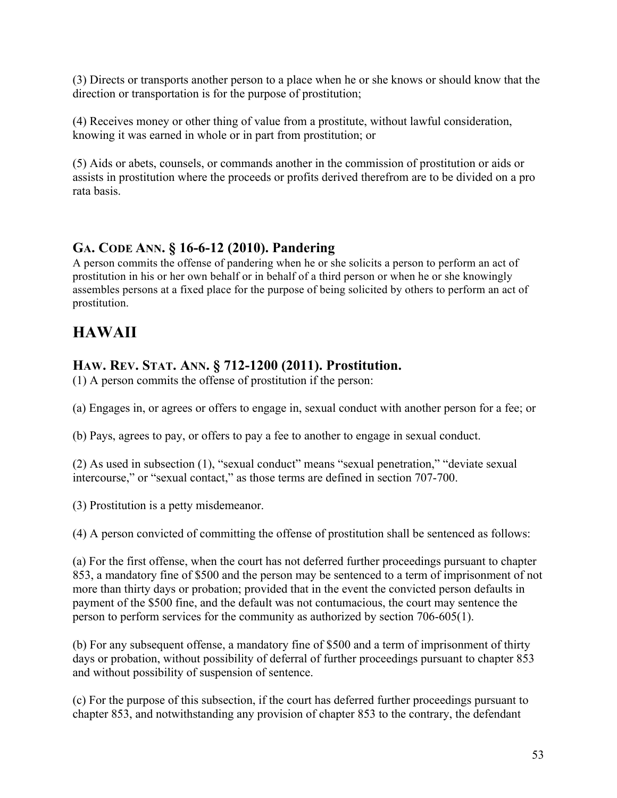(3) Directs or transports another person to a place when he or she knows or should know that the direction or transportation is for the purpose of prostitution;

(4) Receives money or other thing of value from a prostitute, without lawful consideration, knowing it was earned in whole or in part from prostitution; or

(5) Aids or abets, counsels, or commands another in the commission of prostitution or aids or assists in prostitution where the proceeds or profits derived therefrom are to be divided on a pro rata basis.

## **GA. CODE ANN. § 16-6-12 (2010). Pandering**

A person commits the offense of pandering when he or she solicits a person to perform an act of prostitution in his or her own behalf or in behalf of a third person or when he or she knowingly assembles persons at a fixed place for the purpose of being solicited by others to perform an act of prostitution.

## **HAWAII**

#### **HAW. REV. STAT. ANN. § 712-1200 (2011). Prostitution.**

(1) A person commits the offense of prostitution if the person:

(a) Engages in, or agrees or offers to engage in, sexual conduct with another person for a fee; or

(b) Pays, agrees to pay, or offers to pay a fee to another to engage in sexual conduct.

(2) As used in subsection (1), "sexual conduct" means "sexual penetration," "deviate sexual intercourse," or "sexual contact," as those terms are defined in section 707-700.

(3) Prostitution is a petty misdemeanor.

(4) A person convicted of committing the offense of prostitution shall be sentenced as follows:

(a) For the first offense, when the court has not deferred further proceedings pursuant to chapter 853, a mandatory fine of \$500 and the person may be sentenced to a term of imprisonment of not more than thirty days or probation; provided that in the event the convicted person defaults in payment of the \$500 fine, and the default was not contumacious, the court may sentence the person to perform services for the community as authorized by section 706-605(1).

(b) For any subsequent offense, a mandatory fine of \$500 and a term of imprisonment of thirty days or probation, without possibility of deferral of further proceedings pursuant to chapter 853 and without possibility of suspension of sentence.

(c) For the purpose of this subsection, if the court has deferred further proceedings pursuant to chapter 853, and notwithstanding any provision of chapter 853 to the contrary, the defendant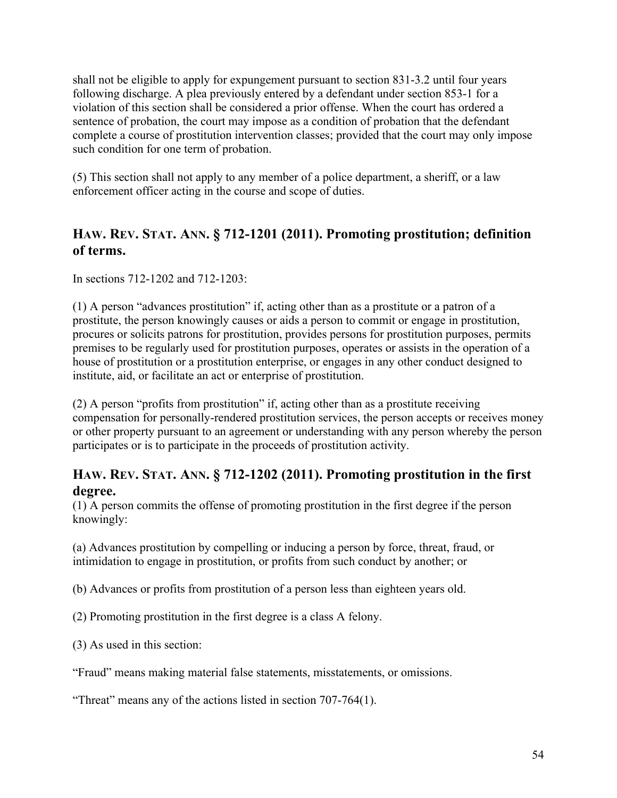shall not be eligible to apply for expungement pursuant to section 831-3.2 until four years following discharge. A plea previously entered by a defendant under section 853-1 for a violation of this section shall be considered a prior offense. When the court has ordered a sentence of probation, the court may impose as a condition of probation that the defendant complete a course of prostitution intervention classes; provided that the court may only impose such condition for one term of probation.

(5) This section shall not apply to any member of a police department, a sheriff, or a law enforcement officer acting in the course and scope of duties.

### **HAW. REV. STAT. ANN. § 712-1201 (2011). Promoting prostitution; definition of terms.**

In sections 712-1202 and 712-1203:

(1) A person "advances prostitution" if, acting other than as a prostitute or a patron of a prostitute, the person knowingly causes or aids a person to commit or engage in prostitution, procures or solicits patrons for prostitution, provides persons for prostitution purposes, permits premises to be regularly used for prostitution purposes, operates or assists in the operation of a house of prostitution or a prostitution enterprise, or engages in any other conduct designed to institute, aid, or facilitate an act or enterprise of prostitution.

(2) A person "profits from prostitution" if, acting other than as a prostitute receiving compensation for personally-rendered prostitution services, the person accepts or receives money or other property pursuant to an agreement or understanding with any person whereby the person participates or is to participate in the proceeds of prostitution activity.

#### **HAW. REV. STAT. ANN. § 712-1202 (2011). Promoting prostitution in the first degree.**

(1) A person commits the offense of promoting prostitution in the first degree if the person knowingly:

(a) Advances prostitution by compelling or inducing a person by force, threat, fraud, or intimidation to engage in prostitution, or profits from such conduct by another; or

(b) Advances or profits from prostitution of a person less than eighteen years old.

(2) Promoting prostitution in the first degree is a class A felony.

(3) As used in this section:

"Fraud" means making material false statements, misstatements, or omissions.

"Threat" means any of the actions listed in section 707-764(1).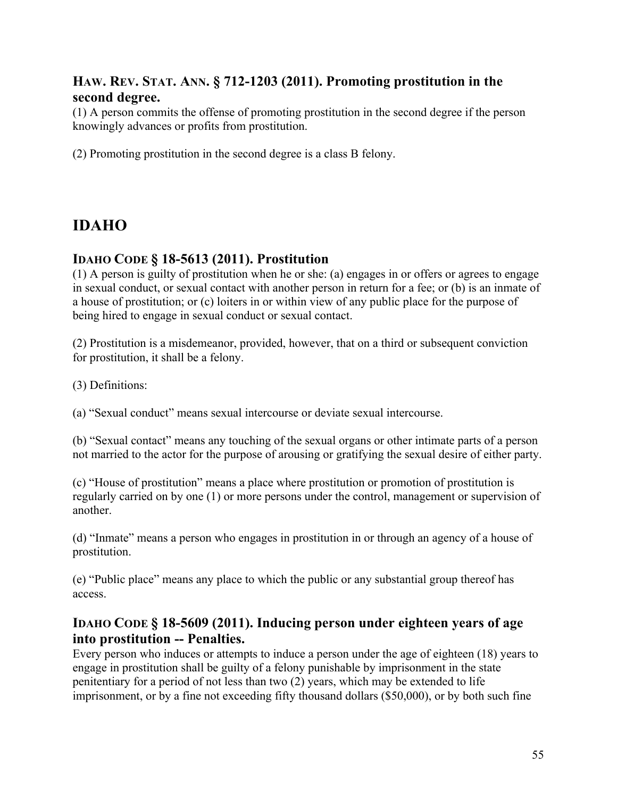## **HAW. REV. STAT. ANN. § 712-1203 (2011). Promoting prostitution in the second degree.**

(1) A person commits the offense of promoting prostitution in the second degree if the person knowingly advances or profits from prostitution.

(2) Promoting prostitution in the second degree is a class B felony.

## **IDAHO**

#### **IDAHO CODE § 18-5613 (2011). Prostitution**

(1) A person is guilty of prostitution when he or she: (a) engages in or offers or agrees to engage in sexual conduct, or sexual contact with another person in return for a fee; or (b) is an inmate of a house of prostitution; or (c) loiters in or within view of any public place for the purpose of being hired to engage in sexual conduct or sexual contact.

(2) Prostitution is a misdemeanor, provided, however, that on a third or subsequent conviction for prostitution, it shall be a felony.

(3) Definitions:

(a) "Sexual conduct" means sexual intercourse or deviate sexual intercourse.

(b) "Sexual contact" means any touching of the sexual organs or other intimate parts of a person not married to the actor for the purpose of arousing or gratifying the sexual desire of either party.

(c) "House of prostitution" means a place where prostitution or promotion of prostitution is regularly carried on by one (1) or more persons under the control, management or supervision of another.

(d) "Inmate" means a person who engages in prostitution in or through an agency of a house of prostitution.

(e) "Public place" means any place to which the public or any substantial group thereof has access.

#### **IDAHO CODE § 18-5609 (2011). Inducing person under eighteen years of age into prostitution -- Penalties.**

Every person who induces or attempts to induce a person under the age of eighteen (18) years to engage in prostitution shall be guilty of a felony punishable by imprisonment in the state penitentiary for a period of not less than two (2) years, which may be extended to life imprisonment, or by a fine not exceeding fifty thousand dollars (\$50,000), or by both such fine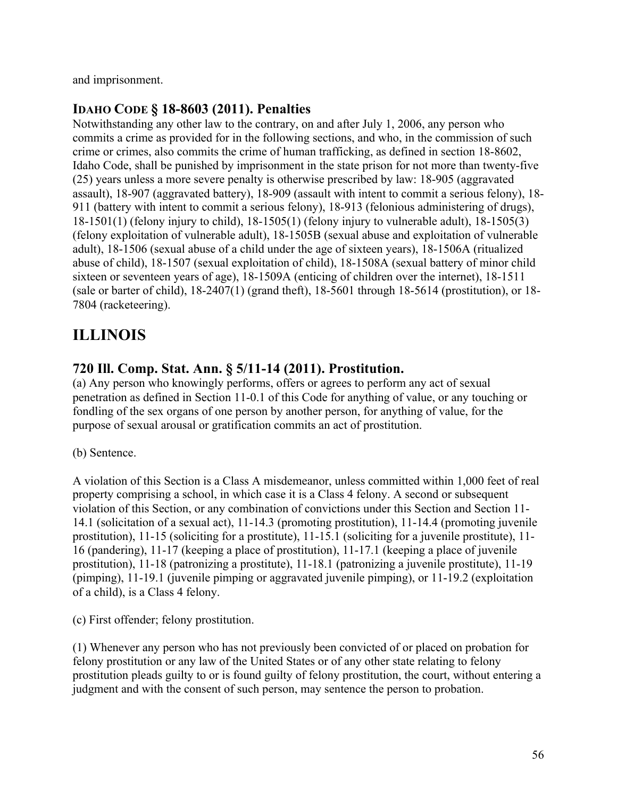and imprisonment.

#### **IDAHO CODE § 18-8603 (2011). Penalties**

Notwithstanding any other law to the contrary, on and after July 1, 2006, any person who commits a crime as provided for in the following sections, and who, in the commission of such crime or crimes, also commits the crime of human trafficking, as defined in section 18-8602, Idaho Code, shall be punished by imprisonment in the state prison for not more than twenty-five (25) years unless a more severe penalty is otherwise prescribed by law: 18-905 (aggravated assault), 18-907 (aggravated battery), 18-909 (assault with intent to commit a serious felony), 18- 911 (battery with intent to commit a serious felony), 18-913 (felonious administering of drugs), 18-1501(1) (felony injury to child), 18-1505(1) (felony injury to vulnerable adult), 18-1505(3) (felony exploitation of vulnerable adult), 18-1505B (sexual abuse and exploitation of vulnerable adult), 18-1506 (sexual abuse of a child under the age of sixteen years), 18-1506A (ritualized abuse of child), 18-1507 (sexual exploitation of child), 18-1508A (sexual battery of minor child sixteen or seventeen years of age), 18-1509A (enticing of children over the internet), 18-1511 (sale or barter of child), 18-2407(1) (grand theft), 18-5601 through 18-5614 (prostitution), or 18- 7804 (racketeering).

## **ILLINOIS**

#### **720 Ill. Comp. Stat. Ann. § 5/11-14 (2011). Prostitution.**

(a) Any person who knowingly performs, offers or agrees to perform any act of sexual penetration as defined in Section 11-0.1 of this Code for anything of value, or any touching or fondling of the sex organs of one person by another person, for anything of value, for the purpose of sexual arousal or gratification commits an act of prostitution.

#### (b) Sentence.

A violation of this Section is a Class A misdemeanor, unless committed within 1,000 feet of real property comprising a school, in which case it is a Class 4 felony. A second or subsequent violation of this Section, or any combination of convictions under this Section and Section 11- 14.1 (solicitation of a sexual act), 11-14.3 (promoting prostitution), 11-14.4 (promoting juvenile prostitution), 11-15 (soliciting for a prostitute), 11-15.1 (soliciting for a juvenile prostitute), 11- 16 (pandering), 11-17 (keeping a place of prostitution), 11-17.1 (keeping a place of juvenile prostitution), 11-18 (patronizing a prostitute), 11-18.1 (patronizing a juvenile prostitute), 11-19 (pimping), 11-19.1 (juvenile pimping or aggravated juvenile pimping), or 11-19.2 (exploitation of a child), is a Class 4 felony.

(c) First offender; felony prostitution.

(1) Whenever any person who has not previously been convicted of or placed on probation for felony prostitution or any law of the United States or of any other state relating to felony prostitution pleads guilty to or is found guilty of felony prostitution, the court, without entering a judgment and with the consent of such person, may sentence the person to probation.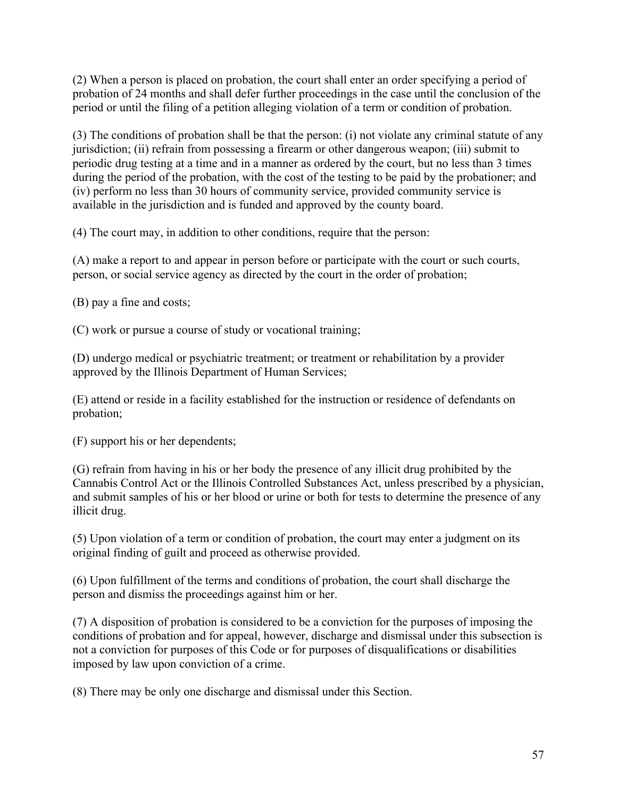(2) When a person is placed on probation, the court shall enter an order specifying a period of probation of 24 months and shall defer further proceedings in the case until the conclusion of the period or until the filing of a petition alleging violation of a term or condition of probation.

(3) The conditions of probation shall be that the person: (i) not violate any criminal statute of any jurisdiction; (ii) refrain from possessing a firearm or other dangerous weapon; (iii) submit to periodic drug testing at a time and in a manner as ordered by the court, but no less than 3 times during the period of the probation, with the cost of the testing to be paid by the probationer; and (iv) perform no less than 30 hours of community service, provided community service is available in the jurisdiction and is funded and approved by the county board.

(4) The court may, in addition to other conditions, require that the person:

(A) make a report to and appear in person before or participate with the court or such courts, person, or social service agency as directed by the court in the order of probation;

(B) pay a fine and costs;

(C) work or pursue a course of study or vocational training;

(D) undergo medical or psychiatric treatment; or treatment or rehabilitation by a provider approved by the Illinois Department of Human Services;

(E) attend or reside in a facility established for the instruction or residence of defendants on probation;

(F) support his or her dependents;

(G) refrain from having in his or her body the presence of any illicit drug prohibited by the Cannabis Control Act or the Illinois Controlled Substances Act, unless prescribed by a physician, and submit samples of his or her blood or urine or both for tests to determine the presence of any illicit drug.

(5) Upon violation of a term or condition of probation, the court may enter a judgment on its original finding of guilt and proceed as otherwise provided.

(6) Upon fulfillment of the terms and conditions of probation, the court shall discharge the person and dismiss the proceedings against him or her.

(7) A disposition of probation is considered to be a conviction for the purposes of imposing the conditions of probation and for appeal, however, discharge and dismissal under this subsection is not a conviction for purposes of this Code or for purposes of disqualifications or disabilities imposed by law upon conviction of a crime.

(8) There may be only one discharge and dismissal under this Section.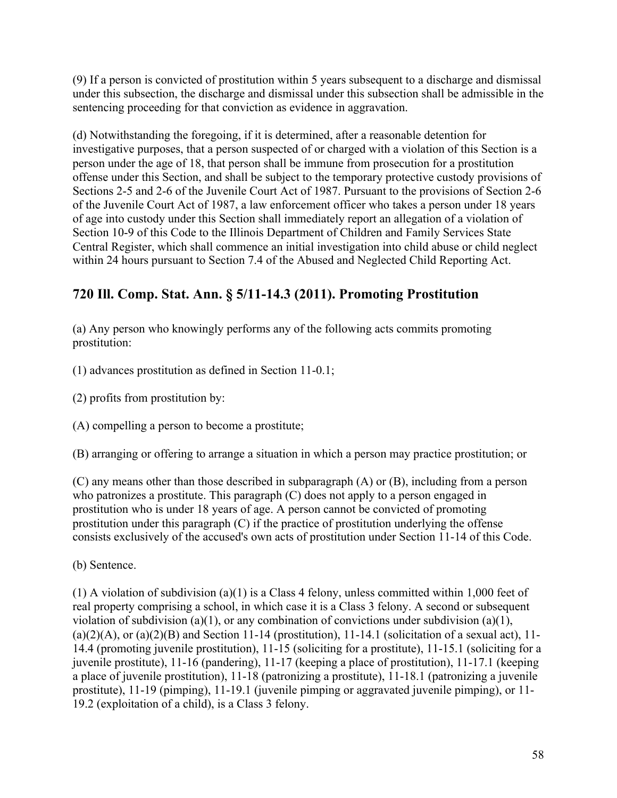(9) If a person is convicted of prostitution within 5 years subsequent to a discharge and dismissal under this subsection, the discharge and dismissal under this subsection shall be admissible in the sentencing proceeding for that conviction as evidence in aggravation.

(d) Notwithstanding the foregoing, if it is determined, after a reasonable detention for investigative purposes, that a person suspected of or charged with a violation of this Section is a person under the age of 18, that person shall be immune from prosecution for a prostitution offense under this Section, and shall be subject to the temporary protective custody provisions of Sections 2-5 and 2-6 of the Juvenile Court Act of 1987. Pursuant to the provisions of Section 2-6 of the Juvenile Court Act of 1987, a law enforcement officer who takes a person under 18 years of age into custody under this Section shall immediately report an allegation of a violation of Section 10-9 of this Code to the Illinois Department of Children and Family Services State Central Register, which shall commence an initial investigation into child abuse or child neglect within 24 hours pursuant to Section 7.4 of the Abused and Neglected Child Reporting Act.

## **720 Ill. Comp. Stat. Ann. § 5/11-14.3 (2011). Promoting Prostitution**

(a) Any person who knowingly performs any of the following acts commits promoting prostitution:

(1) advances prostitution as defined in Section 11-0.1;

(2) profits from prostitution by:

(A) compelling a person to become a prostitute;

(B) arranging or offering to arrange a situation in which a person may practice prostitution; or

(C) any means other than those described in subparagraph (A) or (B), including from a person who patronizes a prostitute. This paragraph (C) does not apply to a person engaged in prostitution who is under 18 years of age. A person cannot be convicted of promoting prostitution under this paragraph (C) if the practice of prostitution underlying the offense consists exclusively of the accused's own acts of prostitution under Section 11-14 of this Code.

(b) Sentence.

(1) A violation of subdivision (a)(1) is a Class 4 felony, unless committed within 1,000 feet of real property comprising a school, in which case it is a Class 3 felony. A second or subsequent violation of subdivision (a)(1), or any combination of convictions under subdivision (a)(1),  $(a)(2)(A)$ , or  $(a)(2)(B)$  and Section 11-14 (prostitution), 11-14.1 (solicitation of a sexual act), 11-14.4 (promoting juvenile prostitution), 11-15 (soliciting for a prostitute), 11-15.1 (soliciting for a juvenile prostitute), 11-16 (pandering), 11-17 (keeping a place of prostitution), 11-17.1 (keeping a place of juvenile prostitution), 11-18 (patronizing a prostitute), 11-18.1 (patronizing a juvenile prostitute), 11-19 (pimping), 11-19.1 (juvenile pimping or aggravated juvenile pimping), or 11- 19.2 (exploitation of a child), is a Class 3 felony.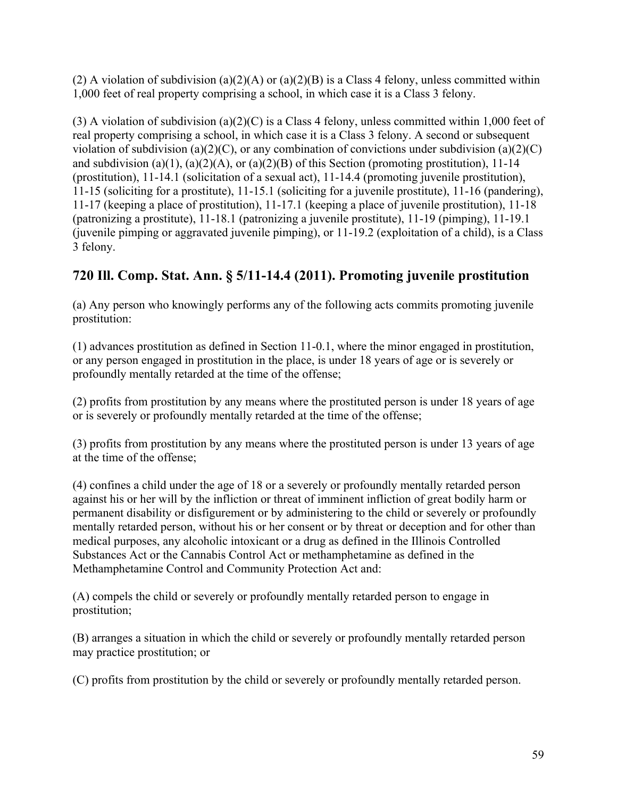(2) A violation of subdivision (a)(2)(A) or (a)(2)(B) is a Class 4 felony, unless committed within 1,000 feet of real property comprising a school, in which case it is a Class 3 felony.

(3) A violation of subdivision (a)(2)(C) is a Class 4 felony, unless committed within 1,000 feet of real property comprising a school, in which case it is a Class 3 felony. A second or subsequent violation of subdivision (a)(2)(C), or any combination of convictions under subdivision (a)(2)(C) and subdivision (a)(1), (a)(2)(A), or (a)(2)(B) of this Section (promoting prostitution), 11-14 (prostitution), 11-14.1 (solicitation of a sexual act), 11-14.4 (promoting juvenile prostitution), 11-15 (soliciting for a prostitute), 11-15.1 (soliciting for a juvenile prostitute), 11-16 (pandering), 11-17 (keeping a place of prostitution), 11-17.1 (keeping a place of juvenile prostitution), 11-18 (patronizing a prostitute), 11-18.1 (patronizing a juvenile prostitute), 11-19 (pimping), 11-19.1 (juvenile pimping or aggravated juvenile pimping), or 11-19.2 (exploitation of a child), is a Class 3 felony.

## **720 Ill. Comp. Stat. Ann. § 5/11-14.4 (2011). Promoting juvenile prostitution**

(a) Any person who knowingly performs any of the following acts commits promoting juvenile prostitution:

(1) advances prostitution as defined in Section 11-0.1, where the minor engaged in prostitution, or any person engaged in prostitution in the place, is under 18 years of age or is severely or profoundly mentally retarded at the time of the offense;

(2) profits from prostitution by any means where the prostituted person is under 18 years of age or is severely or profoundly mentally retarded at the time of the offense;

(3) profits from prostitution by any means where the prostituted person is under 13 years of age at the time of the offense;

(4) confines a child under the age of 18 or a severely or profoundly mentally retarded person against his or her will by the infliction or threat of imminent infliction of great bodily harm or permanent disability or disfigurement or by administering to the child or severely or profoundly mentally retarded person, without his or her consent or by threat or deception and for other than medical purposes, any alcoholic intoxicant or a drug as defined in the Illinois Controlled Substances Act or the Cannabis Control Act or methamphetamine as defined in the Methamphetamine Control and Community Protection Act and:

(A) compels the child or severely or profoundly mentally retarded person to engage in prostitution;

(B) arranges a situation in which the child or severely or profoundly mentally retarded person may practice prostitution; or

(C) profits from prostitution by the child or severely or profoundly mentally retarded person.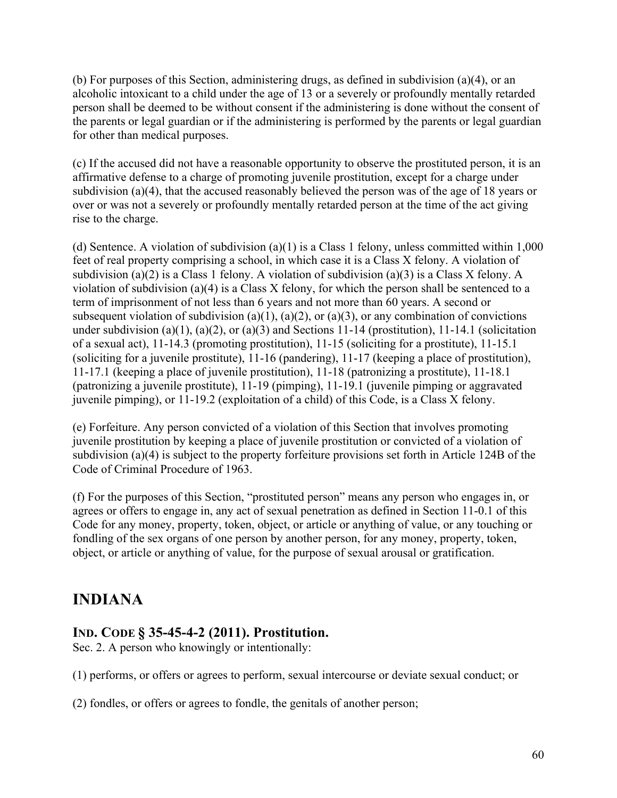(b) For purposes of this Section, administering drugs, as defined in subdivision (a)(4), or an alcoholic intoxicant to a child under the age of 13 or a severely or profoundly mentally retarded person shall be deemed to be without consent if the administering is done without the consent of the parents or legal guardian or if the administering is performed by the parents or legal guardian for other than medical purposes.

(c) If the accused did not have a reasonable opportunity to observe the prostituted person, it is an affirmative defense to a charge of promoting juvenile prostitution, except for a charge under subdivision (a)(4), that the accused reasonably believed the person was of the age of 18 years or over or was not a severely or profoundly mentally retarded person at the time of the act giving rise to the charge.

(d) Sentence. A violation of subdivision (a)(1) is a Class 1 felony, unless committed within  $1,000$ feet of real property comprising a school, in which case it is a Class X felony. A violation of subdivision (a)(2) is a Class 1 felony. A violation of subdivision (a)(3) is a Class X felony. A violation of subdivision (a)(4) is a Class X felony, for which the person shall be sentenced to a term of imprisonment of not less than 6 years and not more than 60 years. A second or subsequent violation of subdivision (a)(1), (a)(2), or (a)(3), or any combination of convictions under subdivision (a)(1), (a)(2), or (a)(3) and Sections 11-14 (prostitution), 11-14.1 (solicitation of a sexual act), 11-14.3 (promoting prostitution), 11-15 (soliciting for a prostitute), 11-15.1 (soliciting for a juvenile prostitute), 11-16 (pandering), 11-17 (keeping a place of prostitution), 11-17.1 (keeping a place of juvenile prostitution), 11-18 (patronizing a prostitute), 11-18.1 (patronizing a juvenile prostitute), 11-19 (pimping), 11-19.1 (juvenile pimping or aggravated juvenile pimping), or 11-19.2 (exploitation of a child) of this Code, is a Class X felony.

(e) Forfeiture. Any person convicted of a violation of this Section that involves promoting juvenile prostitution by keeping a place of juvenile prostitution or convicted of a violation of subdivision (a)(4) is subject to the property forfeiture provisions set forth in Article 124B of the Code of Criminal Procedure of 1963.

(f) For the purposes of this Section, "prostituted person" means any person who engages in, or agrees or offers to engage in, any act of sexual penetration as defined in Section 11-0.1 of this Code for any money, property, token, object, or article or anything of value, or any touching or fondling of the sex organs of one person by another person, for any money, property, token, object, or article or anything of value, for the purpose of sexual arousal or gratification.

## **INDIANA**

## **IND. CODE § 35-45-4-2 (2011). Prostitution.**

Sec. 2. A person who knowingly or intentionally:

(1) performs, or offers or agrees to perform, sexual intercourse or deviate sexual conduct; or

(2) fondles, or offers or agrees to fondle, the genitals of another person;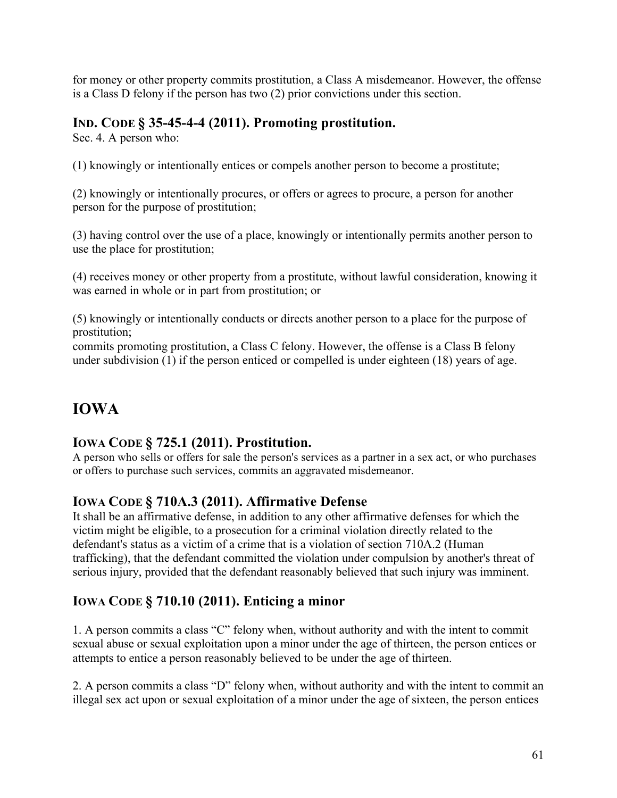for money or other property commits prostitution, a Class A misdemeanor. However, the offense is a Class D felony if the person has two (2) prior convictions under this section.

## **IND. CODE § 35-45-4-4 (2011). Promoting prostitution.**

Sec. 4. A person who:

(1) knowingly or intentionally entices or compels another person to become a prostitute;

(2) knowingly or intentionally procures, or offers or agrees to procure, a person for another person for the purpose of prostitution;

(3) having control over the use of a place, knowingly or intentionally permits another person to use the place for prostitution;

(4) receives money or other property from a prostitute, without lawful consideration, knowing it was earned in whole or in part from prostitution; or

(5) knowingly or intentionally conducts or directs another person to a place for the purpose of prostitution;

commits promoting prostitution, a Class C felony. However, the offense is a Class B felony under subdivision (1) if the person enticed or compelled is under eighteen (18) years of age.

# **IOWA**

## **IOWA CODE § 725.1 (2011). Prostitution.**

A person who sells or offers for sale the person's services as a partner in a sex act, or who purchases or offers to purchase such services, commits an aggravated misdemeanor.

## **IOWA CODE § 710A.3 (2011). Affirmative Defense**

It shall be an affirmative defense, in addition to any other affirmative defenses for which the victim might be eligible, to a prosecution for a criminal violation directly related to the defendant's status as a victim of a crime that is a violation of section 710A.2 (Human trafficking), that the defendant committed the violation under compulsion by another's threat of serious injury, provided that the defendant reasonably believed that such injury was imminent.

## **IOWA CODE § 710.10 (2011). Enticing a minor**

1. A person commits a class "C" felony when, without authority and with the intent to commit sexual abuse or sexual exploitation upon a minor under the age of thirteen, the person entices or attempts to entice a person reasonably believed to be under the age of thirteen.

2. A person commits a class "D" felony when, without authority and with the intent to commit an illegal sex act upon or sexual exploitation of a minor under the age of sixteen, the person entices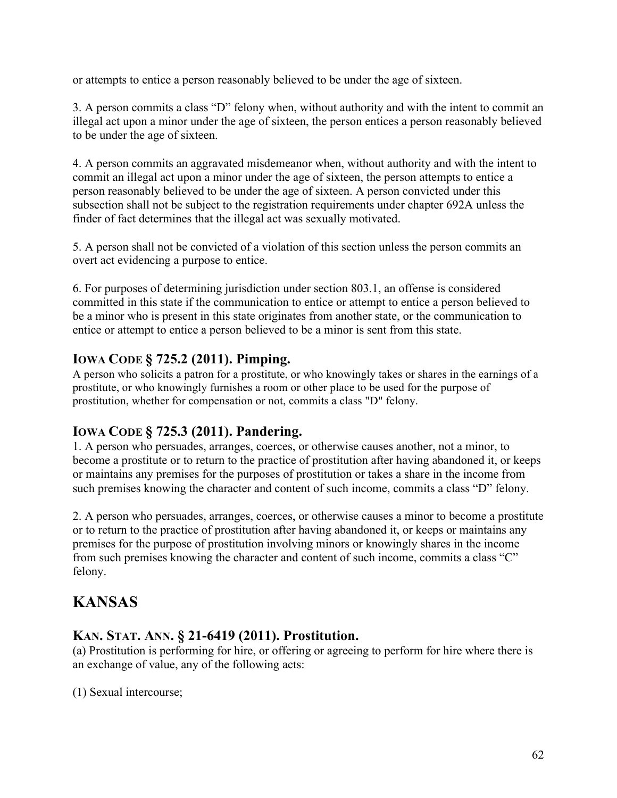or attempts to entice a person reasonably believed to be under the age of sixteen.

3. A person commits a class "D" felony when, without authority and with the intent to commit an illegal act upon a minor under the age of sixteen, the person entices a person reasonably believed to be under the age of sixteen.

4. A person commits an aggravated misdemeanor when, without authority and with the intent to commit an illegal act upon a minor under the age of sixteen, the person attempts to entice a person reasonably believed to be under the age of sixteen. A person convicted under this subsection shall not be subject to the registration requirements under chapter 692A unless the finder of fact determines that the illegal act was sexually motivated.

5. A person shall not be convicted of a violation of this section unless the person commits an overt act evidencing a purpose to entice.

6. For purposes of determining jurisdiction under section 803.1, an offense is considered committed in this state if the communication to entice or attempt to entice a person believed to be a minor who is present in this state originates from another state, or the communication to entice or attempt to entice a person believed to be a minor is sent from this state.

## **IOWA CODE § 725.2 (2011). Pimping.**

A person who solicits a patron for a prostitute, or who knowingly takes or shares in the earnings of a prostitute, or who knowingly furnishes a room or other place to be used for the purpose of prostitution, whether for compensation or not, commits a class "D" felony.

## **IOWA CODE § 725.3 (2011). Pandering.**

1. A person who persuades, arranges, coerces, or otherwise causes another, not a minor, to become a prostitute or to return to the practice of prostitution after having abandoned it, or keeps or maintains any premises for the purposes of prostitution or takes a share in the income from such premises knowing the character and content of such income, commits a class "D" felony.

2. A person who persuades, arranges, coerces, or otherwise causes a minor to become a prostitute or to return to the practice of prostitution after having abandoned it, or keeps or maintains any premises for the purpose of prostitution involving minors or knowingly shares in the income from such premises knowing the character and content of such income, commits a class "C" felony.

## **KANSAS**

## **KAN. STAT. ANN. § 21-6419 (2011). Prostitution.**

(a) Prostitution is performing for hire, or offering or agreeing to perform for hire where there is an exchange of value, any of the following acts:

(1) Sexual intercourse;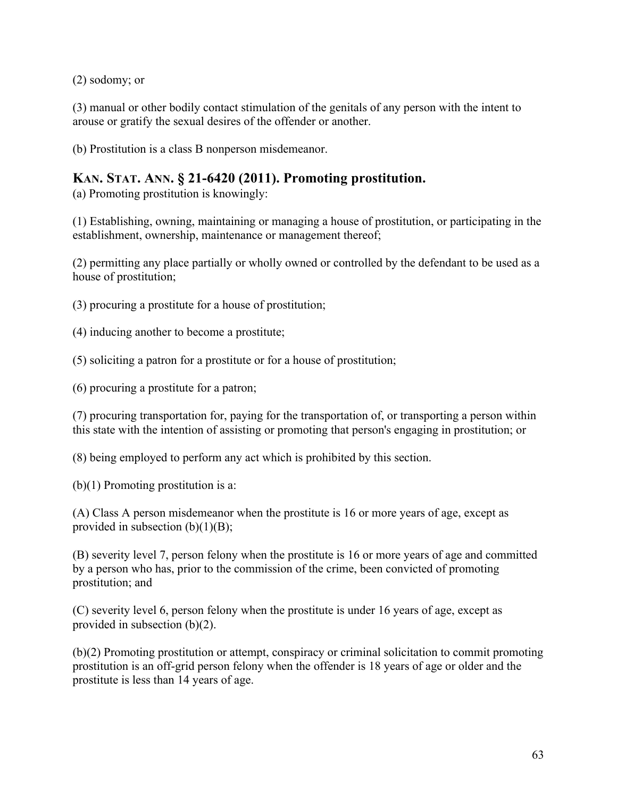(2) sodomy; or

(3) manual or other bodily contact stimulation of the genitals of any person with the intent to arouse or gratify the sexual desires of the offender or another.

(b) Prostitution is a class B nonperson misdemeanor.

#### **KAN. STAT. ANN. § 21-6420 (2011). Promoting prostitution.**

(a) Promoting prostitution is knowingly:

(1) Establishing, owning, maintaining or managing a house of prostitution, or participating in the establishment, ownership, maintenance or management thereof;

(2) permitting any place partially or wholly owned or controlled by the defendant to be used as a house of prostitution;

(3) procuring a prostitute for a house of prostitution;

(4) inducing another to become a prostitute;

(5) soliciting a patron for a prostitute or for a house of prostitution;

(6) procuring a prostitute for a patron;

(7) procuring transportation for, paying for the transportation of, or transporting a person within this state with the intention of assisting or promoting that person's engaging in prostitution; or

(8) being employed to perform any act which is prohibited by this section.

(b)(1) Promoting prostitution is a:

(A) Class A person misdemeanor when the prostitute is 16 or more years of age, except as provided in subsection  $(b)(1)(B)$ ;

(B) severity level 7, person felony when the prostitute is 16 or more years of age and committed by a person who has, prior to the commission of the crime, been convicted of promoting prostitution; and

(C) severity level 6, person felony when the prostitute is under 16 years of age, except as provided in subsection (b)(2).

(b)(2) Promoting prostitution or attempt, conspiracy or criminal solicitation to commit promoting prostitution is an off-grid person felony when the offender is 18 years of age or older and the prostitute is less than 14 years of age.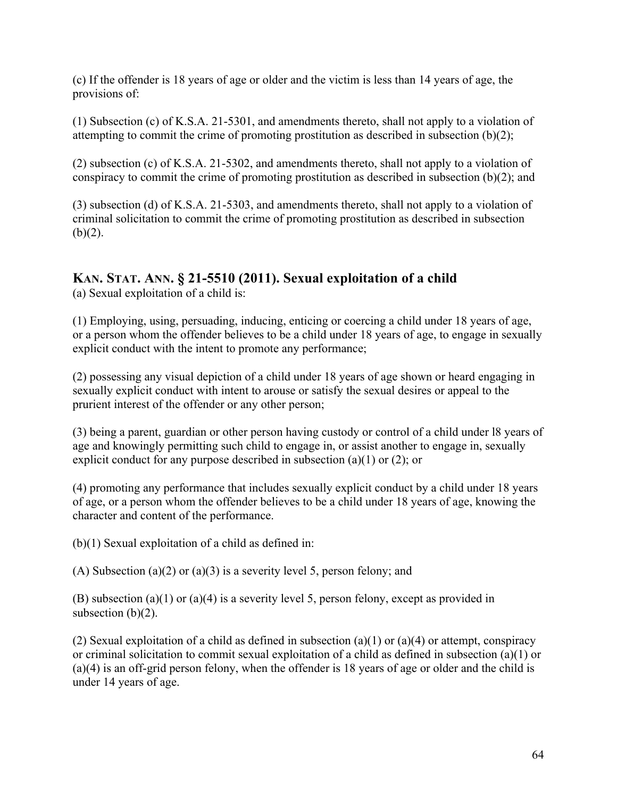(c) If the offender is 18 years of age or older and the victim is less than 14 years of age, the provisions of:

(1) Subsection (c) of K.S.A. 21-5301, and amendments thereto, shall not apply to a violation of attempting to commit the crime of promoting prostitution as described in subsection (b)(2);

(2) subsection (c) of K.S.A. 21-5302, and amendments thereto, shall not apply to a violation of conspiracy to commit the crime of promoting prostitution as described in subsection (b)(2); and

(3) subsection (d) of K.S.A. 21-5303, and amendments thereto, shall not apply to a violation of criminal solicitation to commit the crime of promoting prostitution as described in subsection  $(b)(2)$ .

## **KAN. STAT. ANN. § 21-5510 (2011). Sexual exploitation of a child**

(a) Sexual exploitation of a child is:

(1) Employing, using, persuading, inducing, enticing or coercing a child under 18 years of age, or a person whom the offender believes to be a child under 18 years of age, to engage in sexually explicit conduct with the intent to promote any performance;

(2) possessing any visual depiction of a child under 18 years of age shown or heard engaging in sexually explicit conduct with intent to arouse or satisfy the sexual desires or appeal to the prurient interest of the offender or any other person;

(3) being a parent, guardian or other person having custody or control of a child under l8 years of age and knowingly permitting such child to engage in, or assist another to engage in, sexually explicit conduct for any purpose described in subsection (a)(1) or (2); or

(4) promoting any performance that includes sexually explicit conduct by a child under 18 years of age, or a person whom the offender believes to be a child under 18 years of age, knowing the character and content of the performance.

(b)(1) Sexual exploitation of a child as defined in:

(A) Subsection (a)(2) or (a)(3) is a severity level 5, person felony; and

(B) subsection (a)(1) or (a)(4) is a severity level 5, person felony, except as provided in subsection  $(b)(2)$ .

(2) Sexual exploitation of a child as defined in subsection (a)(1) or (a)(4) or attempt, conspiracy or criminal solicitation to commit sexual exploitation of a child as defined in subsection (a)(1) or (a)(4) is an off-grid person felony, when the offender is 18 years of age or older and the child is under 14 years of age.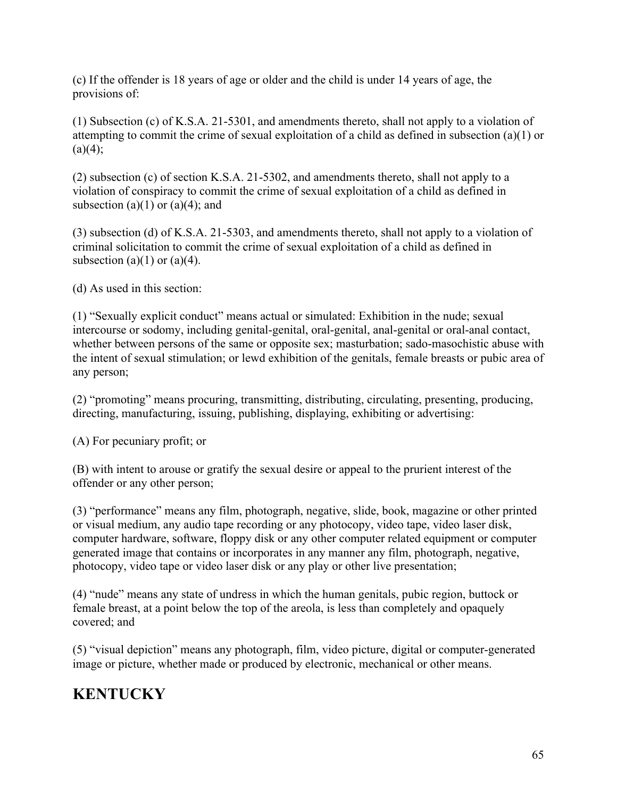(c) If the offender is 18 years of age or older and the child is under 14 years of age, the provisions of:

(1) Subsection (c) of K.S.A. 21-5301, and amendments thereto, shall not apply to a violation of attempting to commit the crime of sexual exploitation of a child as defined in subsection (a)(1) or  $(a)(4);$ 

(2) subsection (c) of section K.S.A. 21-5302, and amendments thereto, shall not apply to a violation of conspiracy to commit the crime of sexual exploitation of a child as defined in subsection (a)(1) or (a)(4); and

(3) subsection (d) of K.S.A. 21-5303, and amendments thereto, shall not apply to a violation of criminal solicitation to commit the crime of sexual exploitation of a child as defined in subsection (a)(1) or (a)(4).

(d) As used in this section:

(1) "Sexually explicit conduct" means actual or simulated: Exhibition in the nude; sexual intercourse or sodomy, including genital-genital, oral-genital, anal-genital or oral-anal contact, whether between persons of the same or opposite sex; masturbation; sado-masochistic abuse with the intent of sexual stimulation; or lewd exhibition of the genitals, female breasts or pubic area of any person;

(2) "promoting" means procuring, transmitting, distributing, circulating, presenting, producing, directing, manufacturing, issuing, publishing, displaying, exhibiting or advertising:

(A) For pecuniary profit; or

(B) with intent to arouse or gratify the sexual desire or appeal to the prurient interest of the offender or any other person;

(3) "performance" means any film, photograph, negative, slide, book, magazine or other printed or visual medium, any audio tape recording or any photocopy, video tape, video laser disk, computer hardware, software, floppy disk or any other computer related equipment or computer generated image that contains or incorporates in any manner any film, photograph, negative, photocopy, video tape or video laser disk or any play or other live presentation;

(4) "nude" means any state of undress in which the human genitals, pubic region, buttock or female breast, at a point below the top of the areola, is less than completely and opaquely covered; and

(5) "visual depiction" means any photograph, film, video picture, digital or computer-generated image or picture, whether made or produced by electronic, mechanical or other means.

# **KENTUCKY**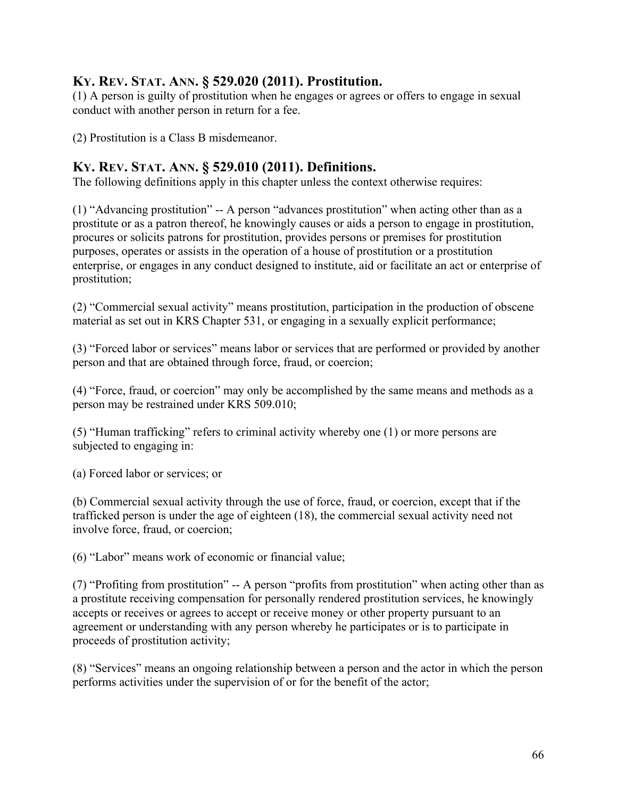#### **KY. REV. STAT. ANN. § 529.020 (2011). Prostitution.**

(1) A person is guilty of prostitution when he engages or agrees or offers to engage in sexual conduct with another person in return for a fee.

(2) Prostitution is a Class B misdemeanor.

#### **KY. REV. STAT. ANN. § 529.010 (2011). Definitions.**

The following definitions apply in this chapter unless the context otherwise requires:

(1) "Advancing prostitution" -- A person "advances prostitution" when acting other than as a prostitute or as a patron thereof, he knowingly causes or aids a person to engage in prostitution, procures or solicits patrons for prostitution, provides persons or premises for prostitution purposes, operates or assists in the operation of a house of prostitution or a prostitution enterprise, or engages in any conduct designed to institute, aid or facilitate an act or enterprise of prostitution;

(2) "Commercial sexual activity" means prostitution, participation in the production of obscene material as set out in KRS Chapter 531, or engaging in a sexually explicit performance;

(3) "Forced labor or services" means labor or services that are performed or provided by another person and that are obtained through force, fraud, or coercion;

(4) "Force, fraud, or coercion" may only be accomplished by the same means and methods as a person may be restrained under KRS 509.010;

(5) "Human trafficking" refers to criminal activity whereby one (1) or more persons are subjected to engaging in:

(a) Forced labor or services; or

(b) Commercial sexual activity through the use of force, fraud, or coercion, except that if the trafficked person is under the age of eighteen (18), the commercial sexual activity need not involve force, fraud, or coercion;

(6) "Labor" means work of economic or financial value;

(7) "Profiting from prostitution" -- A person "profits from prostitution" when acting other than as a prostitute receiving compensation for personally rendered prostitution services, he knowingly accepts or receives or agrees to accept or receive money or other property pursuant to an agreement or understanding with any person whereby he participates or is to participate in proceeds of prostitution activity;

(8) "Services" means an ongoing relationship between a person and the actor in which the person performs activities under the supervision of or for the benefit of the actor;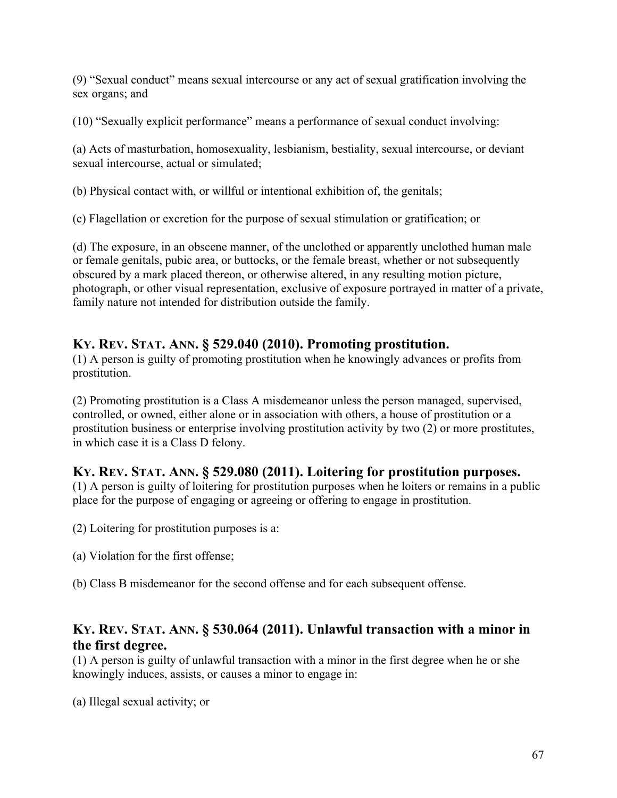(9) "Sexual conduct" means sexual intercourse or any act of sexual gratification involving the sex organs; and

(10) "Sexually explicit performance" means a performance of sexual conduct involving:

(a) Acts of masturbation, homosexuality, lesbianism, bestiality, sexual intercourse, or deviant sexual intercourse, actual or simulated;

(b) Physical contact with, or willful or intentional exhibition of, the genitals;

(c) Flagellation or excretion for the purpose of sexual stimulation or gratification; or

(d) The exposure, in an obscene manner, of the unclothed or apparently unclothed human male or female genitals, pubic area, or buttocks, or the female breast, whether or not subsequently obscured by a mark placed thereon, or otherwise altered, in any resulting motion picture, photograph, or other visual representation, exclusive of exposure portrayed in matter of a private, family nature not intended for distribution outside the family.

#### **KY. REV. STAT. ANN. § 529.040 (2010). Promoting prostitution.**

(1) A person is guilty of promoting prostitution when he knowingly advances or profits from prostitution.

(2) Promoting prostitution is a Class A misdemeanor unless the person managed, supervised, controlled, or owned, either alone or in association with others, a house of prostitution or a prostitution business or enterprise involving prostitution activity by two (2) or more prostitutes, in which case it is a Class D felony.

## **KY. REV. STAT. ANN. § 529.080 (2011). Loitering for prostitution purposes.**

(1) A person is guilty of loitering for prostitution purposes when he loiters or remains in a public place for the purpose of engaging or agreeing or offering to engage in prostitution.

(2) Loitering for prostitution purposes is a:

- (a) Violation for the first offense;
- (b) Class B misdemeanor for the second offense and for each subsequent offense.

#### **KY. REV. STAT. ANN. § 530.064 (2011). Unlawful transaction with a minor in the first degree.**

(1) A person is guilty of unlawful transaction with a minor in the first degree when he or she knowingly induces, assists, or causes a minor to engage in:

(a) Illegal sexual activity; or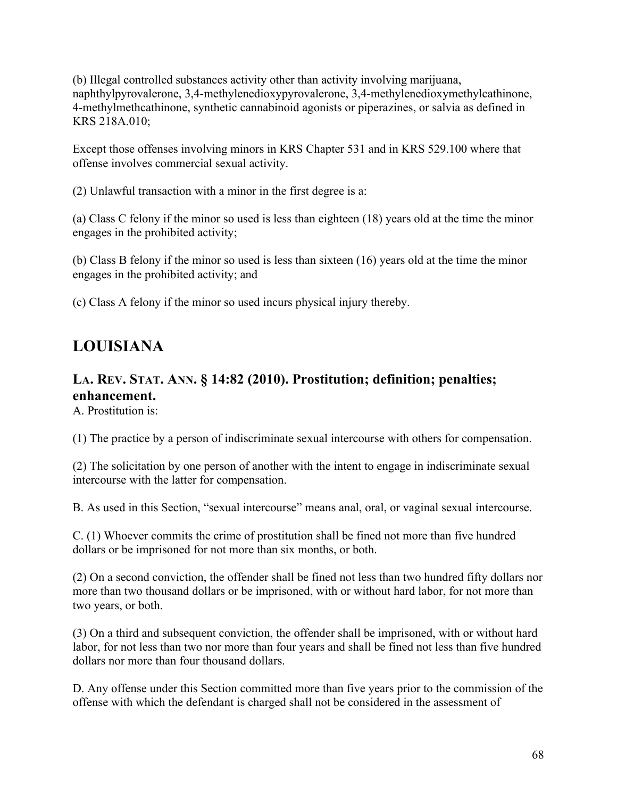(b) Illegal controlled substances activity other than activity involving marijuana, naphthylpyrovalerone, 3,4-methylenedioxypyrovalerone, 3,4-methylenedioxymethylcathinone, 4-methylmethcathinone, synthetic cannabinoid agonists or piperazines, or salvia as defined in KRS 218A.010;

Except those offenses involving minors in KRS Chapter 531 and in KRS 529.100 where that offense involves commercial sexual activity.

(2) Unlawful transaction with a minor in the first degree is a:

(a) Class C felony if the minor so used is less than eighteen (18) years old at the time the minor engages in the prohibited activity;

(b) Class B felony if the minor so used is less than sixteen (16) years old at the time the minor engages in the prohibited activity; and

(c) Class A felony if the minor so used incurs physical injury thereby.

# **LOUISIANA**

## **LA. REV. STAT. ANN. § 14:82 (2010). Prostitution; definition; penalties; enhancement.**

A. Prostitution is:

(1) The practice by a person of indiscriminate sexual intercourse with others for compensation.

(2) The solicitation by one person of another with the intent to engage in indiscriminate sexual intercourse with the latter for compensation.

B. As used in this Section, "sexual intercourse" means anal, oral, or vaginal sexual intercourse.

C. (1) Whoever commits the crime of prostitution shall be fined not more than five hundred dollars or be imprisoned for not more than six months, or both.

(2) On a second conviction, the offender shall be fined not less than two hundred fifty dollars nor more than two thousand dollars or be imprisoned, with or without hard labor, for not more than two years, or both.

(3) On a third and subsequent conviction, the offender shall be imprisoned, with or without hard labor, for not less than two nor more than four years and shall be fined not less than five hundred dollars nor more than four thousand dollars.

D. Any offense under this Section committed more than five years prior to the commission of the offense with which the defendant is charged shall not be considered in the assessment of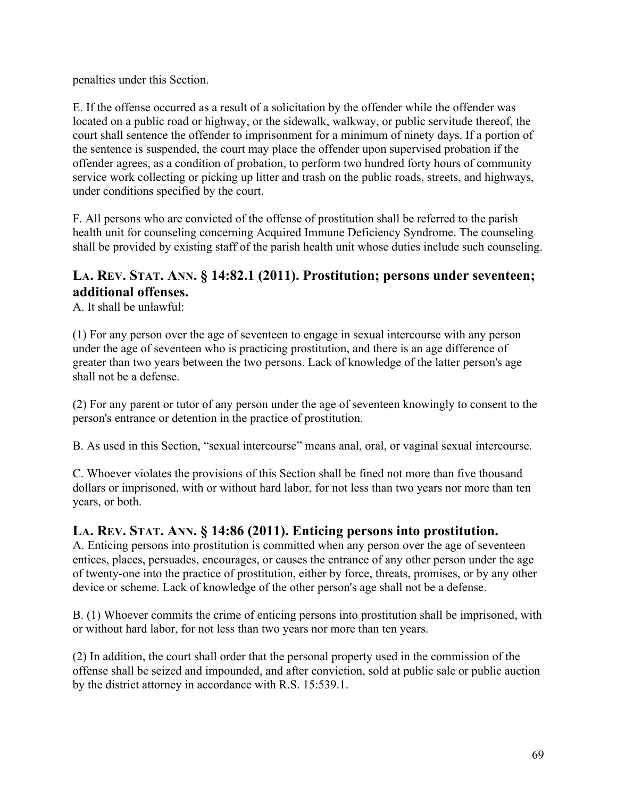penalties under this Section.

E. If the offense occurred as a result of a solicitation by the offender while the offender was located on a public road or highway, or the sidewalk, walkway, or public servitude thereof, the court shall sentence the offender to imprisonment for a minimum of ninety days. If a portion of the sentence is suspended, the court may place the offender upon supervised probation if the offender agrees, as a condition of probation, to perform two hundred forty hours of community service work collecting or picking up litter and trash on the public roads, streets, and highways, under conditions specified by the court.

F. All persons who are convicted of the offense of prostitution shall be referred to the parish health unit for counseling concerning Acquired Immune Deficiency Syndrome. The counseling shall be provided by existing staff of the parish health unit whose duties include such counseling.

## **LA. REV. STAT. ANN. § 14:82.1 (2011). Prostitution; persons under seventeen; additional offenses.**

A. It shall be unlawful:

(1) For any person over the age of seventeen to engage in sexual intercourse with any person under the age of seventeen who is practicing prostitution, and there is an age difference of greater than two years between the two persons. Lack of knowledge of the latter person's age shall not be a defense.

(2) For any parent or tutor of any person under the age of seventeen knowingly to consent to the person's entrance or detention in the practice of prostitution.

B. As used in this Section, "sexual intercourse" means anal, oral, or vaginal sexual intercourse.

C. Whoever violates the provisions of this Section shall be fined not more than five thousand dollars or imprisoned, with or without hard labor, for not less than two years nor more than ten years, or both.

#### **LA. REV. STAT. ANN. § 14:86 (2011). Enticing persons into prostitution.**

A. Enticing persons into prostitution is committed when any person over the age of seventeen entices, places, persuades, encourages, or causes the entrance of any other person under the age of twenty-one into the practice of prostitution, either by force, threats, promises, or by any other device or scheme. Lack of knowledge of the other person's age shall not be a defense.

B. (1) Whoever commits the crime of enticing persons into prostitution shall be imprisoned, with or without hard labor, for not less than two years nor more than ten years.

(2) In addition, the court shall order that the personal property used in the commission of the offense shall be seized and impounded, and after conviction, sold at public sale or public auction by the district attorney in accordance with R.S. 15:539.1.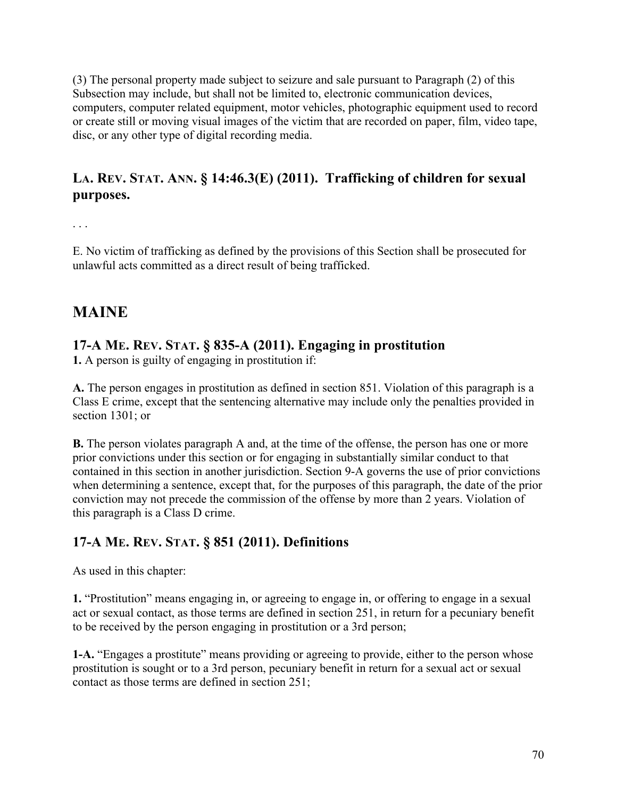(3) The personal property made subject to seizure and sale pursuant to Paragraph (2) of this Subsection may include, but shall not be limited to, electronic communication devices, computers, computer related equipment, motor vehicles, photographic equipment used to record or create still or moving visual images of the victim that are recorded on paper, film, video tape, disc, or any other type of digital recording media.

#### **LA. REV. STAT. ANN. § 14:46.3(E) (2011). Trafficking of children for sexual purposes.**

. . .

E. No victim of trafficking as defined by the provisions of this Section shall be prosecuted for unlawful acts committed as a direct result of being trafficked.

## **MAINE**

#### **17-A ME. REV. STAT. § 835-A (2011). Engaging in prostitution**

**1.** A person is guilty of engaging in prostitution if:

**A.** The person engages in prostitution as defined in section 851. Violation of this paragraph is a Class E crime, except that the sentencing alternative may include only the penalties provided in section 1301; or

**B.** The person violates paragraph A and, at the time of the offense, the person has one or more prior convictions under this section or for engaging in substantially similar conduct to that contained in this section in another jurisdiction. Section 9-A governs the use of prior convictions when determining a sentence, except that, for the purposes of this paragraph, the date of the prior conviction may not precede the commission of the offense by more than 2 years. Violation of this paragraph is a Class D crime.

## **17-A ME. REV. STAT. § 851 (2011). Definitions**

As used in this chapter:

**1.** "Prostitution" means engaging in, or agreeing to engage in, or offering to engage in a sexual act or sexual contact, as those terms are defined in section 251, in return for a pecuniary benefit to be received by the person engaging in prostitution or a 3rd person;

**1-A.** "Engages a prostitute" means providing or agreeing to provide, either to the person whose prostitution is sought or to a 3rd person, pecuniary benefit in return for a sexual act or sexual contact as those terms are defined in section 251;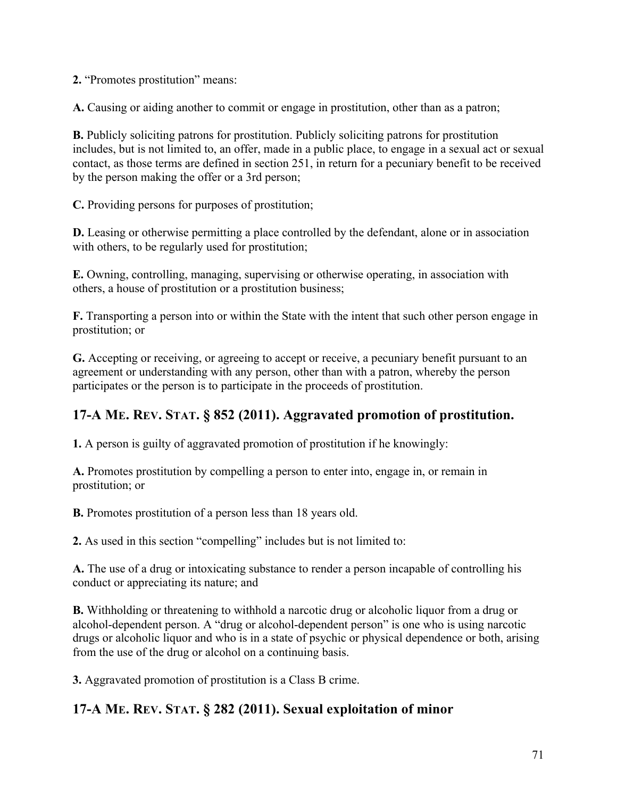**2.** "Promotes prostitution" means:

**A.** Causing or aiding another to commit or engage in prostitution, other than as a patron;

**B.** Publicly soliciting patrons for prostitution. Publicly soliciting patrons for prostitution includes, but is not limited to, an offer, made in a public place, to engage in a sexual act or sexual contact, as those terms are defined in section 251, in return for a pecuniary benefit to be received by the person making the offer or a 3rd person;

**C.** Providing persons for purposes of prostitution;

**D.** Leasing or otherwise permitting a place controlled by the defendant, alone or in association with others, to be regularly used for prostitution;

**E.** Owning, controlling, managing, supervising or otherwise operating, in association with others, a house of prostitution or a prostitution business;

**F.** Transporting a person into or within the State with the intent that such other person engage in prostitution; or

**G.** Accepting or receiving, or agreeing to accept or receive, a pecuniary benefit pursuant to an agreement or understanding with any person, other than with a patron, whereby the person participates or the person is to participate in the proceeds of prostitution.

## **17-A ME. REV. STAT. § 852 (2011). Aggravated promotion of prostitution.**

**1.** A person is guilty of aggravated promotion of prostitution if he knowingly:

**A.** Promotes prostitution by compelling a person to enter into, engage in, or remain in prostitution; or

**B.** Promotes prostitution of a person less than 18 years old.

**2.** As used in this section "compelling" includes but is not limited to:

**A.** The use of a drug or intoxicating substance to render a person incapable of controlling his conduct or appreciating its nature; and

**B.** Withholding or threatening to withhold a narcotic drug or alcoholic liquor from a drug or alcohol-dependent person. A "drug or alcohol-dependent person" is one who is using narcotic drugs or alcoholic liquor and who is in a state of psychic or physical dependence or both, arising from the use of the drug or alcohol on a continuing basis.

**3.** Aggravated promotion of prostitution is a Class B crime.

## **17-A ME. REV. STAT. § 282 (2011). Sexual exploitation of minor**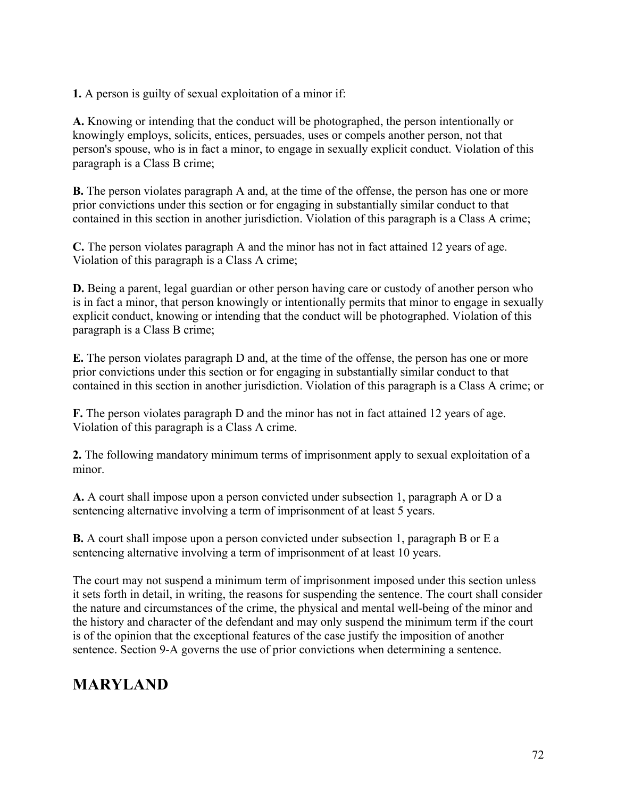**1.** A person is guilty of sexual exploitation of a minor if:

**A.** Knowing or intending that the conduct will be photographed, the person intentionally or knowingly employs, solicits, entices, persuades, uses or compels another person, not that person's spouse, who is in fact a minor, to engage in sexually explicit conduct. Violation of this paragraph is a Class B crime;

**B.** The person violates paragraph A and, at the time of the offense, the person has one or more prior convictions under this section or for engaging in substantially similar conduct to that contained in this section in another jurisdiction. Violation of this paragraph is a Class A crime;

**C.** The person violates paragraph A and the minor has not in fact attained 12 years of age. Violation of this paragraph is a Class A crime;

**D.** Being a parent, legal guardian or other person having care or custody of another person who is in fact a minor, that person knowingly or intentionally permits that minor to engage in sexually explicit conduct, knowing or intending that the conduct will be photographed. Violation of this paragraph is a Class B crime;

**E.** The person violates paragraph D and, at the time of the offense, the person has one or more prior convictions under this section or for engaging in substantially similar conduct to that contained in this section in another jurisdiction. Violation of this paragraph is a Class A crime; or

**F.** The person violates paragraph D and the minor has not in fact attained 12 years of age. Violation of this paragraph is a Class A crime.

**2.** The following mandatory minimum terms of imprisonment apply to sexual exploitation of a minor.

**A.** A court shall impose upon a person convicted under subsection 1, paragraph A or D a sentencing alternative involving a term of imprisonment of at least 5 years.

**B.** A court shall impose upon a person convicted under subsection 1, paragraph B or E a sentencing alternative involving a term of imprisonment of at least 10 years.

The court may not suspend a minimum term of imprisonment imposed under this section unless it sets forth in detail, in writing, the reasons for suspending the sentence. The court shall consider the nature and circumstances of the crime, the physical and mental well-being of the minor and the history and character of the defendant and may only suspend the minimum term if the court is of the opinion that the exceptional features of the case justify the imposition of another sentence. Section 9-A governs the use of prior convictions when determining a sentence.

# **MARYLAND**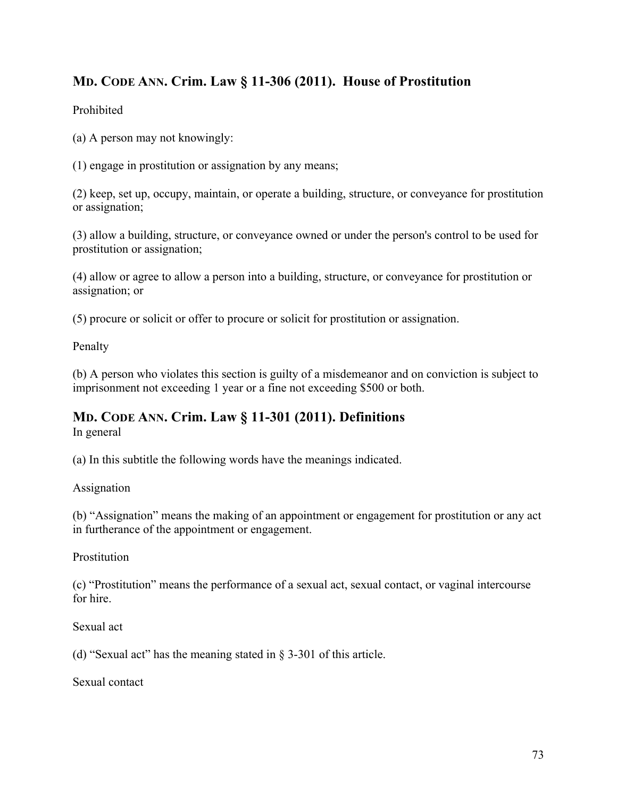## **MD. CODE ANN. Crim. Law § 11-306 (2011). House of Prostitution**

Prohibited

(a) A person may not knowingly:

(1) engage in prostitution or assignation by any means;

(2) keep, set up, occupy, maintain, or operate a building, structure, or conveyance for prostitution or assignation;

(3) allow a building, structure, or conveyance owned or under the person's control to be used for prostitution or assignation;

(4) allow or agree to allow a person into a building, structure, or conveyance for prostitution or assignation; or

(5) procure or solicit or offer to procure or solicit for prostitution or assignation.

Penalty

(b) A person who violates this section is guilty of a misdemeanor and on conviction is subject to imprisonment not exceeding 1 year or a fine not exceeding \$500 or both.

## **MD. CODE ANN. Crim. Law § 11-301 (2011). Definitions**

In general

(a) In this subtitle the following words have the meanings indicated.

Assignation

(b) "Assignation" means the making of an appointment or engagement for prostitution or any act in furtherance of the appointment or engagement.

**Prostitution** 

(c) "Prostitution" means the performance of a sexual act, sexual contact, or vaginal intercourse for hire.

Sexual act

(d) "Sexual act" has the meaning stated in § 3-301 of this article.

Sexual contact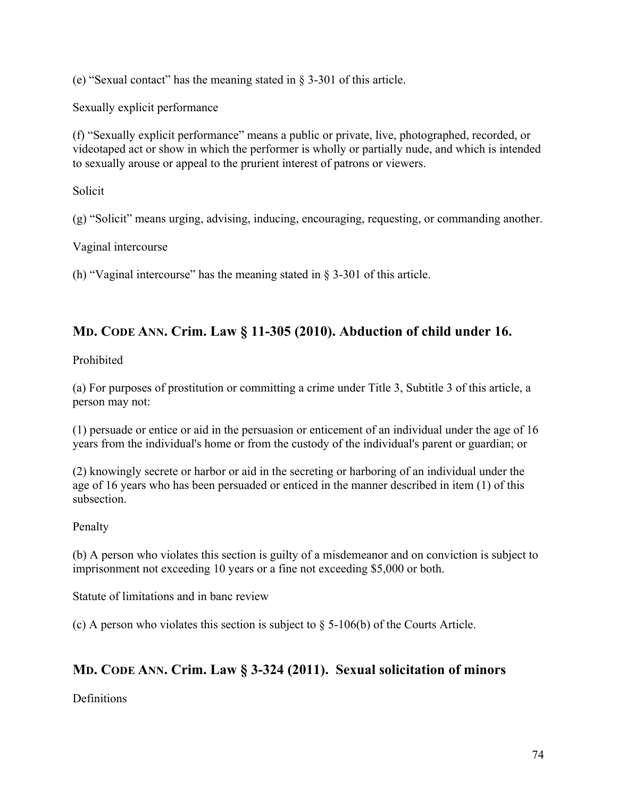(e) "Sexual contact" has the meaning stated in § 3-301 of this article.

Sexually explicit performance

(f) "Sexually explicit performance" means a public or private, live, photographed, recorded, or videotaped act or show in which the performer is wholly or partially nude, and which is intended to sexually arouse or appeal to the prurient interest of patrons or viewers.

Solicit

(g) "Solicit" means urging, advising, inducing, encouraging, requesting, or commanding another.

Vaginal intercourse

(h) "Vaginal intercourse" has the meaning stated in § 3-301 of this article.

## **MD. CODE ANN. Crim. Law § 11-305 (2010). Abduction of child under 16.**

Prohibited

(a) For purposes of prostitution or committing a crime under Title 3, Subtitle 3 of this article, a person may not:

(1) persuade or entice or aid in the persuasion or enticement of an individual under the age of 16 years from the individual's home or from the custody of the individual's parent or guardian; or

(2) knowingly secrete or harbor or aid in the secreting or harboring of an individual under the age of 16 years who has been persuaded or enticed in the manner described in item (1) of this subsection.

Penalty

(b) A person who violates this section is guilty of a misdemeanor and on conviction is subject to imprisonment not exceeding 10 years or a fine not exceeding \$5,000 or both.

Statute of limitations and in banc review

(c) A person who violates this section is subject to  $\S$  5-106(b) of the Courts Article.

## **MD. CODE ANN. Crim. Law § 3-324 (2011). Sexual solicitation of minors**

Definitions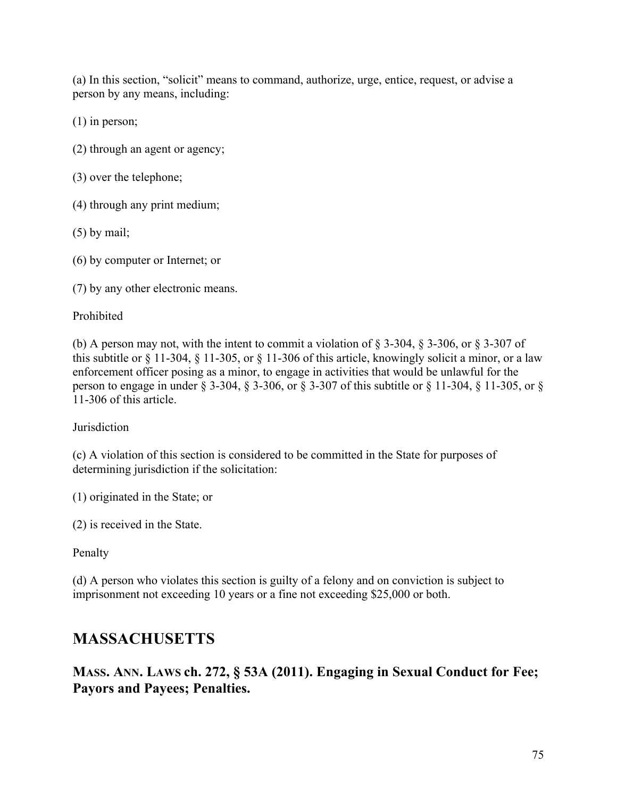(a) In this section, "solicit" means to command, authorize, urge, entice, request, or advise a person by any means, including:

(1) in person;

(2) through an agent or agency;

(3) over the telephone;

(4) through any print medium;

(5) by mail;

(6) by computer or Internet; or

(7) by any other electronic means.

Prohibited

(b) A person may not, with the intent to commit a violation of § 3-304, § 3-306, or § 3-307 of this subtitle or  $\S$  11-304,  $\S$  11-305, or  $\S$  11-306 of this article, knowingly solicit a minor, or a law enforcement officer posing as a minor, to engage in activities that would be unlawful for the person to engage in under § 3-304, § 3-306, or § 3-307 of this subtitle or § 11-304, § 11-305, or § 11-306 of this article.

**Jurisdiction** 

(c) A violation of this section is considered to be committed in the State for purposes of determining jurisdiction if the solicitation:

(1) originated in the State; or

(2) is received in the State.

Penalty

(d) A person who violates this section is guilty of a felony and on conviction is subject to imprisonment not exceeding 10 years or a fine not exceeding \$25,000 or both.

## **MASSACHUSETTS**

**MASS. ANN. LAWS ch. 272, § 53A (2011). Engaging in Sexual Conduct for Fee; Payors and Payees; Penalties.**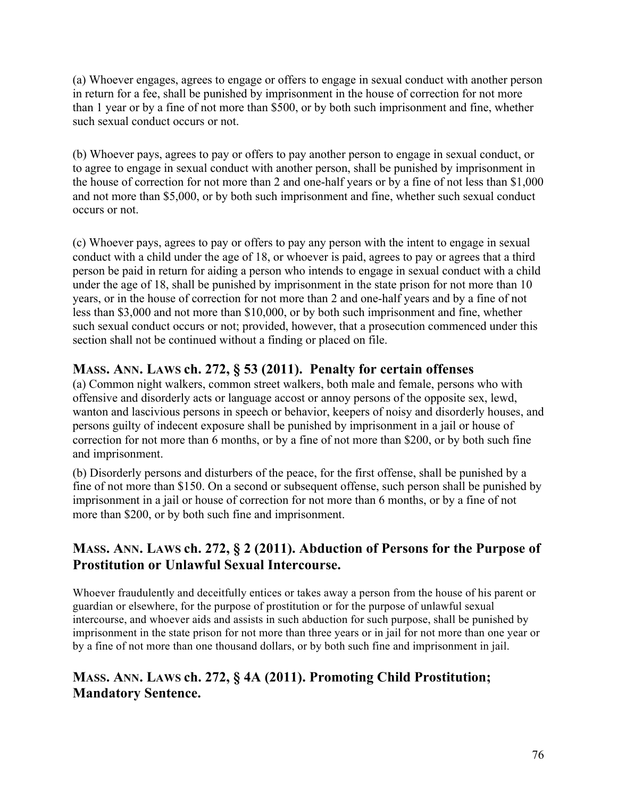(a) Whoever engages, agrees to engage or offers to engage in sexual conduct with another person in return for a fee, shall be punished by imprisonment in the house of correction for not more than 1 year or by a fine of not more than \$500, or by both such imprisonment and fine, whether such sexual conduct occurs or not.

(b) Whoever pays, agrees to pay or offers to pay another person to engage in sexual conduct, or to agree to engage in sexual conduct with another person, shall be punished by imprisonment in the house of correction for not more than 2 and one-half years or by a fine of not less than \$1,000 and not more than \$5,000, or by both such imprisonment and fine, whether such sexual conduct occurs or not.

(c) Whoever pays, agrees to pay or offers to pay any person with the intent to engage in sexual conduct with a child under the age of 18, or whoever is paid, agrees to pay or agrees that a third person be paid in return for aiding a person who intends to engage in sexual conduct with a child under the age of 18, shall be punished by imprisonment in the state prison for not more than 10 years, or in the house of correction for not more than 2 and one-half years and by a fine of not less than \$3,000 and not more than \$10,000, or by both such imprisonment and fine, whether such sexual conduct occurs or not; provided, however, that a prosecution commenced under this section shall not be continued without a finding or placed on file.

### **MASS. ANN. LAWS ch. 272, § 53 (2011). Penalty for certain offenses**

(a) Common night walkers, common street walkers, both male and female, persons who with offensive and disorderly acts or language accost or annoy persons of the opposite sex, lewd, wanton and lascivious persons in speech or behavior, keepers of noisy and disorderly houses, and persons guilty of indecent exposure shall be punished by imprisonment in a jail or house of correction for not more than 6 months, or by a fine of not more than \$200, or by both such fine and imprisonment.

(b) Disorderly persons and disturbers of the peace, for the first offense, shall be punished by a fine of not more than \$150. On a second or subsequent offense, such person shall be punished by imprisonment in a jail or house of correction for not more than 6 months, or by a fine of not more than \$200, or by both such fine and imprisonment.

### **MASS. ANN. LAWS ch. 272, § 2 (2011). Abduction of Persons for the Purpose of Prostitution or Unlawful Sexual Intercourse.**

Whoever fraudulently and deceitfully entices or takes away a person from the house of his parent or guardian or elsewhere, for the purpose of prostitution or for the purpose of unlawful sexual intercourse, and whoever aids and assists in such abduction for such purpose, shall be punished by imprisonment in the state prison for not more than three years or in jail for not more than one year or by a fine of not more than one thousand dollars, or by both such fine and imprisonment in jail.

## **MASS. ANN. LAWS ch. 272, § 4A (2011). Promoting Child Prostitution; Mandatory Sentence.**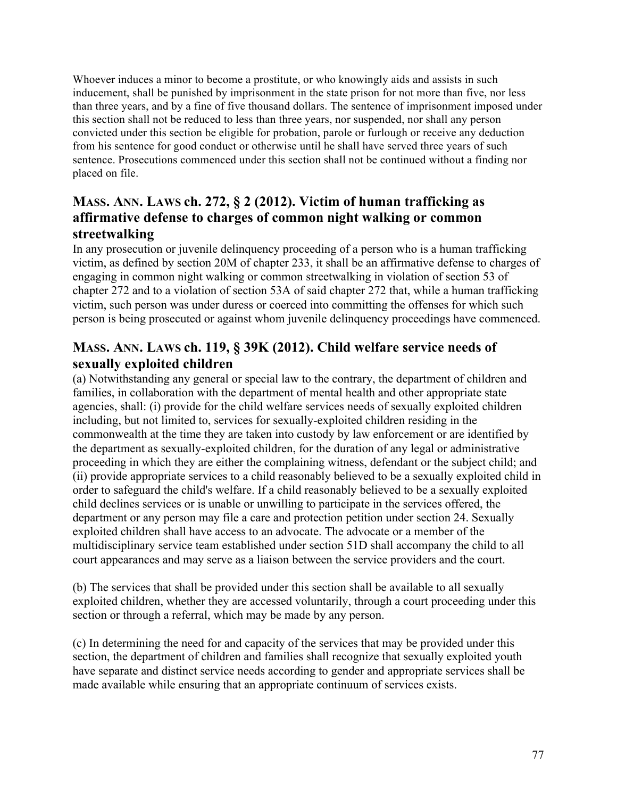Whoever induces a minor to become a prostitute, or who knowingly aids and assists in such inducement, shall be punished by imprisonment in the state prison for not more than five, nor less than three years, and by a fine of five thousand dollars. The sentence of imprisonment imposed under this section shall not be reduced to less than three years, nor suspended, nor shall any person convicted under this section be eligible for probation, parole or furlough or receive any deduction from his sentence for good conduct or otherwise until he shall have served three years of such sentence. Prosecutions commenced under this section shall not be continued without a finding nor placed on file.

## **MASS. ANN. LAWS ch. 272, § 2 (2012). Victim of human trafficking as affirmative defense to charges of common night walking or common streetwalking**

In any prosecution or juvenile delinquency proceeding of a person who is a human trafficking victim, as defined by section 20M of chapter 233, it shall be an affirmative defense to charges of engaging in common night walking or common streetwalking in violation of section 53 of chapter 272 and to a violation of section 53A of said chapter 272 that, while a human trafficking victim, such person was under duress or coerced into committing the offenses for which such person is being prosecuted or against whom juvenile delinquency proceedings have commenced.

## **MASS. ANN. LAWS ch. 119, § 39K (2012). Child welfare service needs of sexually exploited children**

(a) Notwithstanding any general or special law to the contrary, the department of children and families, in collaboration with the department of mental health and other appropriate state agencies, shall: (i) provide for the child welfare services needs of sexually exploited children including, but not limited to, services for sexually-exploited children residing in the commonwealth at the time they are taken into custody by law enforcement or are identified by the department as sexually-exploited children, for the duration of any legal or administrative proceeding in which they are either the complaining witness, defendant or the subject child; and (ii) provide appropriate services to a child reasonably believed to be a sexually exploited child in order to safeguard the child's welfare. If a child reasonably believed to be a sexually exploited child declines services or is unable or unwilling to participate in the services offered, the department or any person may file a care and protection petition under section 24. Sexually exploited children shall have access to an advocate. The advocate or a member of the multidisciplinary service team established under section 51D shall accompany the child to all court appearances and may serve as a liaison between the service providers and the court.

(b) The services that shall be provided under this section shall be available to all sexually exploited children, whether they are accessed voluntarily, through a court proceeding under this section or through a referral, which may be made by any person.

(c) In determining the need for and capacity of the services that may be provided under this section, the department of children and families shall recognize that sexually exploited youth have separate and distinct service needs according to gender and appropriate services shall be made available while ensuring that an appropriate continuum of services exists.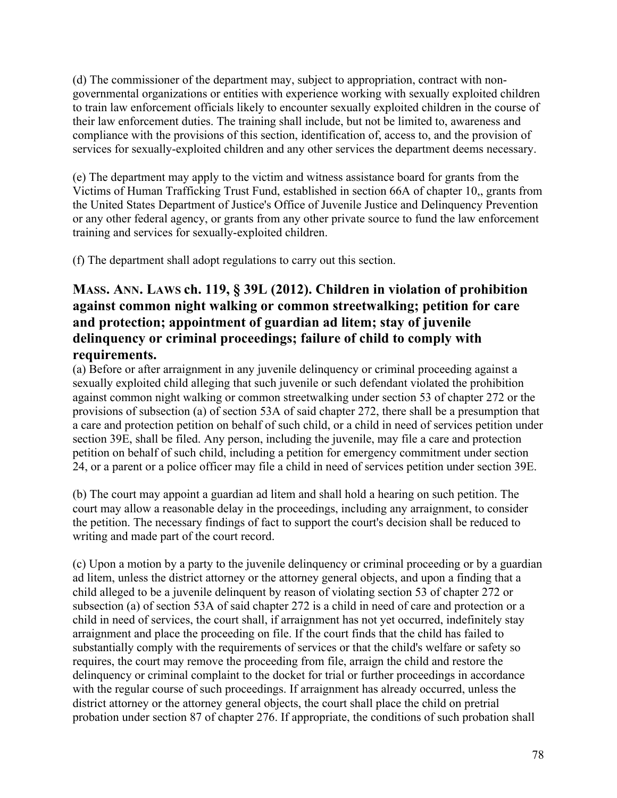(d) The commissioner of the department may, subject to appropriation, contract with nongovernmental organizations or entities with experience working with sexually exploited children to train law enforcement officials likely to encounter sexually exploited children in the course of their law enforcement duties. The training shall include, but not be limited to, awareness and compliance with the provisions of this section, identification of, access to, and the provision of services for sexually-exploited children and any other services the department deems necessary.

(e) The department may apply to the victim and witness assistance board for grants from the Victims of Human Trafficking Trust Fund, established in section 66A of chapter 10,, grants from the United States Department of Justice's Office of Juvenile Justice and Delinquency Prevention or any other federal agency, or grants from any other private source to fund the law enforcement training and services for sexually-exploited children.

(f) The department shall adopt regulations to carry out this section.

## **MASS. ANN. LAWS ch. 119, § 39L (2012). Children in violation of prohibition against common night walking or common streetwalking; petition for care and protection; appointment of guardian ad litem; stay of juvenile delinquency or criminal proceedings; failure of child to comply with requirements.**

(a) Before or after arraignment in any juvenile delinquency or criminal proceeding against a sexually exploited child alleging that such juvenile or such defendant violated the prohibition against common night walking or common streetwalking under section 53 of chapter 272 or the provisions of subsection (a) of section 53A of said chapter 272, there shall be a presumption that a care and protection petition on behalf of such child, or a child in need of services petition under section 39E, shall be filed. Any person, including the juvenile, may file a care and protection petition on behalf of such child, including a petition for emergency commitment under section 24, or a parent or a police officer may file a child in need of services petition under section 39E.

(b) The court may appoint a guardian ad litem and shall hold a hearing on such petition. The court may allow a reasonable delay in the proceedings, including any arraignment, to consider the petition. The necessary findings of fact to support the court's decision shall be reduced to writing and made part of the court record.

(c) Upon a motion by a party to the juvenile delinquency or criminal proceeding or by a guardian ad litem, unless the district attorney or the attorney general objects, and upon a finding that a child alleged to be a juvenile delinquent by reason of violating section 53 of chapter 272 or subsection (a) of section 53A of said chapter 272 is a child in need of care and protection or a child in need of services, the court shall, if arraignment has not yet occurred, indefinitely stay arraignment and place the proceeding on file. If the court finds that the child has failed to substantially comply with the requirements of services or that the child's welfare or safety so requires, the court may remove the proceeding from file, arraign the child and restore the delinquency or criminal complaint to the docket for trial or further proceedings in accordance with the regular course of such proceedings. If arraignment has already occurred, unless the district attorney or the attorney general objects, the court shall place the child on pretrial probation under section 87 of chapter 276. If appropriate, the conditions of such probation shall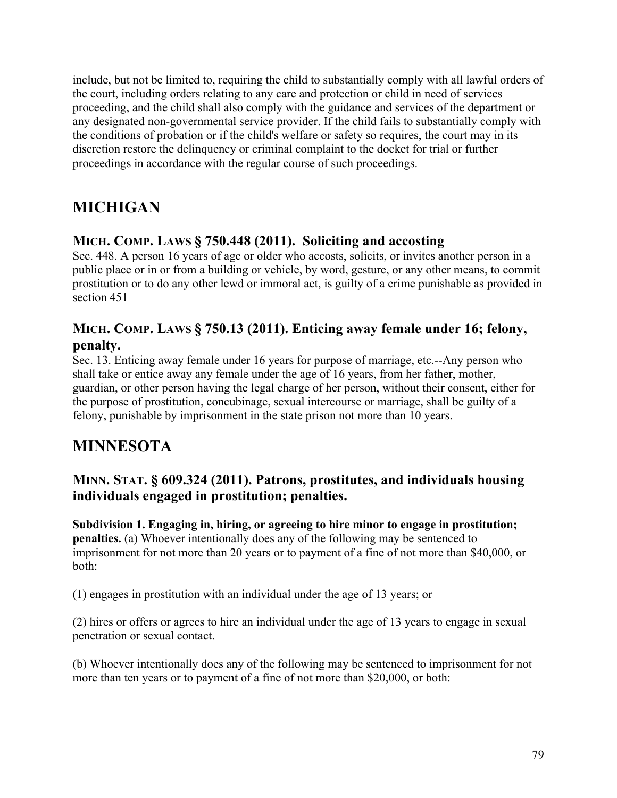include, but not be limited to, requiring the child to substantially comply with all lawful orders of the court, including orders relating to any care and protection or child in need of services proceeding, and the child shall also comply with the guidance and services of the department or any designated non-governmental service provider. If the child fails to substantially comply with the conditions of probation or if the child's welfare or safety so requires, the court may in its discretion restore the delinquency or criminal complaint to the docket for trial or further proceedings in accordance with the regular course of such proceedings.

## **MICHIGAN**

### **MICH. COMP. LAWS § 750.448 (2011). Soliciting and accosting**

Sec. 448. A person 16 years of age or older who accosts, solicits, or invites another person in a public place or in or from a building or vehicle, by word, gesture, or any other means, to commit prostitution or to do any other lewd or immoral act, is guilty of a crime punishable as provided in section 451

## **MICH. COMP. LAWS § 750.13 (2011). Enticing away female under 16; felony, penalty.**

Sec. 13. Enticing away female under 16 years for purpose of marriage, etc.--Any person who shall take or entice away any female under the age of 16 years, from her father, mother, guardian, or other person having the legal charge of her person, without their consent, either for the purpose of prostitution, concubinage, sexual intercourse or marriage, shall be guilty of a felony, punishable by imprisonment in the state prison not more than 10 years.

## **MINNESOTA**

#### **MINN. STAT. § 609.324 (2011). Patrons, prostitutes, and individuals housing individuals engaged in prostitution; penalties.**

**Subdivision 1. Engaging in, hiring, or agreeing to hire minor to engage in prostitution; penalties.** (a) Whoever intentionally does any of the following may be sentenced to imprisonment for not more than 20 years or to payment of a fine of not more than \$40,000, or both:

(1) engages in prostitution with an individual under the age of 13 years; or

(2) hires or offers or agrees to hire an individual under the age of 13 years to engage in sexual penetration or sexual contact.

(b) Whoever intentionally does any of the following may be sentenced to imprisonment for not more than ten years or to payment of a fine of not more than \$20,000, or both: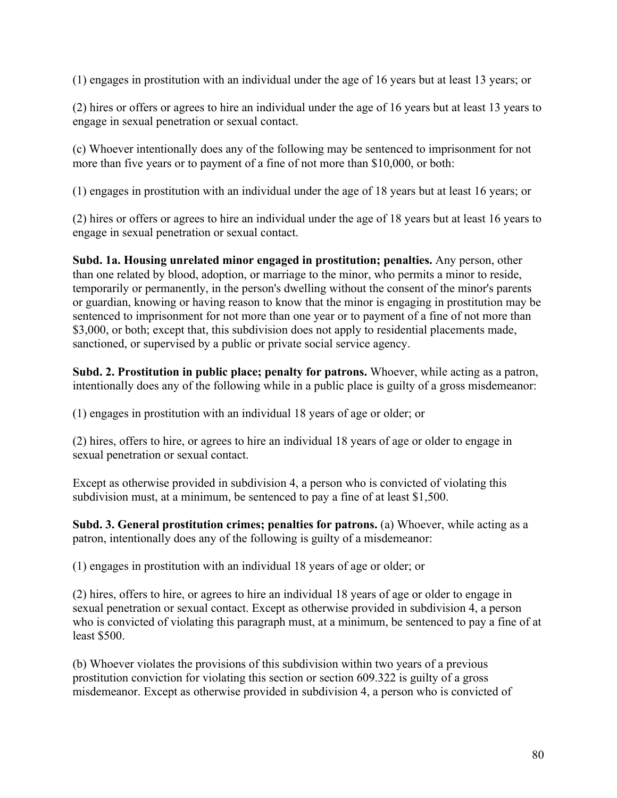(1) engages in prostitution with an individual under the age of 16 years but at least 13 years; or

(2) hires or offers or agrees to hire an individual under the age of 16 years but at least 13 years to engage in sexual penetration or sexual contact.

(c) Whoever intentionally does any of the following may be sentenced to imprisonment for not more than five years or to payment of a fine of not more than \$10,000, or both:

(1) engages in prostitution with an individual under the age of 18 years but at least 16 years; or

(2) hires or offers or agrees to hire an individual under the age of 18 years but at least 16 years to engage in sexual penetration or sexual contact.

**Subd. 1a. Housing unrelated minor engaged in prostitution; penalties.** Any person, other than one related by blood, adoption, or marriage to the minor, who permits a minor to reside, temporarily or permanently, in the person's dwelling without the consent of the minor's parents or guardian, knowing or having reason to know that the minor is engaging in prostitution may be sentenced to imprisonment for not more than one year or to payment of a fine of not more than \$3,000, or both; except that, this subdivision does not apply to residential placements made, sanctioned, or supervised by a public or private social service agency.

**Subd. 2. Prostitution in public place; penalty for patrons.** Whoever, while acting as a patron, intentionally does any of the following while in a public place is guilty of a gross misdemeanor:

(1) engages in prostitution with an individual 18 years of age or older; or

(2) hires, offers to hire, or agrees to hire an individual 18 years of age or older to engage in sexual penetration or sexual contact.

Except as otherwise provided in subdivision 4, a person who is convicted of violating this subdivision must, at a minimum, be sentenced to pay a fine of at least \$1,500.

**Subd. 3. General prostitution crimes; penalties for patrons.** (a) Whoever, while acting as a patron, intentionally does any of the following is guilty of a misdemeanor:

(1) engages in prostitution with an individual 18 years of age or older; or

(2) hires, offers to hire, or agrees to hire an individual 18 years of age or older to engage in sexual penetration or sexual contact. Except as otherwise provided in subdivision 4, a person who is convicted of violating this paragraph must, at a minimum, be sentenced to pay a fine of at least \$500.

(b) Whoever violates the provisions of this subdivision within two years of a previous prostitution conviction for violating this section or section 609.322 is guilty of a gross misdemeanor. Except as otherwise provided in subdivision 4, a person who is convicted of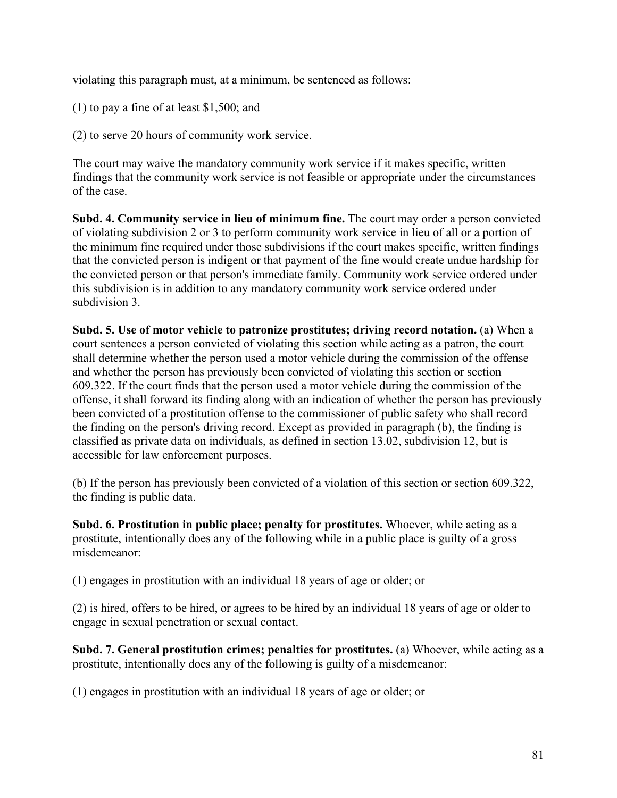violating this paragraph must, at a minimum, be sentenced as follows:

(1) to pay a fine of at least \$1,500; and

(2) to serve 20 hours of community work service.

The court may waive the mandatory community work service if it makes specific, written findings that the community work service is not feasible or appropriate under the circumstances of the case.

**Subd. 4. Community service in lieu of minimum fine.** The court may order a person convicted of violating subdivision 2 or 3 to perform community work service in lieu of all or a portion of the minimum fine required under those subdivisions if the court makes specific, written findings that the convicted person is indigent or that payment of the fine would create undue hardship for the convicted person or that person's immediate family. Community work service ordered under this subdivision is in addition to any mandatory community work service ordered under subdivision 3.

**Subd. 5. Use of motor vehicle to patronize prostitutes; driving record notation.** (a) When a court sentences a person convicted of violating this section while acting as a patron, the court shall determine whether the person used a motor vehicle during the commission of the offense and whether the person has previously been convicted of violating this section or section 609.322. If the court finds that the person used a motor vehicle during the commission of the offense, it shall forward its finding along with an indication of whether the person has previously been convicted of a prostitution offense to the commissioner of public safety who shall record the finding on the person's driving record. Except as provided in paragraph (b), the finding is classified as private data on individuals, as defined in section 13.02, subdivision 12, but is accessible for law enforcement purposes.

(b) If the person has previously been convicted of a violation of this section or section 609.322, the finding is public data.

**Subd. 6. Prostitution in public place; penalty for prostitutes.** Whoever, while acting as a prostitute, intentionally does any of the following while in a public place is guilty of a gross misdemeanor:

(1) engages in prostitution with an individual 18 years of age or older; or

(2) is hired, offers to be hired, or agrees to be hired by an individual 18 years of age or older to engage in sexual penetration or sexual contact.

**Subd. 7. General prostitution crimes; penalties for prostitutes.** (a) Whoever, while acting as a prostitute, intentionally does any of the following is guilty of a misdemeanor:

(1) engages in prostitution with an individual 18 years of age or older; or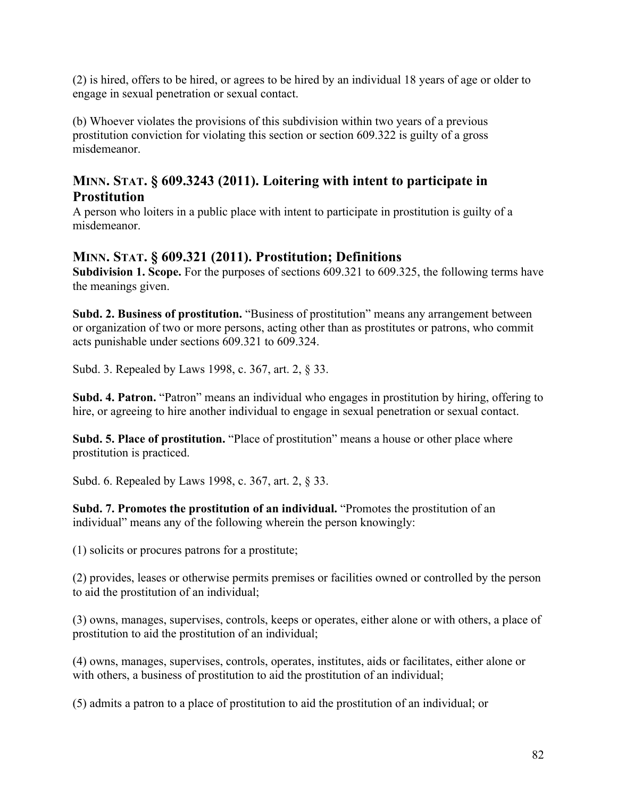(2) is hired, offers to be hired, or agrees to be hired by an individual 18 years of age or older to engage in sexual penetration or sexual contact.

(b) Whoever violates the provisions of this subdivision within two years of a previous prostitution conviction for violating this section or section 609.322 is guilty of a gross misdemeanor.

#### **MINN. STAT. § 609.3243 (2011). Loitering with intent to participate in Prostitution**

A person who loiters in a public place with intent to participate in prostitution is guilty of a misdemeanor.

#### **MINN. STAT. § 609.321 (2011). Prostitution; Definitions**

**Subdivision 1. Scope.** For the purposes of sections 609.321 to 609.325, the following terms have the meanings given.

**Subd. 2. Business of prostitution.** "Business of prostitution" means any arrangement between or organization of two or more persons, acting other than as prostitutes or patrons, who commit acts punishable under sections 609.321 to 609.324.

Subd. 3. Repealed by Laws 1998, c. 367, art. 2, § 33.

**Subd. 4. Patron.** "Patron" means an individual who engages in prostitution by hiring, offering to hire, or agreeing to hire another individual to engage in sexual penetration or sexual contact.

**Subd. 5. Place of prostitution.** "Place of prostitution" means a house or other place where prostitution is practiced.

Subd. 6. Repealed by Laws 1998, c. 367, art. 2, § 33.

**Subd. 7. Promotes the prostitution of an individual.** "Promotes the prostitution of an individual" means any of the following wherein the person knowingly:

(1) solicits or procures patrons for a prostitute;

(2) provides, leases or otherwise permits premises or facilities owned or controlled by the person to aid the prostitution of an individual;

(3) owns, manages, supervises, controls, keeps or operates, either alone or with others, a place of prostitution to aid the prostitution of an individual;

(4) owns, manages, supervises, controls, operates, institutes, aids or facilitates, either alone or with others, a business of prostitution to aid the prostitution of an individual;

(5) admits a patron to a place of prostitution to aid the prostitution of an individual; or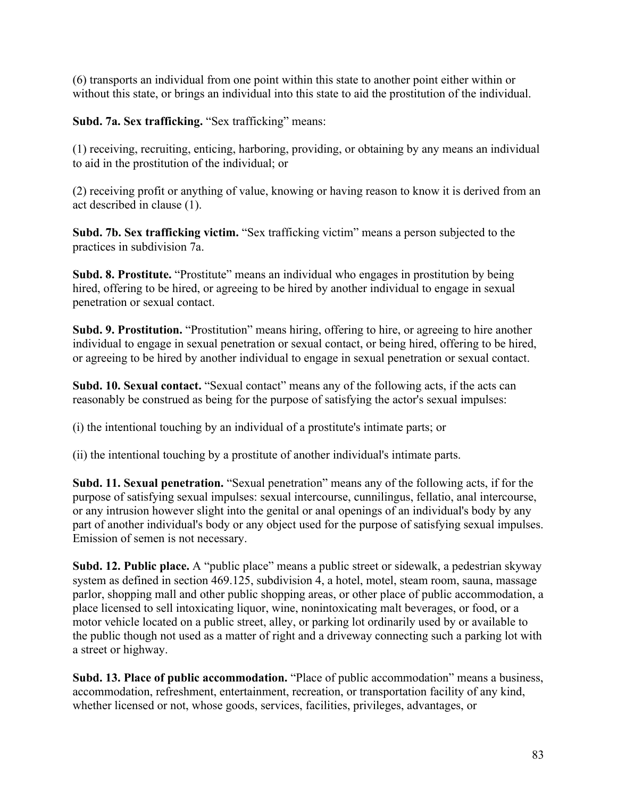(6) transports an individual from one point within this state to another point either within or without this state, or brings an individual into this state to aid the prostitution of the individual.

**Subd. 7a. Sex trafficking.** "Sex trafficking" means:

(1) receiving, recruiting, enticing, harboring, providing, or obtaining by any means an individual to aid in the prostitution of the individual; or

(2) receiving profit or anything of value, knowing or having reason to know it is derived from an act described in clause (1).

**Subd. 7b. Sex trafficking victim.** "Sex trafficking victim" means a person subjected to the practices in subdivision 7a.

**Subd. 8. Prostitute.** "Prostitute" means an individual who engages in prostitution by being hired, offering to be hired, or agreeing to be hired by another individual to engage in sexual penetration or sexual contact.

**Subd. 9. Prostitution.** "Prostitution" means hiring, offering to hire, or agreeing to hire another individual to engage in sexual penetration or sexual contact, or being hired, offering to be hired, or agreeing to be hired by another individual to engage in sexual penetration or sexual contact.

**Subd. 10. Sexual contact.** "Sexual contact" means any of the following acts, if the acts can reasonably be construed as being for the purpose of satisfying the actor's sexual impulses:

(i) the intentional touching by an individual of a prostitute's intimate parts; or

(ii) the intentional touching by a prostitute of another individual's intimate parts.

**Subd. 11. Sexual penetration.** "Sexual penetration" means any of the following acts, if for the purpose of satisfying sexual impulses: sexual intercourse, cunnilingus, fellatio, anal intercourse, or any intrusion however slight into the genital or anal openings of an individual's body by any part of another individual's body or any object used for the purpose of satisfying sexual impulses. Emission of semen is not necessary.

**Subd. 12. Public place.** A "public place" means a public street or sidewalk, a pedestrian skyway system as defined in section 469.125, subdivision 4, a hotel, motel, steam room, sauna, massage parlor, shopping mall and other public shopping areas, or other place of public accommodation, a place licensed to sell intoxicating liquor, wine, nonintoxicating malt beverages, or food, or a motor vehicle located on a public street, alley, or parking lot ordinarily used by or available to the public though not used as a matter of right and a driveway connecting such a parking lot with a street or highway.

**Subd. 13. Place of public accommodation.** "Place of public accommodation" means a business, accommodation, refreshment, entertainment, recreation, or transportation facility of any kind, whether licensed or not, whose goods, services, facilities, privileges, advantages, or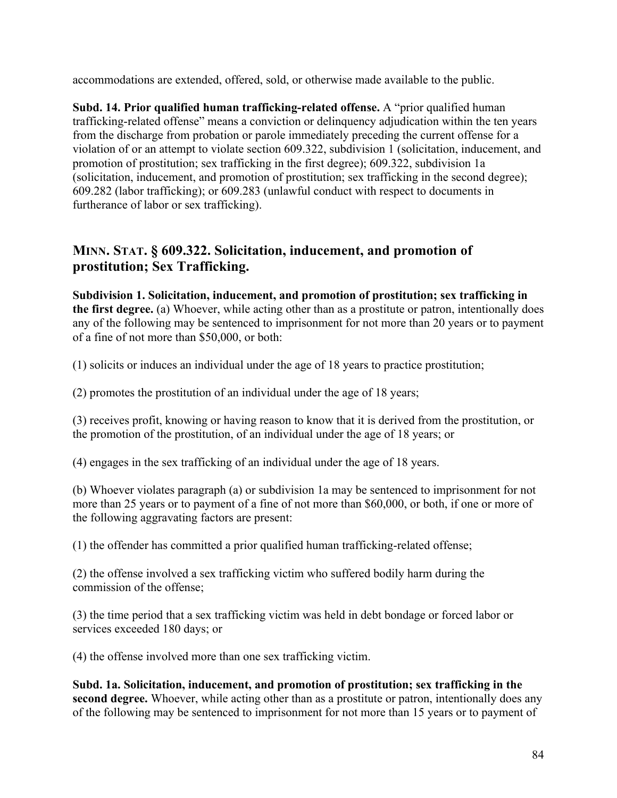accommodations are extended, offered, sold, or otherwise made available to the public.

**Subd. 14. Prior qualified human trafficking-related offense.** A "prior qualified human trafficking-related offense" means a conviction or delinquency adjudication within the ten years from the discharge from probation or parole immediately preceding the current offense for a violation of or an attempt to violate section 609.322, subdivision 1 (solicitation, inducement, and promotion of prostitution; sex trafficking in the first degree); 609.322, subdivision 1a (solicitation, inducement, and promotion of prostitution; sex trafficking in the second degree); 609.282 (labor trafficking); or 609.283 (unlawful conduct with respect to documents in furtherance of labor or sex trafficking).

## **MINN. STAT. § 609.322. Solicitation, inducement, and promotion of prostitution; Sex Trafficking.**

**Subdivision 1. Solicitation, inducement, and promotion of prostitution; sex trafficking in the first degree.** (a) Whoever, while acting other than as a prostitute or patron, intentionally does any of the following may be sentenced to imprisonment for not more than 20 years or to payment of a fine of not more than \$50,000, or both:

(1) solicits or induces an individual under the age of 18 years to practice prostitution;

(2) promotes the prostitution of an individual under the age of 18 years;

(3) receives profit, knowing or having reason to know that it is derived from the prostitution, or the promotion of the prostitution, of an individual under the age of 18 years; or

(4) engages in the sex trafficking of an individual under the age of 18 years.

(b) Whoever violates paragraph (a) or subdivision 1a may be sentenced to imprisonment for not more than 25 years or to payment of a fine of not more than \$60,000, or both, if one or more of the following aggravating factors are present:

(1) the offender has committed a prior qualified human trafficking-related offense;

(2) the offense involved a sex trafficking victim who suffered bodily harm during the commission of the offense;

(3) the time period that a sex trafficking victim was held in debt bondage or forced labor or services exceeded 180 days; or

(4) the offense involved more than one sex trafficking victim.

**Subd. 1a. Solicitation, inducement, and promotion of prostitution; sex trafficking in the second degree.** Whoever, while acting other than as a prostitute or patron, intentionally does any of the following may be sentenced to imprisonment for not more than 15 years or to payment of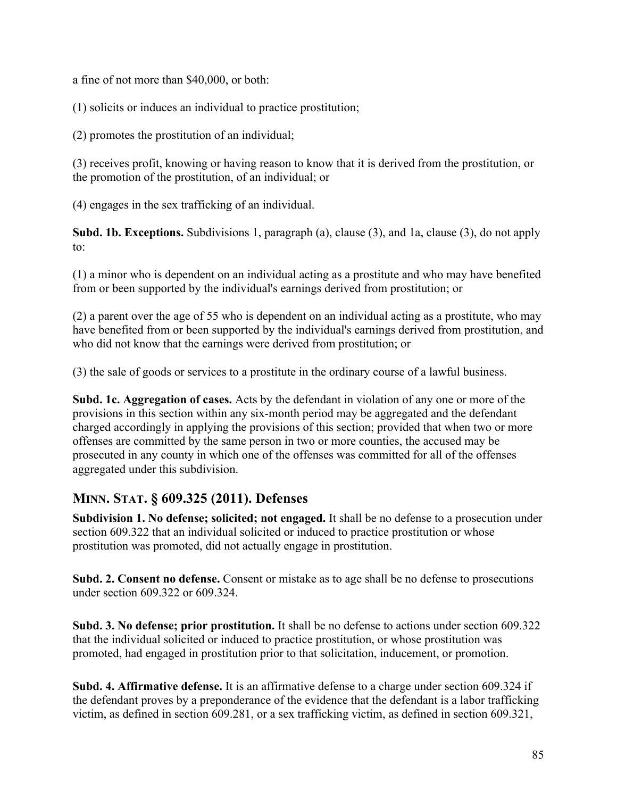a fine of not more than \$40,000, or both:

(1) solicits or induces an individual to practice prostitution;

(2) promotes the prostitution of an individual;

(3) receives profit, knowing or having reason to know that it is derived from the prostitution, or the promotion of the prostitution, of an individual; or

(4) engages in the sex trafficking of an individual.

**Subd. 1b. Exceptions.** Subdivisions 1, paragraph (a), clause (3), and 1a, clause (3), do not apply to:

(1) a minor who is dependent on an individual acting as a prostitute and who may have benefited from or been supported by the individual's earnings derived from prostitution; or

(2) a parent over the age of 55 who is dependent on an individual acting as a prostitute, who may have benefited from or been supported by the individual's earnings derived from prostitution, and who did not know that the earnings were derived from prostitution; or

(3) the sale of goods or services to a prostitute in the ordinary course of a lawful business.

**Subd. 1c. Aggregation of cases.** Acts by the defendant in violation of any one or more of the provisions in this section within any six-month period may be aggregated and the defendant charged accordingly in applying the provisions of this section; provided that when two or more offenses are committed by the same person in two or more counties, the accused may be prosecuted in any county in which one of the offenses was committed for all of the offenses aggregated under this subdivision.

## **MINN. STAT. § 609.325 (2011). Defenses**

**Subdivision 1. No defense; solicited; not engaged.** It shall be no defense to a prosecution under section 609.322 that an individual solicited or induced to practice prostitution or whose prostitution was promoted, did not actually engage in prostitution.

**Subd. 2. Consent no defense.** Consent or mistake as to age shall be no defense to prosecutions under section 609.322 or 609.324.

**Subd. 3. No defense; prior prostitution.** It shall be no defense to actions under section 609.322 that the individual solicited or induced to practice prostitution, or whose prostitution was promoted, had engaged in prostitution prior to that solicitation, inducement, or promotion.

**Subd. 4. Affirmative defense.** It is an affirmative defense to a charge under section 609.324 if the defendant proves by a preponderance of the evidence that the defendant is a labor trafficking victim, as defined in section 609.281, or a sex trafficking victim, as defined in section 609.321,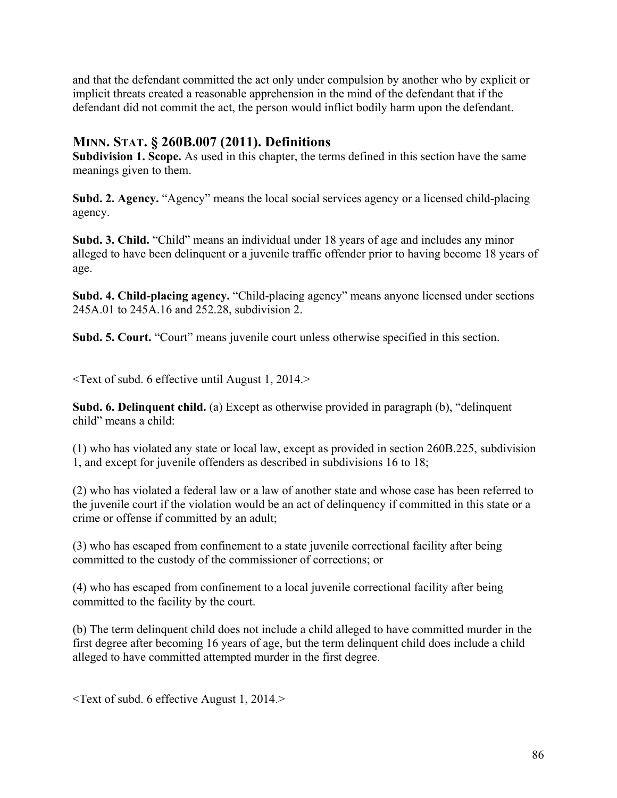and that the defendant committed the act only under compulsion by another who by explicit or implicit threats created a reasonable apprehension in the mind of the defendant that if the defendant did not commit the act, the person would inflict bodily harm upon the defendant.

#### **MINN. STAT. § 260B.007 (2011). Definitions**

**Subdivision 1. Scope.** As used in this chapter, the terms defined in this section have the same meanings given to them.

**Subd. 2. Agency.** "Agency" means the local social services agency or a licensed child-placing agency.

**Subd. 3. Child.** "Child" means an individual under 18 years of age and includes any minor alleged to have been delinquent or a juvenile traffic offender prior to having become 18 years of age.

**Subd. 4. Child-placing agency.** "Child-placing agency" means anyone licensed under sections 245A.01 to 245A.16 and 252.28, subdivision 2.

**Subd. 5. Court.** "Court" means juvenile court unless otherwise specified in this section.

<Text of subd. 6 effective until August 1, 2014.>

**Subd. 6. Delinquent child.** (a) Except as otherwise provided in paragraph (b), "delinquent child" means a child:

(1) who has violated any state or local law, except as provided in section 260B.225, subdivision 1, and except for juvenile offenders as described in subdivisions 16 to 18;

(2) who has violated a federal law or a law of another state and whose case has been referred to the juvenile court if the violation would be an act of delinquency if committed in this state or a crime or offense if committed by an adult;

(3) who has escaped from confinement to a state juvenile correctional facility after being committed to the custody of the commissioner of corrections; or

(4) who has escaped from confinement to a local juvenile correctional facility after being committed to the facility by the court.

(b) The term delinquent child does not include a child alleged to have committed murder in the first degree after becoming 16 years of age, but the term delinquent child does include a child alleged to have committed attempted murder in the first degree.

<Text of subd. 6 effective August 1, 2014.>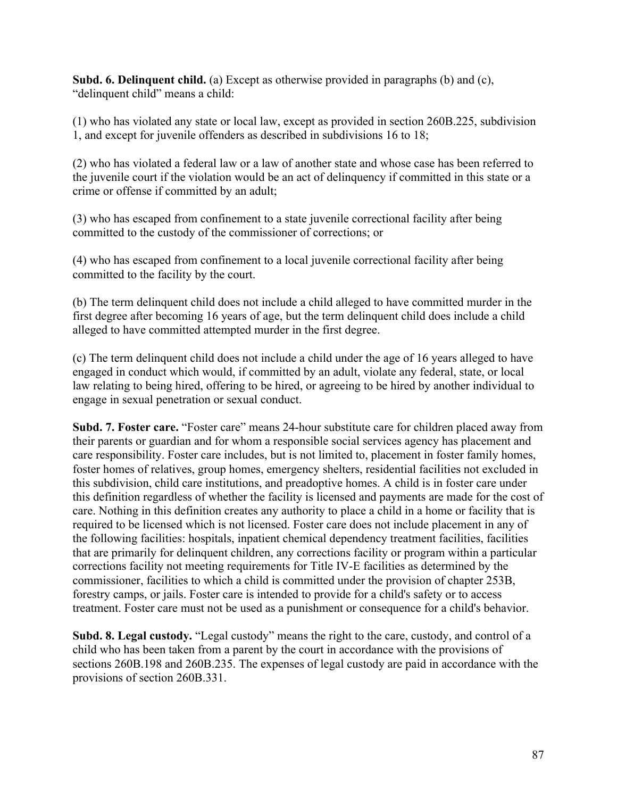**Subd. 6. Delinquent child.** (a) Except as otherwise provided in paragraphs (b) and (c), "delinquent child" means a child:

(1) who has violated any state or local law, except as provided in section 260B.225, subdivision 1, and except for juvenile offenders as described in subdivisions 16 to 18;

(2) who has violated a federal law or a law of another state and whose case has been referred to the juvenile court if the violation would be an act of delinquency if committed in this state or a crime or offense if committed by an adult;

(3) who has escaped from confinement to a state juvenile correctional facility after being committed to the custody of the commissioner of corrections; or

(4) who has escaped from confinement to a local juvenile correctional facility after being committed to the facility by the court.

(b) The term delinquent child does not include a child alleged to have committed murder in the first degree after becoming 16 years of age, but the term delinquent child does include a child alleged to have committed attempted murder in the first degree.

(c) The term delinquent child does not include a child under the age of 16 years alleged to have engaged in conduct which would, if committed by an adult, violate any federal, state, or local law relating to being hired, offering to be hired, or agreeing to be hired by another individual to engage in sexual penetration or sexual conduct.

**Subd. 7. Foster care.** "Foster care" means 24-hour substitute care for children placed away from their parents or guardian and for whom a responsible social services agency has placement and care responsibility. Foster care includes, but is not limited to, placement in foster family homes, foster homes of relatives, group homes, emergency shelters, residential facilities not excluded in this subdivision, child care institutions, and preadoptive homes. A child is in foster care under this definition regardless of whether the facility is licensed and payments are made for the cost of care. Nothing in this definition creates any authority to place a child in a home or facility that is required to be licensed which is not licensed. Foster care does not include placement in any of the following facilities: hospitals, inpatient chemical dependency treatment facilities, facilities that are primarily for delinquent children, any corrections facility or program within a particular corrections facility not meeting requirements for Title IV-E facilities as determined by the commissioner, facilities to which a child is committed under the provision of chapter 253B, forestry camps, or jails. Foster care is intended to provide for a child's safety or to access treatment. Foster care must not be used as a punishment or consequence for a child's behavior.

**Subd. 8. Legal custody.** "Legal custody" means the right to the care, custody, and control of a child who has been taken from a parent by the court in accordance with the provisions of sections 260B.198 and 260B.235. The expenses of legal custody are paid in accordance with the provisions of section 260B.331.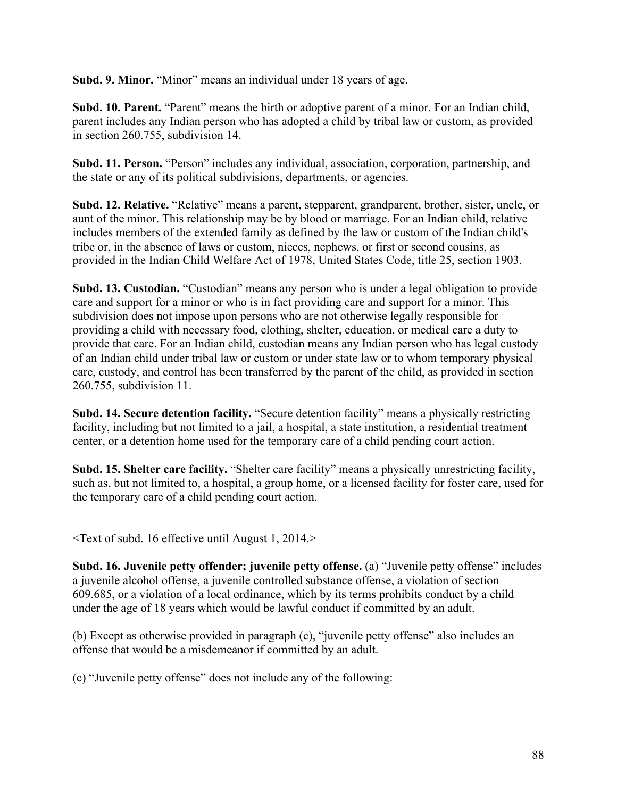**Subd. 9. Minor.** "Minor" means an individual under 18 years of age.

**Subd. 10. Parent.** "Parent" means the birth or adoptive parent of a minor. For an Indian child, parent includes any Indian person who has adopted a child by tribal law or custom, as provided in section 260.755, subdivision 14.

**Subd. 11. Person.** "Person" includes any individual, association, corporation, partnership, and the state or any of its political subdivisions, departments, or agencies.

**Subd. 12. Relative.** "Relative" means a parent, stepparent, grandparent, brother, sister, uncle, or aunt of the minor. This relationship may be by blood or marriage. For an Indian child, relative includes members of the extended family as defined by the law or custom of the Indian child's tribe or, in the absence of laws or custom, nieces, nephews, or first or second cousins, as provided in the Indian Child Welfare Act of 1978, United States Code, title 25, section 1903.

**Subd. 13. Custodian.** "Custodian" means any person who is under a legal obligation to provide care and support for a minor or who is in fact providing care and support for a minor. This subdivision does not impose upon persons who are not otherwise legally responsible for providing a child with necessary food, clothing, shelter, education, or medical care a duty to provide that care. For an Indian child, custodian means any Indian person who has legal custody of an Indian child under tribal law or custom or under state law or to whom temporary physical care, custody, and control has been transferred by the parent of the child, as provided in section 260.755, subdivision 11.

**Subd. 14. Secure detention facility.** "Secure detention facility" means a physically restricting facility, including but not limited to a jail, a hospital, a state institution, a residential treatment center, or a detention home used for the temporary care of a child pending court action.

**Subd. 15. Shelter care facility.** "Shelter care facility" means a physically unrestricting facility, such as, but not limited to, a hospital, a group home, or a licensed facility for foster care, used for the temporary care of a child pending court action.

<Text of subd. 16 effective until August 1, 2014.>

**Subd. 16. Juvenile petty offender; juvenile petty offense.** (a) "Juvenile petty offense" includes a juvenile alcohol offense, a juvenile controlled substance offense, a violation of section 609.685, or a violation of a local ordinance, which by its terms prohibits conduct by a child under the age of 18 years which would be lawful conduct if committed by an adult.

(b) Except as otherwise provided in paragraph (c), "juvenile petty offense" also includes an offense that would be a misdemeanor if committed by an adult.

(c) "Juvenile petty offense" does not include any of the following: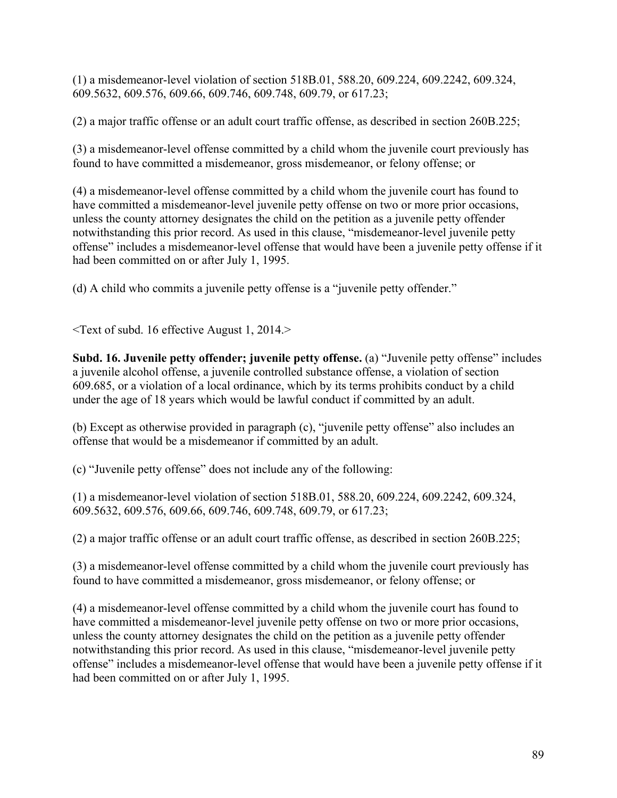(1) a misdemeanor-level violation of section 518B.01, 588.20, 609.224, 609.2242, 609.324, 609.5632, 609.576, 609.66, 609.746, 609.748, 609.79, or 617.23;

(2) a major traffic offense or an adult court traffic offense, as described in section 260B.225;

(3) a misdemeanor-level offense committed by a child whom the juvenile court previously has found to have committed a misdemeanor, gross misdemeanor, or felony offense; or

(4) a misdemeanor-level offense committed by a child whom the juvenile court has found to have committed a misdemeanor-level juvenile petty offense on two or more prior occasions, unless the county attorney designates the child on the petition as a juvenile petty offender notwithstanding this prior record. As used in this clause, "misdemeanor-level juvenile petty offense" includes a misdemeanor-level offense that would have been a juvenile petty offense if it had been committed on or after July 1, 1995.

(d) A child who commits a juvenile petty offense is a "juvenile petty offender."

<Text of subd. 16 effective August 1, 2014.>

**Subd. 16. Juvenile petty offender; juvenile petty offense.** (a) "Juvenile petty offense" includes a juvenile alcohol offense, a juvenile controlled substance offense, a violation of section 609.685, or a violation of a local ordinance, which by its terms prohibits conduct by a child under the age of 18 years which would be lawful conduct if committed by an adult.

(b) Except as otherwise provided in paragraph (c), "juvenile petty offense" also includes an offense that would be a misdemeanor if committed by an adult.

(c) "Juvenile petty offense" does not include any of the following:

(1) a misdemeanor-level violation of section 518B.01, 588.20, 609.224, 609.2242, 609.324, 609.5632, 609.576, 609.66, 609.746, 609.748, 609.79, or 617.23;

(2) a major traffic offense or an adult court traffic offense, as described in section 260B.225;

(3) a misdemeanor-level offense committed by a child whom the juvenile court previously has found to have committed a misdemeanor, gross misdemeanor, or felony offense; or

(4) a misdemeanor-level offense committed by a child whom the juvenile court has found to have committed a misdemeanor-level juvenile petty offense on two or more prior occasions, unless the county attorney designates the child on the petition as a juvenile petty offender notwithstanding this prior record. As used in this clause, "misdemeanor-level juvenile petty offense" includes a misdemeanor-level offense that would have been a juvenile petty offense if it had been committed on or after July 1, 1995.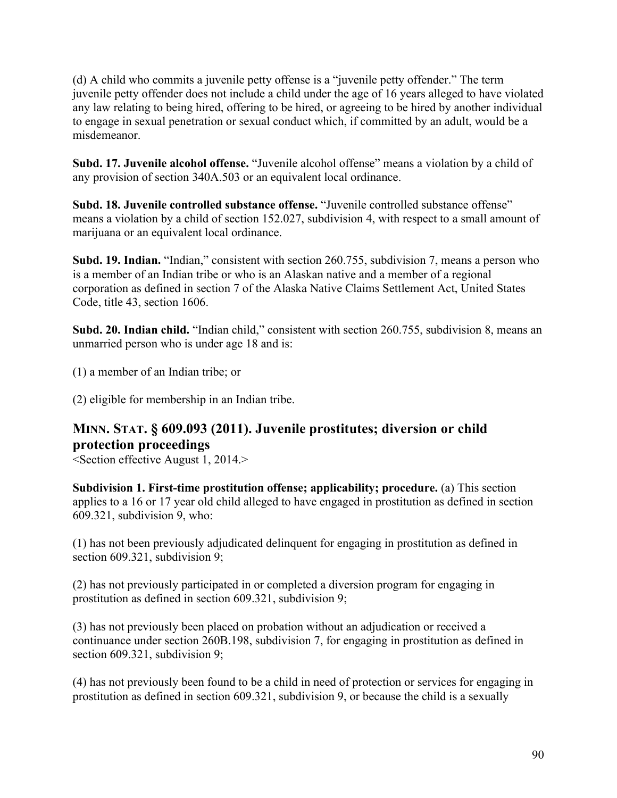(d) A child who commits a juvenile petty offense is a "juvenile petty offender." The term juvenile petty offender does not include a child under the age of 16 years alleged to have violated any law relating to being hired, offering to be hired, or agreeing to be hired by another individual to engage in sexual penetration or sexual conduct which, if committed by an adult, would be a misdemeanor.

**Subd. 17. Juvenile alcohol offense.** "Juvenile alcohol offense" means a violation by a child of any provision of section 340A.503 or an equivalent local ordinance.

**Subd. 18. Juvenile controlled substance offense.** "Juvenile controlled substance offense" means a violation by a child of section 152.027, subdivision 4, with respect to a small amount of marijuana or an equivalent local ordinance.

**Subd. 19. Indian.** "Indian," consistent with section 260.755, subdivision 7, means a person who is a member of an Indian tribe or who is an Alaskan native and a member of a regional corporation as defined in section 7 of the Alaska Native Claims Settlement Act, United States Code, title 43, section 1606.

**Subd. 20. Indian child.** "Indian child," consistent with section 260.755, subdivision 8, means an unmarried person who is under age 18 and is:

(1) a member of an Indian tribe; or

(2) eligible for membership in an Indian tribe.

## **MINN. STAT. § 609.093 (2011). Juvenile prostitutes; diversion or child protection proceedings**

<Section effective August 1, 2014.>

**Subdivision 1. First-time prostitution offense; applicability; procedure.** (a) This section applies to a 16 or 17 year old child alleged to have engaged in prostitution as defined in section 609.321, subdivision 9, who:

(1) has not been previously adjudicated delinquent for engaging in prostitution as defined in section 609.321, subdivision 9;

(2) has not previously participated in or completed a diversion program for engaging in prostitution as defined in section 609.321, subdivision 9;

(3) has not previously been placed on probation without an adjudication or received a continuance under section 260B.198, subdivision 7, for engaging in prostitution as defined in section 609.321, subdivision 9;

(4) has not previously been found to be a child in need of protection or services for engaging in prostitution as defined in section 609.321, subdivision 9, or because the child is a sexually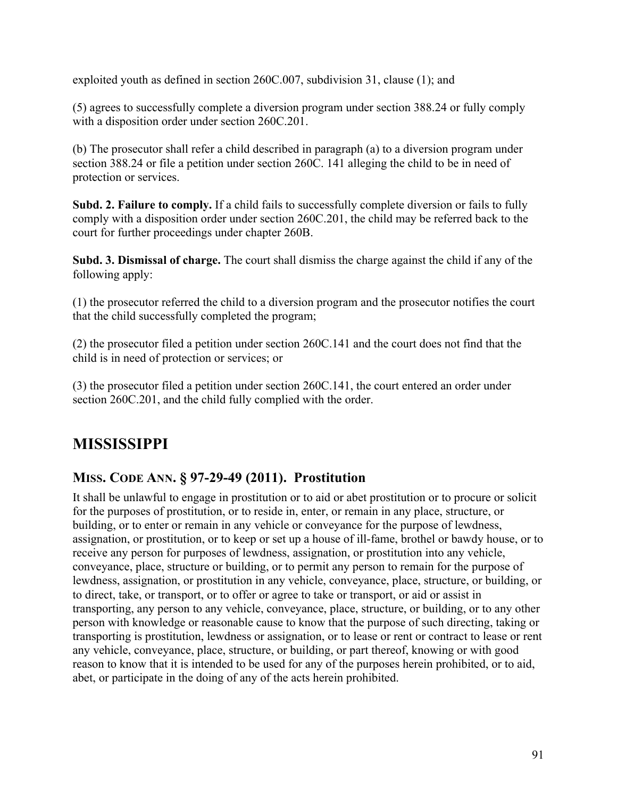exploited youth as defined in section 260C.007, subdivision 31, clause (1); and

(5) agrees to successfully complete a diversion program under section 388.24 or fully comply with a disposition order under section 260C.201.

(b) The prosecutor shall refer a child described in paragraph (a) to a diversion program under section 388.24 or file a petition under section 260C. 141 alleging the child to be in need of protection or services.

**Subd. 2. Failure to comply.** If a child fails to successfully complete diversion or fails to fully comply with a disposition order under section 260C.201, the child may be referred back to the court for further proceedings under chapter 260B.

**Subd. 3. Dismissal of charge.** The court shall dismiss the charge against the child if any of the following apply:

(1) the prosecutor referred the child to a diversion program and the prosecutor notifies the court that the child successfully completed the program;

(2) the prosecutor filed a petition under section 260C.141 and the court does not find that the child is in need of protection or services; or

(3) the prosecutor filed a petition under section 260C.141, the court entered an order under section 260C.201, and the child fully complied with the order.

## **MISSISSIPPI**

## **MISS. CODE ANN. § 97-29-49 (2011). Prostitution**

It shall be unlawful to engage in prostitution or to aid or abet prostitution or to procure or solicit for the purposes of prostitution, or to reside in, enter, or remain in any place, structure, or building, or to enter or remain in any vehicle or conveyance for the purpose of lewdness, assignation, or prostitution, or to keep or set up a house of ill-fame, brothel or bawdy house, or to receive any person for purposes of lewdness, assignation, or prostitution into any vehicle, conveyance, place, structure or building, or to permit any person to remain for the purpose of lewdness, assignation, or prostitution in any vehicle, conveyance, place, structure, or building, or to direct, take, or transport, or to offer or agree to take or transport, or aid or assist in transporting, any person to any vehicle, conveyance, place, structure, or building, or to any other person with knowledge or reasonable cause to know that the purpose of such directing, taking or transporting is prostitution, lewdness or assignation, or to lease or rent or contract to lease or rent any vehicle, conveyance, place, structure, or building, or part thereof, knowing or with good reason to know that it is intended to be used for any of the purposes herein prohibited, or to aid, abet, or participate in the doing of any of the acts herein prohibited.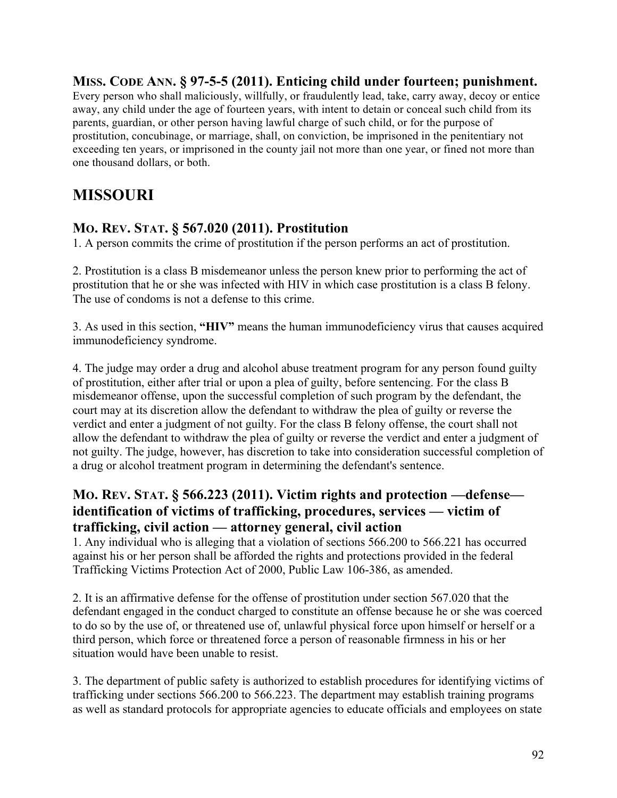**MISS. CODE ANN. § 97-5-5 (2011). Enticing child under fourteen; punishment.** Every person who shall maliciously, willfully, or fraudulently lead, take, carry away, decoy or entice away, any child under the age of fourteen years, with intent to detain or conceal such child from its parents, guardian, or other person having lawful charge of such child, or for the purpose of prostitution, concubinage, or marriage, shall, on conviction, be imprisoned in the penitentiary not exceeding ten years, or imprisoned in the county jail not more than one year, or fined not more than one thousand dollars, or both.

# **MISSOURI**

## **MO. REV. STAT. § 567.020 (2011). Prostitution**

1. A person commits the crime of prostitution if the person performs an act of prostitution.

2. Prostitution is a class B misdemeanor unless the person knew prior to performing the act of prostitution that he or she was infected with HIV in which case prostitution is a class B felony. The use of condoms is not a defense to this crime.

3. As used in this section, **"HIV"** means the human immunodeficiency virus that causes acquired immunodeficiency syndrome.

4. The judge may order a drug and alcohol abuse treatment program for any person found guilty of prostitution, either after trial or upon a plea of guilty, before sentencing. For the class B misdemeanor offense, upon the successful completion of such program by the defendant, the court may at its discretion allow the defendant to withdraw the plea of guilty or reverse the verdict and enter a judgment of not guilty. For the class B felony offense, the court shall not allow the defendant to withdraw the plea of guilty or reverse the verdict and enter a judgment of not guilty. The judge, however, has discretion to take into consideration successful completion of a drug or alcohol treatment program in determining the defendant's sentence.

## **MO. REV. STAT. § 566.223 (2011). Victim rights and protection —defense identification of victims of trafficking, procedures, services — victim of trafficking, civil action — attorney general, civil action**

1. Any individual who is alleging that a violation of sections 566.200 to 566.221 has occurred against his or her person shall be afforded the rights and protections provided in the federal Trafficking Victims Protection Act of 2000, Public Law 106-386, as amended.

2. It is an affirmative defense for the offense of prostitution under section 567.020 that the defendant engaged in the conduct charged to constitute an offense because he or she was coerced to do so by the use of, or threatened use of, unlawful physical force upon himself or herself or a third person, which force or threatened force a person of reasonable firmness in his or her situation would have been unable to resist.

3. The department of public safety is authorized to establish procedures for identifying victims of trafficking under sections 566.200 to 566.223. The department may establish training programs as well as standard protocols for appropriate agencies to educate officials and employees on state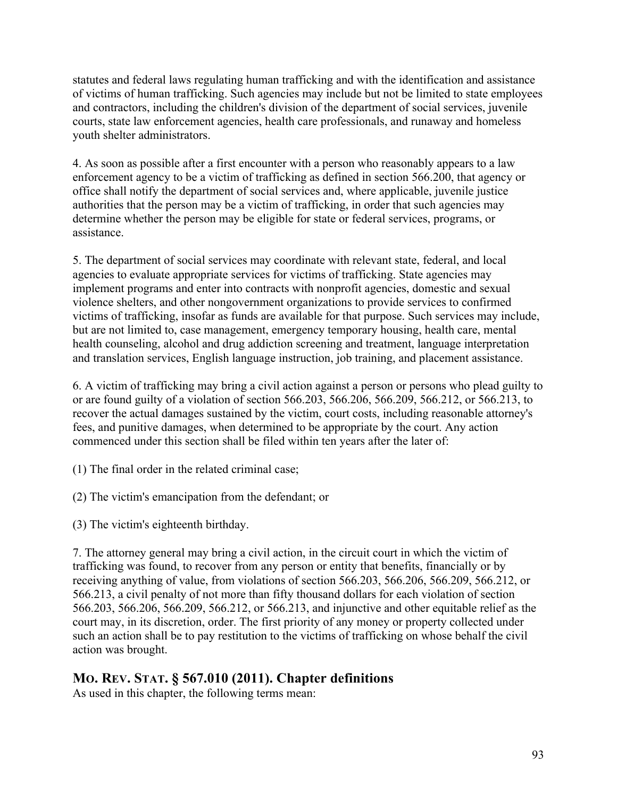statutes and federal laws regulating human trafficking and with the identification and assistance of victims of human trafficking. Such agencies may include but not be limited to state employees and contractors, including the children's division of the department of social services, juvenile courts, state law enforcement agencies, health care professionals, and runaway and homeless youth shelter administrators.

4. As soon as possible after a first encounter with a person who reasonably appears to a law enforcement agency to be a victim of trafficking as defined in section 566.200, that agency or office shall notify the department of social services and, where applicable, juvenile justice authorities that the person may be a victim of trafficking, in order that such agencies may determine whether the person may be eligible for state or federal services, programs, or assistance.

5. The department of social services may coordinate with relevant state, federal, and local agencies to evaluate appropriate services for victims of trafficking. State agencies may implement programs and enter into contracts with nonprofit agencies, domestic and sexual violence shelters, and other nongovernment organizations to provide services to confirmed victims of trafficking, insofar as funds are available for that purpose. Such services may include, but are not limited to, case management, emergency temporary housing, health care, mental health counseling, alcohol and drug addiction screening and treatment, language interpretation and translation services, English language instruction, job training, and placement assistance.

6. A victim of trafficking may bring a civil action against a person or persons who plead guilty to or are found guilty of a violation of section 566.203, 566.206, 566.209, 566.212, or 566.213, to recover the actual damages sustained by the victim, court costs, including reasonable attorney's fees, and punitive damages, when determined to be appropriate by the court. Any action commenced under this section shall be filed within ten years after the later of:

(1) The final order in the related criminal case;

(2) The victim's emancipation from the defendant; or

(3) The victim's eighteenth birthday.

7. The attorney general may bring a civil action, in the circuit court in which the victim of trafficking was found, to recover from any person or entity that benefits, financially or by receiving anything of value, from violations of section 566.203, 566.206, 566.209, 566.212, or 566.213, a civil penalty of not more than fifty thousand dollars for each violation of section 566.203, 566.206, 566.209, 566.212, or 566.213, and injunctive and other equitable relief as the court may, in its discretion, order. The first priority of any money or property collected under such an action shall be to pay restitution to the victims of trafficking on whose behalf the civil action was brought.

#### **MO. REV. STAT. § 567.010 (2011). Chapter definitions**

As used in this chapter, the following terms mean: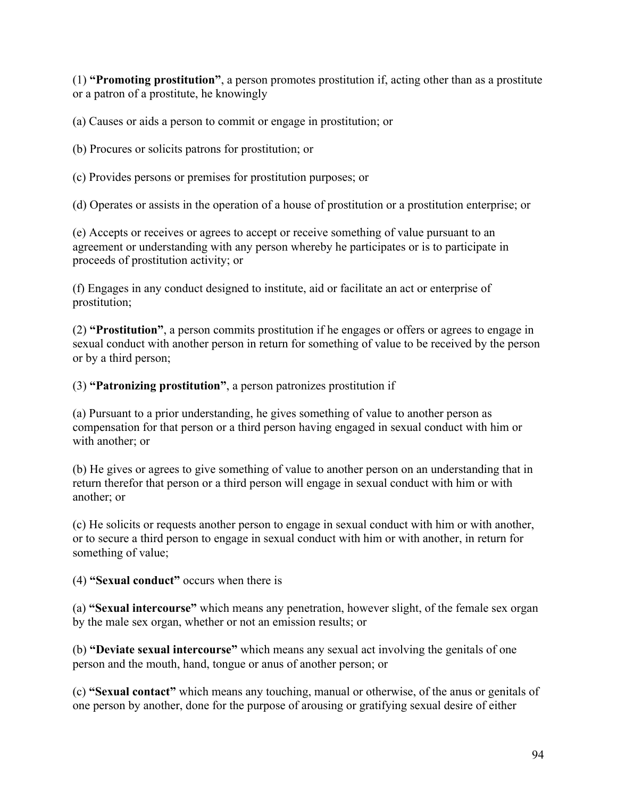(1) **"Promoting prostitution"**, a person promotes prostitution if, acting other than as a prostitute or a patron of a prostitute, he knowingly

(a) Causes or aids a person to commit or engage in prostitution; or

(b) Procures or solicits patrons for prostitution; or

(c) Provides persons or premises for prostitution purposes; or

(d) Operates or assists in the operation of a house of prostitution or a prostitution enterprise; or

(e) Accepts or receives or agrees to accept or receive something of value pursuant to an agreement or understanding with any person whereby he participates or is to participate in proceeds of prostitution activity; or

(f) Engages in any conduct designed to institute, aid or facilitate an act or enterprise of prostitution;

(2) **"Prostitution"**, a person commits prostitution if he engages or offers or agrees to engage in sexual conduct with another person in return for something of value to be received by the person or by a third person;

(3) **"Patronizing prostitution"**, a person patronizes prostitution if

(a) Pursuant to a prior understanding, he gives something of value to another person as compensation for that person or a third person having engaged in sexual conduct with him or with another; or

(b) He gives or agrees to give something of value to another person on an understanding that in return therefor that person or a third person will engage in sexual conduct with him or with another; or

(c) He solicits or requests another person to engage in sexual conduct with him or with another, or to secure a third person to engage in sexual conduct with him or with another, in return for something of value;

(4) **"Sexual conduct"** occurs when there is

(a) **"Sexual intercourse"** which means any penetration, however slight, of the female sex organ by the male sex organ, whether or not an emission results; or

(b) **"Deviate sexual intercourse"** which means any sexual act involving the genitals of one person and the mouth, hand, tongue or anus of another person; or

(c) **"Sexual contact"** which means any touching, manual or otherwise, of the anus or genitals of one person by another, done for the purpose of arousing or gratifying sexual desire of either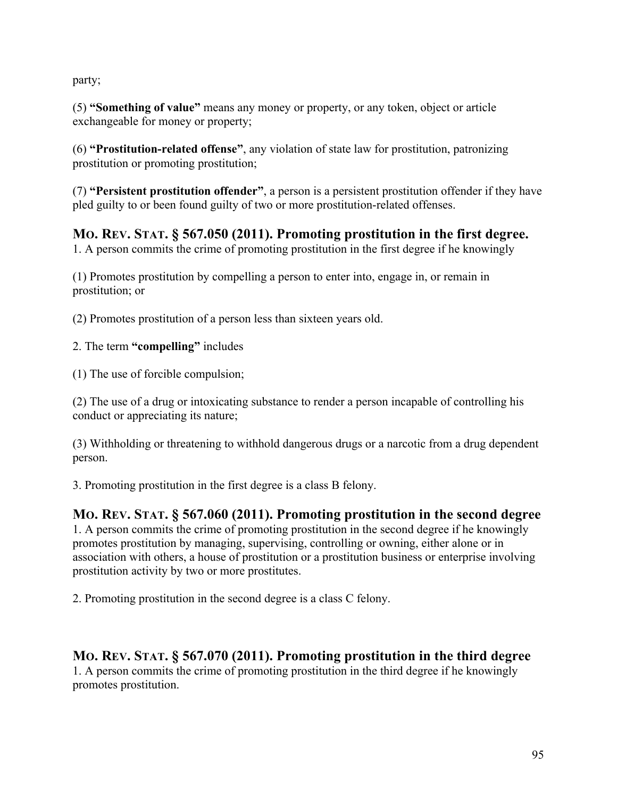party;

(5) **"Something of value"** means any money or property, or any token, object or article exchangeable for money or property;

(6) **"Prostitution-related offense"**, any violation of state law for prostitution, patronizing prostitution or promoting prostitution;

(7) **"Persistent prostitution offender"**, a person is a persistent prostitution offender if they have pled guilty to or been found guilty of two or more prostitution-related offenses.

**MO. REV. STAT. § 567.050 (2011). Promoting prostitution in the first degree.**

1. A person commits the crime of promoting prostitution in the first degree if he knowingly

(1) Promotes prostitution by compelling a person to enter into, engage in, or remain in prostitution; or

(2) Promotes prostitution of a person less than sixteen years old.

2. The term **"compelling"** includes

(1) The use of forcible compulsion;

(2) The use of a drug or intoxicating substance to render a person incapable of controlling his conduct or appreciating its nature;

(3) Withholding or threatening to withhold dangerous drugs or a narcotic from a drug dependent person.

3. Promoting prostitution in the first degree is a class B felony.

**MO. REV. STAT. § 567.060 (2011). Promoting prostitution in the second degree**

1. A person commits the crime of promoting prostitution in the second degree if he knowingly promotes prostitution by managing, supervising, controlling or owning, either alone or in association with others, a house of prostitution or a prostitution business or enterprise involving prostitution activity by two or more prostitutes.

2. Promoting prostitution in the second degree is a class C felony.

#### **MO. REV. STAT. § 567.070 (2011). Promoting prostitution in the third degree**

1. A person commits the crime of promoting prostitution in the third degree if he knowingly promotes prostitution.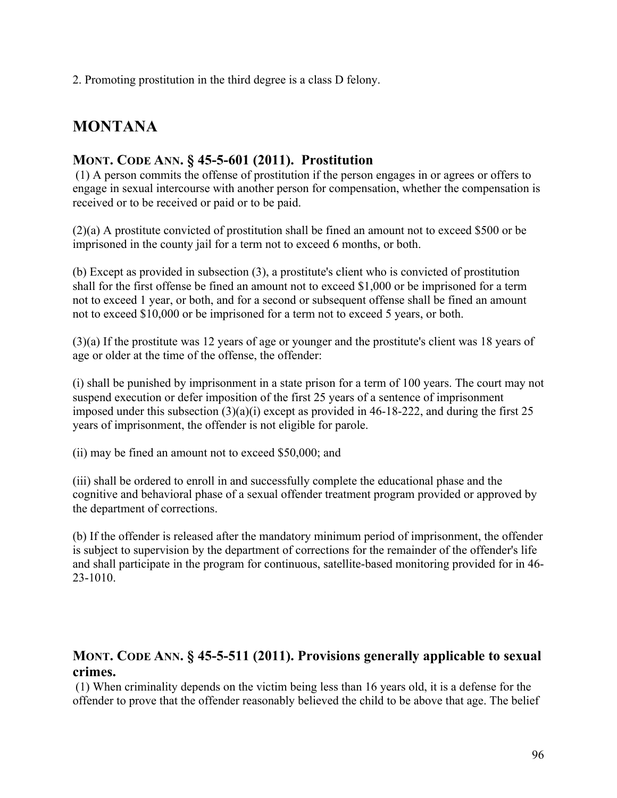2. Promoting prostitution in the third degree is a class D felony.

## **MONTANA**

### **MONT. CODE ANN. § 45-5-601 (2011). Prostitution**

 (1) A person commits the offense of prostitution if the person engages in or agrees or offers to engage in sexual intercourse with another person for compensation, whether the compensation is received or to be received or paid or to be paid.

(2)(a) A prostitute convicted of prostitution shall be fined an amount not to exceed \$500 or be imprisoned in the county jail for a term not to exceed 6 months, or both.

(b) Except as provided in subsection (3), a prostitute's client who is convicted of prostitution shall for the first offense be fined an amount not to exceed \$1,000 or be imprisoned for a term not to exceed 1 year, or both, and for a second or subsequent offense shall be fined an amount not to exceed \$10,000 or be imprisoned for a term not to exceed 5 years, or both.

(3)(a) If the prostitute was 12 years of age or younger and the prostitute's client was 18 years of age or older at the time of the offense, the offender:

(i) shall be punished by imprisonment in a state prison for a term of 100 years. The court may not suspend execution or defer imposition of the first 25 years of a sentence of imprisonment imposed under this subsection  $(3)(a)(i)$  except as provided in 46-18-222, and during the first 25 years of imprisonment, the offender is not eligible for parole.

(ii) may be fined an amount not to exceed \$50,000; and

(iii) shall be ordered to enroll in and successfully complete the educational phase and the cognitive and behavioral phase of a sexual offender treatment program provided or approved by the department of corrections.

(b) If the offender is released after the mandatory minimum period of imprisonment, the offender is subject to supervision by the department of corrections for the remainder of the offender's life and shall participate in the program for continuous, satellite-based monitoring provided for in 46- 23-1010.

### **MONT. CODE ANN. § 45-5-511 (2011). Provisions generally applicable to sexual crimes.**

 (1) When criminality depends on the victim being less than 16 years old, it is a defense for the offender to prove that the offender reasonably believed the child to be above that age. The belief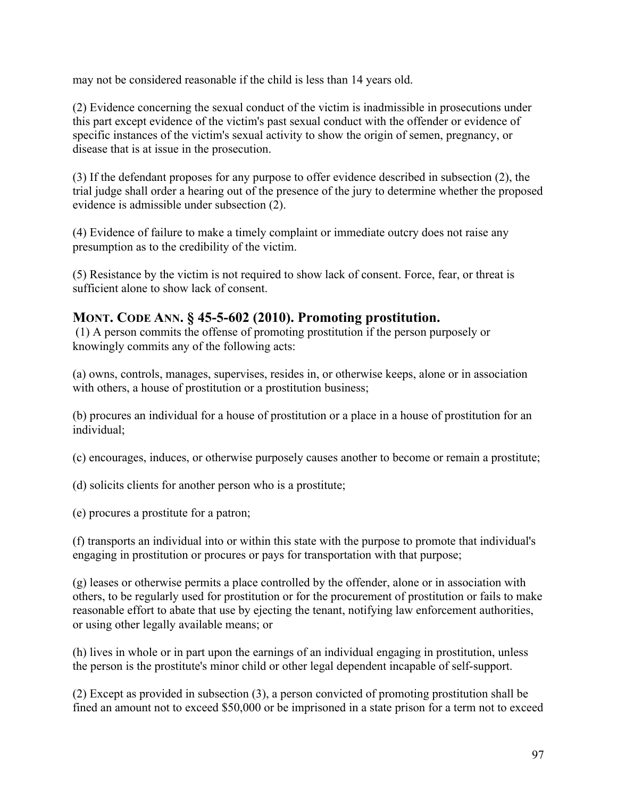may not be considered reasonable if the child is less than 14 years old.

(2) Evidence concerning the sexual conduct of the victim is inadmissible in prosecutions under this part except evidence of the victim's past sexual conduct with the offender or evidence of specific instances of the victim's sexual activity to show the origin of semen, pregnancy, or disease that is at issue in the prosecution.

(3) If the defendant proposes for any purpose to offer evidence described in subsection (2), the trial judge shall order a hearing out of the presence of the jury to determine whether the proposed evidence is admissible under subsection (2).

(4) Evidence of failure to make a timely complaint or immediate outcry does not raise any presumption as to the credibility of the victim.

(5) Resistance by the victim is not required to show lack of consent. Force, fear, or threat is sufficient alone to show lack of consent.

### **MONT. CODE ANN. § 45-5-602 (2010). Promoting prostitution.**

 (1) A person commits the offense of promoting prostitution if the person purposely or knowingly commits any of the following acts:

(a) owns, controls, manages, supervises, resides in, or otherwise keeps, alone or in association with others, a house of prostitution or a prostitution business;

(b) procures an individual for a house of prostitution or a place in a house of prostitution for an individual;

(c) encourages, induces, or otherwise purposely causes another to become or remain a prostitute;

(d) solicits clients for another person who is a prostitute;

(e) procures a prostitute for a patron;

(f) transports an individual into or within this state with the purpose to promote that individual's engaging in prostitution or procures or pays for transportation with that purpose;

(g) leases or otherwise permits a place controlled by the offender, alone or in association with others, to be regularly used for prostitution or for the procurement of prostitution or fails to make reasonable effort to abate that use by ejecting the tenant, notifying law enforcement authorities, or using other legally available means; or

(h) lives in whole or in part upon the earnings of an individual engaging in prostitution, unless the person is the prostitute's minor child or other legal dependent incapable of self-support.

(2) Except as provided in subsection (3), a person convicted of promoting prostitution shall be fined an amount not to exceed \$50,000 or be imprisoned in a state prison for a term not to exceed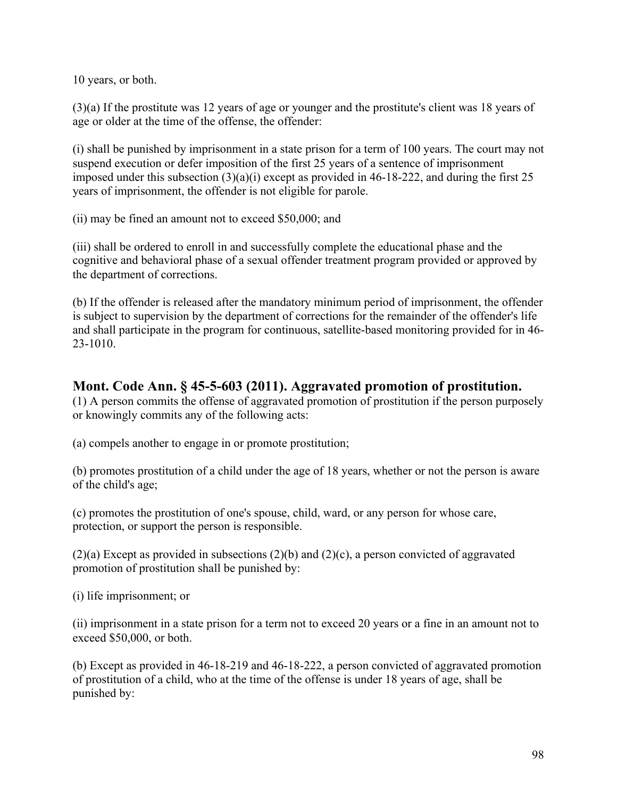10 years, or both.

(3)(a) If the prostitute was 12 years of age or younger and the prostitute's client was 18 years of age or older at the time of the offense, the offender:

(i) shall be punished by imprisonment in a state prison for a term of 100 years. The court may not suspend execution or defer imposition of the first 25 years of a sentence of imprisonment imposed under this subsection  $(3)(a)(i)$  except as provided in 46-18-222, and during the first 25 years of imprisonment, the offender is not eligible for parole.

(ii) may be fined an amount not to exceed \$50,000; and

(iii) shall be ordered to enroll in and successfully complete the educational phase and the cognitive and behavioral phase of a sexual offender treatment program provided or approved by the department of corrections.

(b) If the offender is released after the mandatory minimum period of imprisonment, the offender is subject to supervision by the department of corrections for the remainder of the offender's life and shall participate in the program for continuous, satellite-based monitoring provided for in 46- 23-1010.

#### **Mont. Code Ann. § 45-5-603 (2011). Aggravated promotion of prostitution.**

(1) A person commits the offense of aggravated promotion of prostitution if the person purposely or knowingly commits any of the following acts:

(a) compels another to engage in or promote prostitution;

(b) promotes prostitution of a child under the age of 18 years, whether or not the person is aware of the child's age;

(c) promotes the prostitution of one's spouse, child, ward, or any person for whose care, protection, or support the person is responsible.

 $(2)(a)$  Except as provided in subsections  $(2)(b)$  and  $(2)(c)$ , a person convicted of aggravated promotion of prostitution shall be punished by:

(i) life imprisonment; or

(ii) imprisonment in a state prison for a term not to exceed 20 years or a fine in an amount not to exceed \$50,000, or both.

(b) Except as provided in 46-18-219 and 46-18-222, a person convicted of aggravated promotion of prostitution of a child, who at the time of the offense is under 18 years of age, shall be punished by: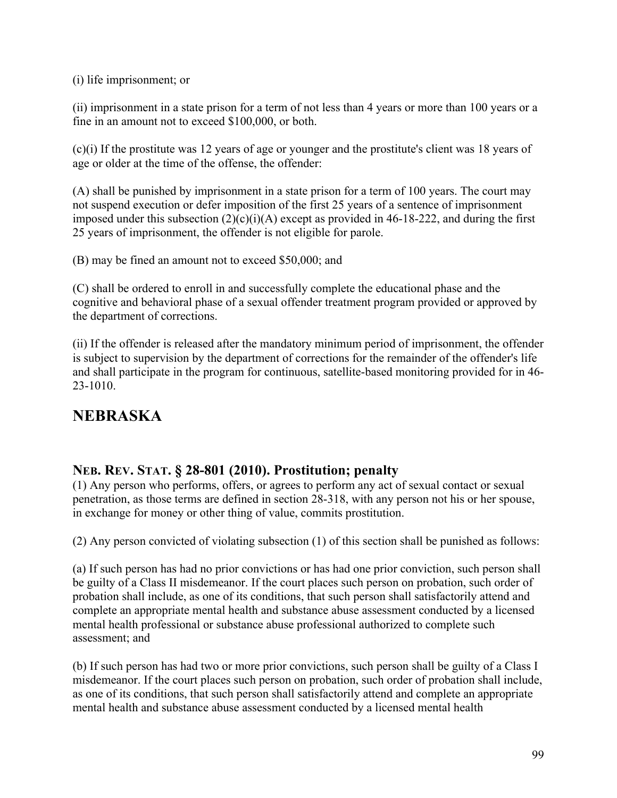(i) life imprisonment; or

(ii) imprisonment in a state prison for a term of not less than 4 years or more than 100 years or a fine in an amount not to exceed \$100,000, or both.

(c)(i) If the prostitute was 12 years of age or younger and the prostitute's client was 18 years of age or older at the time of the offense, the offender:

(A) shall be punished by imprisonment in a state prison for a term of 100 years. The court may not suspend execution or defer imposition of the first 25 years of a sentence of imprisonment imposed under this subsection  $(2)(c)(i)(A)$  except as provided in 46-18-222, and during the first 25 years of imprisonment, the offender is not eligible for parole.

(B) may be fined an amount not to exceed \$50,000; and

(C) shall be ordered to enroll in and successfully complete the educational phase and the cognitive and behavioral phase of a sexual offender treatment program provided or approved by the department of corrections.

(ii) If the offender is released after the mandatory minimum period of imprisonment, the offender is subject to supervision by the department of corrections for the remainder of the offender's life and shall participate in the program for continuous, satellite-based monitoring provided for in 46- 23-1010.

## **NEBRASKA**

#### **NEB. REV. STAT. § 28-801 (2010). Prostitution; penalty**

(1) Any person who performs, offers, or agrees to perform any act of sexual contact or sexual penetration, as those terms are defined in section 28-318, with any person not his or her spouse, in exchange for money or other thing of value, commits prostitution.

(2) Any person convicted of violating subsection (1) of this section shall be punished as follows:

(a) If such person has had no prior convictions or has had one prior conviction, such person shall be guilty of a Class II misdemeanor. If the court places such person on probation, such order of probation shall include, as one of its conditions, that such person shall satisfactorily attend and complete an appropriate mental health and substance abuse assessment conducted by a licensed mental health professional or substance abuse professional authorized to complete such assessment; and

(b) If such person has had two or more prior convictions, such person shall be guilty of a Class I misdemeanor. If the court places such person on probation, such order of probation shall include, as one of its conditions, that such person shall satisfactorily attend and complete an appropriate mental health and substance abuse assessment conducted by a licensed mental health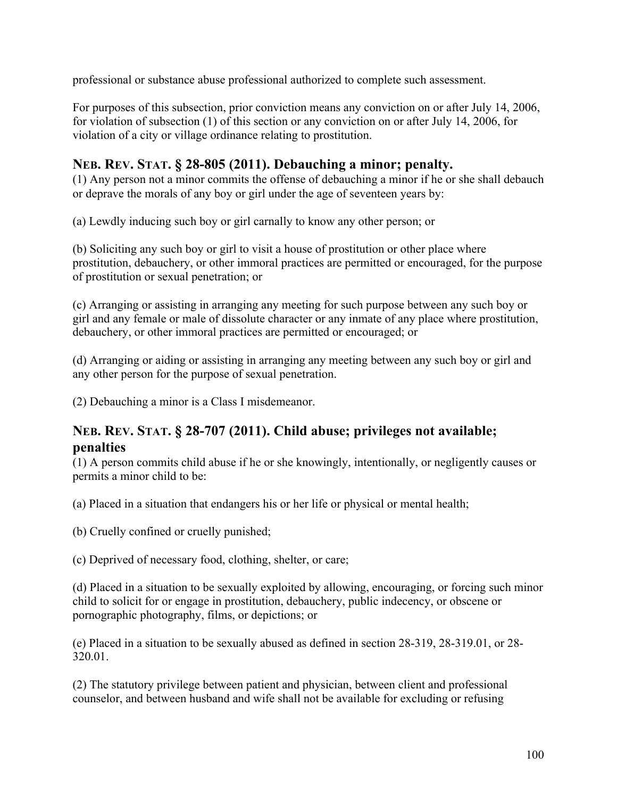professional or substance abuse professional authorized to complete such assessment.

For purposes of this subsection, prior conviction means any conviction on or after July 14, 2006, for violation of subsection (1) of this section or any conviction on or after July 14, 2006, for violation of a city or village ordinance relating to prostitution.

## **NEB. REV. STAT. § 28-805 (2011). Debauching a minor; penalty.**

(1) Any person not a minor commits the offense of debauching a minor if he or she shall debauch or deprave the morals of any boy or girl under the age of seventeen years by:

(a) Lewdly inducing such boy or girl carnally to know any other person; or

(b) Soliciting any such boy or girl to visit a house of prostitution or other place where prostitution, debauchery, or other immoral practices are permitted or encouraged, for the purpose of prostitution or sexual penetration; or

(c) Arranging or assisting in arranging any meeting for such purpose between any such boy or girl and any female or male of dissolute character or any inmate of any place where prostitution, debauchery, or other immoral practices are permitted or encouraged; or

(d) Arranging or aiding or assisting in arranging any meeting between any such boy or girl and any other person for the purpose of sexual penetration.

(2) Debauching a minor is a Class I misdemeanor.

### **NEB. REV. STAT. § 28-707 (2011). Child abuse; privileges not available; penalties**

(1) A person commits child abuse if he or she knowingly, intentionally, or negligently causes or permits a minor child to be:

(a) Placed in a situation that endangers his or her life or physical or mental health;

(b) Cruelly confined or cruelly punished;

(c) Deprived of necessary food, clothing, shelter, or care;

(d) Placed in a situation to be sexually exploited by allowing, encouraging, or forcing such minor child to solicit for or engage in prostitution, debauchery, public indecency, or obscene or pornographic photography, films, or depictions; or

(e) Placed in a situation to be sexually abused as defined in section 28-319, 28-319.01, or 28- 320.01.

(2) The statutory privilege between patient and physician, between client and professional counselor, and between husband and wife shall not be available for excluding or refusing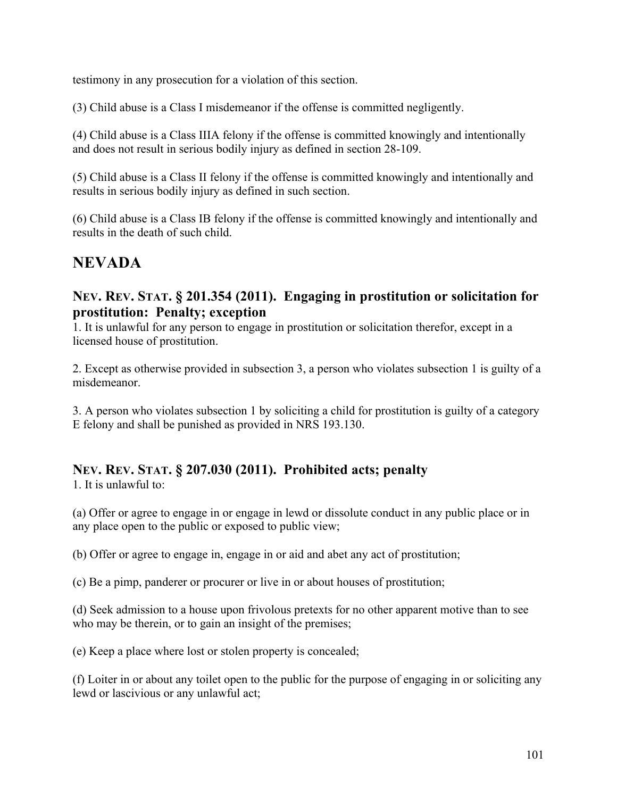testimony in any prosecution for a violation of this section.

(3) Child abuse is a Class I misdemeanor if the offense is committed negligently.

(4) Child abuse is a Class IIIA felony if the offense is committed knowingly and intentionally and does not result in serious bodily injury as defined in section 28-109.

(5) Child abuse is a Class II felony if the offense is committed knowingly and intentionally and results in serious bodily injury as defined in such section.

(6) Child abuse is a Class IB felony if the offense is committed knowingly and intentionally and results in the death of such child.

## **NEVADA**

#### **NEV. REV. STAT. § 201.354 (2011). Engaging in prostitution or solicitation for prostitution: Penalty; exception**

1. It is unlawful for any person to engage in prostitution or solicitation therefor, except in a licensed house of prostitution.

2. Except as otherwise provided in subsection 3, a person who violates subsection 1 is guilty of a misdemeanor.

3. A person who violates subsection 1 by soliciting a child for prostitution is guilty of a category E felony and shall be punished as provided in NRS 193.130.

## **NEV. REV. STAT. § 207.030 (2011). Prohibited acts; penalty**

1. It is unlawful to:

(a) Offer or agree to engage in or engage in lewd or dissolute conduct in any public place or in any place open to the public or exposed to public view;

(b) Offer or agree to engage in, engage in or aid and abet any act of prostitution;

(c) Be a pimp, panderer or procurer or live in or about houses of prostitution;

(d) Seek admission to a house upon frivolous pretexts for no other apparent motive than to see who may be therein, or to gain an insight of the premises;

(e) Keep a place where lost or stolen property is concealed;

(f) Loiter in or about any toilet open to the public for the purpose of engaging in or soliciting any lewd or lascivious or any unlawful act;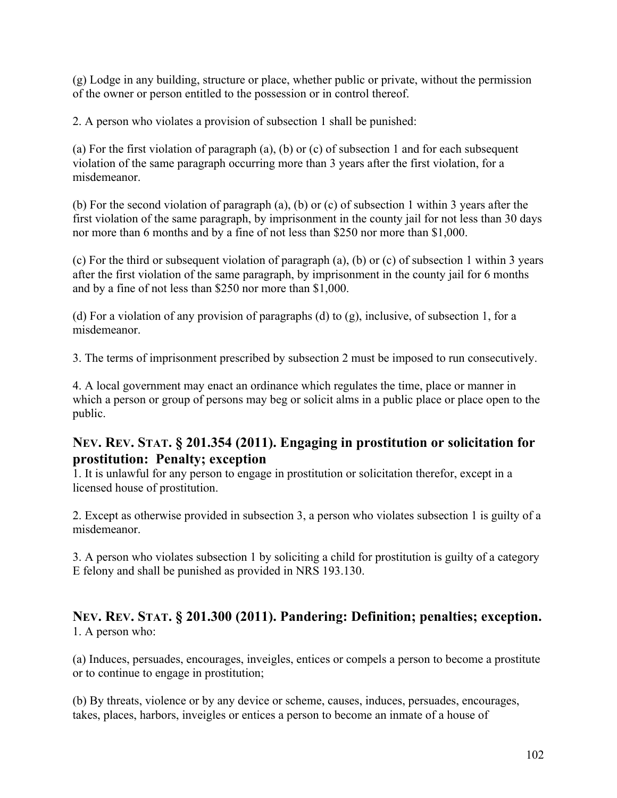(g) Lodge in any building, structure or place, whether public or private, without the permission of the owner or person entitled to the possession or in control thereof.

2. A person who violates a provision of subsection 1 shall be punished:

(a) For the first violation of paragraph (a), (b) or (c) of subsection 1 and for each subsequent violation of the same paragraph occurring more than 3 years after the first violation, for a misdemeanor.

(b) For the second violation of paragraph (a), (b) or (c) of subsection 1 within 3 years after the first violation of the same paragraph, by imprisonment in the county jail for not less than 30 days nor more than 6 months and by a fine of not less than \$250 nor more than \$1,000.

(c) For the third or subsequent violation of paragraph (a), (b) or (c) of subsection 1 within 3 years after the first violation of the same paragraph, by imprisonment in the county jail for 6 months and by a fine of not less than \$250 nor more than \$1,000.

(d) For a violation of any provision of paragraphs (d) to (g), inclusive, of subsection 1, for a misdemeanor.

3. The terms of imprisonment prescribed by subsection 2 must be imposed to run consecutively.

4. A local government may enact an ordinance which regulates the time, place or manner in which a person or group of persons may beg or solicit alms in a public place or place open to the public.

### **NEV. REV. STAT. § 201.354 (2011). Engaging in prostitution or solicitation for prostitution: Penalty; exception**

1. It is unlawful for any person to engage in prostitution or solicitation therefor, except in a licensed house of prostitution.

2. Except as otherwise provided in subsection 3, a person who violates subsection 1 is guilty of a misdemeanor.

3. A person who violates subsection 1 by soliciting a child for prostitution is guilty of a category E felony and shall be punished as provided in NRS 193.130.

#### **NEV. REV. STAT. § 201.300 (2011). Pandering: Definition; penalties; exception.** 1. A person who:

(a) Induces, persuades, encourages, inveigles, entices or compels a person to become a prostitute or to continue to engage in prostitution;

(b) By threats, violence or by any device or scheme, causes, induces, persuades, encourages, takes, places, harbors, inveigles or entices a person to become an inmate of a house of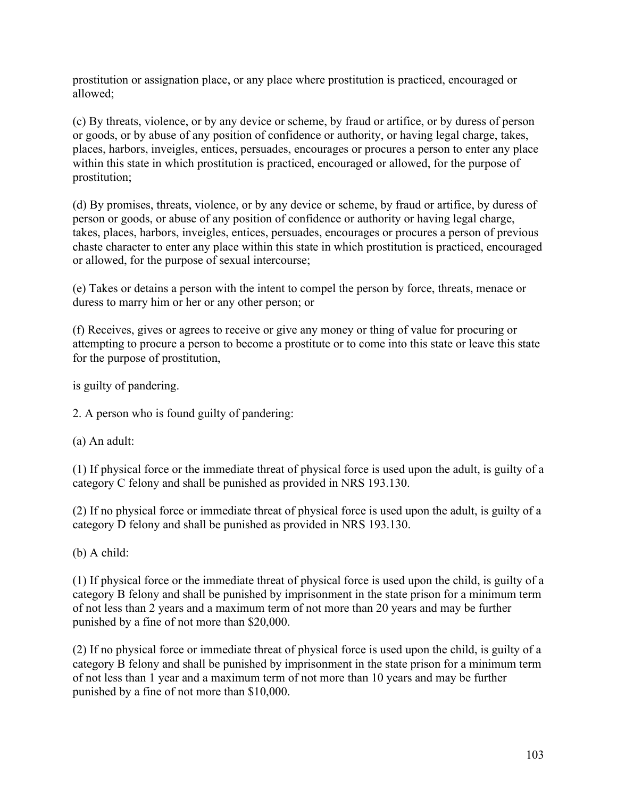prostitution or assignation place, or any place where prostitution is practiced, encouraged or allowed;

(c) By threats, violence, or by any device or scheme, by fraud or artifice, or by duress of person or goods, or by abuse of any position of confidence or authority, or having legal charge, takes, places, harbors, inveigles, entices, persuades, encourages or procures a person to enter any place within this state in which prostitution is practiced, encouraged or allowed, for the purpose of prostitution;

(d) By promises, threats, violence, or by any device or scheme, by fraud or artifice, by duress of person or goods, or abuse of any position of confidence or authority or having legal charge, takes, places, harbors, inveigles, entices, persuades, encourages or procures a person of previous chaste character to enter any place within this state in which prostitution is practiced, encouraged or allowed, for the purpose of sexual intercourse;

(e) Takes or detains a person with the intent to compel the person by force, threats, menace or duress to marry him or her or any other person; or

(f) Receives, gives or agrees to receive or give any money or thing of value for procuring or attempting to procure a person to become a prostitute or to come into this state or leave this state for the purpose of prostitution,

is guilty of pandering.

2. A person who is found guilty of pandering:

(a) An adult:

(1) If physical force or the immediate threat of physical force is used upon the adult, is guilty of a category C felony and shall be punished as provided in NRS 193.130.

(2) If no physical force or immediate threat of physical force is used upon the adult, is guilty of a category D felony and shall be punished as provided in NRS 193.130.

(b) A child:

(1) If physical force or the immediate threat of physical force is used upon the child, is guilty of a category B felony and shall be punished by imprisonment in the state prison for a minimum term of not less than 2 years and a maximum term of not more than 20 years and may be further punished by a fine of not more than \$20,000.

(2) If no physical force or immediate threat of physical force is used upon the child, is guilty of a category B felony and shall be punished by imprisonment in the state prison for a minimum term of not less than 1 year and a maximum term of not more than 10 years and may be further punished by a fine of not more than \$10,000.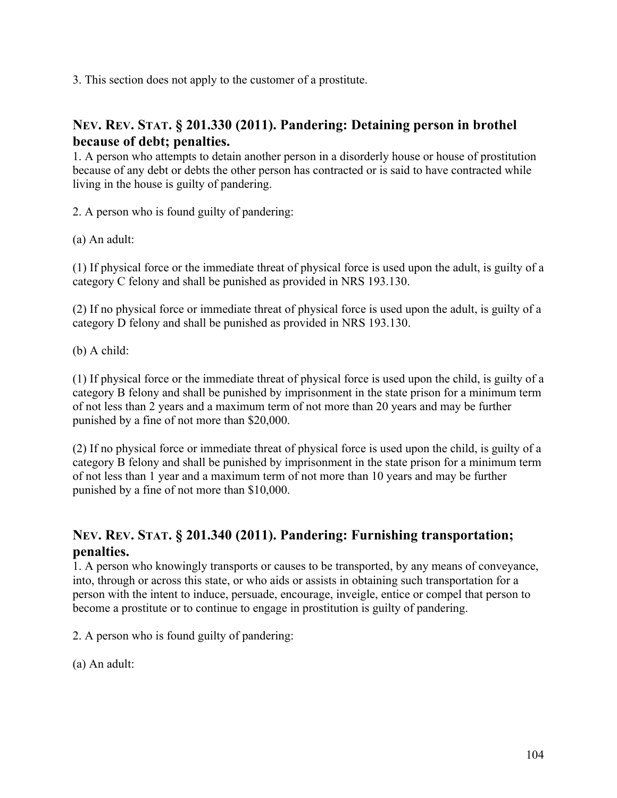3. This section does not apply to the customer of a prostitute.

#### **NEV. REV. STAT. § 201.330 (2011). Pandering: Detaining person in brothel because of debt; penalties.**

1. A person who attempts to detain another person in a disorderly house or house of prostitution because of any debt or debts the other person has contracted or is said to have contracted while living in the house is guilty of pandering.

2. A person who is found guilty of pandering:

(a) An adult:

(1) If physical force or the immediate threat of physical force is used upon the adult, is guilty of a category C felony and shall be punished as provided in NRS 193.130.

(2) If no physical force or immediate threat of physical force is used upon the adult, is guilty of a category D felony and shall be punished as provided in NRS 193.130.

(b) A child:

(1) If physical force or the immediate threat of physical force is used upon the child, is guilty of a category B felony and shall be punished by imprisonment in the state prison for a minimum term of not less than 2 years and a maximum term of not more than 20 years and may be further punished by a fine of not more than \$20,000.

(2) If no physical force or immediate threat of physical force is used upon the child, is guilty of a category B felony and shall be punished by imprisonment in the state prison for a minimum term of not less than 1 year and a maximum term of not more than 10 years and may be further punished by a fine of not more than \$10,000.

## **NEV. REV. STAT. § 201.340 (2011). Pandering: Furnishing transportation; penalties.**

1. A person who knowingly transports or causes to be transported, by any means of conveyance, into, through or across this state, or who aids or assists in obtaining such transportation for a person with the intent to induce, persuade, encourage, inveigle, entice or compel that person to become a prostitute or to continue to engage in prostitution is guilty of pandering.

2. A person who is found guilty of pandering:

(a) An adult: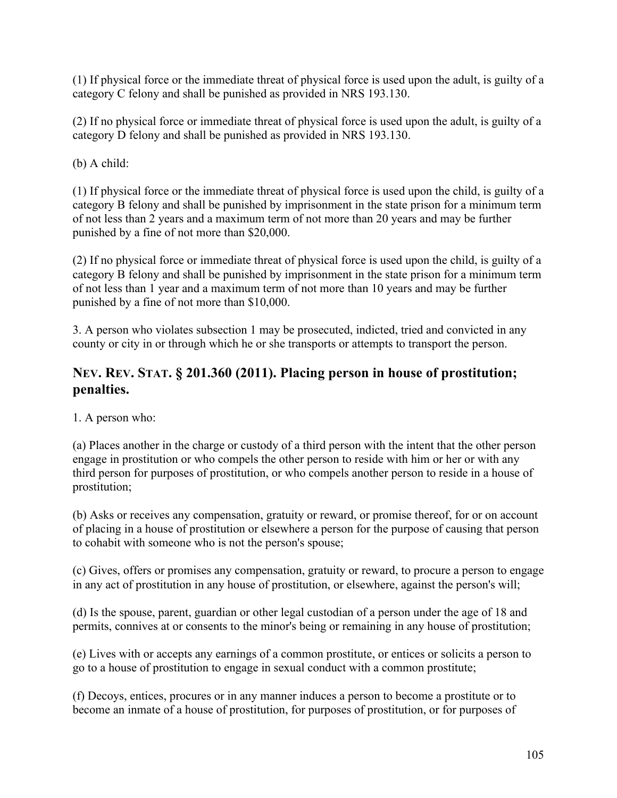(1) If physical force or the immediate threat of physical force is used upon the adult, is guilty of a category C felony and shall be punished as provided in NRS 193.130.

(2) If no physical force or immediate threat of physical force is used upon the adult, is guilty of a category D felony and shall be punished as provided in NRS 193.130.

(b) A child:

(1) If physical force or the immediate threat of physical force is used upon the child, is guilty of a category B felony and shall be punished by imprisonment in the state prison for a minimum term of not less than 2 years and a maximum term of not more than 20 years and may be further punished by a fine of not more than \$20,000.

(2) If no physical force or immediate threat of physical force is used upon the child, is guilty of a category B felony and shall be punished by imprisonment in the state prison for a minimum term of not less than 1 year and a maximum term of not more than 10 years and may be further punished by a fine of not more than \$10,000.

3. A person who violates subsection 1 may be prosecuted, indicted, tried and convicted in any county or city in or through which he or she transports or attempts to transport the person.

## **NEV. REV. STAT. § 201.360 (2011). Placing person in house of prostitution; penalties.**

1. A person who:

(a) Places another in the charge or custody of a third person with the intent that the other person engage in prostitution or who compels the other person to reside with him or her or with any third person for purposes of prostitution, or who compels another person to reside in a house of prostitution;

(b) Asks or receives any compensation, gratuity or reward, or promise thereof, for or on account of placing in a house of prostitution or elsewhere a person for the purpose of causing that person to cohabit with someone who is not the person's spouse;

(c) Gives, offers or promises any compensation, gratuity or reward, to procure a person to engage in any act of prostitution in any house of prostitution, or elsewhere, against the person's will;

(d) Is the spouse, parent, guardian or other legal custodian of a person under the age of 18 and permits, connives at or consents to the minor's being or remaining in any house of prostitution;

(e) Lives with or accepts any earnings of a common prostitute, or entices or solicits a person to go to a house of prostitution to engage in sexual conduct with a common prostitute;

(f) Decoys, entices, procures or in any manner induces a person to become a prostitute or to become an inmate of a house of prostitution, for purposes of prostitution, or for purposes of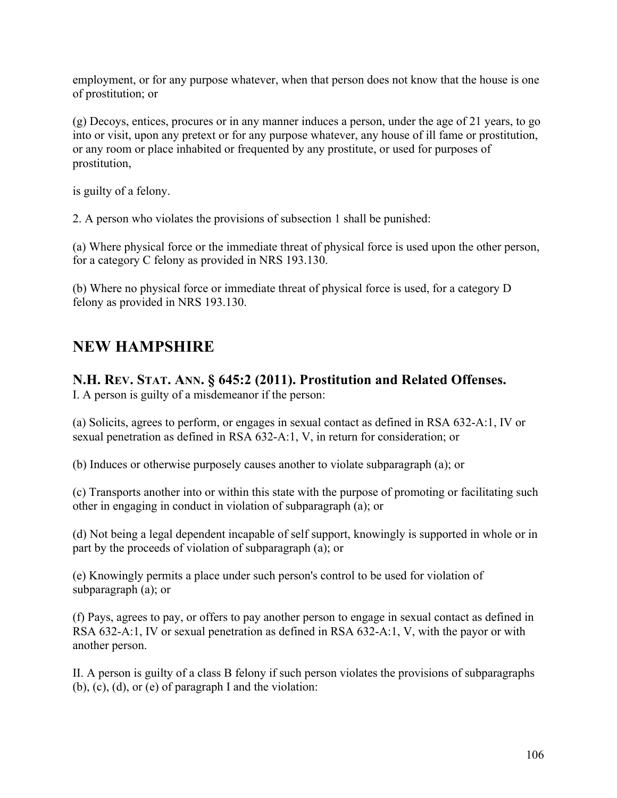employment, or for any purpose whatever, when that person does not know that the house is one of prostitution; or

(g) Decoys, entices, procures or in any manner induces a person, under the age of 21 years, to go into or visit, upon any pretext or for any purpose whatever, any house of ill fame or prostitution, or any room or place inhabited or frequented by any prostitute, or used for purposes of prostitution,

is guilty of a felony.

2. A person who violates the provisions of subsection 1 shall be punished:

(a) Where physical force or the immediate threat of physical force is used upon the other person, for a category C felony as provided in NRS 193.130.

(b) Where no physical force or immediate threat of physical force is used, for a category D felony as provided in NRS 193.130.

## **NEW HAMPSHIRE**

## **N.H. REV. STAT. ANN. § 645:2 (2011). Prostitution and Related Offenses.**

I. A person is guilty of a misdemeanor if the person:

(a) Solicits, agrees to perform, or engages in sexual contact as defined in RSA 632-A:1, IV or sexual penetration as defined in RSA 632-A:1, V, in return for consideration; or

(b) Induces or otherwise purposely causes another to violate subparagraph (a); or

(c) Transports another into or within this state with the purpose of promoting or facilitating such other in engaging in conduct in violation of subparagraph (a); or

(d) Not being a legal dependent incapable of self support, knowingly is supported in whole or in part by the proceeds of violation of subparagraph (a); or

(e) Knowingly permits a place under such person's control to be used for violation of subparagraph (a); or

(f) Pays, agrees to pay, or offers to pay another person to engage in sexual contact as defined in RSA 632-A:1, IV or sexual penetration as defined in RSA 632-A:1, V, with the payor or with another person.

II. A person is guilty of a class B felony if such person violates the provisions of subparagraphs  $(b)$ ,  $(c)$ ,  $(d)$ , or  $(e)$  of paragraph I and the violation: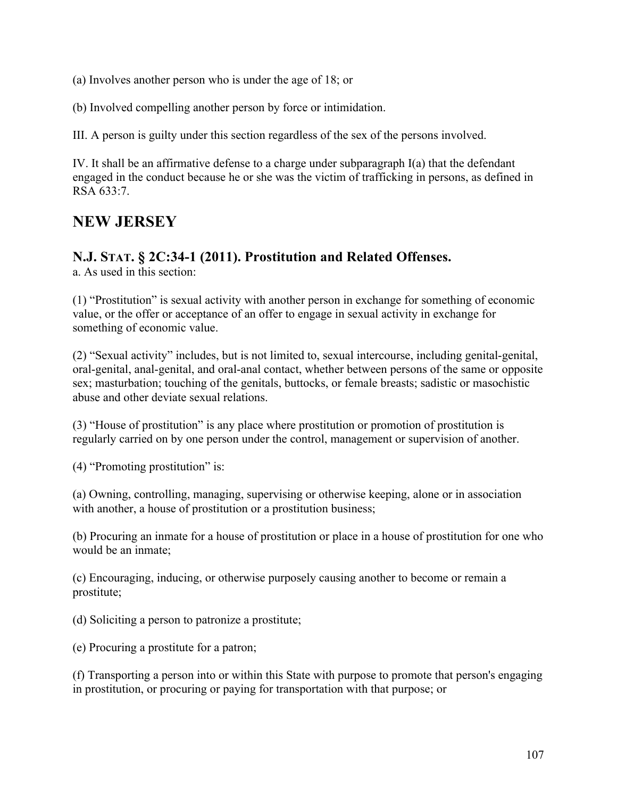(a) Involves another person who is under the age of 18; or

(b) Involved compelling another person by force or intimidation.

III. A person is guilty under this section regardless of the sex of the persons involved.

IV. It shall be an affirmative defense to a charge under subparagraph I(a) that the defendant engaged in the conduct because he or she was the victim of trafficking in persons, as defined in  $RSA$  633.7

## **NEW JERSEY**

## **N.J. STAT. § 2C:34-1 (2011). Prostitution and Related Offenses.**

a. As used in this section:

(1) "Prostitution" is sexual activity with another person in exchange for something of economic value, or the offer or acceptance of an offer to engage in sexual activity in exchange for something of economic value.

(2) "Sexual activity" includes, but is not limited to, sexual intercourse, including genital-genital, oral-genital, anal-genital, and oral-anal contact, whether between persons of the same or opposite sex; masturbation; touching of the genitals, buttocks, or female breasts; sadistic or masochistic abuse and other deviate sexual relations.

(3) "House of prostitution" is any place where prostitution or promotion of prostitution is regularly carried on by one person under the control, management or supervision of another.

(4) "Promoting prostitution" is:

(a) Owning, controlling, managing, supervising or otherwise keeping, alone or in association with another, a house of prostitution or a prostitution business;

(b) Procuring an inmate for a house of prostitution or place in a house of prostitution for one who would be an inmate;

(c) Encouraging, inducing, or otherwise purposely causing another to become or remain a prostitute;

(d) Soliciting a person to patronize a prostitute;

(e) Procuring a prostitute for a patron;

(f) Transporting a person into or within this State with purpose to promote that person's engaging in prostitution, or procuring or paying for transportation with that purpose; or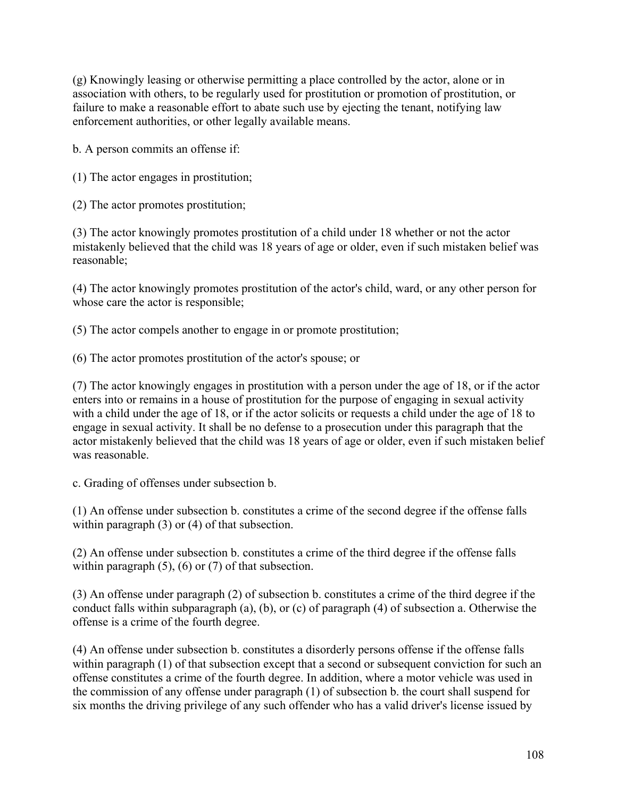(g) Knowingly leasing or otherwise permitting a place controlled by the actor, alone or in association with others, to be regularly used for prostitution or promotion of prostitution, or failure to make a reasonable effort to abate such use by ejecting the tenant, notifying law enforcement authorities, or other legally available means.

b. A person commits an offense if:

(1) The actor engages in prostitution;

(2) The actor promotes prostitution;

(3) The actor knowingly promotes prostitution of a child under 18 whether or not the actor mistakenly believed that the child was 18 years of age or older, even if such mistaken belief was reasonable;

(4) The actor knowingly promotes prostitution of the actor's child, ward, or any other person for whose care the actor is responsible;

(5) The actor compels another to engage in or promote prostitution;

(6) The actor promotes prostitution of the actor's spouse; or

(7) The actor knowingly engages in prostitution with a person under the age of 18, or if the actor enters into or remains in a house of prostitution for the purpose of engaging in sexual activity with a child under the age of 18, or if the actor solicits or requests a child under the age of 18 to engage in sexual activity. It shall be no defense to a prosecution under this paragraph that the actor mistakenly believed that the child was 18 years of age or older, even if such mistaken belief was reasonable.

c. Grading of offenses under subsection b.

(1) An offense under subsection b. constitutes a crime of the second degree if the offense falls within paragraph (3) or (4) of that subsection.

(2) An offense under subsection b. constitutes a crime of the third degree if the offense falls within paragraph  $(5)$ ,  $(6)$  or  $(7)$  of that subsection.

(3) An offense under paragraph (2) of subsection b. constitutes a crime of the third degree if the conduct falls within subparagraph (a), (b), or (c) of paragraph (4) of subsection a. Otherwise the offense is a crime of the fourth degree.

(4) An offense under subsection b. constitutes a disorderly persons offense if the offense falls within paragraph (1) of that subsection except that a second or subsequent conviction for such an offense constitutes a crime of the fourth degree. In addition, where a motor vehicle was used in the commission of any offense under paragraph (1) of subsection b. the court shall suspend for six months the driving privilege of any such offender who has a valid driver's license issued by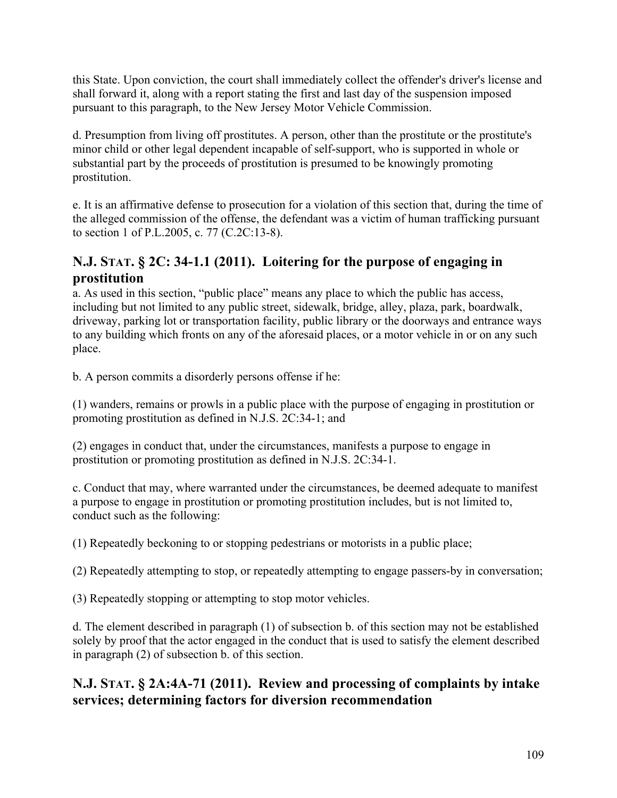this State. Upon conviction, the court shall immediately collect the offender's driver's license and shall forward it, along with a report stating the first and last day of the suspension imposed pursuant to this paragraph, to the New Jersey Motor Vehicle Commission.

d. Presumption from living off prostitutes. A person, other than the prostitute or the prostitute's minor child or other legal dependent incapable of self-support, who is supported in whole or substantial part by the proceeds of prostitution is presumed to be knowingly promoting prostitution.

e. It is an affirmative defense to prosecution for a violation of this section that, during the time of the alleged commission of the offense, the defendant was a victim of human trafficking pursuant to section 1 of P.L.2005, c. 77 (C.2C:13-8).

### **N.J. STAT. § 2C: 34-1.1 (2011). Loitering for the purpose of engaging in prostitution**

a. As used in this section, "public place" means any place to which the public has access, including but not limited to any public street, sidewalk, bridge, alley, plaza, park, boardwalk, driveway, parking lot or transportation facility, public library or the doorways and entrance ways to any building which fronts on any of the aforesaid places, or a motor vehicle in or on any such place.

b. A person commits a disorderly persons offense if he:

(1) wanders, remains or prowls in a public place with the purpose of engaging in prostitution or promoting prostitution as defined in N.J.S. 2C:34-1; and

(2) engages in conduct that, under the circumstances, manifests a purpose to engage in prostitution or promoting prostitution as defined in N.J.S. 2C:34-1.

c. Conduct that may, where warranted under the circumstances, be deemed adequate to manifest a purpose to engage in prostitution or promoting prostitution includes, but is not limited to, conduct such as the following:

(1) Repeatedly beckoning to or stopping pedestrians or motorists in a public place;

(2) Repeatedly attempting to stop, or repeatedly attempting to engage passers-by in conversation;

(3) Repeatedly stopping or attempting to stop motor vehicles.

d. The element described in paragraph (1) of subsection b. of this section may not be established solely by proof that the actor engaged in the conduct that is used to satisfy the element described in paragraph (2) of subsection b. of this section.

#### **N.J. STAT. § 2A:4A-71 (2011). Review and processing of complaints by intake services; determining factors for diversion recommendation**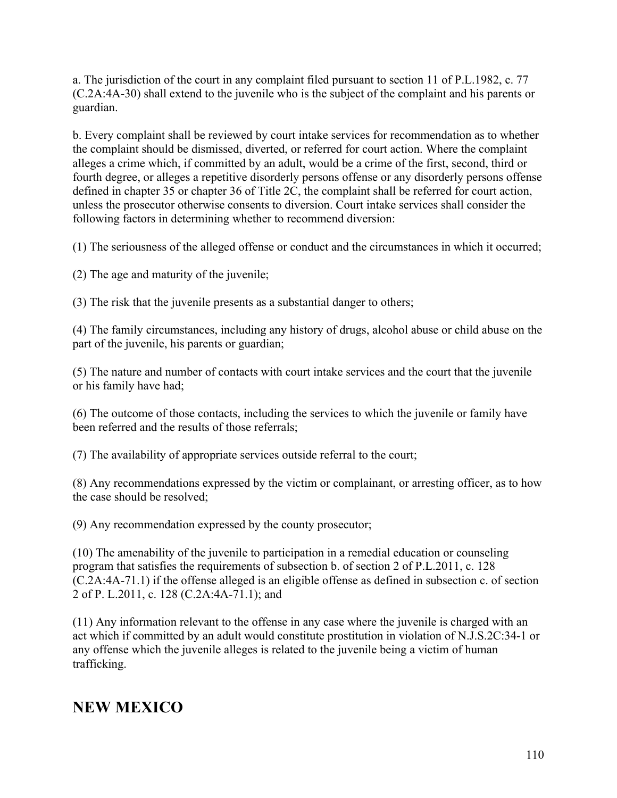a. The jurisdiction of the court in any complaint filed pursuant to section 11 of P.L.1982, c. 77 (C.2A:4A-30) shall extend to the juvenile who is the subject of the complaint and his parents or guardian.

b. Every complaint shall be reviewed by court intake services for recommendation as to whether the complaint should be dismissed, diverted, or referred for court action. Where the complaint alleges a crime which, if committed by an adult, would be a crime of the first, second, third or fourth degree, or alleges a repetitive disorderly persons offense or any disorderly persons offense defined in chapter 35 or chapter 36 of Title 2C, the complaint shall be referred for court action, unless the prosecutor otherwise consents to diversion. Court intake services shall consider the following factors in determining whether to recommend diversion:

(1) The seriousness of the alleged offense or conduct and the circumstances in which it occurred;

(2) The age and maturity of the juvenile;

(3) The risk that the juvenile presents as a substantial danger to others;

(4) The family circumstances, including any history of drugs, alcohol abuse or child abuse on the part of the juvenile, his parents or guardian;

(5) The nature and number of contacts with court intake services and the court that the juvenile or his family have had;

(6) The outcome of those contacts, including the services to which the juvenile or family have been referred and the results of those referrals;

(7) The availability of appropriate services outside referral to the court;

(8) Any recommendations expressed by the victim or complainant, or arresting officer, as to how the case should be resolved;

(9) Any recommendation expressed by the county prosecutor;

(10) The amenability of the juvenile to participation in a remedial education or counseling program that satisfies the requirements of subsection b. of section 2 of P.L.2011, c. 128 (C.2A:4A-71.1) if the offense alleged is an eligible offense as defined in subsection c. of section 2 of P. L.2011, c. 128 (C.2A:4A-71.1); and

(11) Any information relevant to the offense in any case where the juvenile is charged with an act which if committed by an adult would constitute prostitution in violation of N.J.S.2C:34-1 or any offense which the juvenile alleges is related to the juvenile being a victim of human trafficking.

# **NEW MEXICO**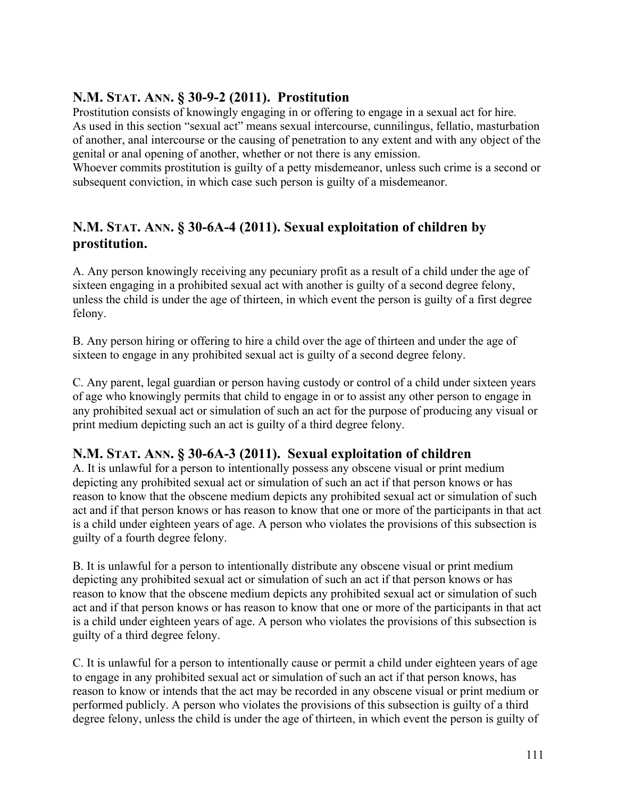## **N.M. STAT. ANN. § 30-9-2 (2011). Prostitution**

Prostitution consists of knowingly engaging in or offering to engage in a sexual act for hire. As used in this section "sexual act" means sexual intercourse, cunnilingus, fellatio, masturbation of another, anal intercourse or the causing of penetration to any extent and with any object of the genital or anal opening of another, whether or not there is any emission.

Whoever commits prostitution is guilty of a petty misdemeanor, unless such crime is a second or subsequent conviction, in which case such person is guilty of a misdemeanor.

## **N.M. STAT. ANN. § 30-6A-4 (2011). Sexual exploitation of children by prostitution.**

A. Any person knowingly receiving any pecuniary profit as a result of a child under the age of sixteen engaging in a prohibited sexual act with another is guilty of a second degree felony, unless the child is under the age of thirteen, in which event the person is guilty of a first degree felony.

B. Any person hiring or offering to hire a child over the age of thirteen and under the age of sixteen to engage in any prohibited sexual act is guilty of a second degree felony.

C. Any parent, legal guardian or person having custody or control of a child under sixteen years of age who knowingly permits that child to engage in or to assist any other person to engage in any prohibited sexual act or simulation of such an act for the purpose of producing any visual or print medium depicting such an act is guilty of a third degree felony.

## **N.M. STAT. ANN. § 30-6A-3 (2011). Sexual exploitation of children**

A. It is unlawful for a person to intentionally possess any obscene visual or print medium depicting any prohibited sexual act or simulation of such an act if that person knows or has reason to know that the obscene medium depicts any prohibited sexual act or simulation of such act and if that person knows or has reason to know that one or more of the participants in that act is a child under eighteen years of age. A person who violates the provisions of this subsection is guilty of a fourth degree felony.

B. It is unlawful for a person to intentionally distribute any obscene visual or print medium depicting any prohibited sexual act or simulation of such an act if that person knows or has reason to know that the obscene medium depicts any prohibited sexual act or simulation of such act and if that person knows or has reason to know that one or more of the participants in that act is a child under eighteen years of age. A person who violates the provisions of this subsection is guilty of a third degree felony.

C. It is unlawful for a person to intentionally cause or permit a child under eighteen years of age to engage in any prohibited sexual act or simulation of such an act if that person knows, has reason to know or intends that the act may be recorded in any obscene visual or print medium or performed publicly. A person who violates the provisions of this subsection is guilty of a third degree felony, unless the child is under the age of thirteen, in which event the person is guilty of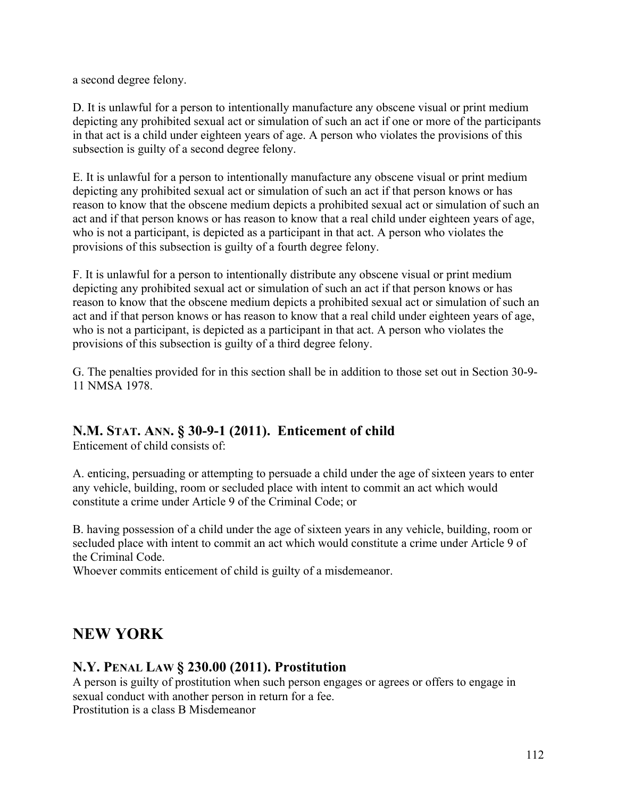a second degree felony.

D. It is unlawful for a person to intentionally manufacture any obscene visual or print medium depicting any prohibited sexual act or simulation of such an act if one or more of the participants in that act is a child under eighteen years of age. A person who violates the provisions of this subsection is guilty of a second degree felony.

E. It is unlawful for a person to intentionally manufacture any obscene visual or print medium depicting any prohibited sexual act or simulation of such an act if that person knows or has reason to know that the obscene medium depicts a prohibited sexual act or simulation of such an act and if that person knows or has reason to know that a real child under eighteen years of age, who is not a participant, is depicted as a participant in that act. A person who violates the provisions of this subsection is guilty of a fourth degree felony.

F. It is unlawful for a person to intentionally distribute any obscene visual or print medium depicting any prohibited sexual act or simulation of such an act if that person knows or has reason to know that the obscene medium depicts a prohibited sexual act or simulation of such an act and if that person knows or has reason to know that a real child under eighteen years of age, who is not a participant, is depicted as a participant in that act. A person who violates the provisions of this subsection is guilty of a third degree felony.

G. The penalties provided for in this section shall be in addition to those set out in Section 30-9- 11 NMSA 1978.

## **N.M. STAT. ANN. § 30-9-1 (2011). Enticement of child**

Enticement of child consists of:

A. enticing, persuading or attempting to persuade a child under the age of sixteen years to enter any vehicle, building, room or secluded place with intent to commit an act which would constitute a crime under Article 9 of the Criminal Code; or

B. having possession of a child under the age of sixteen years in any vehicle, building, room or secluded place with intent to commit an act which would constitute a crime under Article 9 of the Criminal Code.

Whoever commits enticement of child is guilty of a misdemeanor.

## **NEW YORK**

#### **N.Y. PENAL LAW § 230.00 (2011). Prostitution**

A person is guilty of prostitution when such person engages or agrees or offers to engage in sexual conduct with another person in return for a fee. Prostitution is a class B Misdemeanor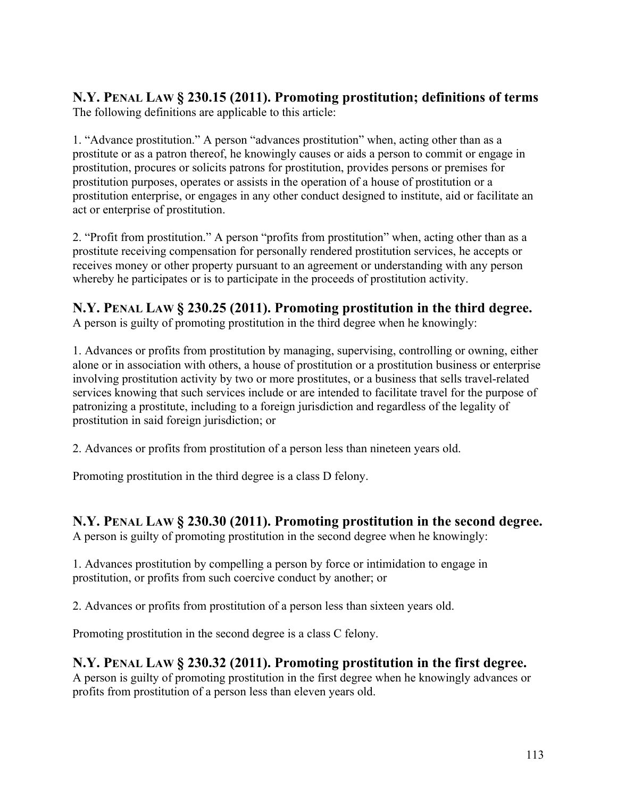# **N.Y. PENAL LAW § 230.15 (2011). Promoting prostitution; definitions of terms**

The following definitions are applicable to this article:

1. "Advance prostitution." A person "advances prostitution" when, acting other than as a prostitute or as a patron thereof, he knowingly causes or aids a person to commit or engage in prostitution, procures or solicits patrons for prostitution, provides persons or premises for prostitution purposes, operates or assists in the operation of a house of prostitution or a prostitution enterprise, or engages in any other conduct designed to institute, aid or facilitate an act or enterprise of prostitution.

2. "Profit from prostitution." A person "profits from prostitution" when, acting other than as a prostitute receiving compensation for personally rendered prostitution services, he accepts or receives money or other property pursuant to an agreement or understanding with any person whereby he participates or is to participate in the proceeds of prostitution activity.

## **N.Y. PENAL LAW § 230.25 (2011). Promoting prostitution in the third degree.**

A person is guilty of promoting prostitution in the third degree when he knowingly:

1. Advances or profits from prostitution by managing, supervising, controlling or owning, either alone or in association with others, a house of prostitution or a prostitution business or enterprise involving prostitution activity by two or more prostitutes, or a business that sells travel-related services knowing that such services include or are intended to facilitate travel for the purpose of patronizing a prostitute, including to a foreign jurisdiction and regardless of the legality of prostitution in said foreign jurisdiction; or

2. Advances or profits from prostitution of a person less than nineteen years old.

Promoting prostitution in the third degree is a class D felony.

## **N.Y. PENAL LAW § 230.30 (2011). Promoting prostitution in the second degree.**

A person is guilty of promoting prostitution in the second degree when he knowingly:

1. Advances prostitution by compelling a person by force or intimidation to engage in prostitution, or profits from such coercive conduct by another; or

2. Advances or profits from prostitution of a person less than sixteen years old.

Promoting prostitution in the second degree is a class C felony.

## **N.Y. PENAL LAW § 230.32 (2011). Promoting prostitution in the first degree.**

A person is guilty of promoting prostitution in the first degree when he knowingly advances or profits from prostitution of a person less than eleven years old.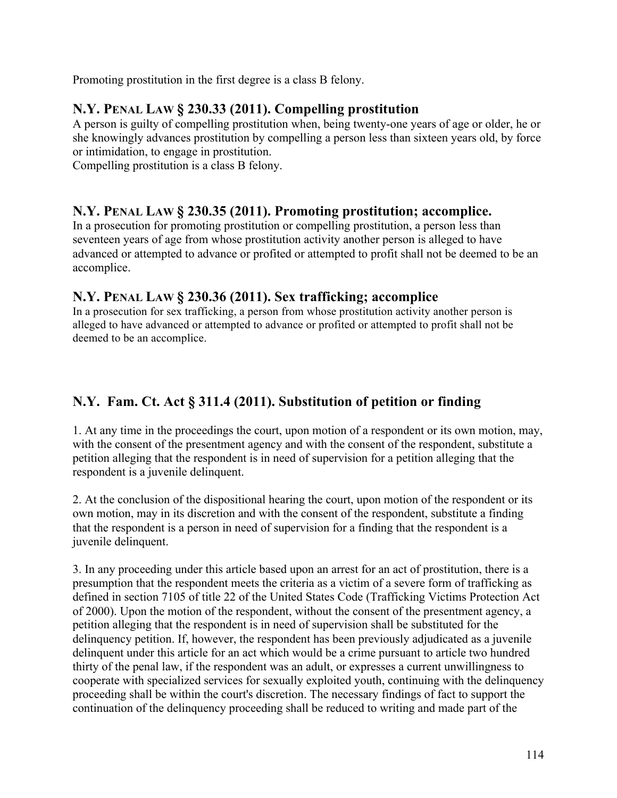Promoting prostitution in the first degree is a class B felony.

## **N.Y. PENAL LAW § 230.33 (2011). Compelling prostitution**

A person is guilty of compelling prostitution when, being twenty-one years of age or older, he or she knowingly advances prostitution by compelling a person less than sixteen years old, by force or intimidation, to engage in prostitution.

Compelling prostitution is a class B felony.

#### **N.Y. PENAL LAW § 230.35 (2011). Promoting prostitution; accomplice.**

In a prosecution for promoting prostitution or compelling prostitution, a person less than seventeen years of age from whose prostitution activity another person is alleged to have advanced or attempted to advance or profited or attempted to profit shall not be deemed to be an accomplice.

#### **N.Y. PENAL LAW § 230.36 (2011). Sex trafficking; accomplice**

In a prosecution for sex trafficking, a person from whose prostitution activity another person is alleged to have advanced or attempted to advance or profited or attempted to profit shall not be deemed to be an accomplice.

## **N.Y. Fam. Ct. Act § 311.4 (2011). Substitution of petition or finding**

1. At any time in the proceedings the court, upon motion of a respondent or its own motion, may, with the consent of the presentment agency and with the consent of the respondent, substitute a petition alleging that the respondent is in need of supervision for a petition alleging that the respondent is a juvenile delinquent.

2. At the conclusion of the dispositional hearing the court, upon motion of the respondent or its own motion, may in its discretion and with the consent of the respondent, substitute a finding that the respondent is a person in need of supervision for a finding that the respondent is a juvenile delinquent.

3. In any proceeding under this article based upon an arrest for an act of prostitution, there is a presumption that the respondent meets the criteria as a victim of a severe form of trafficking as defined in section 7105 of title 22 of the United States Code (Trafficking Victims Protection Act of 2000). Upon the motion of the respondent, without the consent of the presentment agency, a petition alleging that the respondent is in need of supervision shall be substituted for the delinquency petition. If, however, the respondent has been previously adjudicated as a juvenile delinquent under this article for an act which would be a crime pursuant to article two hundred thirty of the penal law, if the respondent was an adult, or expresses a current unwillingness to cooperate with specialized services for sexually exploited youth, continuing with the delinquency proceeding shall be within the court's discretion. The necessary findings of fact to support the continuation of the delinquency proceeding shall be reduced to writing and made part of the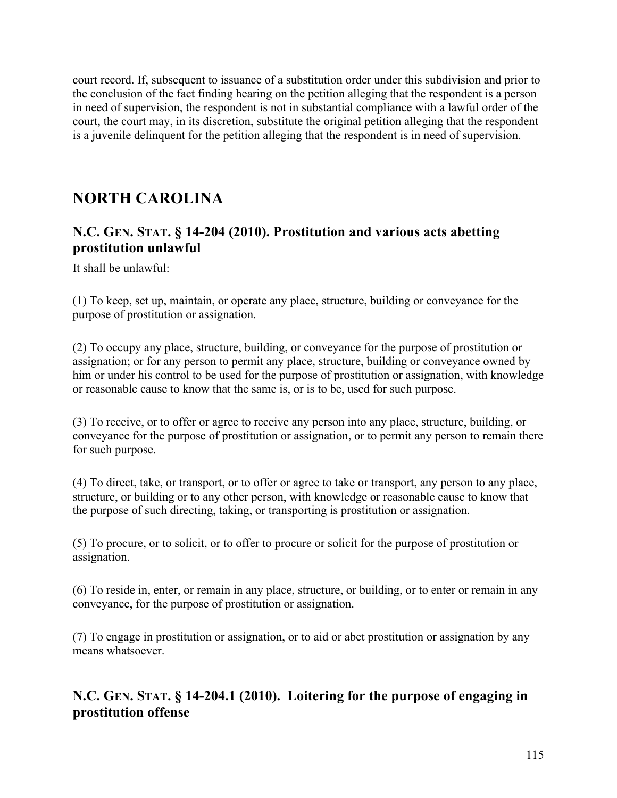court record. If, subsequent to issuance of a substitution order under this subdivision and prior to the conclusion of the fact finding hearing on the petition alleging that the respondent is a person in need of supervision, the respondent is not in substantial compliance with a lawful order of the court, the court may, in its discretion, substitute the original petition alleging that the respondent is a juvenile delinquent for the petition alleging that the respondent is in need of supervision.

# **NORTH CAROLINA**

### **N.C. GEN. STAT. § 14-204 (2010). Prostitution and various acts abetting prostitution unlawful**

It shall be unlawful:

(1) To keep, set up, maintain, or operate any place, structure, building or conveyance for the purpose of prostitution or assignation.

(2) To occupy any place, structure, building, or conveyance for the purpose of prostitution or assignation; or for any person to permit any place, structure, building or conveyance owned by him or under his control to be used for the purpose of prostitution or assignation, with knowledge or reasonable cause to know that the same is, or is to be, used for such purpose.

(3) To receive, or to offer or agree to receive any person into any place, structure, building, or conveyance for the purpose of prostitution or assignation, or to permit any person to remain there for such purpose.

(4) To direct, take, or transport, or to offer or agree to take or transport, any person to any place, structure, or building or to any other person, with knowledge or reasonable cause to know that the purpose of such directing, taking, or transporting is prostitution or assignation.

(5) To procure, or to solicit, or to offer to procure or solicit for the purpose of prostitution or assignation.

(6) To reside in, enter, or remain in any place, structure, or building, or to enter or remain in any conveyance, for the purpose of prostitution or assignation.

(7) To engage in prostitution or assignation, or to aid or abet prostitution or assignation by any means whatsoever.

## **N.C. GEN. STAT. § 14-204.1 (2010). Loitering for the purpose of engaging in prostitution offense**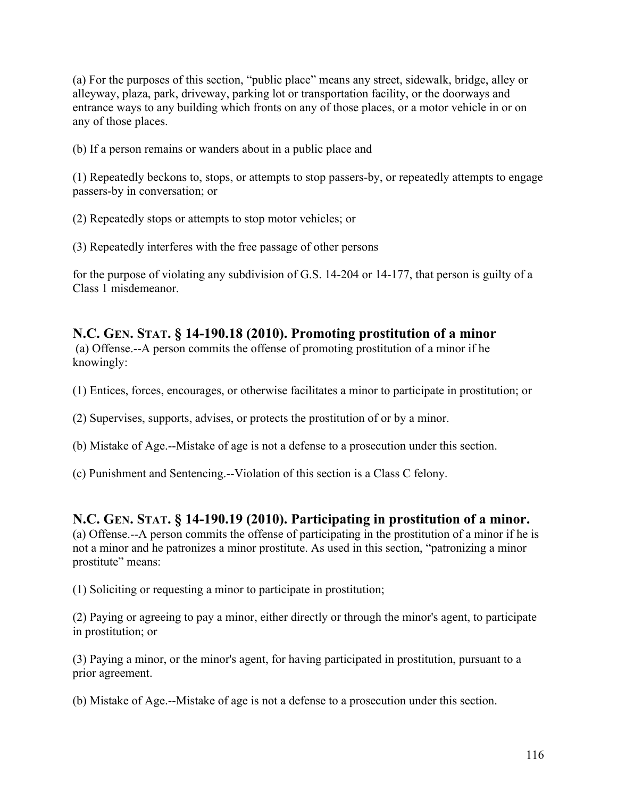(a) For the purposes of this section, "public place" means any street, sidewalk, bridge, alley or alleyway, plaza, park, driveway, parking lot or transportation facility, or the doorways and entrance ways to any building which fronts on any of those places, or a motor vehicle in or on any of those places.

(b) If a person remains or wanders about in a public place and

(1) Repeatedly beckons to, stops, or attempts to stop passers-by, or repeatedly attempts to engage passers-by in conversation; or

(2) Repeatedly stops or attempts to stop motor vehicles; or

(3) Repeatedly interferes with the free passage of other persons

for the purpose of violating any subdivision of G.S. 14-204 or 14-177, that person is guilty of a Class 1 misdemeanor.

#### **N.C. GEN. STAT. § 14-190.18 (2010). Promoting prostitution of a minor**

 (a) Offense.--A person commits the offense of promoting prostitution of a minor if he knowingly:

- (1) Entices, forces, encourages, or otherwise facilitates a minor to participate in prostitution; or
- (2) Supervises, supports, advises, or protects the prostitution of or by a minor.
- (b) Mistake of Age.--Mistake of age is not a defense to a prosecution under this section.
- (c) Punishment and Sentencing.--Violation of this section is a Class C felony.

#### **N.C. GEN. STAT. § 14-190.19 (2010). Participating in prostitution of a minor.**

(a) Offense.--A person commits the offense of participating in the prostitution of a minor if he is not a minor and he patronizes a minor prostitute. As used in this section, "patronizing a minor prostitute" means:

(1) Soliciting or requesting a minor to participate in prostitution;

(2) Paying or agreeing to pay a minor, either directly or through the minor's agent, to participate in prostitution; or

(3) Paying a minor, or the minor's agent, for having participated in prostitution, pursuant to a prior agreement.

(b) Mistake of Age.--Mistake of age is not a defense to a prosecution under this section.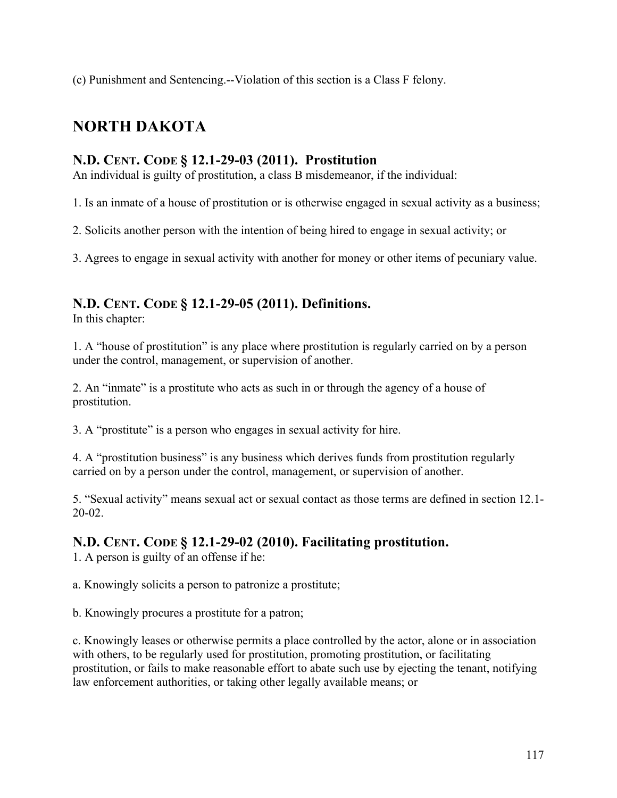(c) Punishment and Sentencing.--Violation of this section is a Class F felony.

# **NORTH DAKOTA**

#### **N.D. CENT. CODE § 12.1-29-03 (2011). Prostitution**

An individual is guilty of prostitution, a class B misdemeanor, if the individual:

1. Is an inmate of a house of prostitution or is otherwise engaged in sexual activity as a business;

2. Solicits another person with the intention of being hired to engage in sexual activity; or

3. Agrees to engage in sexual activity with another for money or other items of pecuniary value.

## **N.D. CENT. CODE § 12.1-29-05 (2011). Definitions.**

In this chapter:

1. A "house of prostitution" is any place where prostitution is regularly carried on by a person under the control, management, or supervision of another.

2. An "inmate" is a prostitute who acts as such in or through the agency of a house of prostitution.

3. A "prostitute" is a person who engages in sexual activity for hire.

4. A "prostitution business" is any business which derives funds from prostitution regularly carried on by a person under the control, management, or supervision of another.

5. "Sexual activity" means sexual act or sexual contact as those terms are defined in section 12.1- 20-02.

## **N.D. CENT. CODE § 12.1-29-02 (2010). Facilitating prostitution.**

1. A person is guilty of an offense if he:

a. Knowingly solicits a person to patronize a prostitute;

b. Knowingly procures a prostitute for a patron;

c. Knowingly leases or otherwise permits a place controlled by the actor, alone or in association with others, to be regularly used for prostitution, promoting prostitution, or facilitating prostitution, or fails to make reasonable effort to abate such use by ejecting the tenant, notifying law enforcement authorities, or taking other legally available means; or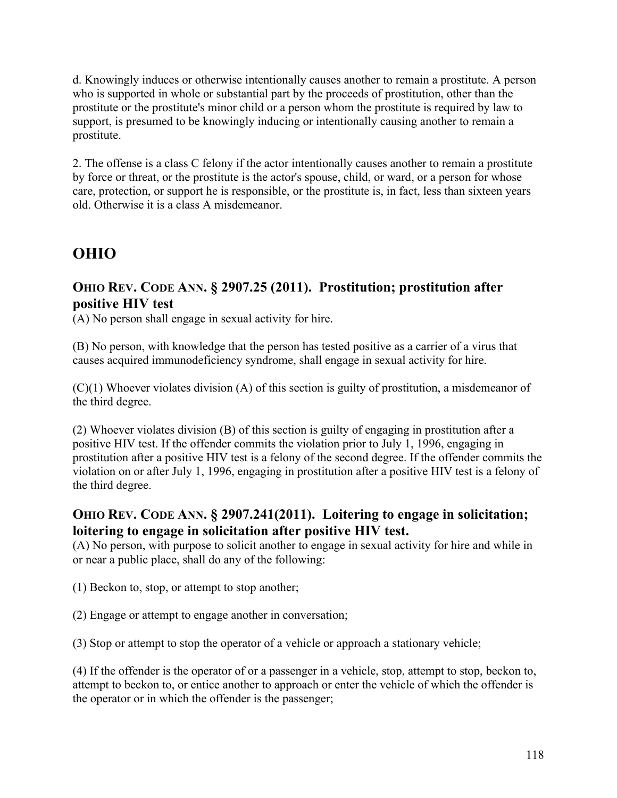d. Knowingly induces or otherwise intentionally causes another to remain a prostitute. A person who is supported in whole or substantial part by the proceeds of prostitution, other than the prostitute or the prostitute's minor child or a person whom the prostitute is required by law to support, is presumed to be knowingly inducing or intentionally causing another to remain a prostitute.

2. The offense is a class C felony if the actor intentionally causes another to remain a prostitute by force or threat, or the prostitute is the actor's spouse, child, or ward, or a person for whose care, protection, or support he is responsible, or the prostitute is, in fact, less than sixteen years old. Otherwise it is a class A misdemeanor.

# **OHIO**

## **OHIO REV. CODE ANN. § 2907.25 (2011). Prostitution; prostitution after positive HIV test**

(A) No person shall engage in sexual activity for hire.

(B) No person, with knowledge that the person has tested positive as a carrier of a virus that causes acquired immunodeficiency syndrome, shall engage in sexual activity for hire.

(C)(1) Whoever violates division (A) of this section is guilty of prostitution, a misdemeanor of the third degree.

(2) Whoever violates division (B) of this section is guilty of engaging in prostitution after a positive HIV test. If the offender commits the violation prior to July 1, 1996, engaging in prostitution after a positive HIV test is a felony of the second degree. If the offender commits the violation on or after July 1, 1996, engaging in prostitution after a positive HIV test is a felony of the third degree.

#### **OHIO REV. CODE ANN. § 2907.241(2011). Loitering to engage in solicitation; loitering to engage in solicitation after positive HIV test.**

(A) No person, with purpose to solicit another to engage in sexual activity for hire and while in or near a public place, shall do any of the following:

(1) Beckon to, stop, or attempt to stop another;

(2) Engage or attempt to engage another in conversation;

(3) Stop or attempt to stop the operator of a vehicle or approach a stationary vehicle;

(4) If the offender is the operator of or a passenger in a vehicle, stop, attempt to stop, beckon to, attempt to beckon to, or entice another to approach or enter the vehicle of which the offender is the operator or in which the offender is the passenger;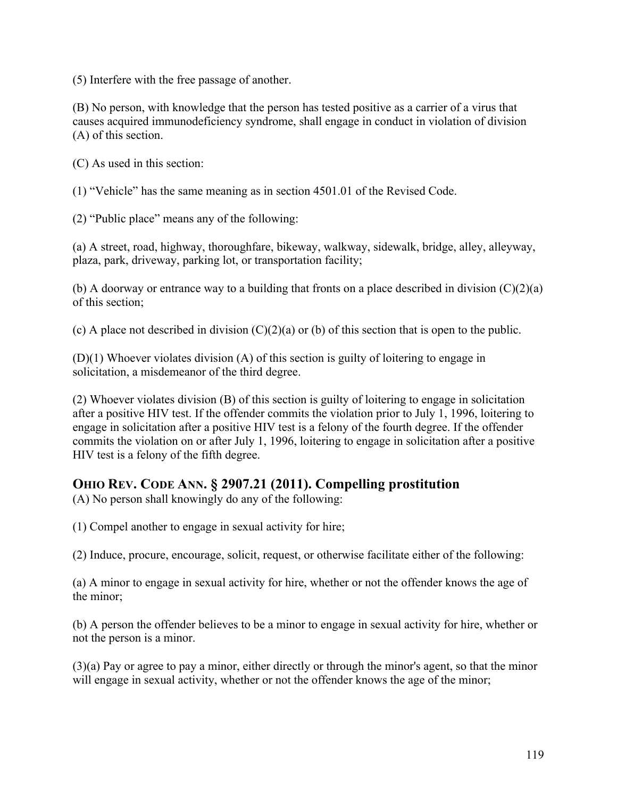(5) Interfere with the free passage of another.

(B) No person, with knowledge that the person has tested positive as a carrier of a virus that causes acquired immunodeficiency syndrome, shall engage in conduct in violation of division (A) of this section.

(C) As used in this section:

(1) "Vehicle" has the same meaning as in section 4501.01 of the Revised Code.

(2) "Public place" means any of the following:

(a) A street, road, highway, thoroughfare, bikeway, walkway, sidewalk, bridge, alley, alleyway, plaza, park, driveway, parking lot, or transportation facility;

(b) A doorway or entrance way to a building that fronts on a place described in division  $(C)(2)(a)$ of this section;

(c) A place not described in division  $(C)(2)(a)$  or (b) of this section that is open to the public.

(D)(1) Whoever violates division (A) of this section is guilty of loitering to engage in solicitation, a misdemeanor of the third degree.

(2) Whoever violates division (B) of this section is guilty of loitering to engage in solicitation after a positive HIV test. If the offender commits the violation prior to July 1, 1996, loitering to engage in solicitation after a positive HIV test is a felony of the fourth degree. If the offender commits the violation on or after July 1, 1996, loitering to engage in solicitation after a positive HIV test is a felony of the fifth degree.

## **OHIO REV. CODE ANN. § 2907.21 (2011). Compelling prostitution**

(A) No person shall knowingly do any of the following:

(1) Compel another to engage in sexual activity for hire;

(2) Induce, procure, encourage, solicit, request, or otherwise facilitate either of the following:

(a) A minor to engage in sexual activity for hire, whether or not the offender knows the age of the minor;

(b) A person the offender believes to be a minor to engage in sexual activity for hire, whether or not the person is a minor.

(3)(a) Pay or agree to pay a minor, either directly or through the minor's agent, so that the minor will engage in sexual activity, whether or not the offender knows the age of the minor;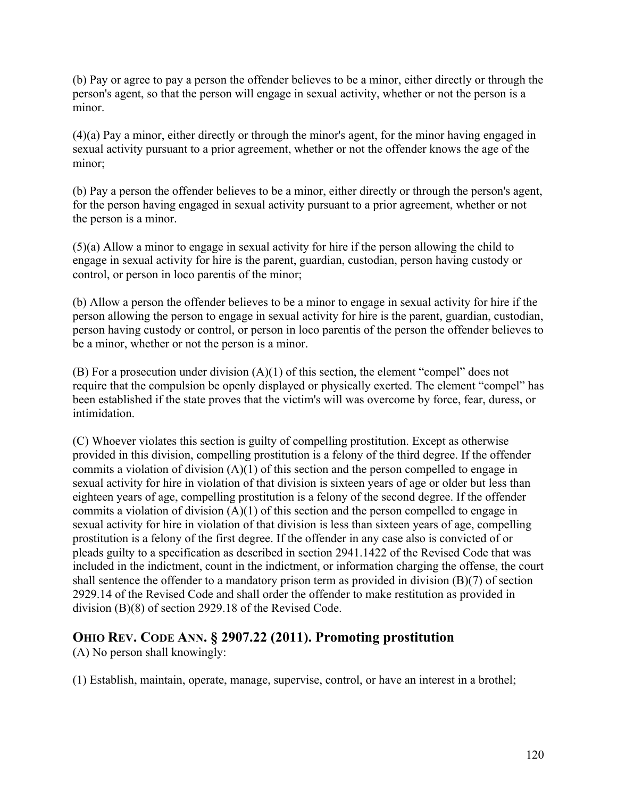(b) Pay or agree to pay a person the offender believes to be a minor, either directly or through the person's agent, so that the person will engage in sexual activity, whether or not the person is a minor.

(4)(a) Pay a minor, either directly or through the minor's agent, for the minor having engaged in sexual activity pursuant to a prior agreement, whether or not the offender knows the age of the minor;

(b) Pay a person the offender believes to be a minor, either directly or through the person's agent, for the person having engaged in sexual activity pursuant to a prior agreement, whether or not the person is a minor.

(5)(a) Allow a minor to engage in sexual activity for hire if the person allowing the child to engage in sexual activity for hire is the parent, guardian, custodian, person having custody or control, or person in loco parentis of the minor;

(b) Allow a person the offender believes to be a minor to engage in sexual activity for hire if the person allowing the person to engage in sexual activity for hire is the parent, guardian, custodian, person having custody or control, or person in loco parentis of the person the offender believes to be a minor, whether or not the person is a minor.

(B) For a prosecution under division (A)(1) of this section, the element "compel" does not require that the compulsion be openly displayed or physically exerted. The element "compel" has been established if the state proves that the victim's will was overcome by force, fear, duress, or intimidation.

(C) Whoever violates this section is guilty of compelling prostitution. Except as otherwise provided in this division, compelling prostitution is a felony of the third degree. If the offender commits a violation of division (A)(1) of this section and the person compelled to engage in sexual activity for hire in violation of that division is sixteen years of age or older but less than eighteen years of age, compelling prostitution is a felony of the second degree. If the offender commits a violation of division  $(A)(1)$  of this section and the person compelled to engage in sexual activity for hire in violation of that division is less than sixteen years of age, compelling prostitution is a felony of the first degree. If the offender in any case also is convicted of or pleads guilty to a specification as described in section 2941.1422 of the Revised Code that was included in the indictment, count in the indictment, or information charging the offense, the court shall sentence the offender to a mandatory prison term as provided in division (B)(7) of section 2929.14 of the Revised Code and shall order the offender to make restitution as provided in division (B)(8) of section 2929.18 of the Revised Code.

### **OHIO REV. CODE ANN. § 2907.22 (2011). Promoting prostitution**

(A) No person shall knowingly:

(1) Establish, maintain, operate, manage, supervise, control, or have an interest in a brothel;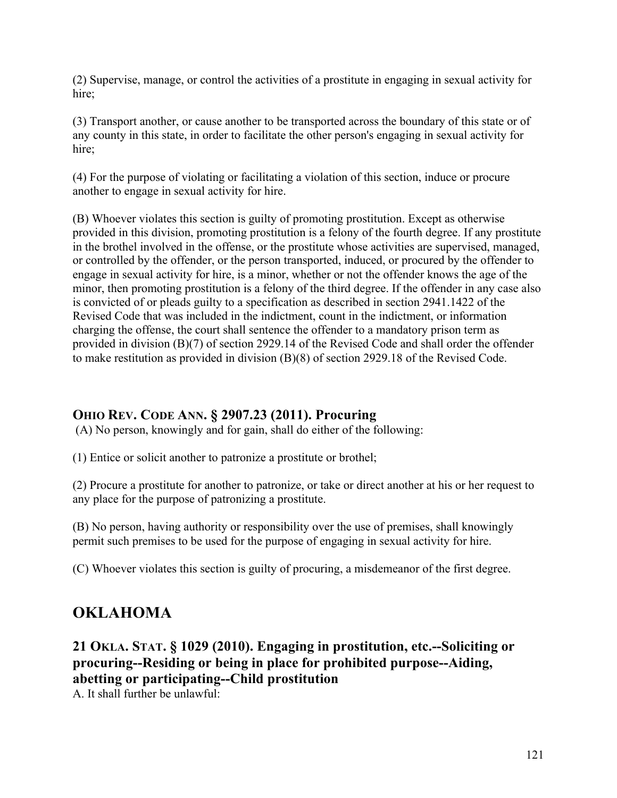(2) Supervise, manage, or control the activities of a prostitute in engaging in sexual activity for hire;

(3) Transport another, or cause another to be transported across the boundary of this state or of any county in this state, in order to facilitate the other person's engaging in sexual activity for hire;

(4) For the purpose of violating or facilitating a violation of this section, induce or procure another to engage in sexual activity for hire.

(B) Whoever violates this section is guilty of promoting prostitution. Except as otherwise provided in this division, promoting prostitution is a felony of the fourth degree. If any prostitute in the brothel involved in the offense, or the prostitute whose activities are supervised, managed, or controlled by the offender, or the person transported, induced, or procured by the offender to engage in sexual activity for hire, is a minor, whether or not the offender knows the age of the minor, then promoting prostitution is a felony of the third degree. If the offender in any case also is convicted of or pleads guilty to a specification as described in section 2941.1422 of the Revised Code that was included in the indictment, count in the indictment, or information charging the offense, the court shall sentence the offender to a mandatory prison term as provided in division (B)(7) of section 2929.14 of the Revised Code and shall order the offender to make restitution as provided in division (B)(8) of section 2929.18 of the Revised Code.

#### **OHIO REV. CODE ANN. § 2907.23 (2011). Procuring**

(A) No person, knowingly and for gain, shall do either of the following:

(1) Entice or solicit another to patronize a prostitute or brothel;

(2) Procure a prostitute for another to patronize, or take or direct another at his or her request to any place for the purpose of patronizing a prostitute.

(B) No person, having authority or responsibility over the use of premises, shall knowingly permit such premises to be used for the purpose of engaging in sexual activity for hire.

(C) Whoever violates this section is guilty of procuring, a misdemeanor of the first degree.

# **OKLAHOMA**

**21 OKLA. STAT. § 1029 (2010). Engaging in prostitution, etc.--Soliciting or procuring--Residing or being in place for prohibited purpose--Aiding, abetting or participating--Child prostitution**

A. It shall further be unlawful: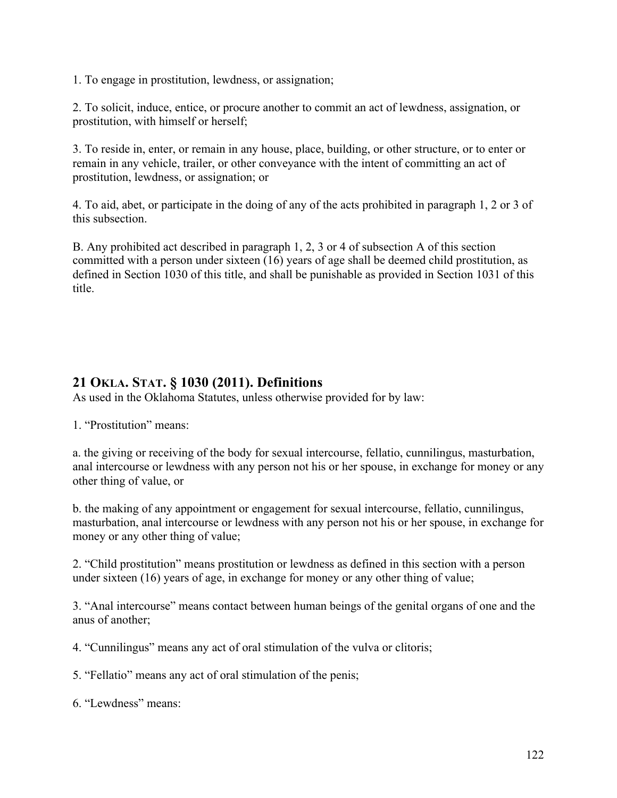1. To engage in prostitution, lewdness, or assignation;

2. To solicit, induce, entice, or procure another to commit an act of lewdness, assignation, or prostitution, with himself or herself;

3. To reside in, enter, or remain in any house, place, building, or other structure, or to enter or remain in any vehicle, trailer, or other conveyance with the intent of committing an act of prostitution, lewdness, or assignation; or

4. To aid, abet, or participate in the doing of any of the acts prohibited in paragraph 1, 2 or 3 of this subsection.

B. Any prohibited act described in paragraph 1, 2, 3 or 4 of subsection A of this section committed with a person under sixteen (16) years of age shall be deemed child prostitution, as defined in Section 1030 of this title, and shall be punishable as provided in Section 1031 of this title.

## **21 OKLA. STAT. § 1030 (2011). Definitions**

As used in the Oklahoma Statutes, unless otherwise provided for by law:

1. "Prostitution" means:

a. the giving or receiving of the body for sexual intercourse, fellatio, cunnilingus, masturbation, anal intercourse or lewdness with any person not his or her spouse, in exchange for money or any other thing of value, or

b. the making of any appointment or engagement for sexual intercourse, fellatio, cunnilingus, masturbation, anal intercourse or lewdness with any person not his or her spouse, in exchange for money or any other thing of value;

2. "Child prostitution" means prostitution or lewdness as defined in this section with a person under sixteen (16) years of age, in exchange for money or any other thing of value;

3. "Anal intercourse" means contact between human beings of the genital organs of one and the anus of another;

4. "Cunnilingus" means any act of oral stimulation of the vulva or clitoris;

5. "Fellatio" means any act of oral stimulation of the penis;

6. "Lewdness" means: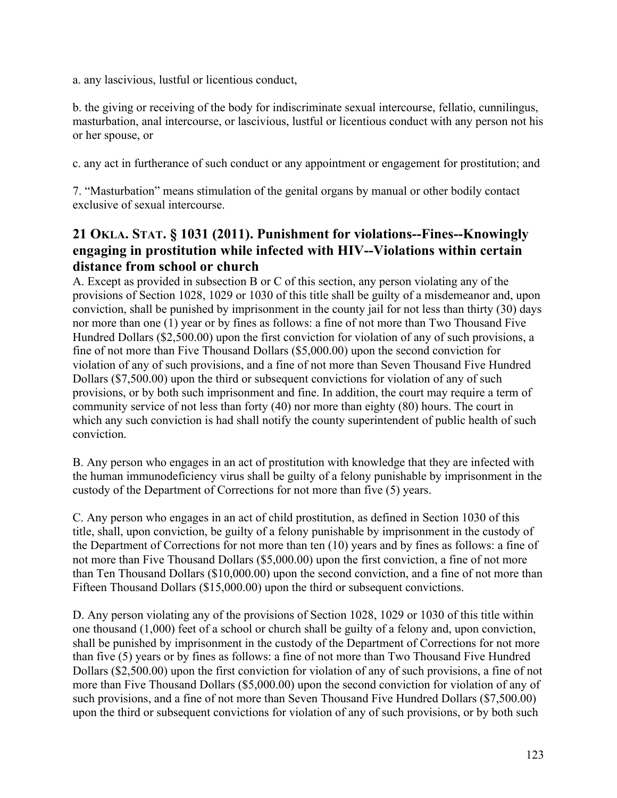a. any lascivious, lustful or licentious conduct,

b. the giving or receiving of the body for indiscriminate sexual intercourse, fellatio, cunnilingus, masturbation, anal intercourse, or lascivious, lustful or licentious conduct with any person not his or her spouse, or

c. any act in furtherance of such conduct or any appointment or engagement for prostitution; and

7. "Masturbation" means stimulation of the genital organs by manual or other bodily contact exclusive of sexual intercourse.

#### **21 OKLA. STAT. § 1031 (2011). Punishment for violations--Fines--Knowingly engaging in prostitution while infected with HIV--Violations within certain distance from school or church**

A. Except as provided in subsection B or C of this section, any person violating any of the provisions of Section 1028, 1029 or 1030 of this title shall be guilty of a misdemeanor and, upon conviction, shall be punished by imprisonment in the county jail for not less than thirty (30) days nor more than one (1) year or by fines as follows: a fine of not more than Two Thousand Five Hundred Dollars (\$2,500.00) upon the first conviction for violation of any of such provisions, a fine of not more than Five Thousand Dollars (\$5,000.00) upon the second conviction for violation of any of such provisions, and a fine of not more than Seven Thousand Five Hundred Dollars (\$7,500.00) upon the third or subsequent convictions for violation of any of such provisions, or by both such imprisonment and fine. In addition, the court may require a term of community service of not less than forty (40) nor more than eighty (80) hours. The court in which any such conviction is had shall notify the county superintendent of public health of such conviction.

B. Any person who engages in an act of prostitution with knowledge that they are infected with the human immunodeficiency virus shall be guilty of a felony punishable by imprisonment in the custody of the Department of Corrections for not more than five (5) years.

C. Any person who engages in an act of child prostitution, as defined in Section 1030 of this title, shall, upon conviction, be guilty of a felony punishable by imprisonment in the custody of the Department of Corrections for not more than ten (10) years and by fines as follows: a fine of not more than Five Thousand Dollars (\$5,000.00) upon the first conviction, a fine of not more than Ten Thousand Dollars (\$10,000.00) upon the second conviction, and a fine of not more than Fifteen Thousand Dollars (\$15,000.00) upon the third or subsequent convictions.

D. Any person violating any of the provisions of Section 1028, 1029 or 1030 of this title within one thousand (1,000) feet of a school or church shall be guilty of a felony and, upon conviction, shall be punished by imprisonment in the custody of the Department of Corrections for not more than five (5) years or by fines as follows: a fine of not more than Two Thousand Five Hundred Dollars (\$2,500.00) upon the first conviction for violation of any of such provisions, a fine of not more than Five Thousand Dollars (\$5,000.00) upon the second conviction for violation of any of such provisions, and a fine of not more than Seven Thousand Five Hundred Dollars (\$7,500.00) upon the third or subsequent convictions for violation of any of such provisions, or by both such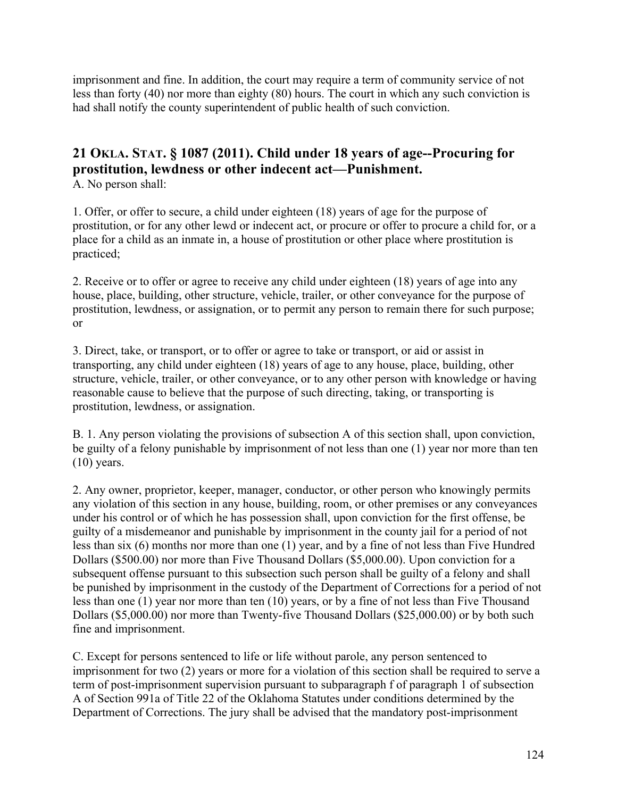imprisonment and fine. In addition, the court may require a term of community service of not less than forty (40) nor more than eighty (80) hours. The court in which any such conviction is had shall notify the county superintendent of public health of such conviction.

# **21 OKLA. STAT. § 1087 (2011). Child under 18 years of age--Procuring for prostitution, lewdness or other indecent act—Punishment.**

A. No person shall:

1. Offer, or offer to secure, a child under eighteen (18) years of age for the purpose of prostitution, or for any other lewd or indecent act, or procure or offer to procure a child for, or a place for a child as an inmate in, a house of prostitution or other place where prostitution is practiced;

2. Receive or to offer or agree to receive any child under eighteen (18) years of age into any house, place, building, other structure, vehicle, trailer, or other conveyance for the purpose of prostitution, lewdness, or assignation, or to permit any person to remain there for such purpose; or

3. Direct, take, or transport, or to offer or agree to take or transport, or aid or assist in transporting, any child under eighteen (18) years of age to any house, place, building, other structure, vehicle, trailer, or other conveyance, or to any other person with knowledge or having reasonable cause to believe that the purpose of such directing, taking, or transporting is prostitution, lewdness, or assignation.

B. 1. Any person violating the provisions of subsection A of this section shall, upon conviction, be guilty of a felony punishable by imprisonment of not less than one (1) year nor more than ten  $(10)$  years.

2. Any owner, proprietor, keeper, manager, conductor, or other person who knowingly permits any violation of this section in any house, building, room, or other premises or any conveyances under his control or of which he has possession shall, upon conviction for the first offense, be guilty of a misdemeanor and punishable by imprisonment in the county jail for a period of not less than six (6) months nor more than one (1) year, and by a fine of not less than Five Hundred Dollars (\$500.00) nor more than Five Thousand Dollars (\$5,000.00). Upon conviction for a subsequent offense pursuant to this subsection such person shall be guilty of a felony and shall be punished by imprisonment in the custody of the Department of Corrections for a period of not less than one (1) year nor more than ten (10) years, or by a fine of not less than Five Thousand Dollars (\$5,000.00) nor more than Twenty-five Thousand Dollars (\$25,000.00) or by both such fine and imprisonment.

C. Except for persons sentenced to life or life without parole, any person sentenced to imprisonment for two (2) years or more for a violation of this section shall be required to serve a term of post-imprisonment supervision pursuant to subparagraph f of paragraph 1 of subsection A of Section 991a of Title 22 of the Oklahoma Statutes under conditions determined by the Department of Corrections. The jury shall be advised that the mandatory post-imprisonment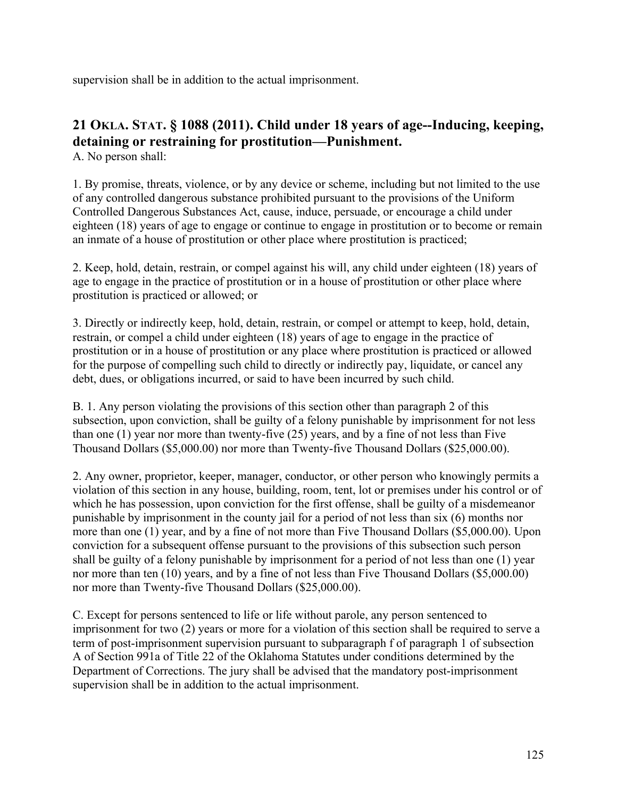supervision shall be in addition to the actual imprisonment.

## **21 OKLA. STAT. § 1088 (2011). Child under 18 years of age--Inducing, keeping, detaining or restraining for prostitution—Punishment.**

A. No person shall:

1. By promise, threats, violence, or by any device or scheme, including but not limited to the use of any controlled dangerous substance prohibited pursuant to the provisions of the Uniform Controlled Dangerous Substances Act, cause, induce, persuade, or encourage a child under eighteen (18) years of age to engage or continue to engage in prostitution or to become or remain an inmate of a house of prostitution or other place where prostitution is practiced;

2. Keep, hold, detain, restrain, or compel against his will, any child under eighteen (18) years of age to engage in the practice of prostitution or in a house of prostitution or other place where prostitution is practiced or allowed; or

3. Directly or indirectly keep, hold, detain, restrain, or compel or attempt to keep, hold, detain, restrain, or compel a child under eighteen (18) years of age to engage in the practice of prostitution or in a house of prostitution or any place where prostitution is practiced or allowed for the purpose of compelling such child to directly or indirectly pay, liquidate, or cancel any debt, dues, or obligations incurred, or said to have been incurred by such child.

B. 1. Any person violating the provisions of this section other than paragraph 2 of this subsection, upon conviction, shall be guilty of a felony punishable by imprisonment for not less than one (1) year nor more than twenty-five (25) years, and by a fine of not less than Five Thousand Dollars (\$5,000.00) nor more than Twenty-five Thousand Dollars (\$25,000.00).

2. Any owner, proprietor, keeper, manager, conductor, or other person who knowingly permits a violation of this section in any house, building, room, tent, lot or premises under his control or of which he has possession, upon conviction for the first offense, shall be guilty of a misdemeanor punishable by imprisonment in the county jail for a period of not less than six (6) months nor more than one (1) year, and by a fine of not more than Five Thousand Dollars (\$5,000.00). Upon conviction for a subsequent offense pursuant to the provisions of this subsection such person shall be guilty of a felony punishable by imprisonment for a period of not less than one (1) year nor more than ten (10) years, and by a fine of not less than Five Thousand Dollars (\$5,000.00) nor more than Twenty-five Thousand Dollars (\$25,000.00).

C. Except for persons sentenced to life or life without parole, any person sentenced to imprisonment for two (2) years or more for a violation of this section shall be required to serve a term of post-imprisonment supervision pursuant to subparagraph f of paragraph 1 of subsection A of Section 991a of Title 22 of the Oklahoma Statutes under conditions determined by the Department of Corrections. The jury shall be advised that the mandatory post-imprisonment supervision shall be in addition to the actual imprisonment.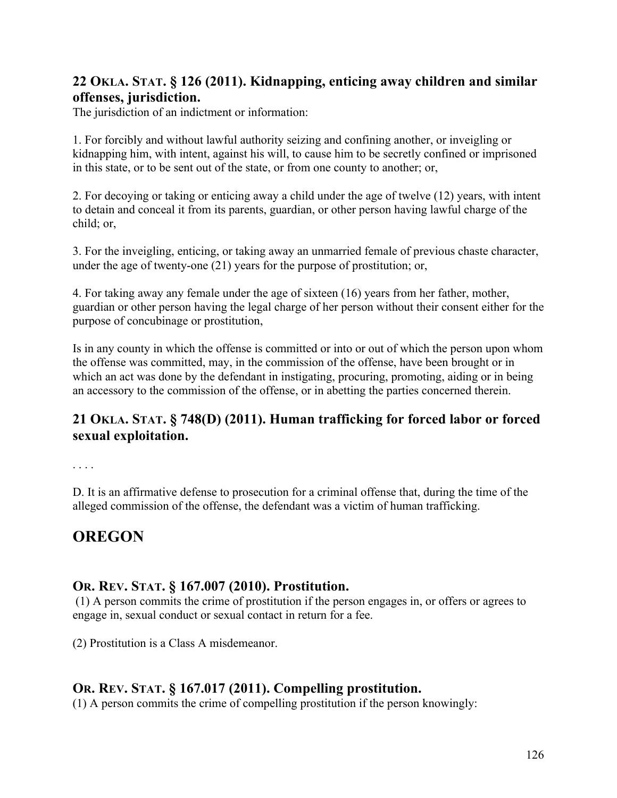#### **22 OKLA. STAT. § 126 (2011). Kidnapping, enticing away children and similar offenses, jurisdiction.**

The jurisdiction of an indictment or information:

1. For forcibly and without lawful authority seizing and confining another, or inveigling or kidnapping him, with intent, against his will, to cause him to be secretly confined or imprisoned in this state, or to be sent out of the state, or from one county to another; or,

2. For decoying or taking or enticing away a child under the age of twelve (12) years, with intent to detain and conceal it from its parents, guardian, or other person having lawful charge of the child; or,

3. For the inveigling, enticing, or taking away an unmarried female of previous chaste character, under the age of twenty-one (21) years for the purpose of prostitution; or,

4. For taking away any female under the age of sixteen (16) years from her father, mother, guardian or other person having the legal charge of her person without their consent either for the purpose of concubinage or prostitution,

Is in any county in which the offense is committed or into or out of which the person upon whom the offense was committed, may, in the commission of the offense, have been brought or in which an act was done by the defendant in instigating, procuring, promoting, aiding or in being an accessory to the commission of the offense, or in abetting the parties concerned therein.

## **21 OKLA. STAT. § 748(D) (2011). Human trafficking for forced labor or forced sexual exploitation.**

. . . .

D. It is an affirmative defense to prosecution for a criminal offense that, during the time of the alleged commission of the offense, the defendant was a victim of human trafficking.

# **OREGON**

#### **OR. REV. STAT. § 167.007 (2010). Prostitution.**

 (1) A person commits the crime of prostitution if the person engages in, or offers or agrees to engage in, sexual conduct or sexual contact in return for a fee.

(2) Prostitution is a Class A misdemeanor.

#### **OR. REV. STAT. § 167.017 (2011). Compelling prostitution.**

(1) A person commits the crime of compelling prostitution if the person knowingly: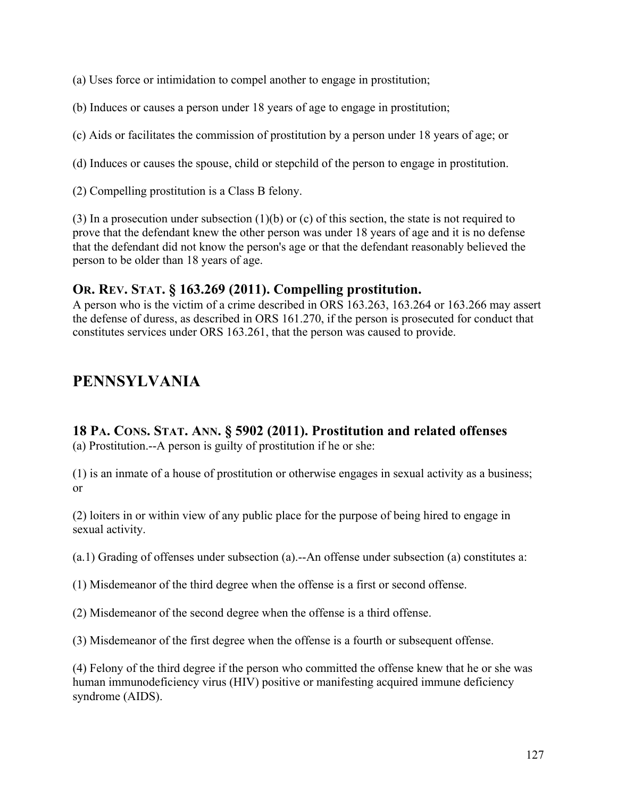(a) Uses force or intimidation to compel another to engage in prostitution;

(b) Induces or causes a person under 18 years of age to engage in prostitution;

(c) Aids or facilitates the commission of prostitution by a person under 18 years of age; or

(d) Induces or causes the spouse, child or stepchild of the person to engage in prostitution.

(2) Compelling prostitution is a Class B felony.

(3) In a prosecution under subsection (1)(b) or (c) of this section, the state is not required to prove that the defendant knew the other person was under 18 years of age and it is no defense that the defendant did not know the person's age or that the defendant reasonably believed the person to be older than 18 years of age.

#### **OR. REV. STAT. § 163.269 (2011). Compelling prostitution.**

A person who is the victim of a crime described in ORS 163.263, 163.264 or 163.266 may assert the defense of duress, as described in ORS 161.270, if the person is prosecuted for conduct that constitutes services under ORS 163.261, that the person was caused to provide.

# **PENNSYLVANIA**

# **18 PA. CONS. STAT. ANN. § 5902 (2011). Prostitution and related offenses**

(a) Prostitution.--A person is guilty of prostitution if he or she:

(1) is an inmate of a house of prostitution or otherwise engages in sexual activity as a business; or

(2) loiters in or within view of any public place for the purpose of being hired to engage in sexual activity.

(a.1) Grading of offenses under subsection (a).--An offense under subsection (a) constitutes a:

(1) Misdemeanor of the third degree when the offense is a first or second offense.

(2) Misdemeanor of the second degree when the offense is a third offense.

(3) Misdemeanor of the first degree when the offense is a fourth or subsequent offense.

(4) Felony of the third degree if the person who committed the offense knew that he or she was human immunodeficiency virus (HIV) positive or manifesting acquired immune deficiency syndrome (AIDS).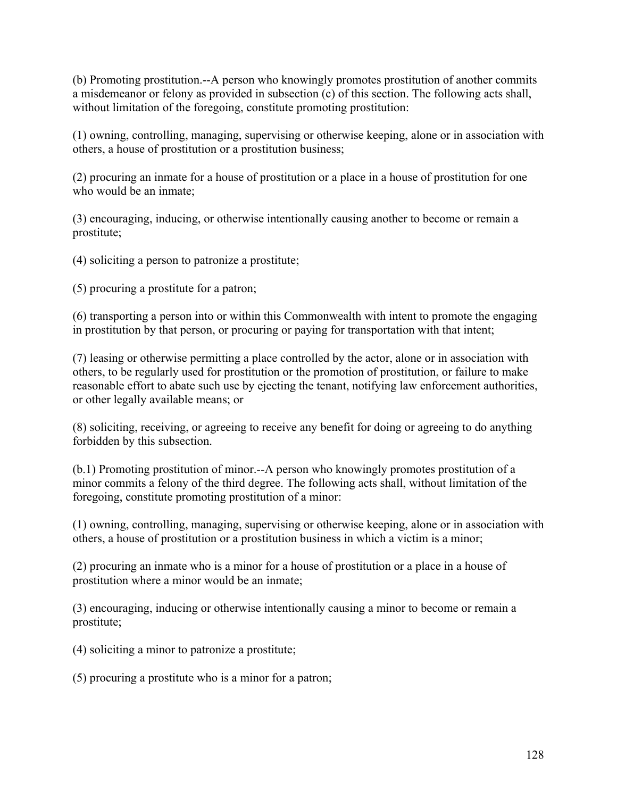(b) Promoting prostitution.--A person who knowingly promotes prostitution of another commits a misdemeanor or felony as provided in subsection (c) of this section. The following acts shall, without limitation of the foregoing, constitute promoting prostitution:

(1) owning, controlling, managing, supervising or otherwise keeping, alone or in association with others, a house of prostitution or a prostitution business;

(2) procuring an inmate for a house of prostitution or a place in a house of prostitution for one who would be an inmate;

(3) encouraging, inducing, or otherwise intentionally causing another to become or remain a prostitute;

(4) soliciting a person to patronize a prostitute;

(5) procuring a prostitute for a patron;

(6) transporting a person into or within this Commonwealth with intent to promote the engaging in prostitution by that person, or procuring or paying for transportation with that intent;

(7) leasing or otherwise permitting a place controlled by the actor, alone or in association with others, to be regularly used for prostitution or the promotion of prostitution, or failure to make reasonable effort to abate such use by ejecting the tenant, notifying law enforcement authorities, or other legally available means; or

(8) soliciting, receiving, or agreeing to receive any benefit for doing or agreeing to do anything forbidden by this subsection.

(b.1) Promoting prostitution of minor.--A person who knowingly promotes prostitution of a minor commits a felony of the third degree. The following acts shall, without limitation of the foregoing, constitute promoting prostitution of a minor:

(1) owning, controlling, managing, supervising or otherwise keeping, alone or in association with others, a house of prostitution or a prostitution business in which a victim is a minor;

(2) procuring an inmate who is a minor for a house of prostitution or a place in a house of prostitution where a minor would be an inmate;

(3) encouraging, inducing or otherwise intentionally causing a minor to become or remain a prostitute;

(4) soliciting a minor to patronize a prostitute;

(5) procuring a prostitute who is a minor for a patron;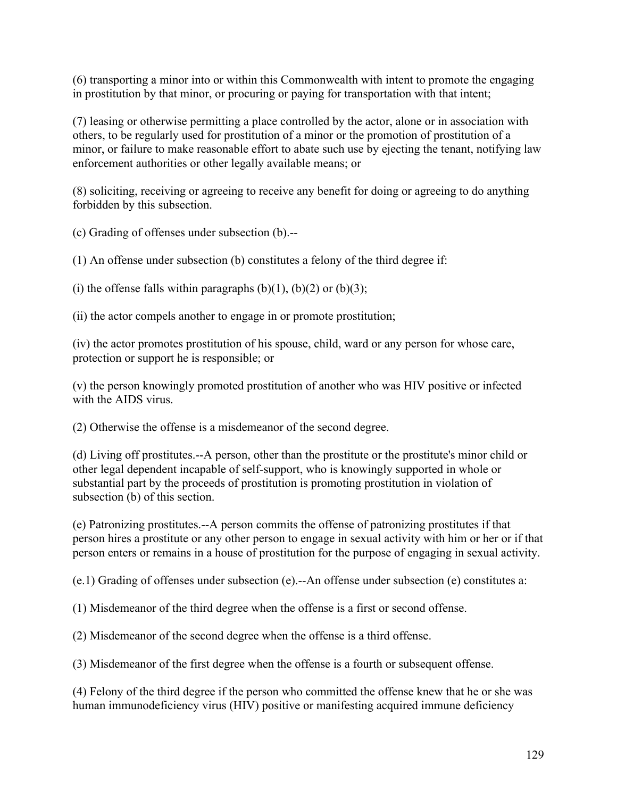(6) transporting a minor into or within this Commonwealth with intent to promote the engaging in prostitution by that minor, or procuring or paying for transportation with that intent;

(7) leasing or otherwise permitting a place controlled by the actor, alone or in association with others, to be regularly used for prostitution of a minor or the promotion of prostitution of a minor, or failure to make reasonable effort to abate such use by ejecting the tenant, notifying law enforcement authorities or other legally available means; or

(8) soliciting, receiving or agreeing to receive any benefit for doing or agreeing to do anything forbidden by this subsection.

(c) Grading of offenses under subsection (b).--

(1) An offense under subsection (b) constitutes a felony of the third degree if:

(i) the offense falls within paragraphs  $(b)(1)$ ,  $(b)(2)$  or  $(b)(3)$ ;

(ii) the actor compels another to engage in or promote prostitution;

(iv) the actor promotes prostitution of his spouse, child, ward or any person for whose care, protection or support he is responsible; or

(v) the person knowingly promoted prostitution of another who was HIV positive or infected with the AIDS virus.

(2) Otherwise the offense is a misdemeanor of the second degree.

(d) Living off prostitutes.--A person, other than the prostitute or the prostitute's minor child or other legal dependent incapable of self-support, who is knowingly supported in whole or substantial part by the proceeds of prostitution is promoting prostitution in violation of subsection (b) of this section.

(e) Patronizing prostitutes.--A person commits the offense of patronizing prostitutes if that person hires a prostitute or any other person to engage in sexual activity with him or her or if that person enters or remains in a house of prostitution for the purpose of engaging in sexual activity.

(e.1) Grading of offenses under subsection (e).--An offense under subsection (e) constitutes a:

(1) Misdemeanor of the third degree when the offense is a first or second offense.

(2) Misdemeanor of the second degree when the offense is a third offense.

(3) Misdemeanor of the first degree when the offense is a fourth or subsequent offense.

(4) Felony of the third degree if the person who committed the offense knew that he or she was human immunodeficiency virus (HIV) positive or manifesting acquired immune deficiency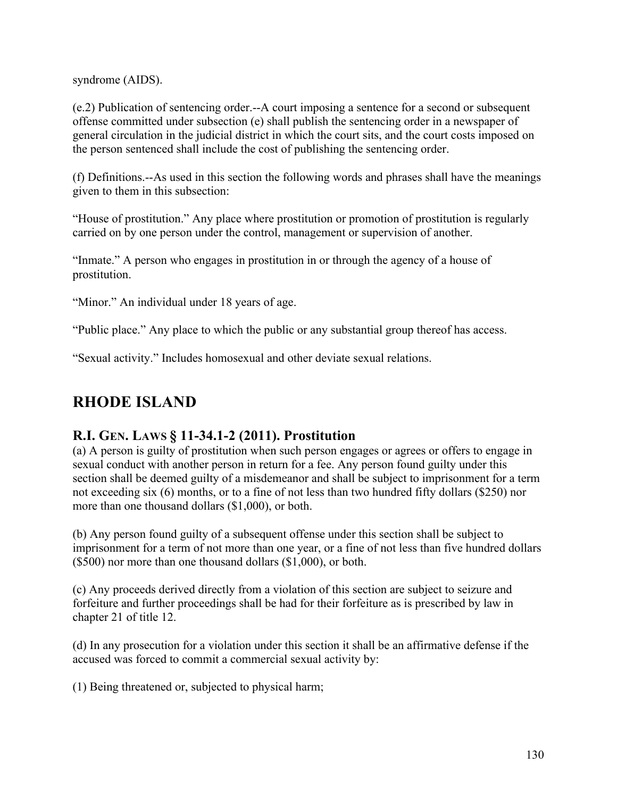syndrome (AIDS).

(e.2) Publication of sentencing order.--A court imposing a sentence for a second or subsequent offense committed under subsection (e) shall publish the sentencing order in a newspaper of general circulation in the judicial district in which the court sits, and the court costs imposed on the person sentenced shall include the cost of publishing the sentencing order.

(f) Definitions.--As used in this section the following words and phrases shall have the meanings given to them in this subsection:

"House of prostitution." Any place where prostitution or promotion of prostitution is regularly carried on by one person under the control, management or supervision of another.

"Inmate." A person who engages in prostitution in or through the agency of a house of prostitution.

"Minor." An individual under 18 years of age.

"Public place." Any place to which the public or any substantial group thereof has access.

"Sexual activity." Includes homosexual and other deviate sexual relations.

# **RHODE ISLAND**

#### **R.I. GEN. LAWS § 11-34.1-2 (2011). Prostitution**

(a) A person is guilty of prostitution when such person engages or agrees or offers to engage in sexual conduct with another person in return for a fee. Any person found guilty under this section shall be deemed guilty of a misdemeanor and shall be subject to imprisonment for a term not exceeding six (6) months, or to a fine of not less than two hundred fifty dollars (\$250) nor more than one thousand dollars (\$1,000), or both.

(b) Any person found guilty of a subsequent offense under this section shall be subject to imprisonment for a term of not more than one year, or a fine of not less than five hundred dollars (\$500) nor more than one thousand dollars (\$1,000), or both.

(c) Any proceeds derived directly from a violation of this section are subject to seizure and forfeiture and further proceedings shall be had for their forfeiture as is prescribed by law in chapter 21 of title 12.

(d) In any prosecution for a violation under this section it shall be an affirmative defense if the accused was forced to commit a commercial sexual activity by:

(1) Being threatened or, subjected to physical harm;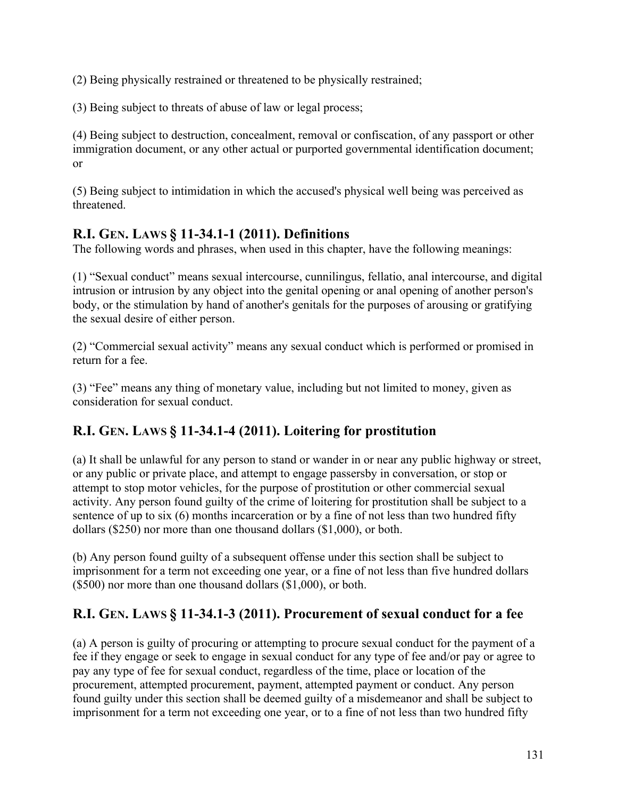(2) Being physically restrained or threatened to be physically restrained;

(3) Being subject to threats of abuse of law or legal process;

(4) Being subject to destruction, concealment, removal or confiscation, of any passport or other immigration document, or any other actual or purported governmental identification document; or

(5) Being subject to intimidation in which the accused's physical well being was perceived as threatened.

#### **R.I. GEN. LAWS § 11-34.1-1 (2011). Definitions**

The following words and phrases, when used in this chapter, have the following meanings:

(1) "Sexual conduct" means sexual intercourse, cunnilingus, fellatio, anal intercourse, and digital intrusion or intrusion by any object into the genital opening or anal opening of another person's body, or the stimulation by hand of another's genitals for the purposes of arousing or gratifying the sexual desire of either person.

(2) "Commercial sexual activity" means any sexual conduct which is performed or promised in return for a fee.

(3) "Fee" means any thing of monetary value, including but not limited to money, given as consideration for sexual conduct.

## **R.I. GEN. LAWS § 11-34.1-4 (2011). Loitering for prostitution**

(a) It shall be unlawful for any person to stand or wander in or near any public highway or street, or any public or private place, and attempt to engage passersby in conversation, or stop or attempt to stop motor vehicles, for the purpose of prostitution or other commercial sexual activity. Any person found guilty of the crime of loitering for prostitution shall be subject to a sentence of up to six (6) months incarceration or by a fine of not less than two hundred fifty dollars (\$250) nor more than one thousand dollars (\$1,000), or both.

(b) Any person found guilty of a subsequent offense under this section shall be subject to imprisonment for a term not exceeding one year, or a fine of not less than five hundred dollars (\$500) nor more than one thousand dollars (\$1,000), or both.

## **R.I. GEN. LAWS § 11-34.1-3 (2011). Procurement of sexual conduct for a fee**

(a) A person is guilty of procuring or attempting to procure sexual conduct for the payment of a fee if they engage or seek to engage in sexual conduct for any type of fee and/or pay or agree to pay any type of fee for sexual conduct, regardless of the time, place or location of the procurement, attempted procurement, payment, attempted payment or conduct. Any person found guilty under this section shall be deemed guilty of a misdemeanor and shall be subject to imprisonment for a term not exceeding one year, or to a fine of not less than two hundred fifty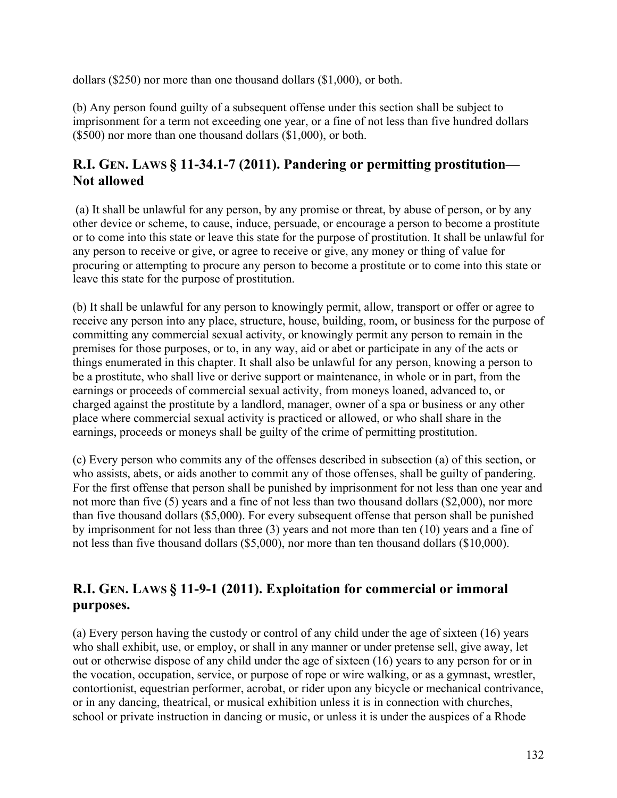dollars (\$250) nor more than one thousand dollars (\$1,000), or both.

(b) Any person found guilty of a subsequent offense under this section shall be subject to imprisonment for a term not exceeding one year, or a fine of not less than five hundred dollars (\$500) nor more than one thousand dollars (\$1,000), or both.

#### **R.I. GEN. LAWS § 11-34.1-7 (2011). Pandering or permitting prostitution— Not allowed**

 (a) It shall be unlawful for any person, by any promise or threat, by abuse of person, or by any other device or scheme, to cause, induce, persuade, or encourage a person to become a prostitute or to come into this state or leave this state for the purpose of prostitution. It shall be unlawful for any person to receive or give, or agree to receive or give, any money or thing of value for procuring or attempting to procure any person to become a prostitute or to come into this state or leave this state for the purpose of prostitution.

(b) It shall be unlawful for any person to knowingly permit, allow, transport or offer or agree to receive any person into any place, structure, house, building, room, or business for the purpose of committing any commercial sexual activity, or knowingly permit any person to remain in the premises for those purposes, or to, in any way, aid or abet or participate in any of the acts or things enumerated in this chapter. It shall also be unlawful for any person, knowing a person to be a prostitute, who shall live or derive support or maintenance, in whole or in part, from the earnings or proceeds of commercial sexual activity, from moneys loaned, advanced to, or charged against the prostitute by a landlord, manager, owner of a spa or business or any other place where commercial sexual activity is practiced or allowed, or who shall share in the earnings, proceeds or moneys shall be guilty of the crime of permitting prostitution.

(c) Every person who commits any of the offenses described in subsection (a) of this section, or who assists, abets, or aids another to commit any of those offenses, shall be guilty of pandering. For the first offense that person shall be punished by imprisonment for not less than one year and not more than five (5) years and a fine of not less than two thousand dollars (\$2,000), nor more than five thousand dollars (\$5,000). For every subsequent offense that person shall be punished by imprisonment for not less than three (3) years and not more than ten (10) years and a fine of not less than five thousand dollars (\$5,000), nor more than ten thousand dollars (\$10,000).

## **R.I. GEN. LAWS § 11-9-1 (2011). Exploitation for commercial or immoral purposes.**

(a) Every person having the custody or control of any child under the age of sixteen (16) years who shall exhibit, use, or employ, or shall in any manner or under pretense sell, give away, let out or otherwise dispose of any child under the age of sixteen (16) years to any person for or in the vocation, occupation, service, or purpose of rope or wire walking, or as a gymnast, wrestler, contortionist, equestrian performer, acrobat, or rider upon any bicycle or mechanical contrivance, or in any dancing, theatrical, or musical exhibition unless it is in connection with churches, school or private instruction in dancing or music, or unless it is under the auspices of a Rhode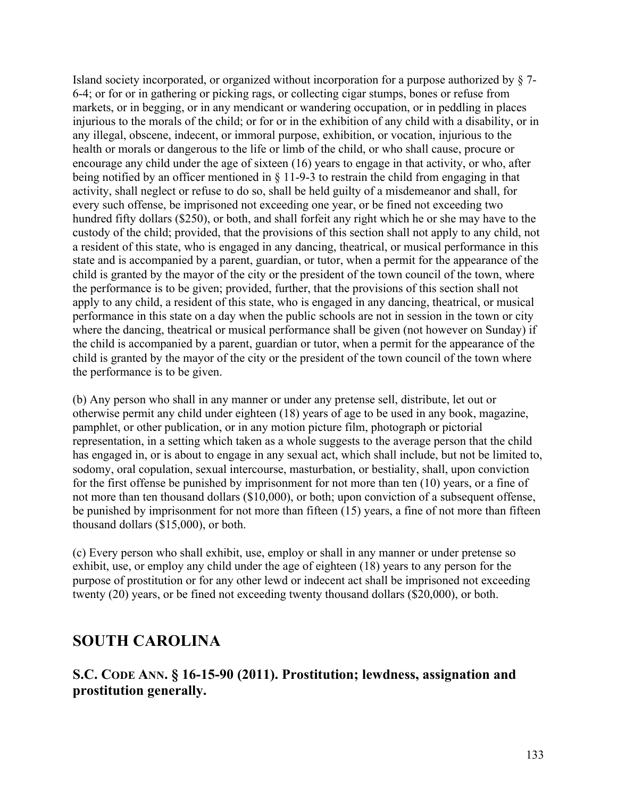Island society incorporated, or organized without incorporation for a purpose authorized by § 7- 6-4; or for or in gathering or picking rags, or collecting cigar stumps, bones or refuse from markets, or in begging, or in any mendicant or wandering occupation, or in peddling in places injurious to the morals of the child; or for or in the exhibition of any child with a disability, or in any illegal, obscene, indecent, or immoral purpose, exhibition, or vocation, injurious to the health or morals or dangerous to the life or limb of the child, or who shall cause, procure or encourage any child under the age of sixteen (16) years to engage in that activity, or who, after being notified by an officer mentioned in § 11-9-3 to restrain the child from engaging in that activity, shall neglect or refuse to do so, shall be held guilty of a misdemeanor and shall, for every such offense, be imprisoned not exceeding one year, or be fined not exceeding two hundred fifty dollars (\$250), or both, and shall forfeit any right which he or she may have to the custody of the child; provided, that the provisions of this section shall not apply to any child, not a resident of this state, who is engaged in any dancing, theatrical, or musical performance in this state and is accompanied by a parent, guardian, or tutor, when a permit for the appearance of the child is granted by the mayor of the city or the president of the town council of the town, where the performance is to be given; provided, further, that the provisions of this section shall not apply to any child, a resident of this state, who is engaged in any dancing, theatrical, or musical performance in this state on a day when the public schools are not in session in the town or city where the dancing, theatrical or musical performance shall be given (not however on Sunday) if the child is accompanied by a parent, guardian or tutor, when a permit for the appearance of the child is granted by the mayor of the city or the president of the town council of the town where the performance is to be given.

(b) Any person who shall in any manner or under any pretense sell, distribute, let out or otherwise permit any child under eighteen (18) years of age to be used in any book, magazine, pamphlet, or other publication, or in any motion picture film, photograph or pictorial representation, in a setting which taken as a whole suggests to the average person that the child has engaged in, or is about to engage in any sexual act, which shall include, but not be limited to, sodomy, oral copulation, sexual intercourse, masturbation, or bestiality, shall, upon conviction for the first offense be punished by imprisonment for not more than ten (10) years, or a fine of not more than ten thousand dollars (\$10,000), or both; upon conviction of a subsequent offense, be punished by imprisonment for not more than fifteen (15) years, a fine of not more than fifteen thousand dollars (\$15,000), or both.

(c) Every person who shall exhibit, use, employ or shall in any manner or under pretense so exhibit, use, or employ any child under the age of eighteen (18) years to any person for the purpose of prostitution or for any other lewd or indecent act shall be imprisoned not exceeding twenty (20) years, or be fined not exceeding twenty thousand dollars (\$20,000), or both.

## **SOUTH CAROLINA**

#### **S.C. CODE ANN. § 16-15-90 (2011). Prostitution; lewdness, assignation and prostitution generally.**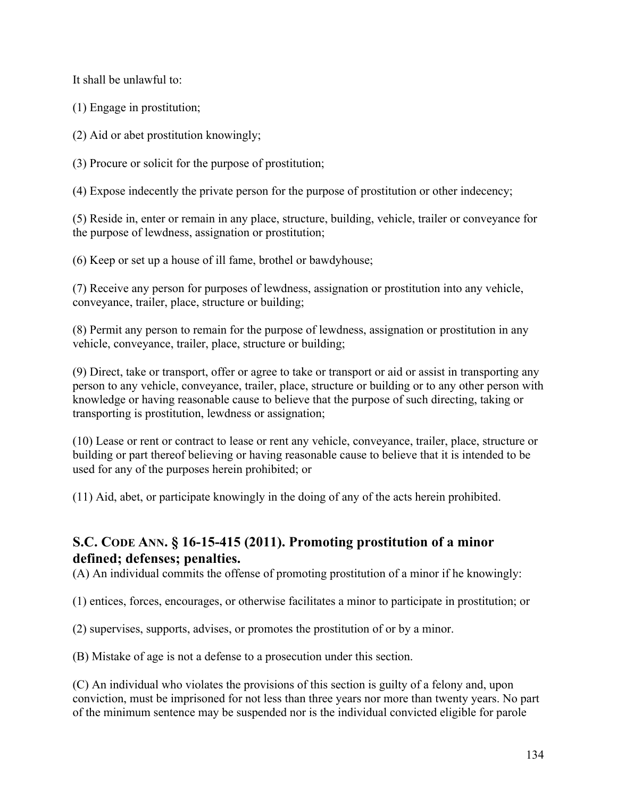It shall be unlawful to:

(1) Engage in prostitution;

(2) Aid or abet prostitution knowingly;

(3) Procure or solicit for the purpose of prostitution;

(4) Expose indecently the private person for the purpose of prostitution or other indecency;

(5) Reside in, enter or remain in any place, structure, building, vehicle, trailer or conveyance for the purpose of lewdness, assignation or prostitution;

(6) Keep or set up a house of ill fame, brothel or bawdyhouse;

(7) Receive any person for purposes of lewdness, assignation or prostitution into any vehicle, conveyance, trailer, place, structure or building;

(8) Permit any person to remain for the purpose of lewdness, assignation or prostitution in any vehicle, conveyance, trailer, place, structure or building;

(9) Direct, take or transport, offer or agree to take or transport or aid or assist in transporting any person to any vehicle, conveyance, trailer, place, structure or building or to any other person with knowledge or having reasonable cause to believe that the purpose of such directing, taking or transporting is prostitution, lewdness or assignation;

(10) Lease or rent or contract to lease or rent any vehicle, conveyance, trailer, place, structure or building or part thereof believing or having reasonable cause to believe that it is intended to be used for any of the purposes herein prohibited; or

(11) Aid, abet, or participate knowingly in the doing of any of the acts herein prohibited.

#### **S.C. CODE ANN. § 16-15-415 (2011). Promoting prostitution of a minor defined; defenses; penalties.**

(A) An individual commits the offense of promoting prostitution of a minor if he knowingly:

(1) entices, forces, encourages, or otherwise facilitates a minor to participate in prostitution; or

(2) supervises, supports, advises, or promotes the prostitution of or by a minor.

(B) Mistake of age is not a defense to a prosecution under this section.

(C) An individual who violates the provisions of this section is guilty of a felony and, upon conviction, must be imprisoned for not less than three years nor more than twenty years. No part of the minimum sentence may be suspended nor is the individual convicted eligible for parole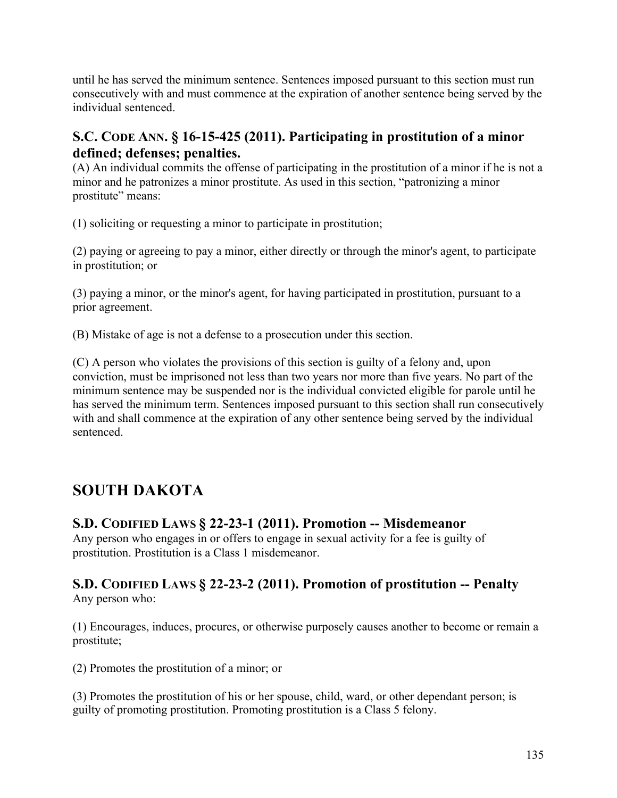until he has served the minimum sentence. Sentences imposed pursuant to this section must run consecutively with and must commence at the expiration of another sentence being served by the individual sentenced.

### **S.C. CODE ANN. § 16-15-425 (2011). Participating in prostitution of a minor defined; defenses; penalties.**

(A) An individual commits the offense of participating in the prostitution of a minor if he is not a minor and he patronizes a minor prostitute. As used in this section, "patronizing a minor prostitute" means:

(1) soliciting or requesting a minor to participate in prostitution;

(2) paying or agreeing to pay a minor, either directly or through the minor's agent, to participate in prostitution; or

(3) paying a minor, or the minor's agent, for having participated in prostitution, pursuant to a prior agreement.

(B) Mistake of age is not a defense to a prosecution under this section.

(C) A person who violates the provisions of this section is guilty of a felony and, upon conviction, must be imprisoned not less than two years nor more than five years. No part of the minimum sentence may be suspended nor is the individual convicted eligible for parole until he has served the minimum term. Sentences imposed pursuant to this section shall run consecutively with and shall commence at the expiration of any other sentence being served by the individual sentenced.

# **SOUTH DAKOTA**

#### **S.D. CODIFIED LAWS § 22-23-1 (2011). Promotion -- Misdemeanor**

Any person who engages in or offers to engage in sexual activity for a fee is guilty of prostitution. Prostitution is a Class 1 misdemeanor.

#### **S.D. CODIFIED LAWS § 22-23-2 (2011). Promotion of prostitution -- Penalty** Any person who:

(1) Encourages, induces, procures, or otherwise purposely causes another to become or remain a prostitute;

(2) Promotes the prostitution of a minor; or

(3) Promotes the prostitution of his or her spouse, child, ward, or other dependant person; is guilty of promoting prostitution. Promoting prostitution is a Class 5 felony.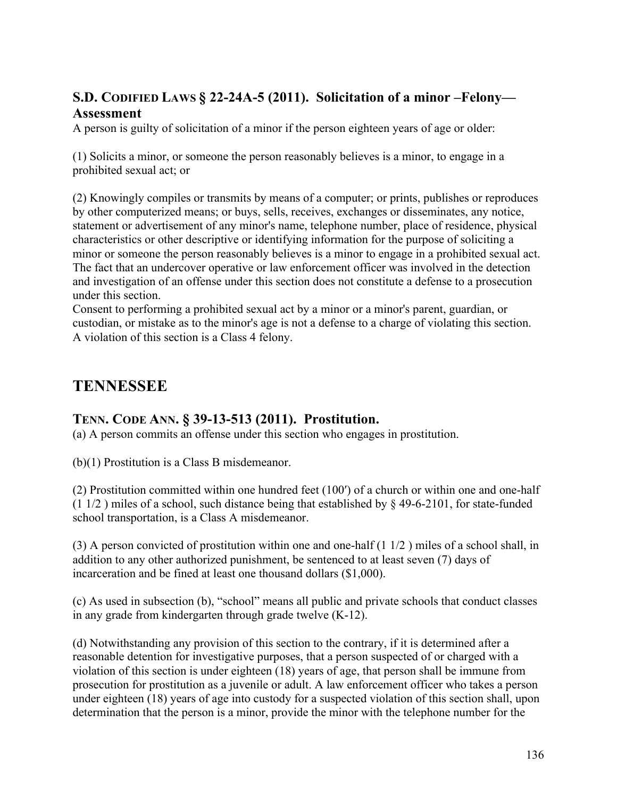#### **S.D. CODIFIED LAWS § 22-24A-5 (2011). Solicitation of a minor –Felony— Assessment**

A person is guilty of solicitation of a minor if the person eighteen years of age or older:

(1) Solicits a minor, or someone the person reasonably believes is a minor, to engage in a prohibited sexual act; or

(2) Knowingly compiles or transmits by means of a computer; or prints, publishes or reproduces by other computerized means; or buys, sells, receives, exchanges or disseminates, any notice, statement or advertisement of any minor's name, telephone number, place of residence, physical characteristics or other descriptive or identifying information for the purpose of soliciting a minor or someone the person reasonably believes is a minor to engage in a prohibited sexual act. The fact that an undercover operative or law enforcement officer was involved in the detection and investigation of an offense under this section does not constitute a defense to a prosecution under this section.

Consent to performing a prohibited sexual act by a minor or a minor's parent, guardian, or custodian, or mistake as to the minor's age is not a defense to a charge of violating this section. A violation of this section is a Class 4 felony.

## **TENNESSEE**

#### **TENN. CODE ANN. § 39-13-513 (2011). Prostitution.**

(a) A person commits an offense under this section who engages in prostitution.

(b)(1) Prostitution is a Class B misdemeanor.

(2) Prostitution committed within one hundred feet (100′) of a church or within one and one-half (1 1/2 ) miles of a school, such distance being that established by § 49-6-2101, for state-funded school transportation, is a Class A misdemeanor.

(3) A person convicted of prostitution within one and one-half  $(1\ 1/2)$  miles of a school shall, in addition to any other authorized punishment, be sentenced to at least seven (7) days of incarceration and be fined at least one thousand dollars (\$1,000).

(c) As used in subsection (b), "school" means all public and private schools that conduct classes in any grade from kindergarten through grade twelve (K-12).

(d) Notwithstanding any provision of this section to the contrary, if it is determined after a reasonable detention for investigative purposes, that a person suspected of or charged with a violation of this section is under eighteen (18) years of age, that person shall be immune from prosecution for prostitution as a juvenile or adult. A law enforcement officer who takes a person under eighteen (18) years of age into custody for a suspected violation of this section shall, upon determination that the person is a minor, provide the minor with the telephone number for the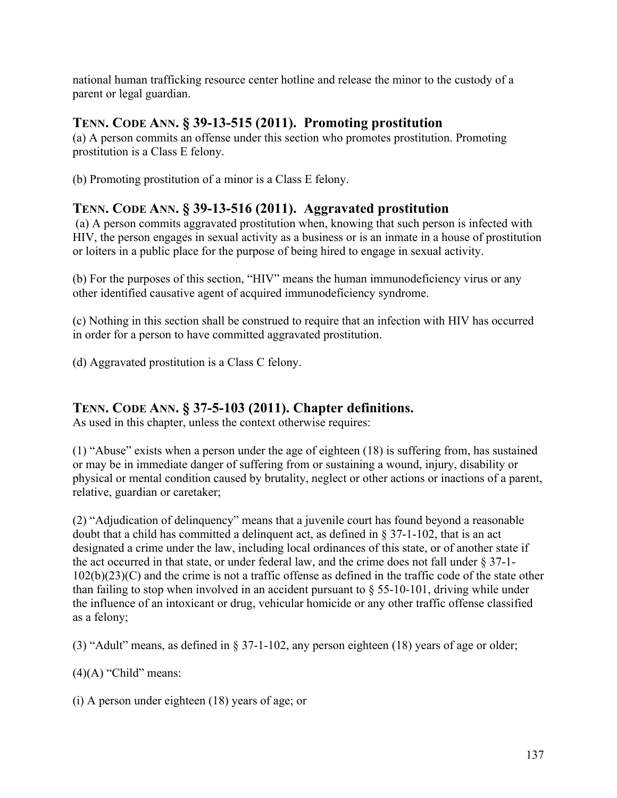national human trafficking resource center hotline and release the minor to the custody of a parent or legal guardian.

## **TENN. CODE ANN. § 39-13-515 (2011). Promoting prostitution**

(a) A person commits an offense under this section who promotes prostitution. Promoting prostitution is a Class E felony.

(b) Promoting prostitution of a minor is a Class E felony.

## **TENN. CODE ANN. § 39-13-516 (2011). Aggravated prostitution**

 (a) A person commits aggravated prostitution when, knowing that such person is infected with HIV, the person engages in sexual activity as a business or is an inmate in a house of prostitution or loiters in a public place for the purpose of being hired to engage in sexual activity.

(b) For the purposes of this section, "HIV" means the human immunodeficiency virus or any other identified causative agent of acquired immunodeficiency syndrome.

(c) Nothing in this section shall be construed to require that an infection with HIV has occurred in order for a person to have committed aggravated prostitution.

(d) Aggravated prostitution is a Class C felony.

## **TENN. CODE ANN. § 37-5-103 (2011). Chapter definitions.**

As used in this chapter, unless the context otherwise requires:

(1) "Abuse" exists when a person under the age of eighteen (18) is suffering from, has sustained or may be in immediate danger of suffering from or sustaining a wound, injury, disability or physical or mental condition caused by brutality, neglect or other actions or inactions of a parent, relative, guardian or caretaker;

(2) "Adjudication of delinquency" means that a juvenile court has found beyond a reasonable doubt that a child has committed a delinquent act, as defined in § 37-1-102, that is an act designated a crime under the law, including local ordinances of this state, or of another state if the act occurred in that state, or under federal law, and the crime does not fall under § 37-1- 102(b)(23)(C) and the crime is not a traffic offense as defined in the traffic code of the state other than failing to stop when involved in an accident pursuant to  $\S$  55-10-101, driving while under the influence of an intoxicant or drug, vehicular homicide or any other traffic offense classified as a felony;

(3) "Adult" means, as defined in § 37-1-102, any person eighteen (18) years of age or older;

 $(4)$ (A) "Child" means:

(i) A person under eighteen (18) years of age; or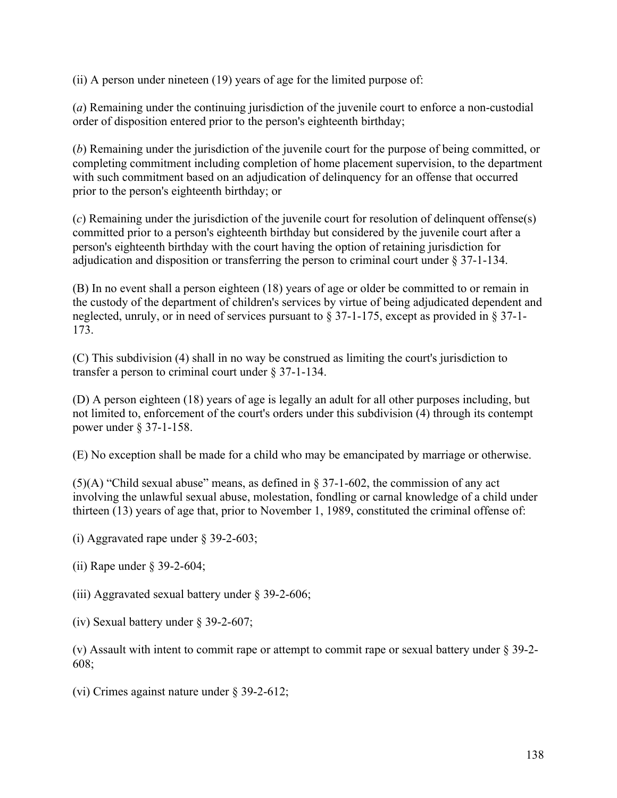(ii) A person under nineteen (19) years of age for the limited purpose of:

(*a*) Remaining under the continuing jurisdiction of the juvenile court to enforce a non-custodial order of disposition entered prior to the person's eighteenth birthday;

(*b*) Remaining under the jurisdiction of the juvenile court for the purpose of being committed, or completing commitment including completion of home placement supervision, to the department with such commitment based on an adjudication of delinquency for an offense that occurred prior to the person's eighteenth birthday; or

(*c*) Remaining under the jurisdiction of the juvenile court for resolution of delinquent offense(s) committed prior to a person's eighteenth birthday but considered by the juvenile court after a person's eighteenth birthday with the court having the option of retaining jurisdiction for adjudication and disposition or transferring the person to criminal court under § 37-1-134.

(B) In no event shall a person eighteen (18) years of age or older be committed to or remain in the custody of the department of children's services by virtue of being adjudicated dependent and neglected, unruly, or in need of services pursuant to § 37-1-175, except as provided in § 37-1- 173.

(C) This subdivision (4) shall in no way be construed as limiting the court's jurisdiction to transfer a person to criminal court under § 37-1-134.

(D) A person eighteen (18) years of age is legally an adult for all other purposes including, but not limited to, enforcement of the court's orders under this subdivision (4) through its contempt power under § 37-1-158.

(E) No exception shall be made for a child who may be emancipated by marriage or otherwise.

(5)(A) "Child sexual abuse" means, as defined in § 37-1-602, the commission of any act involving the unlawful sexual abuse, molestation, fondling or carnal knowledge of a child under thirteen (13) years of age that, prior to November 1, 1989, constituted the criminal offense of:

- (i) Aggravated rape under § 39-2-603;
- (ii) Rape under § 39-2-604;
- (iii) Aggravated sexual battery under § 39-2-606;
- (iv) Sexual battery under § 39-2-607;

(v) Assault with intent to commit rape or attempt to commit rape or sexual battery under § 39-2- 608;

(vi) Crimes against nature under § 39-2-612;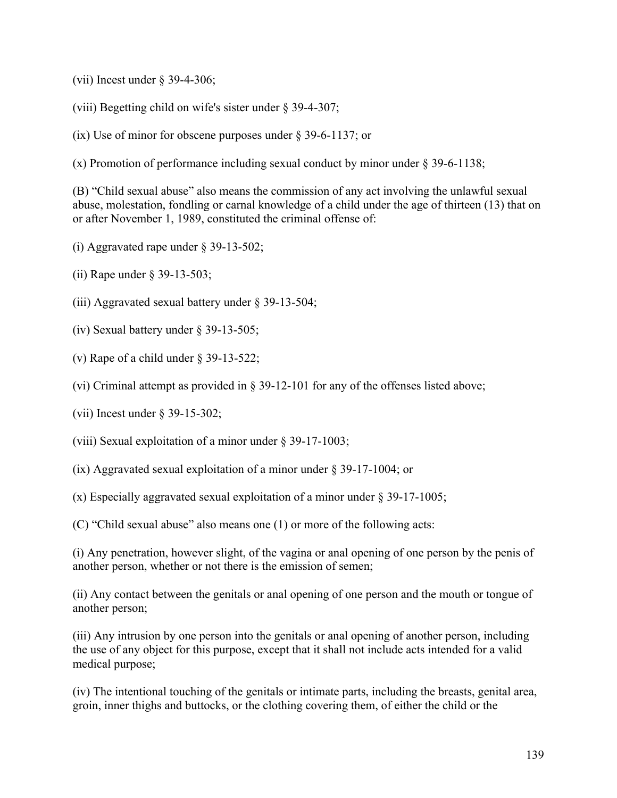(vii) Incest under § 39-4-306;

(viii) Begetting child on wife's sister under § 39-4-307;

(ix) Use of minor for obscene purposes under § 39-6-1137; or

(x) Promotion of performance including sexual conduct by minor under § 39-6-1138;

(B) "Child sexual abuse" also means the commission of any act involving the unlawful sexual abuse, molestation, fondling or carnal knowledge of a child under the age of thirteen (13) that on or after November 1, 1989, constituted the criminal offense of:

- (i) Aggravated rape under § 39-13-502;
- (ii) Rape under § 39-13-503;
- (iii) Aggravated sexual battery under § 39-13-504;
- (iv) Sexual battery under § 39-13-505;
- (v) Rape of a child under § 39-13-522;
- (vi) Criminal attempt as provided in § 39-12-101 for any of the offenses listed above;
- (vii) Incest under § 39-15-302;
- (viii) Sexual exploitation of a minor under § 39-17-1003;
- (ix) Aggravated sexual exploitation of a minor under § 39-17-1004; or
- (x) Especially aggravated sexual exploitation of a minor under § 39-17-1005;

(C) "Child sexual abuse" also means one (1) or more of the following acts:

(i) Any penetration, however slight, of the vagina or anal opening of one person by the penis of another person, whether or not there is the emission of semen;

(ii) Any contact between the genitals or anal opening of one person and the mouth or tongue of another person;

(iii) Any intrusion by one person into the genitals or anal opening of another person, including the use of any object for this purpose, except that it shall not include acts intended for a valid medical purpose;

(iv) The intentional touching of the genitals or intimate parts, including the breasts, genital area, groin, inner thighs and buttocks, or the clothing covering them, of either the child or the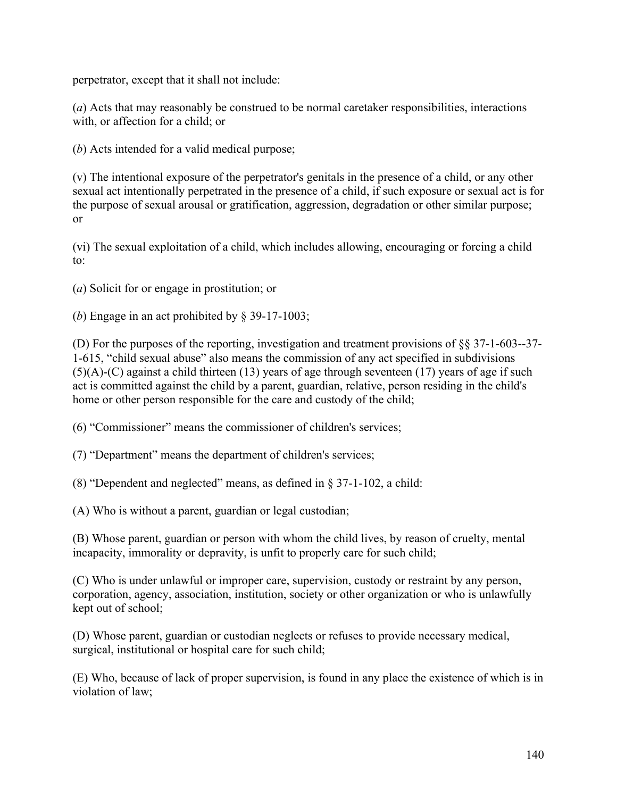perpetrator, except that it shall not include:

(*a*) Acts that may reasonably be construed to be normal caretaker responsibilities, interactions with, or affection for a child; or

(*b*) Acts intended for a valid medical purpose;

(v) The intentional exposure of the perpetrator's genitals in the presence of a child, or any other sexual act intentionally perpetrated in the presence of a child, if such exposure or sexual act is for the purpose of sexual arousal or gratification, aggression, degradation or other similar purpose; or

(vi) The sexual exploitation of a child, which includes allowing, encouraging or forcing a child to:

(*a*) Solicit for or engage in prostitution; or

(*b*) Engage in an act prohibited by § 39-17-1003;

(D) For the purposes of the reporting, investigation and treatment provisions of §§ 37-1-603--37- 1-615, "child sexual abuse" also means the commission of any act specified in subdivisions (5)(A)-(C) against a child thirteen (13) years of age through seventeen (17) years of age if such act is committed against the child by a parent, guardian, relative, person residing in the child's home or other person responsible for the care and custody of the child;

(6) "Commissioner" means the commissioner of children's services;

(7) "Department" means the department of children's services;

(8) "Dependent and neglected" means, as defined in § 37-1-102, a child:

(A) Who is without a parent, guardian or legal custodian;

(B) Whose parent, guardian or person with whom the child lives, by reason of cruelty, mental incapacity, immorality or depravity, is unfit to properly care for such child;

(C) Who is under unlawful or improper care, supervision, custody or restraint by any person, corporation, agency, association, institution, society or other organization or who is unlawfully kept out of school;

(D) Whose parent, guardian or custodian neglects or refuses to provide necessary medical, surgical, institutional or hospital care for such child;

(E) Who, because of lack of proper supervision, is found in any place the existence of which is in violation of law;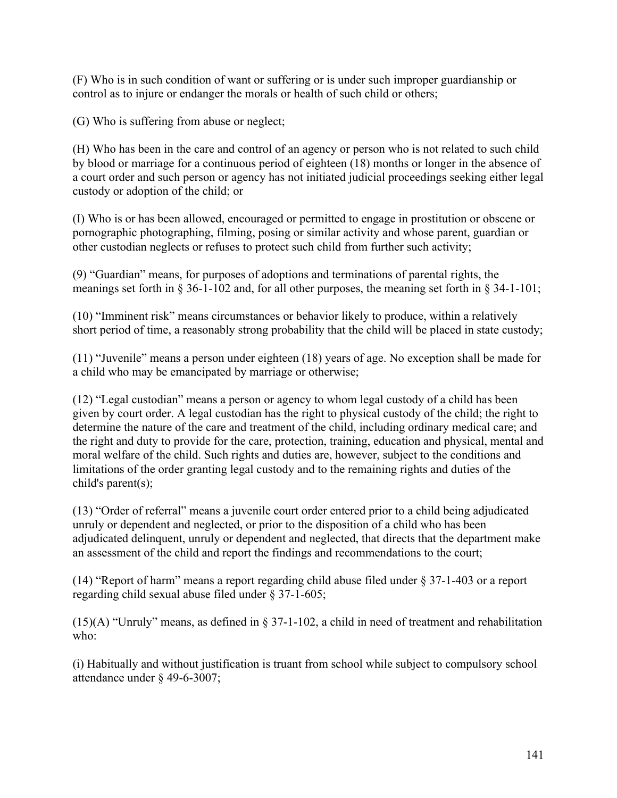(F) Who is in such condition of want or suffering or is under such improper guardianship or control as to injure or endanger the morals or health of such child or others;

(G) Who is suffering from abuse or neglect;

(H) Who has been in the care and control of an agency or person who is not related to such child by blood or marriage for a continuous period of eighteen (18) months or longer in the absence of a court order and such person or agency has not initiated judicial proceedings seeking either legal custody or adoption of the child; or

(I) Who is or has been allowed, encouraged or permitted to engage in prostitution or obscene or pornographic photographing, filming, posing or similar activity and whose parent, guardian or other custodian neglects or refuses to protect such child from further such activity;

(9) "Guardian" means, for purposes of adoptions and terminations of parental rights, the meanings set forth in § 36-1-102 and, for all other purposes, the meaning set forth in § 34-1-101;

(10) "Imminent risk" means circumstances or behavior likely to produce, within a relatively short period of time, a reasonably strong probability that the child will be placed in state custody;

(11) "Juvenile" means a person under eighteen (18) years of age. No exception shall be made for a child who may be emancipated by marriage or otherwise;

(12) "Legal custodian" means a person or agency to whom legal custody of a child has been given by court order. A legal custodian has the right to physical custody of the child; the right to determine the nature of the care and treatment of the child, including ordinary medical care; and the right and duty to provide for the care, protection, training, education and physical, mental and moral welfare of the child. Such rights and duties are, however, subject to the conditions and limitations of the order granting legal custody and to the remaining rights and duties of the child's parent(s);

(13) "Order of referral" means a juvenile court order entered prior to a child being adjudicated unruly or dependent and neglected, or prior to the disposition of a child who has been adjudicated delinquent, unruly or dependent and neglected, that directs that the department make an assessment of the child and report the findings and recommendations to the court;

(14) "Report of harm" means a report regarding child abuse filed under § 37-1-403 or a report regarding child sexual abuse filed under § 37-1-605;

(15)(A) "Unruly" means, as defined in § 37-1-102, a child in need of treatment and rehabilitation who:

(i) Habitually and without justification is truant from school while subject to compulsory school attendance under § 49-6-3007;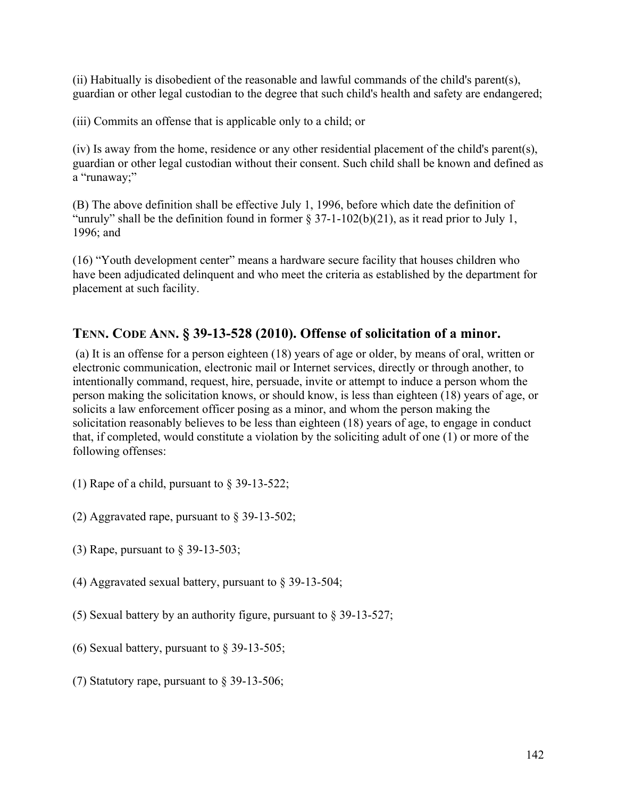(ii) Habitually is disobedient of the reasonable and lawful commands of the child's parent(s), guardian or other legal custodian to the degree that such child's health and safety are endangered;

(iii) Commits an offense that is applicable only to a child; or

(iv) Is away from the home, residence or any other residential placement of the child's parent(s), guardian or other legal custodian without their consent. Such child shall be known and defined as a "runaway;"

(B) The above definition shall be effective July 1, 1996, before which date the definition of "unruly" shall be the definition found in former  $\S 37$ -1-102(b)(21), as it read prior to July 1, 1996; and

(16) "Youth development center" means a hardware secure facility that houses children who have been adjudicated delinquent and who meet the criteria as established by the department for placement at such facility.

#### **TENN. CODE ANN. § 39-13-528 (2010). Offense of solicitation of a minor.**

(a) It is an offense for a person eighteen (18) years of age or older, by means of oral, written or electronic communication, electronic mail or Internet services, directly or through another, to intentionally command, request, hire, persuade, invite or attempt to induce a person whom the person making the solicitation knows, or should know, is less than eighteen (18) years of age, or solicits a law enforcement officer posing as a minor, and whom the person making the solicitation reasonably believes to be less than eighteen (18) years of age, to engage in conduct that, if completed, would constitute a violation by the soliciting adult of one (1) or more of the following offenses:

- (1) Rape of a child, pursuant to  $\S$  39-13-522;
- (2) Aggravated rape, pursuant to § 39-13-502;
- (3) Rape, pursuant to § 39-13-503;
- (4) Aggravated sexual battery, pursuant to § 39-13-504;
- (5) Sexual battery by an authority figure, pursuant to § 39-13-527;
- (6) Sexual battery, pursuant to § 39-13-505;
- (7) Statutory rape, pursuant to § 39-13-506;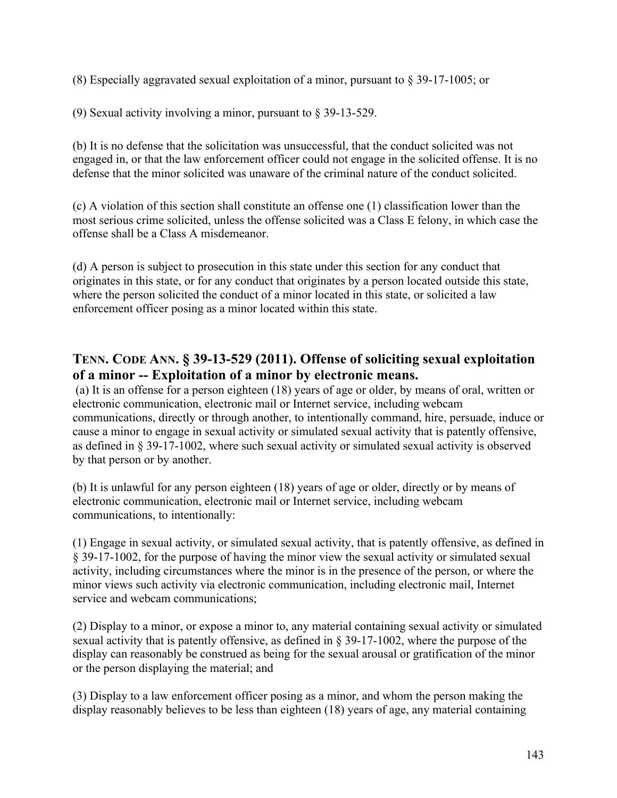(8) Especially aggravated sexual exploitation of a minor, pursuant to § 39-17-1005; or

(9) Sexual activity involving a minor, pursuant to § 39-13-529.

(b) It is no defense that the solicitation was unsuccessful, that the conduct solicited was not engaged in, or that the law enforcement officer could not engage in the solicited offense. It is no defense that the minor solicited was unaware of the criminal nature of the conduct solicited.

(c) A violation of this section shall constitute an offense one (1) classification lower than the most serious crime solicited, unless the offense solicited was a Class E felony, in which case the offense shall be a Class A misdemeanor.

(d) A person is subject to prosecution in this state under this section for any conduct that originates in this state, or for any conduct that originates by a person located outside this state, where the person solicited the conduct of a minor located in this state, or solicited a law enforcement officer posing as a minor located within this state.

## **TENN. CODE ANN. § 39-13-529 (2011). Offense of soliciting sexual exploitation of a minor -- Exploitation of a minor by electronic means.**

 (a) It is an offense for a person eighteen (18) years of age or older, by means of oral, written or electronic communication, electronic mail or Internet service, including webcam communications, directly or through another, to intentionally command, hire, persuade, induce or cause a minor to engage in sexual activity or simulated sexual activity that is patently offensive, as defined in § 39-17-1002, where such sexual activity or simulated sexual activity is observed by that person or by another.

(b) It is unlawful for any person eighteen (18) years of age or older, directly or by means of electronic communication, electronic mail or Internet service, including webcam communications, to intentionally:

(1) Engage in sexual activity, or simulated sexual activity, that is patently offensive, as defined in § 39-17-1002, for the purpose of having the minor view the sexual activity or simulated sexual activity, including circumstances where the minor is in the presence of the person, or where the minor views such activity via electronic communication, including electronic mail, Internet service and webcam communications;

(2) Display to a minor, or expose a minor to, any material containing sexual activity or simulated sexual activity that is patently offensive, as defined in § 39-17-1002, where the purpose of the display can reasonably be construed as being for the sexual arousal or gratification of the minor or the person displaying the material; and

(3) Display to a law enforcement officer posing as a minor, and whom the person making the display reasonably believes to be less than eighteen (18) years of age, any material containing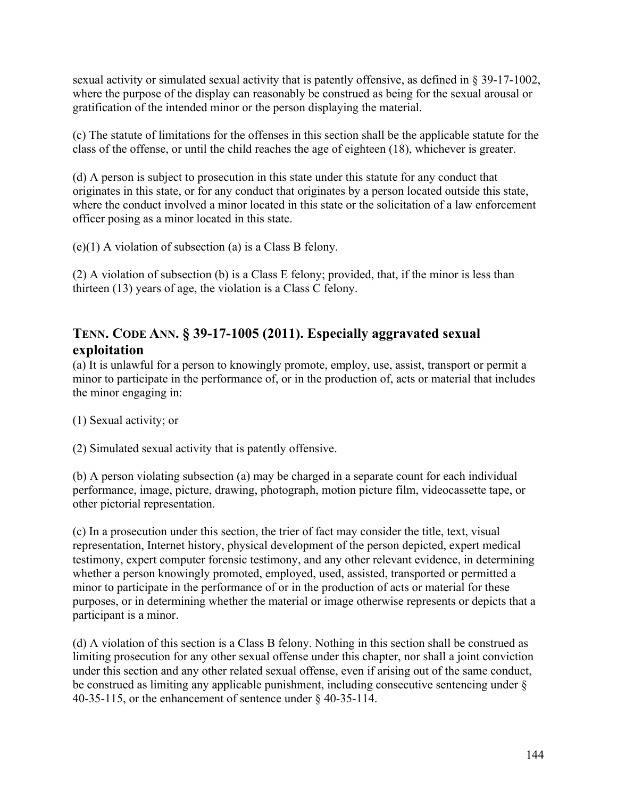sexual activity or simulated sexual activity that is patently offensive, as defined in § 39-17-1002, where the purpose of the display can reasonably be construed as being for the sexual arousal or gratification of the intended minor or the person displaying the material.

(c) The statute of limitations for the offenses in this section shall be the applicable statute for the class of the offense, or until the child reaches the age of eighteen (18), whichever is greater.

(d) A person is subject to prosecution in this state under this statute for any conduct that originates in this state, or for any conduct that originates by a person located outside this state, where the conduct involved a minor located in this state or the solicitation of a law enforcement officer posing as a minor located in this state.

 $(e)(1)$  A violation of subsection (a) is a Class B felony.

(2) A violation of subsection (b) is a Class E felony; provided, that, if the minor is less than thirteen (13) years of age, the violation is a Class C felony.

## **TENN. CODE ANN. § 39-17-1005 (2011). Especially aggravated sexual exploitation**

(a) It is unlawful for a person to knowingly promote, employ, use, assist, transport or permit a minor to participate in the performance of, or in the production of, acts or material that includes the minor engaging in:

(1) Sexual activity; or

(2) Simulated sexual activity that is patently offensive.

(b) A person violating subsection (a) may be charged in a separate count for each individual performance, image, picture, drawing, photograph, motion picture film, videocassette tape, or other pictorial representation.

(c) In a prosecution under this section, the trier of fact may consider the title, text, visual representation, Internet history, physical development of the person depicted, expert medical testimony, expert computer forensic testimony, and any other relevant evidence, in determining whether a person knowingly promoted, employed, used, assisted, transported or permitted a minor to participate in the performance of or in the production of acts or material for these purposes, or in determining whether the material or image otherwise represents or depicts that a participant is a minor.

(d) A violation of this section is a Class B felony. Nothing in this section shall be construed as limiting prosecution for any other sexual offense under this chapter, nor shall a joint conviction under this section and any other related sexual offense, even if arising out of the same conduct, be construed as limiting any applicable punishment, including consecutive sentencing under § 40-35-115, or the enhancement of sentence under § 40-35-114.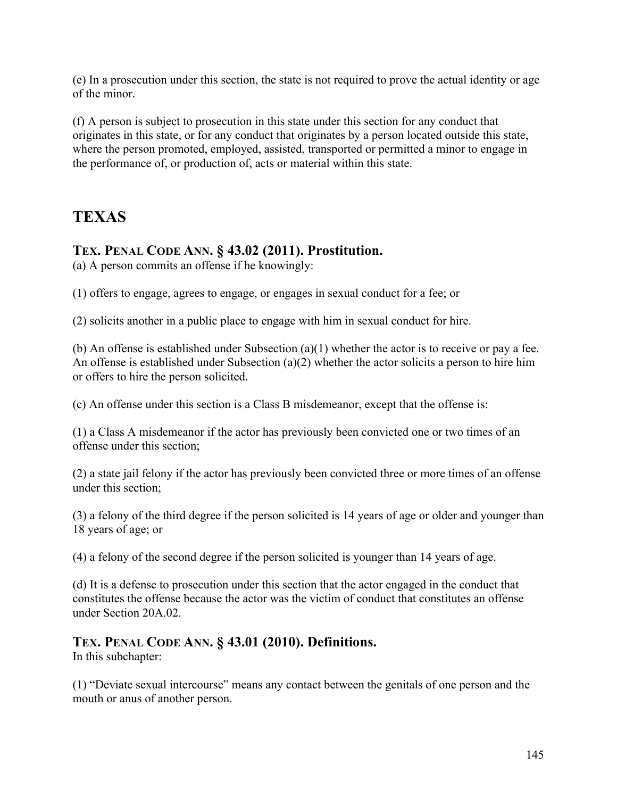(e) In a prosecution under this section, the state is not required to prove the actual identity or age of the minor.

(f) A person is subject to prosecution in this state under this section for any conduct that originates in this state, or for any conduct that originates by a person located outside this state, where the person promoted, employed, assisted, transported or permitted a minor to engage in the performance of, or production of, acts or material within this state.

# **TEXAS**

## **TEX. PENAL CODE ANN. § 43.02 (2011). Prostitution.**

(a) A person commits an offense if he knowingly:

(1) offers to engage, agrees to engage, or engages in sexual conduct for a fee; or

(2) solicits another in a public place to engage with him in sexual conduct for hire.

(b) An offense is established under Subsection (a)(1) whether the actor is to receive or pay a fee. An offense is established under Subsection (a)(2) whether the actor solicits a person to hire him or offers to hire the person solicited.

(c) An offense under this section is a Class B misdemeanor, except that the offense is:

(1) a Class A misdemeanor if the actor has previously been convicted one or two times of an offense under this section;

(2) a state jail felony if the actor has previously been convicted three or more times of an offense under this section;

(3) a felony of the third degree if the person solicited is 14 years of age or older and younger than 18 years of age; or

(4) a felony of the second degree if the person solicited is younger than 14 years of age.

(d) It is a defense to prosecution under this section that the actor engaged in the conduct that constitutes the offense because the actor was the victim of conduct that constitutes an offense under Section 20A.02.

# **TEX. PENAL CODE ANN. § 43.01 (2010). Definitions.**

In this subchapter:

(1) "Deviate sexual intercourse" means any contact between the genitals of one person and the mouth or anus of another person.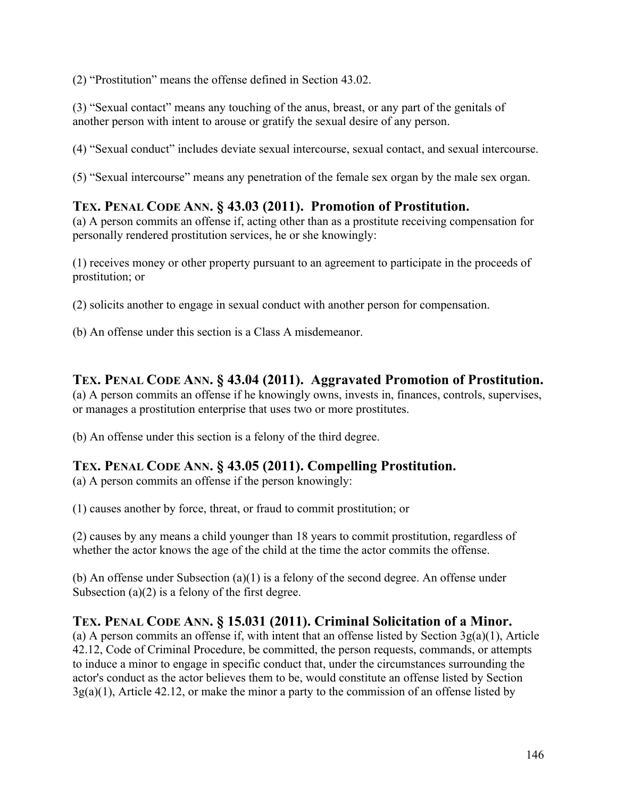(2) "Prostitution" means the offense defined in Section 43.02.

(3) "Sexual contact" means any touching of the anus, breast, or any part of the genitals of another person with intent to arouse or gratify the sexual desire of any person.

(4) "Sexual conduct" includes deviate sexual intercourse, sexual contact, and sexual intercourse.

(5) "Sexual intercourse" means any penetration of the female sex organ by the male sex organ.

# **TEX. PENAL CODE ANN. § 43.03 (2011). Promotion of Prostitution.**

(a) A person commits an offense if, acting other than as a prostitute receiving compensation for personally rendered prostitution services, he or she knowingly:

(1) receives money or other property pursuant to an agreement to participate in the proceeds of prostitution; or

(2) solicits another to engage in sexual conduct with another person for compensation.

(b) An offense under this section is a Class A misdemeanor.

#### **TEX. PENAL CODE ANN. § 43.04 (2011). Aggravated Promotion of Prostitution.**

(a) A person commits an offense if he knowingly owns, invests in, finances, controls, supervises, or manages a prostitution enterprise that uses two or more prostitutes.

(b) An offense under this section is a felony of the third degree.

# **TEX. PENAL CODE ANN. § 43.05 (2011). Compelling Prostitution.**

(a) A person commits an offense if the person knowingly:

(1) causes another by force, threat, or fraud to commit prostitution; or

(2) causes by any means a child younger than 18 years to commit prostitution, regardless of whether the actor knows the age of the child at the time the actor commits the offense.

(b) An offense under Subsection  $(a)(1)$  is a felony of the second degree. An offense under Subsection  $(a)(2)$  is a felony of the first degree.

#### **TEX. PENAL CODE ANN. § 15.031 (2011). Criminal Solicitation of a Minor.**

(a) A person commits an offense if, with intent that an offense listed by Section  $3g(a)(1)$ , Article 42.12, Code of Criminal Procedure, be committed, the person requests, commands, or attempts to induce a minor to engage in specific conduct that, under the circumstances surrounding the actor's conduct as the actor believes them to be, would constitute an offense listed by Section 3g(a)(1), Article 42.12, or make the minor a party to the commission of an offense listed by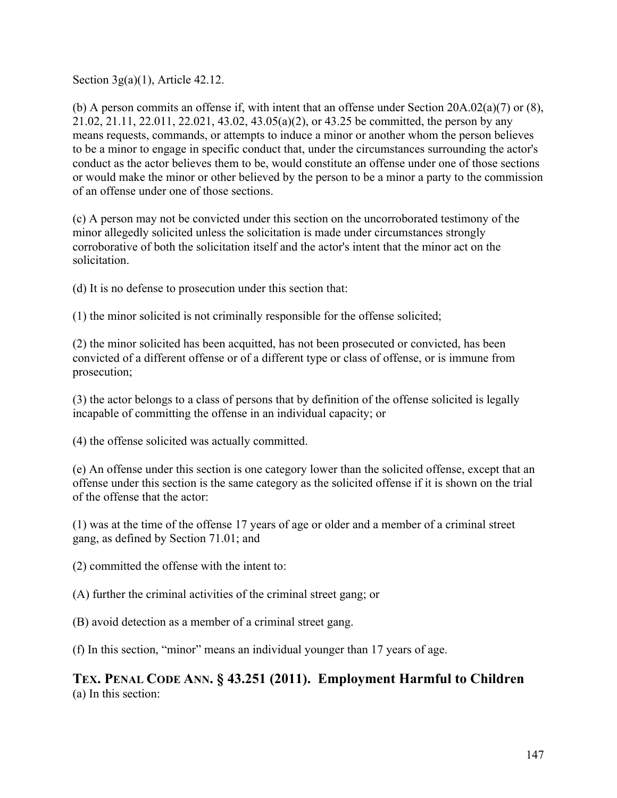Section  $3g(a)(1)$ , Article 42.12.

(b) A person commits an offense if, with intent that an offense under Section  $20A.02(a)(7)$  or  $(8)$ , 21.02, 21.11, 22.011, 22.021, 43.02, 43.05(a)(2), or 43.25 be committed, the person by any means requests, commands, or attempts to induce a minor or another whom the person believes to be a minor to engage in specific conduct that, under the circumstances surrounding the actor's conduct as the actor believes them to be, would constitute an offense under one of those sections or would make the minor or other believed by the person to be a minor a party to the commission of an offense under one of those sections.

(c) A person may not be convicted under this section on the uncorroborated testimony of the minor allegedly solicited unless the solicitation is made under circumstances strongly corroborative of both the solicitation itself and the actor's intent that the minor act on the solicitation.

(d) It is no defense to prosecution under this section that:

(1) the minor solicited is not criminally responsible for the offense solicited;

(2) the minor solicited has been acquitted, has not been prosecuted or convicted, has been convicted of a different offense or of a different type or class of offense, or is immune from prosecution;

(3) the actor belongs to a class of persons that by definition of the offense solicited is legally incapable of committing the offense in an individual capacity; or

(4) the offense solicited was actually committed.

(e) An offense under this section is one category lower than the solicited offense, except that an offense under this section is the same category as the solicited offense if it is shown on the trial of the offense that the actor:

(1) was at the time of the offense 17 years of age or older and a member of a criminal street gang, as defined by Section 71.01; and

(2) committed the offense with the intent to:

(A) further the criminal activities of the criminal street gang; or

(B) avoid detection as a member of a criminal street gang.

(f) In this section, "minor" means an individual younger than 17 years of age.

#### **TEX. PENAL CODE ANN. § 43.251 (2011). Employment Harmful to Children** (a) In this section: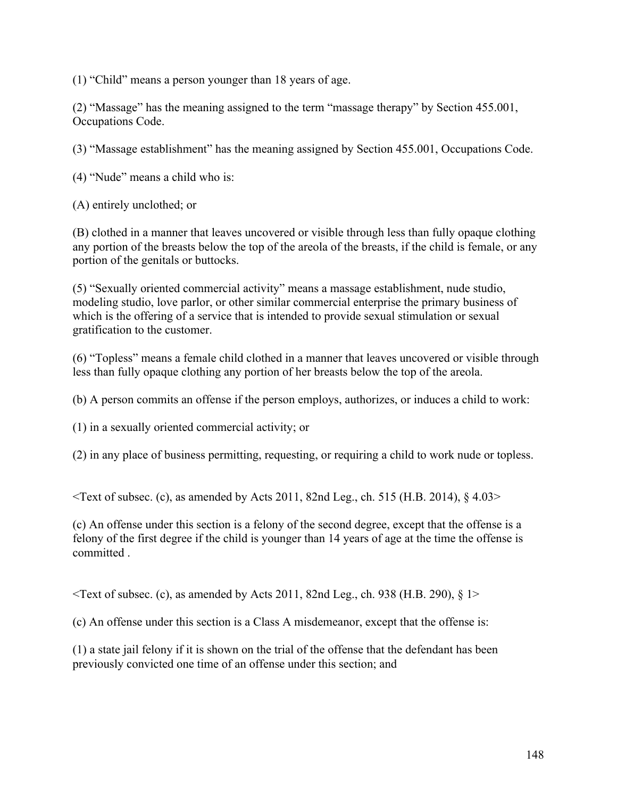(1) "Child" means a person younger than 18 years of age.

(2) "Massage" has the meaning assigned to the term "massage therapy" by Section 455.001, Occupations Code.

(3) "Massage establishment" has the meaning assigned by Section 455.001, Occupations Code.

(4) "Nude" means a child who is:

(A) entirely unclothed; or

(B) clothed in a manner that leaves uncovered or visible through less than fully opaque clothing any portion of the breasts below the top of the areola of the breasts, if the child is female, or any portion of the genitals or buttocks.

(5) "Sexually oriented commercial activity" means a massage establishment, nude studio, modeling studio, love parlor, or other similar commercial enterprise the primary business of which is the offering of a service that is intended to provide sexual stimulation or sexual gratification to the customer.

(6) "Topless" means a female child clothed in a manner that leaves uncovered or visible through less than fully opaque clothing any portion of her breasts below the top of the areola.

(b) A person commits an offense if the person employs, authorizes, or induces a child to work:

(1) in a sexually oriented commercial activity; or

(2) in any place of business permitting, requesting, or requiring a child to work nude or topless.

 $\le$ Text of subsec. (c), as amended by Acts 2011, 82nd Leg., ch. 515 (H.B. 2014), § 4.03>

(c) An offense under this section is a felony of the second degree, except that the offense is a felony of the first degree if the child is younger than 14 years of age at the time the offense is committed .

 $\le$ Text of subsec. (c), as amended by Acts 2011, 82nd Leg., ch. 938 (H.B. 290),  $\&$  1>

(c) An offense under this section is a Class A misdemeanor, except that the offense is:

(1) a state jail felony if it is shown on the trial of the offense that the defendant has been previously convicted one time of an offense under this section; and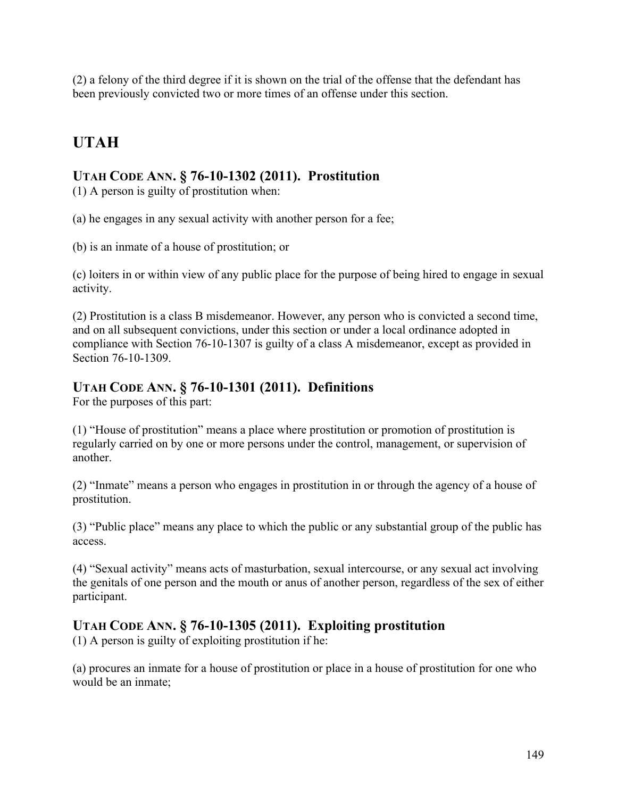(2) a felony of the third degree if it is shown on the trial of the offense that the defendant has been previously convicted two or more times of an offense under this section.

# **UTAH**

## **UTAH CODE ANN. § 76-10-1302 (2011). Prostitution**

(1) A person is guilty of prostitution when:

(a) he engages in any sexual activity with another person for a fee;

(b) is an inmate of a house of prostitution; or

(c) loiters in or within view of any public place for the purpose of being hired to engage in sexual activity.

(2) Prostitution is a class B misdemeanor. However, any person who is convicted a second time, and on all subsequent convictions, under this section or under a local ordinance adopted in compliance with Section 76-10-1307 is guilty of a class A misdemeanor, except as provided in Section 76-10-1309.

# **UTAH CODE ANN. § 76-10-1301 (2011). Definitions**

For the purposes of this part:

(1) "House of prostitution" means a place where prostitution or promotion of prostitution is regularly carried on by one or more persons under the control, management, or supervision of another.

(2) "Inmate" means a person who engages in prostitution in or through the agency of a house of prostitution.

(3) "Public place" means any place to which the public or any substantial group of the public has access.

(4) "Sexual activity" means acts of masturbation, sexual intercourse, or any sexual act involving the genitals of one person and the mouth or anus of another person, regardless of the sex of either participant.

# **UTAH CODE ANN. § 76-10-1305 (2011). Exploiting prostitution**

(1) A person is guilty of exploiting prostitution if he:

(a) procures an inmate for a house of prostitution or place in a house of prostitution for one who would be an inmate;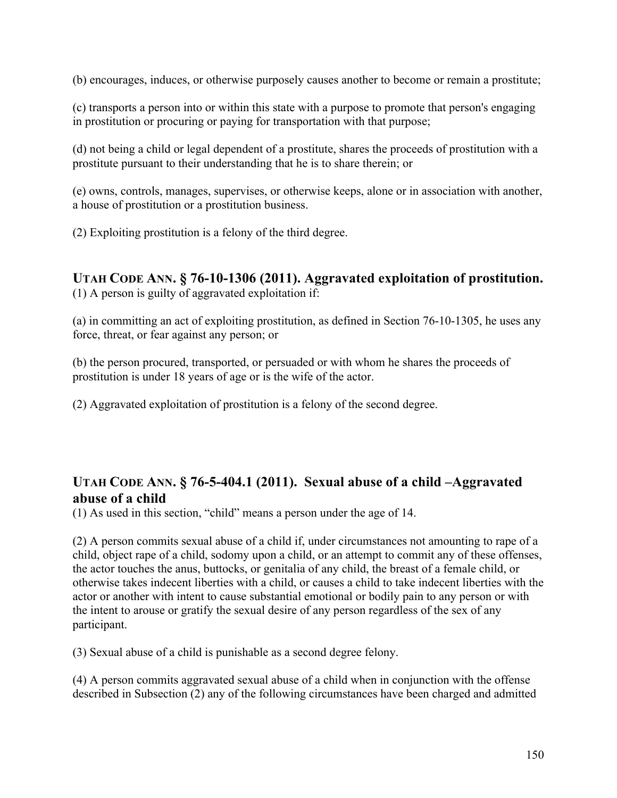(b) encourages, induces, or otherwise purposely causes another to become or remain a prostitute;

(c) transports a person into or within this state with a purpose to promote that person's engaging in prostitution or procuring or paying for transportation with that purpose;

(d) not being a child or legal dependent of a prostitute, shares the proceeds of prostitution with a prostitute pursuant to their understanding that he is to share therein; or

(e) owns, controls, manages, supervises, or otherwise keeps, alone or in association with another, a house of prostitution or a prostitution business.

(2) Exploiting prostitution is a felony of the third degree.

# **UTAH CODE ANN. § 76-10-1306 (2011). Aggravated exploitation of prostitution.**

(1) A person is guilty of aggravated exploitation if:

(a) in committing an act of exploiting prostitution, as defined in Section 76-10-1305, he uses any force, threat, or fear against any person; or

(b) the person procured, transported, or persuaded or with whom he shares the proceeds of prostitution is under 18 years of age or is the wife of the actor.

(2) Aggravated exploitation of prostitution is a felony of the second degree.

#### **UTAH CODE ANN. § 76-5-404.1 (2011). Sexual abuse of a child –Aggravated abuse of a child**

(1) As used in this section, "child" means a person under the age of 14.

(2) A person commits sexual abuse of a child if, under circumstances not amounting to rape of a child, object rape of a child, sodomy upon a child, or an attempt to commit any of these offenses, the actor touches the anus, buttocks, or genitalia of any child, the breast of a female child, or otherwise takes indecent liberties with a child, or causes a child to take indecent liberties with the actor or another with intent to cause substantial emotional or bodily pain to any person or with the intent to arouse or gratify the sexual desire of any person regardless of the sex of any participant.

(3) Sexual abuse of a child is punishable as a second degree felony.

(4) A person commits aggravated sexual abuse of a child when in conjunction with the offense described in Subsection (2) any of the following circumstances have been charged and admitted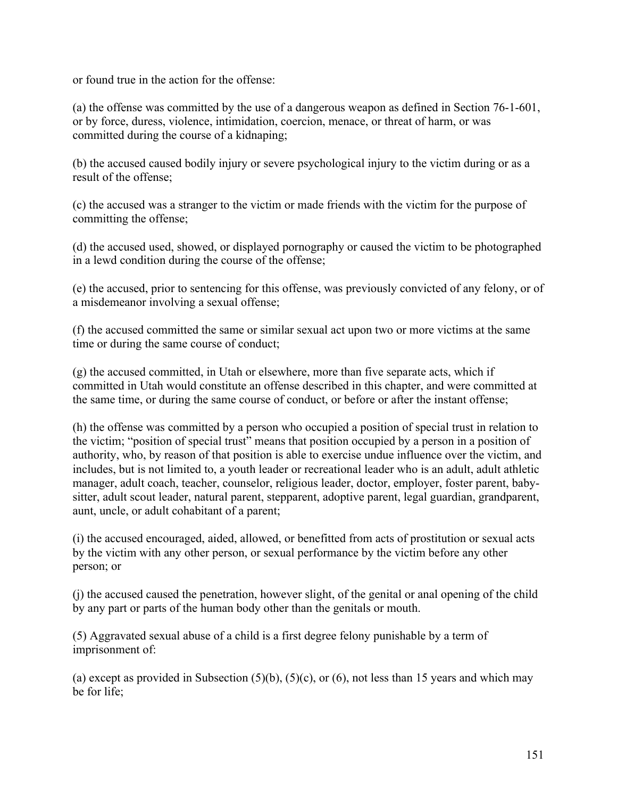or found true in the action for the offense:

(a) the offense was committed by the use of a dangerous weapon as defined in Section 76-1-601, or by force, duress, violence, intimidation, coercion, menace, or threat of harm, or was committed during the course of a kidnaping;

(b) the accused caused bodily injury or severe psychological injury to the victim during or as a result of the offense;

(c) the accused was a stranger to the victim or made friends with the victim for the purpose of committing the offense;

(d) the accused used, showed, or displayed pornography or caused the victim to be photographed in a lewd condition during the course of the offense;

(e) the accused, prior to sentencing for this offense, was previously convicted of any felony, or of a misdemeanor involving a sexual offense;

(f) the accused committed the same or similar sexual act upon two or more victims at the same time or during the same course of conduct;

(g) the accused committed, in Utah or elsewhere, more than five separate acts, which if committed in Utah would constitute an offense described in this chapter, and were committed at the same time, or during the same course of conduct, or before or after the instant offense;

(h) the offense was committed by a person who occupied a position of special trust in relation to the victim; "position of special trust" means that position occupied by a person in a position of authority, who, by reason of that position is able to exercise undue influence over the victim, and includes, but is not limited to, a youth leader or recreational leader who is an adult, adult athletic manager, adult coach, teacher, counselor, religious leader, doctor, employer, foster parent, babysitter, adult scout leader, natural parent, stepparent, adoptive parent, legal guardian, grandparent, aunt, uncle, or adult cohabitant of a parent;

(i) the accused encouraged, aided, allowed, or benefitted from acts of prostitution or sexual acts by the victim with any other person, or sexual performance by the victim before any other person; or

(j) the accused caused the penetration, however slight, of the genital or anal opening of the child by any part or parts of the human body other than the genitals or mouth.

(5) Aggravated sexual abuse of a child is a first degree felony punishable by a term of imprisonment of:

(a) except as provided in Subsection  $(5)(b)$ ,  $(5)(c)$ , or  $(6)$ , not less than 15 years and which may be for life;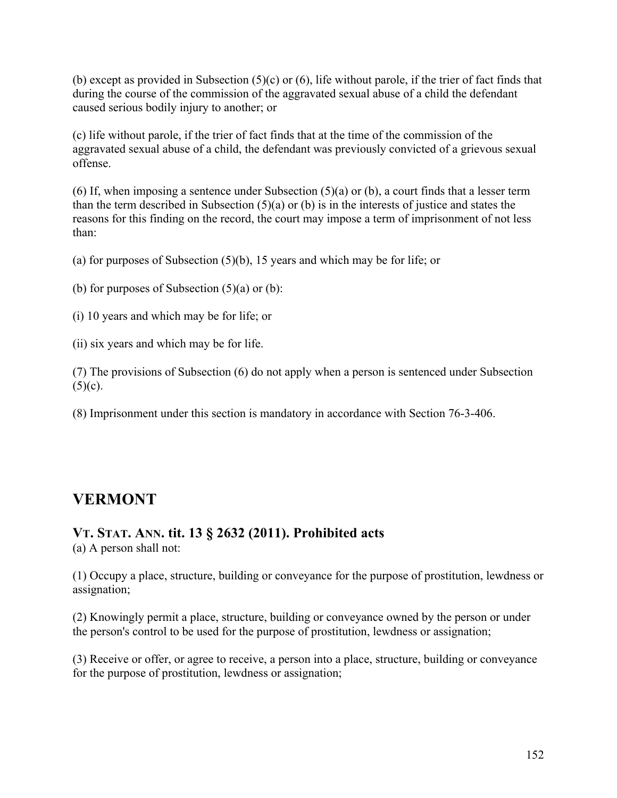(b) except as provided in Subsection (5)(c) or (6), life without parole, if the trier of fact finds that during the course of the commission of the aggravated sexual abuse of a child the defendant caused serious bodily injury to another; or

(c) life without parole, if the trier of fact finds that at the time of the commission of the aggravated sexual abuse of a child, the defendant was previously convicted of a grievous sexual offense.

(6) If, when imposing a sentence under Subsection (5)(a) or (b), a court finds that a lesser term than the term described in Subsection (5)(a) or (b) is in the interests of justice and states the reasons for this finding on the record, the court may impose a term of imprisonment of not less than:

(a) for purposes of Subsection (5)(b), 15 years and which may be for life; or

(b) for purposes of Subsection  $(5)(a)$  or  $(b)$ :

(i) 10 years and which may be for life; or

(ii) six years and which may be for life.

(7) The provisions of Subsection (6) do not apply when a person is sentenced under Subsection  $(5)(c)$ .

(8) Imprisonment under this section is mandatory in accordance with Section 76-3-406.

# **VERMONT**

#### **VT. STAT. ANN. tit. 13 § 2632 (2011). Prohibited acts**

(a) A person shall not:

(1) Occupy a place, structure, building or conveyance for the purpose of prostitution, lewdness or assignation;

(2) Knowingly permit a place, structure, building or conveyance owned by the person or under the person's control to be used for the purpose of prostitution, lewdness or assignation;

(3) Receive or offer, or agree to receive, a person into a place, structure, building or conveyance for the purpose of prostitution, lewdness or assignation;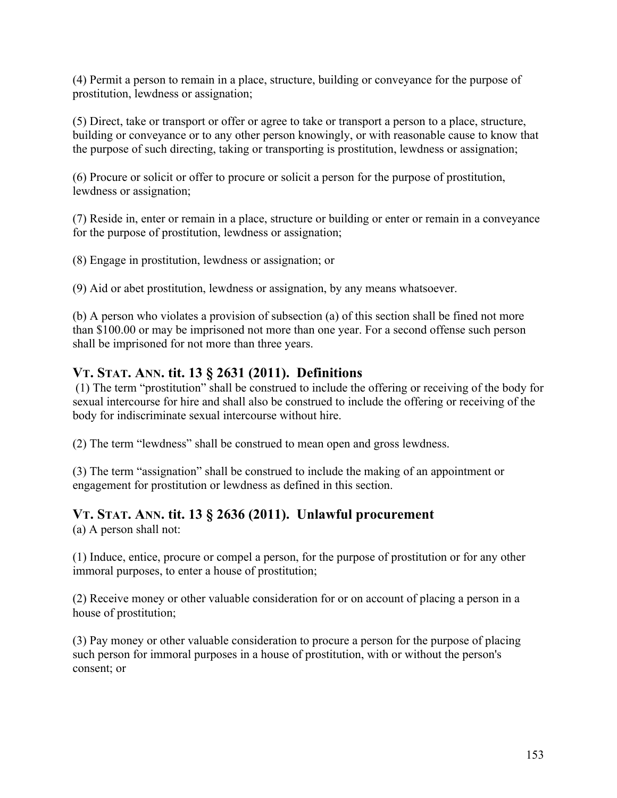(4) Permit a person to remain in a place, structure, building or conveyance for the purpose of prostitution, lewdness or assignation;

(5) Direct, take or transport or offer or agree to take or transport a person to a place, structure, building or conveyance or to any other person knowingly, or with reasonable cause to know that the purpose of such directing, taking or transporting is prostitution, lewdness or assignation;

(6) Procure or solicit or offer to procure or solicit a person for the purpose of prostitution, lewdness or assignation;

(7) Reside in, enter or remain in a place, structure or building or enter or remain in a conveyance for the purpose of prostitution, lewdness or assignation;

(8) Engage in prostitution, lewdness or assignation; or

(9) Aid or abet prostitution, lewdness or assignation, by any means whatsoever.

(b) A person who violates a provision of subsection (a) of this section shall be fined not more than \$100.00 or may be imprisoned not more than one year. For a second offense such person shall be imprisoned for not more than three years.

## **VT. STAT. ANN. tit. 13 § 2631 (2011). Definitions**

 (1) The term "prostitution" shall be construed to include the offering or receiving of the body for sexual intercourse for hire and shall also be construed to include the offering or receiving of the body for indiscriminate sexual intercourse without hire.

(2) The term "lewdness" shall be construed to mean open and gross lewdness.

(3) The term "assignation" shall be construed to include the making of an appointment or engagement for prostitution or lewdness as defined in this section.

# **VT. STAT. ANN. tit. 13 § 2636 (2011). Unlawful procurement**

(a) A person shall not:

(1) Induce, entice, procure or compel a person, for the purpose of prostitution or for any other immoral purposes, to enter a house of prostitution;

(2) Receive money or other valuable consideration for or on account of placing a person in a house of prostitution;

(3) Pay money or other valuable consideration to procure a person for the purpose of placing such person for immoral purposes in a house of prostitution, with or without the person's consent; or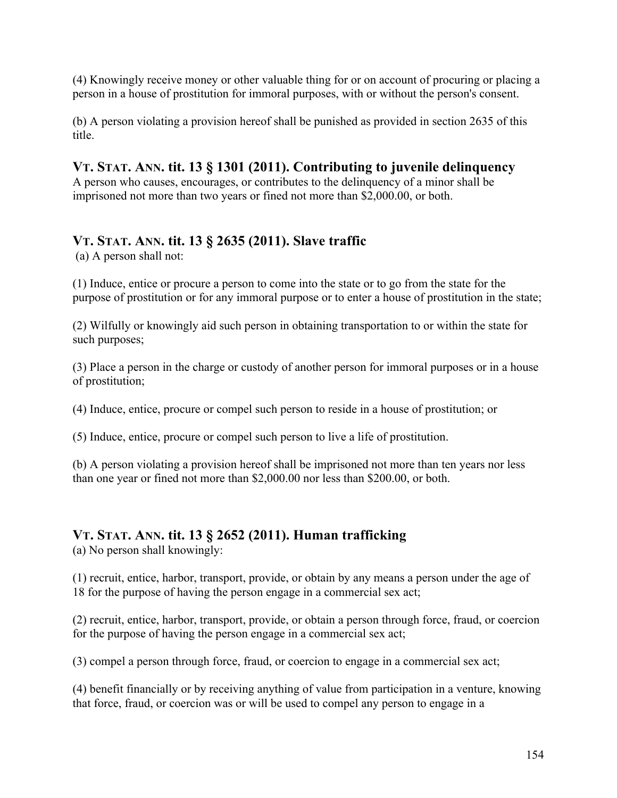(4) Knowingly receive money or other valuable thing for or on account of procuring or placing a person in a house of prostitution for immoral purposes, with or without the person's consent.

(b) A person violating a provision hereof shall be punished as provided in section 2635 of this title.

## **VT. STAT. ANN. tit. 13 § 1301 (2011). Contributing to juvenile delinquency**

A person who causes, encourages, or contributes to the delinquency of a minor shall be imprisoned not more than two years or fined not more than \$2,000.00, or both.

#### **VT. STAT. ANN. tit. 13 § 2635 (2011). Slave traffic**

(a) A person shall not:

(1) Induce, entice or procure a person to come into the state or to go from the state for the purpose of prostitution or for any immoral purpose or to enter a house of prostitution in the state;

(2) Wilfully or knowingly aid such person in obtaining transportation to or within the state for such purposes;

(3) Place a person in the charge or custody of another person for immoral purposes or in a house of prostitution;

(4) Induce, entice, procure or compel such person to reside in a house of prostitution; or

(5) Induce, entice, procure or compel such person to live a life of prostitution.

(b) A person violating a provision hereof shall be imprisoned not more than ten years nor less than one year or fined not more than \$2,000.00 nor less than \$200.00, or both.

#### **VT. STAT. ANN. tit. 13 § 2652 (2011). Human trafficking**

(a) No person shall knowingly:

(1) recruit, entice, harbor, transport, provide, or obtain by any means a person under the age of 18 for the purpose of having the person engage in a commercial sex act;

(2) recruit, entice, harbor, transport, provide, or obtain a person through force, fraud, or coercion for the purpose of having the person engage in a commercial sex act;

(3) compel a person through force, fraud, or coercion to engage in a commercial sex act;

(4) benefit financially or by receiving anything of value from participation in a venture, knowing that force, fraud, or coercion was or will be used to compel any person to engage in a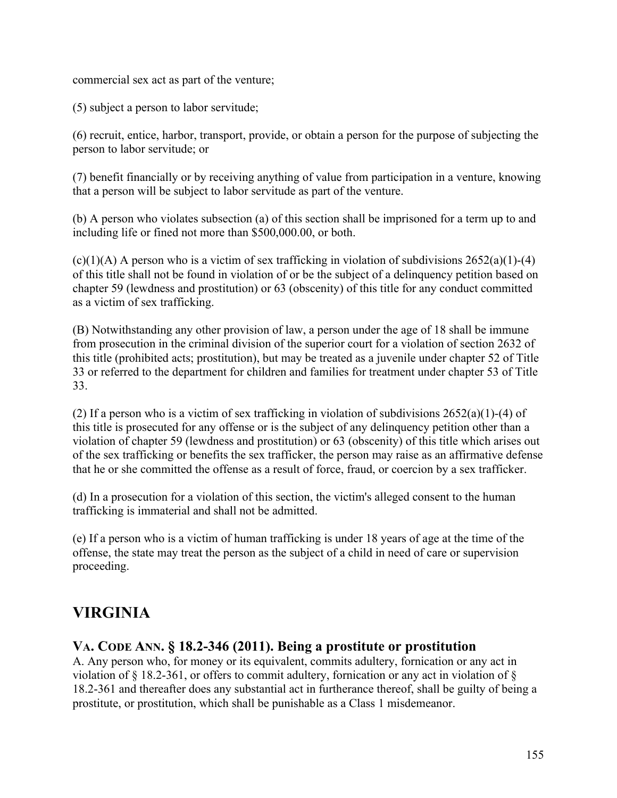commercial sex act as part of the venture;

(5) subject a person to labor servitude;

(6) recruit, entice, harbor, transport, provide, or obtain a person for the purpose of subjecting the person to labor servitude; or

(7) benefit financially or by receiving anything of value from participation in a venture, knowing that a person will be subject to labor servitude as part of the venture.

(b) A person who violates subsection (a) of this section shall be imprisoned for a term up to and including life or fined not more than \$500,000.00, or both.

 $(c)(1)(A)$  A person who is a victim of sex trafficking in violation of subdivisions  $2652(a)(1)-(4)$ of this title shall not be found in violation of or be the subject of a delinquency petition based on chapter 59 (lewdness and prostitution) or 63 (obscenity) of this title for any conduct committed as a victim of sex trafficking.

(B) Notwithstanding any other provision of law, a person under the age of 18 shall be immune from prosecution in the criminal division of the superior court for a violation of section 2632 of this title (prohibited acts; prostitution), but may be treated as a juvenile under chapter 52 of Title 33 or referred to the department for children and families for treatment under chapter 53 of Title 33.

(2) If a person who is a victim of sex trafficking in violation of subdivisions  $2652(a)(1)-(4)$  of this title is prosecuted for any offense or is the subject of any delinquency petition other than a violation of chapter 59 (lewdness and prostitution) or 63 (obscenity) of this title which arises out of the sex trafficking or benefits the sex trafficker, the person may raise as an affirmative defense that he or she committed the offense as a result of force, fraud, or coercion by a sex trafficker.

(d) In a prosecution for a violation of this section, the victim's alleged consent to the human trafficking is immaterial and shall not be admitted.

(e) If a person who is a victim of human trafficking is under 18 years of age at the time of the offense, the state may treat the person as the subject of a child in need of care or supervision proceeding.

# **VIRGINIA**

#### **VA. CODE ANN. § 18.2-346 (2011). Being a prostitute or prostitution**

A. Any person who, for money or its equivalent, commits adultery, fornication or any act in violation of § 18.2-361, or offers to commit adultery, fornication or any act in violation of § 18.2-361 and thereafter does any substantial act in furtherance thereof, shall be guilty of being a prostitute, or prostitution, which shall be punishable as a Class 1 misdemeanor.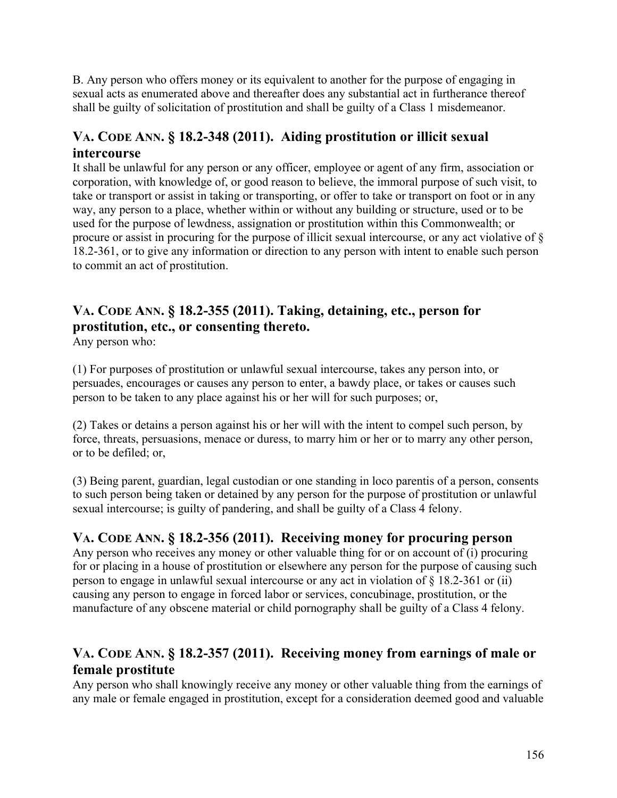B. Any person who offers money or its equivalent to another for the purpose of engaging in sexual acts as enumerated above and thereafter does any substantial act in furtherance thereof shall be guilty of solicitation of prostitution and shall be guilty of a Class 1 misdemeanor.

# **VA. CODE ANN. § 18.2-348 (2011). Aiding prostitution or illicit sexual intercourse**

It shall be unlawful for any person or any officer, employee or agent of any firm, association or corporation, with knowledge of, or good reason to believe, the immoral purpose of such visit, to take or transport or assist in taking or transporting, or offer to take or transport on foot or in any way, any person to a place, whether within or without any building or structure, used or to be used for the purpose of lewdness, assignation or prostitution within this Commonwealth; or procure or assist in procuring for the purpose of illicit sexual intercourse, or any act violative of § 18.2-361, or to give any information or direction to any person with intent to enable such person to commit an act of prostitution.

# **VA. CODE ANN. § 18.2-355 (2011). Taking, detaining, etc., person for prostitution, etc., or consenting thereto.**

Any person who:

(1) For purposes of prostitution or unlawful sexual intercourse, takes any person into, or persuades, encourages or causes any person to enter, a bawdy place, or takes or causes such person to be taken to any place against his or her will for such purposes; or,

(2) Takes or detains a person against his or her will with the intent to compel such person, by force, threats, persuasions, menace or duress, to marry him or her or to marry any other person, or to be defiled; or,

(3) Being parent, guardian, legal custodian or one standing in loco parentis of a person, consents to such person being taken or detained by any person for the purpose of prostitution or unlawful sexual intercourse; is guilty of pandering, and shall be guilty of a Class 4 felony.

#### **VA. CODE ANN. § 18.2-356 (2011). Receiving money for procuring person**

Any person who receives any money or other valuable thing for or on account of (i) procuring for or placing in a house of prostitution or elsewhere any person for the purpose of causing such person to engage in unlawful sexual intercourse or any act in violation of § 18.2-361 or (ii) causing any person to engage in forced labor or services, concubinage, prostitution, or the manufacture of any obscene material or child pornography shall be guilty of a Class 4 felony.

## **VA. CODE ANN. § 18.2-357 (2011). Receiving money from earnings of male or female prostitute**

Any person who shall knowingly receive any money or other valuable thing from the earnings of any male or female engaged in prostitution, except for a consideration deemed good and valuable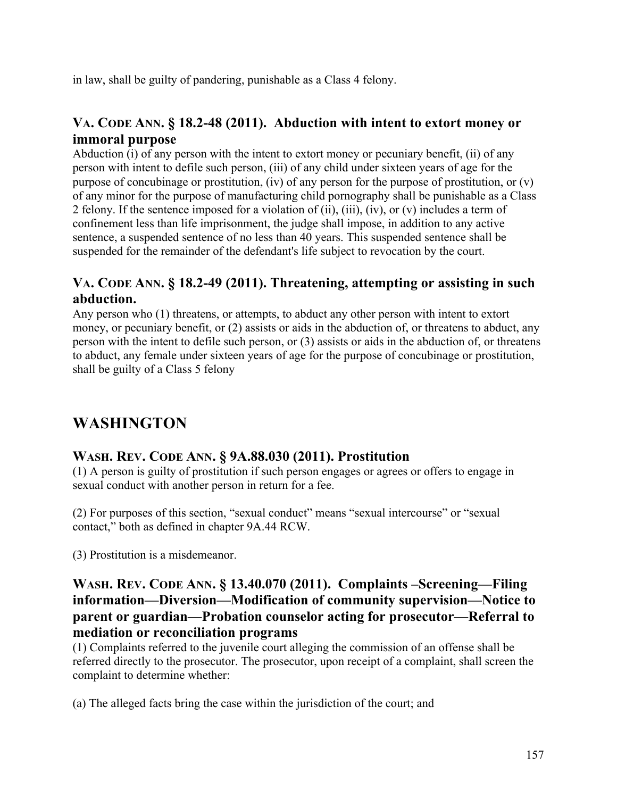in law, shall be guilty of pandering, punishable as a Class 4 felony.

## **VA. CODE ANN. § 18.2-48 (2011). Abduction with intent to extort money or immoral purpose**

Abduction (i) of any person with the intent to extort money or pecuniary benefit, (ii) of any person with intent to defile such person, (iii) of any child under sixteen years of age for the purpose of concubinage or prostitution, (iv) of any person for the purpose of prostitution, or (v) of any minor for the purpose of manufacturing child pornography shall be punishable as a Class 2 felony. If the sentence imposed for a violation of (ii), (iii), (iv), or (v) includes a term of confinement less than life imprisonment, the judge shall impose, in addition to any active sentence, a suspended sentence of no less than 40 years. This suspended sentence shall be suspended for the remainder of the defendant's life subject to revocation by the court.

## **VA. CODE ANN. § 18.2-49 (2011). Threatening, attempting or assisting in such abduction.**

Any person who (1) threatens, or attempts, to abduct any other person with intent to extort money, or pecuniary benefit, or (2) assists or aids in the abduction of, or threatens to abduct, any person with the intent to defile such person, or (3) assists or aids in the abduction of, or threatens to abduct, any female under sixteen years of age for the purpose of concubinage or prostitution, shall be guilty of a Class 5 felony

# **WASHINGTON**

#### **WASH. REV. CODE ANN. § 9A.88.030 (2011). Prostitution**

(1) A person is guilty of prostitution if such person engages or agrees or offers to engage in sexual conduct with another person in return for a fee.

(2) For purposes of this section, "sexual conduct" means "sexual intercourse" or "sexual contact," both as defined in chapter 9A.44 RCW.

(3) Prostitution is a misdemeanor.

## **WASH. REV. CODE ANN. § 13.40.070 (2011). Complaints –Screening—Filing information—Diversion—Modification of community supervision—Notice to parent or guardian—Probation counselor acting for prosecutor—Referral to mediation or reconciliation programs**

(1) Complaints referred to the juvenile court alleging the commission of an offense shall be referred directly to the prosecutor. The prosecutor, upon receipt of a complaint, shall screen the complaint to determine whether:

(a) The alleged facts bring the case within the jurisdiction of the court; and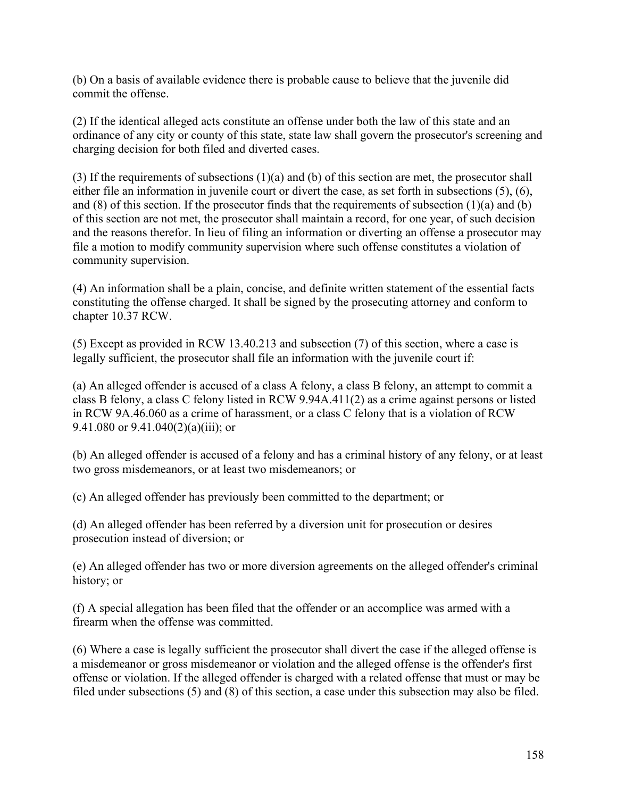(b) On a basis of available evidence there is probable cause to believe that the juvenile did commit the offense.

(2) If the identical alleged acts constitute an offense under both the law of this state and an ordinance of any city or county of this state, state law shall govern the prosecutor's screening and charging decision for both filed and diverted cases.

(3) If the requirements of subsections (1)(a) and (b) of this section are met, the prosecutor shall either file an information in juvenile court or divert the case, as set forth in subsections (5), (6), and (8) of this section. If the prosecutor finds that the requirements of subsection (1)(a) and (b) of this section are not met, the prosecutor shall maintain a record, for one year, of such decision and the reasons therefor. In lieu of filing an information or diverting an offense a prosecutor may file a motion to modify community supervision where such offense constitutes a violation of community supervision.

(4) An information shall be a plain, concise, and definite written statement of the essential facts constituting the offense charged. It shall be signed by the prosecuting attorney and conform to chapter 10.37 RCW.

(5) Except as provided in RCW 13.40.213 and subsection (7) of this section, where a case is legally sufficient, the prosecutor shall file an information with the juvenile court if:

(a) An alleged offender is accused of a class A felony, a class B felony, an attempt to commit a class B felony, a class C felony listed in RCW 9.94A.411(2) as a crime against persons or listed in RCW 9A.46.060 as a crime of harassment, or a class C felony that is a violation of RCW 9.41.080 or  $9.41.040(2)(a)(iii)$ ; or

(b) An alleged offender is accused of a felony and has a criminal history of any felony, or at least two gross misdemeanors, or at least two misdemeanors; or

(c) An alleged offender has previously been committed to the department; or

(d) An alleged offender has been referred by a diversion unit for prosecution or desires prosecution instead of diversion; or

(e) An alleged offender has two or more diversion agreements on the alleged offender's criminal history; or

(f) A special allegation has been filed that the offender or an accomplice was armed with a firearm when the offense was committed.

(6) Where a case is legally sufficient the prosecutor shall divert the case if the alleged offense is a misdemeanor or gross misdemeanor or violation and the alleged offense is the offender's first offense or violation. If the alleged offender is charged with a related offense that must or may be filed under subsections (5) and (8) of this section, a case under this subsection may also be filed.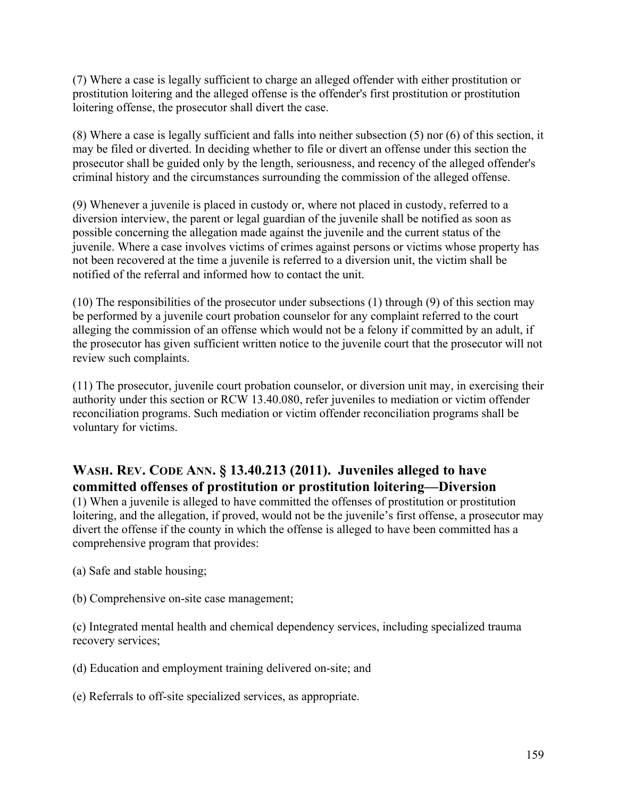(7) Where a case is legally sufficient to charge an alleged offender with either prostitution or prostitution loitering and the alleged offense is the offender's first prostitution or prostitution loitering offense, the prosecutor shall divert the case.

(8) Where a case is legally sufficient and falls into neither subsection (5) nor (6) of this section, it may be filed or diverted. In deciding whether to file or divert an offense under this section the prosecutor shall be guided only by the length, seriousness, and recency of the alleged offender's criminal history and the circumstances surrounding the commission of the alleged offense.

(9) Whenever a juvenile is placed in custody or, where not placed in custody, referred to a diversion interview, the parent or legal guardian of the juvenile shall be notified as soon as possible concerning the allegation made against the juvenile and the current status of the juvenile. Where a case involves victims of crimes against persons or victims whose property has not been recovered at the time a juvenile is referred to a diversion unit, the victim shall be notified of the referral and informed how to contact the unit.

(10) The responsibilities of the prosecutor under subsections (1) through (9) of this section may be performed by a juvenile court probation counselor for any complaint referred to the court alleging the commission of an offense which would not be a felony if committed by an adult, if the prosecutor has given sufficient written notice to the juvenile court that the prosecutor will not review such complaints.

(11) The prosecutor, juvenile court probation counselor, or diversion unit may, in exercising their authority under this section or RCW 13.40.080, refer juveniles to mediation or victim offender reconciliation programs. Such mediation or victim offender reconciliation programs shall be voluntary for victims.

# **WASH. REV. CODE ANN. § 13.40.213 (2011). Juveniles alleged to have committed offenses of prostitution or prostitution loitering—Diversion**

(1) When a juvenile is alleged to have committed the offenses of prostitution or prostitution loitering, and the allegation, if proved, would not be the juvenile's first offense, a prosecutor may divert the offense if the county in which the offense is alleged to have been committed has a comprehensive program that provides:

(a) Safe and stable housing;

(b) Comprehensive on-site case management;

(c) Integrated mental health and chemical dependency services, including specialized trauma recovery services;

(d) Education and employment training delivered on-site; and

(e) Referrals to off-site specialized services, as appropriate.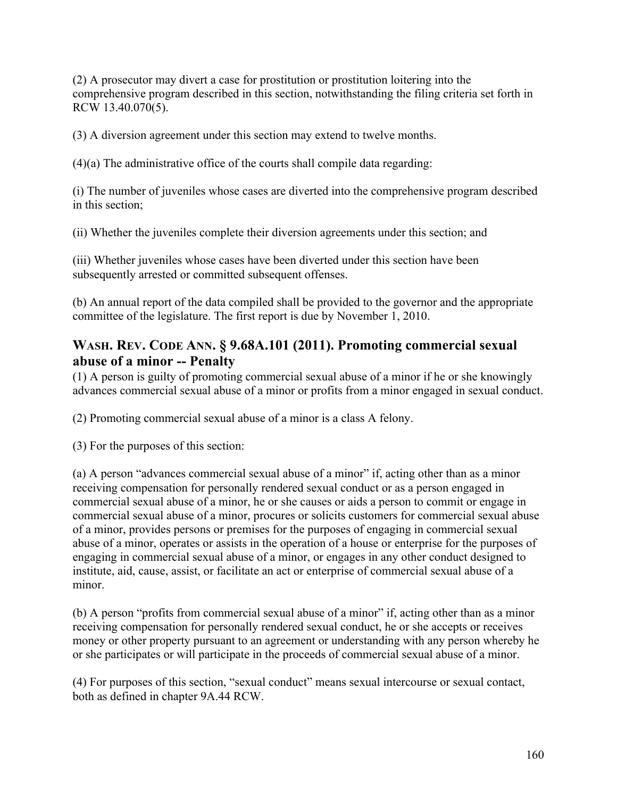(2) A prosecutor may divert a case for prostitution or prostitution loitering into the comprehensive program described in this section, notwithstanding the filing criteria set forth in RCW 13.40.070(5).

(3) A diversion agreement under this section may extend to twelve months.

(4)(a) The administrative office of the courts shall compile data regarding:

(i) The number of juveniles whose cases are diverted into the comprehensive program described in this section;

(ii) Whether the juveniles complete their diversion agreements under this section; and

(iii) Whether juveniles whose cases have been diverted under this section have been subsequently arrested or committed subsequent offenses.

(b) An annual report of the data compiled shall be provided to the governor and the appropriate committee of the legislature. The first report is due by November 1, 2010.

## **WASH. REV. CODE ANN. § 9.68A.101 (2011). Promoting commercial sexual abuse of a minor -- Penalty**

(1) A person is guilty of promoting commercial sexual abuse of a minor if he or she knowingly advances commercial sexual abuse of a minor or profits from a minor engaged in sexual conduct.

(2) Promoting commercial sexual abuse of a minor is a class A felony.

(3) For the purposes of this section:

(a) A person "advances commercial sexual abuse of a minor" if, acting other than as a minor receiving compensation for personally rendered sexual conduct or as a person engaged in commercial sexual abuse of a minor, he or she causes or aids a person to commit or engage in commercial sexual abuse of a minor, procures or solicits customers for commercial sexual abuse of a minor, provides persons or premises for the purposes of engaging in commercial sexual abuse of a minor, operates or assists in the operation of a house or enterprise for the purposes of engaging in commercial sexual abuse of a minor, or engages in any other conduct designed to institute, aid, cause, assist, or facilitate an act or enterprise of commercial sexual abuse of a minor.

(b) A person "profits from commercial sexual abuse of a minor" if, acting other than as a minor receiving compensation for personally rendered sexual conduct, he or she accepts or receives money or other property pursuant to an agreement or understanding with any person whereby he or she participates or will participate in the proceeds of commercial sexual abuse of a minor.

(4) For purposes of this section, "sexual conduct" means sexual intercourse or sexual contact, both as defined in chapter 9A.44 RCW.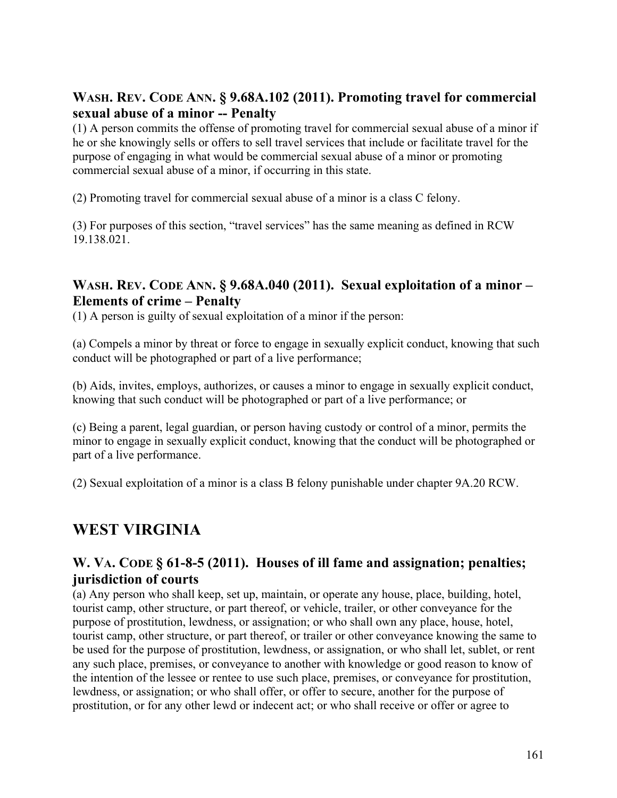## **WASH. REV. CODE ANN. § 9.68A.102 (2011). Promoting travel for commercial sexual abuse of a minor -- Penalty**

(1) A person commits the offense of promoting travel for commercial sexual abuse of a minor if he or she knowingly sells or offers to sell travel services that include or facilitate travel for the purpose of engaging in what would be commercial sexual abuse of a minor or promoting commercial sexual abuse of a minor, if occurring in this state.

(2) Promoting travel for commercial sexual abuse of a minor is a class C felony.

(3) For purposes of this section, "travel services" has the same meaning as defined in RCW 19.138.021.

#### **WASH. REV. CODE ANN. § 9.68A.040 (2011). Sexual exploitation of a minor – Elements of crime – Penalty**

(1) A person is guilty of sexual exploitation of a minor if the person:

(a) Compels a minor by threat or force to engage in sexually explicit conduct, knowing that such conduct will be photographed or part of a live performance;

(b) Aids, invites, employs, authorizes, or causes a minor to engage in sexually explicit conduct, knowing that such conduct will be photographed or part of a live performance; or

(c) Being a parent, legal guardian, or person having custody or control of a minor, permits the minor to engage in sexually explicit conduct, knowing that the conduct will be photographed or part of a live performance.

(2) Sexual exploitation of a minor is a class B felony punishable under chapter 9A.20 RCW.

# **WEST VIRGINIA**

#### **W. VA. CODE § 61-8-5 (2011). Houses of ill fame and assignation; penalties; jurisdiction of courts**

(a) Any person who shall keep, set up, maintain, or operate any house, place, building, hotel, tourist camp, other structure, or part thereof, or vehicle, trailer, or other conveyance for the purpose of prostitution, lewdness, or assignation; or who shall own any place, house, hotel, tourist camp, other structure, or part thereof, or trailer or other conveyance knowing the same to be used for the purpose of prostitution, lewdness, or assignation, or who shall let, sublet, or rent any such place, premises, or conveyance to another with knowledge or good reason to know of the intention of the lessee or rentee to use such place, premises, or conveyance for prostitution, lewdness, or assignation; or who shall offer, or offer to secure, another for the purpose of prostitution, or for any other lewd or indecent act; or who shall receive or offer or agree to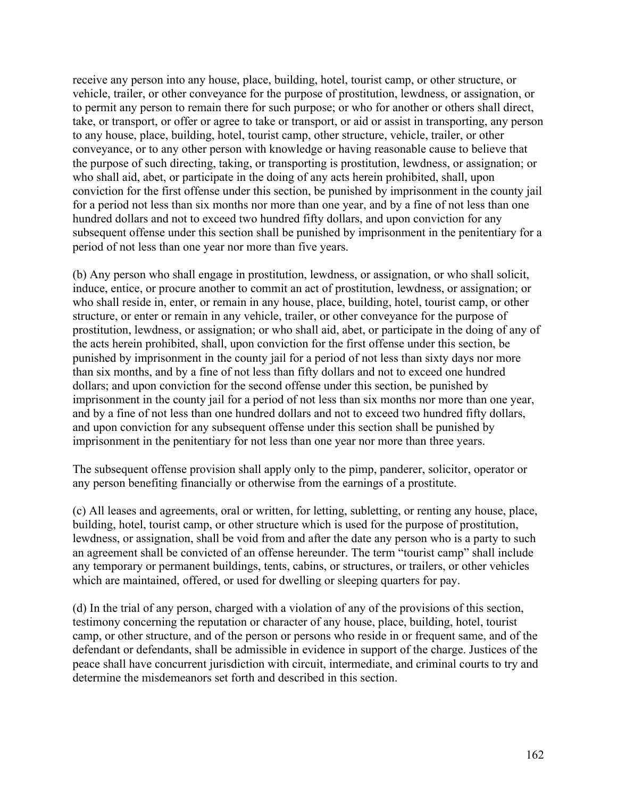receive any person into any house, place, building, hotel, tourist camp, or other structure, or vehicle, trailer, or other conveyance for the purpose of prostitution, lewdness, or assignation, or to permit any person to remain there for such purpose; or who for another or others shall direct, take, or transport, or offer or agree to take or transport, or aid or assist in transporting, any person to any house, place, building, hotel, tourist camp, other structure, vehicle, trailer, or other conveyance, or to any other person with knowledge or having reasonable cause to believe that the purpose of such directing, taking, or transporting is prostitution, lewdness, or assignation; or who shall aid, abet, or participate in the doing of any acts herein prohibited, shall, upon conviction for the first offense under this section, be punished by imprisonment in the county jail for a period not less than six months nor more than one year, and by a fine of not less than one hundred dollars and not to exceed two hundred fifty dollars, and upon conviction for any subsequent offense under this section shall be punished by imprisonment in the penitentiary for a period of not less than one year nor more than five years.

(b) Any person who shall engage in prostitution, lewdness, or assignation, or who shall solicit, induce, entice, or procure another to commit an act of prostitution, lewdness, or assignation; or who shall reside in, enter, or remain in any house, place, building, hotel, tourist camp, or other structure, or enter or remain in any vehicle, trailer, or other conveyance for the purpose of prostitution, lewdness, or assignation; or who shall aid, abet, or participate in the doing of any of the acts herein prohibited, shall, upon conviction for the first offense under this section, be punished by imprisonment in the county jail for a period of not less than sixty days nor more than six months, and by a fine of not less than fifty dollars and not to exceed one hundred dollars; and upon conviction for the second offense under this section, be punished by imprisonment in the county jail for a period of not less than six months nor more than one year, and by a fine of not less than one hundred dollars and not to exceed two hundred fifty dollars, and upon conviction for any subsequent offense under this section shall be punished by imprisonment in the penitentiary for not less than one year nor more than three years.

The subsequent offense provision shall apply only to the pimp, panderer, solicitor, operator or any person benefiting financially or otherwise from the earnings of a prostitute.

(c) All leases and agreements, oral or written, for letting, subletting, or renting any house, place, building, hotel, tourist camp, or other structure which is used for the purpose of prostitution, lewdness, or assignation, shall be void from and after the date any person who is a party to such an agreement shall be convicted of an offense hereunder. The term "tourist camp" shall include any temporary or permanent buildings, tents, cabins, or structures, or trailers, or other vehicles which are maintained, offered, or used for dwelling or sleeping quarters for pay.

(d) In the trial of any person, charged with a violation of any of the provisions of this section, testimony concerning the reputation or character of any house, place, building, hotel, tourist camp, or other structure, and of the person or persons who reside in or frequent same, and of the defendant or defendants, shall be admissible in evidence in support of the charge. Justices of the peace shall have concurrent jurisdiction with circuit, intermediate, and criminal courts to try and determine the misdemeanors set forth and described in this section.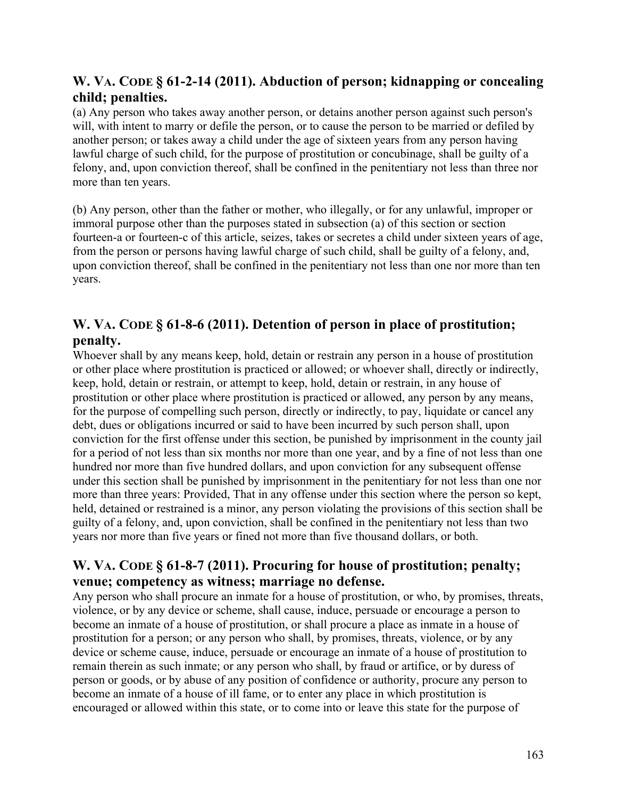# **W. VA. CODE § 61-2-14 (2011). Abduction of person; kidnapping or concealing child; penalties.**

(a) Any person who takes away another person, or detains another person against such person's will, with intent to marry or defile the person, or to cause the person to be married or defiled by another person; or takes away a child under the age of sixteen years from any person having lawful charge of such child, for the purpose of prostitution or concubinage, shall be guilty of a felony, and, upon conviction thereof, shall be confined in the penitentiary not less than three nor more than ten years.

(b) Any person, other than the father or mother, who illegally, or for any unlawful, improper or immoral purpose other than the purposes stated in subsection (a) of this section or section fourteen-a or fourteen-c of this article, seizes, takes or secretes a child under sixteen years of age, from the person or persons having lawful charge of such child, shall be guilty of a felony, and, upon conviction thereof, shall be confined in the penitentiary not less than one nor more than ten years.

## **W. VA. CODE § 61-8-6 (2011). Detention of person in place of prostitution; penalty.**

Whoever shall by any means keep, hold, detain or restrain any person in a house of prostitution or other place where prostitution is practiced or allowed; or whoever shall, directly or indirectly, keep, hold, detain or restrain, or attempt to keep, hold, detain or restrain, in any house of prostitution or other place where prostitution is practiced or allowed, any person by any means, for the purpose of compelling such person, directly or indirectly, to pay, liquidate or cancel any debt, dues or obligations incurred or said to have been incurred by such person shall, upon conviction for the first offense under this section, be punished by imprisonment in the county jail for a period of not less than six months nor more than one year, and by a fine of not less than one hundred nor more than five hundred dollars, and upon conviction for any subsequent offense under this section shall be punished by imprisonment in the penitentiary for not less than one nor more than three years: Provided, That in any offense under this section where the person so kept, held, detained or restrained is a minor, any person violating the provisions of this section shall be guilty of a felony, and, upon conviction, shall be confined in the penitentiary not less than two years nor more than five years or fined not more than five thousand dollars, or both.

## **W. VA. CODE § 61-8-7 (2011). Procuring for house of prostitution; penalty; venue; competency as witness; marriage no defense.**

Any person who shall procure an inmate for a house of prostitution, or who, by promises, threats, violence, or by any device or scheme, shall cause, induce, persuade or encourage a person to become an inmate of a house of prostitution, or shall procure a place as inmate in a house of prostitution for a person; or any person who shall, by promises, threats, violence, or by any device or scheme cause, induce, persuade or encourage an inmate of a house of prostitution to remain therein as such inmate; or any person who shall, by fraud or artifice, or by duress of person or goods, or by abuse of any position of confidence or authority, procure any person to become an inmate of a house of ill fame, or to enter any place in which prostitution is encouraged or allowed within this state, or to come into or leave this state for the purpose of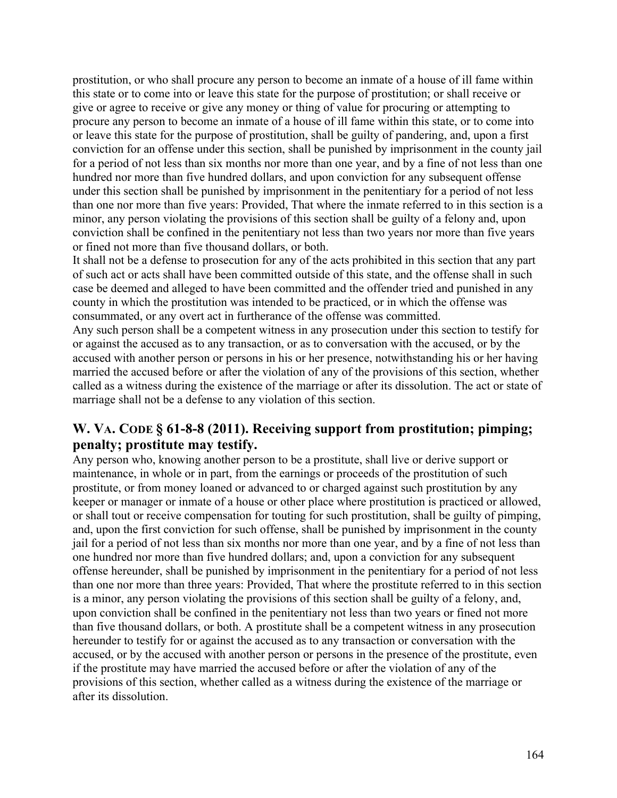prostitution, or who shall procure any person to become an inmate of a house of ill fame within this state or to come into or leave this state for the purpose of prostitution; or shall receive or give or agree to receive or give any money or thing of value for procuring or attempting to procure any person to become an inmate of a house of ill fame within this state, or to come into or leave this state for the purpose of prostitution, shall be guilty of pandering, and, upon a first conviction for an offense under this section, shall be punished by imprisonment in the county jail for a period of not less than six months nor more than one year, and by a fine of not less than one hundred nor more than five hundred dollars, and upon conviction for any subsequent offense under this section shall be punished by imprisonment in the penitentiary for a period of not less than one nor more than five years: Provided, That where the inmate referred to in this section is a minor, any person violating the provisions of this section shall be guilty of a felony and, upon conviction shall be confined in the penitentiary not less than two years nor more than five years or fined not more than five thousand dollars, or both.

It shall not be a defense to prosecution for any of the acts prohibited in this section that any part of such act or acts shall have been committed outside of this state, and the offense shall in such case be deemed and alleged to have been committed and the offender tried and punished in any county in which the prostitution was intended to be practiced, or in which the offense was consummated, or any overt act in furtherance of the offense was committed.

Any such person shall be a competent witness in any prosecution under this section to testify for or against the accused as to any transaction, or as to conversation with the accused, or by the accused with another person or persons in his or her presence, notwithstanding his or her having married the accused before or after the violation of any of the provisions of this section, whether called as a witness during the existence of the marriage or after its dissolution. The act or state of marriage shall not be a defense to any violation of this section.

# **W. VA. CODE § 61-8-8 (2011). Receiving support from prostitution; pimping; penalty; prostitute may testify.**

Any person who, knowing another person to be a prostitute, shall live or derive support or maintenance, in whole or in part, from the earnings or proceeds of the prostitution of such prostitute, or from money loaned or advanced to or charged against such prostitution by any keeper or manager or inmate of a house or other place where prostitution is practiced or allowed, or shall tout or receive compensation for touting for such prostitution, shall be guilty of pimping, and, upon the first conviction for such offense, shall be punished by imprisonment in the county jail for a period of not less than six months nor more than one year, and by a fine of not less than one hundred nor more than five hundred dollars; and, upon a conviction for any subsequent offense hereunder, shall be punished by imprisonment in the penitentiary for a period of not less than one nor more than three years: Provided, That where the prostitute referred to in this section is a minor, any person violating the provisions of this section shall be guilty of a felony, and, upon conviction shall be confined in the penitentiary not less than two years or fined not more than five thousand dollars, or both. A prostitute shall be a competent witness in any prosecution hereunder to testify for or against the accused as to any transaction or conversation with the accused, or by the accused with another person or persons in the presence of the prostitute, even if the prostitute may have married the accused before or after the violation of any of the provisions of this section, whether called as a witness during the existence of the marriage or after its dissolution.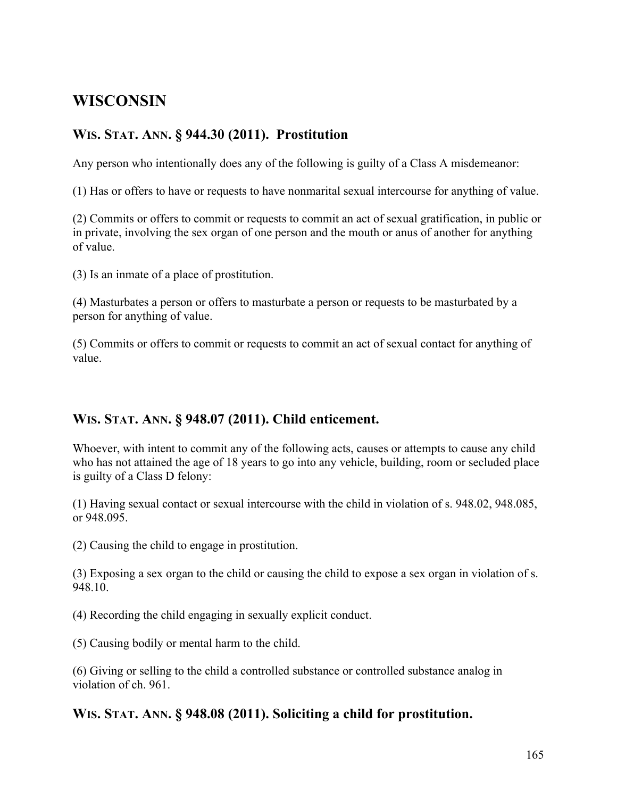# **WISCONSIN**

## **WIS. STAT. ANN. § 944.30 (2011). Prostitution**

Any person who intentionally does any of the following is guilty of a Class A misdemeanor:

(1) Has or offers to have or requests to have nonmarital sexual intercourse for anything of value.

(2) Commits or offers to commit or requests to commit an act of sexual gratification, in public or in private, involving the sex organ of one person and the mouth or anus of another for anything of value.

(3) Is an inmate of a place of prostitution.

(4) Masturbates a person or offers to masturbate a person or requests to be masturbated by a person for anything of value.

(5) Commits or offers to commit or requests to commit an act of sexual contact for anything of value.

# **WIS. STAT. ANN. § 948.07 (2011). Child enticement.**

Whoever, with intent to commit any of the following acts, causes or attempts to cause any child who has not attained the age of 18 years to go into any vehicle, building, room or secluded place is guilty of a Class D felony:

(1) Having sexual contact or sexual intercourse with the child in violation of s. 948.02, 948.085, or 948.095.

(2) Causing the child to engage in prostitution.

(3) Exposing a sex organ to the child or causing the child to expose a sex organ in violation of s. 948.10.

(4) Recording the child engaging in sexually explicit conduct.

(5) Causing bodily or mental harm to the child.

(6) Giving or selling to the child a controlled substance or controlled substance analog in violation of ch. 961.

#### **WIS. STAT. ANN. § 948.08 (2011). Soliciting a child for prostitution.**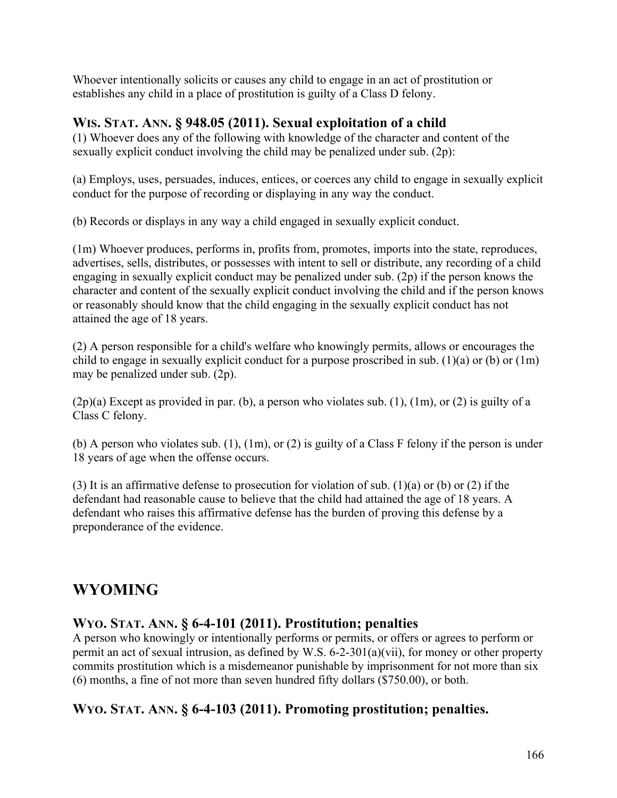Whoever intentionally solicits or causes any child to engage in an act of prostitution or establishes any child in a place of prostitution is guilty of a Class D felony.

### **WIS. STAT. ANN. § 948.05 (2011). Sexual exploitation of a child**

(1) Whoever does any of the following with knowledge of the character and content of the sexually explicit conduct involving the child may be penalized under sub. (2p):

(a) Employs, uses, persuades, induces, entices, or coerces any child to engage in sexually explicit conduct for the purpose of recording or displaying in any way the conduct.

(b) Records or displays in any way a child engaged in sexually explicit conduct.

(1m) Whoever produces, performs in, profits from, promotes, imports into the state, reproduces, advertises, sells, distributes, or possesses with intent to sell or distribute, any recording of a child engaging in sexually explicit conduct may be penalized under sub. (2p) if the person knows the character and content of the sexually explicit conduct involving the child and if the person knows or reasonably should know that the child engaging in the sexually explicit conduct has not attained the age of 18 years.

(2) A person responsible for a child's welfare who knowingly permits, allows or encourages the child to engage in sexually explicit conduct for a purpose proscribed in sub. (1)(a) or (b) or (1m) may be penalized under sub. (2p).

 $(2p)(a)$  Except as provided in par. (b), a person who violates sub. (1), (1m), or (2) is guilty of a Class C felony.

(b) A person who violates sub. (1), (1m), or (2) is guilty of a Class F felony if the person is under 18 years of age when the offense occurs.

(3) It is an affirmative defense to prosecution for violation of sub. (1)(a) or (b) or (2) if the defendant had reasonable cause to believe that the child had attained the age of 18 years. A defendant who raises this affirmative defense has the burden of proving this defense by a preponderance of the evidence.

# **WYOMING**

#### **WYO. STAT. ANN. § 6-4-101 (2011). Prostitution; penalties**

A person who knowingly or intentionally performs or permits, or offers or agrees to perform or permit an act of sexual intrusion, as defined by W.S. 6-2-301(a)(vii), for money or other property commits prostitution which is a misdemeanor punishable by imprisonment for not more than six (6) months, a fine of not more than seven hundred fifty dollars (\$750.00), or both.

# **WYO. STAT. ANN. § 6-4-103 (2011). Promoting prostitution; penalties.**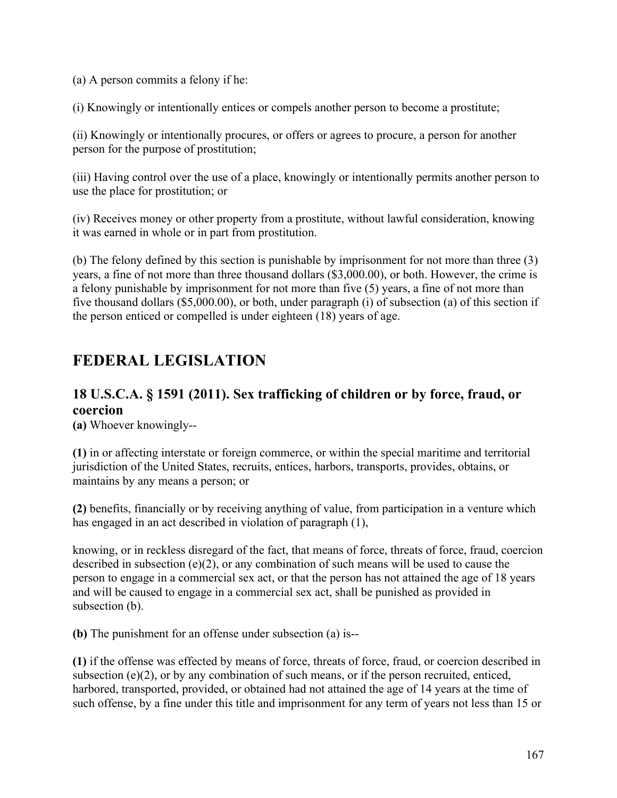(a) A person commits a felony if he:

(i) Knowingly or intentionally entices or compels another person to become a prostitute;

(ii) Knowingly or intentionally procures, or offers or agrees to procure, a person for another person for the purpose of prostitution;

(iii) Having control over the use of a place, knowingly or intentionally permits another person to use the place for prostitution; or

(iv) Receives money or other property from a prostitute, without lawful consideration, knowing it was earned in whole or in part from prostitution.

(b) The felony defined by this section is punishable by imprisonment for not more than three (3) years, a fine of not more than three thousand dollars (\$3,000.00), or both. However, the crime is a felony punishable by imprisonment for not more than five (5) years, a fine of not more than five thousand dollars (\$5,000.00), or both, under paragraph (i) of subsection (a) of this section if the person enticed or compelled is under eighteen (18) years of age.

# **FEDERAL LEGISLATION**

# **18 U.S.C.A. § 1591 (2011). Sex trafficking of children or by force, fraud, or coercion**

**(a)** Whoever knowingly--

**(1)** in or affecting interstate or foreign commerce, or within the special maritime and territorial jurisdiction of the United States, recruits, entices, harbors, transports, provides, obtains, or maintains by any means a person; or

**(2)** benefits, financially or by receiving anything of value, from participation in a venture which has engaged in an act described in violation of paragraph (1),

knowing, or in reckless disregard of the fact, that means of force, threats of force, fraud, coercion described in subsection (e)(2), or any combination of such means will be used to cause the person to engage in a commercial sex act, or that the person has not attained the age of 18 years and will be caused to engage in a commercial sex act, shall be punished as provided in subsection (b).

**(b)** The punishment for an offense under subsection (a) is--

**(1)** if the offense was effected by means of force, threats of force, fraud, or coercion described in subsection (e)(2), or by any combination of such means, or if the person recruited, enticed, harbored, transported, provided, or obtained had not attained the age of 14 years at the time of such offense, by a fine under this title and imprisonment for any term of years not less than 15 or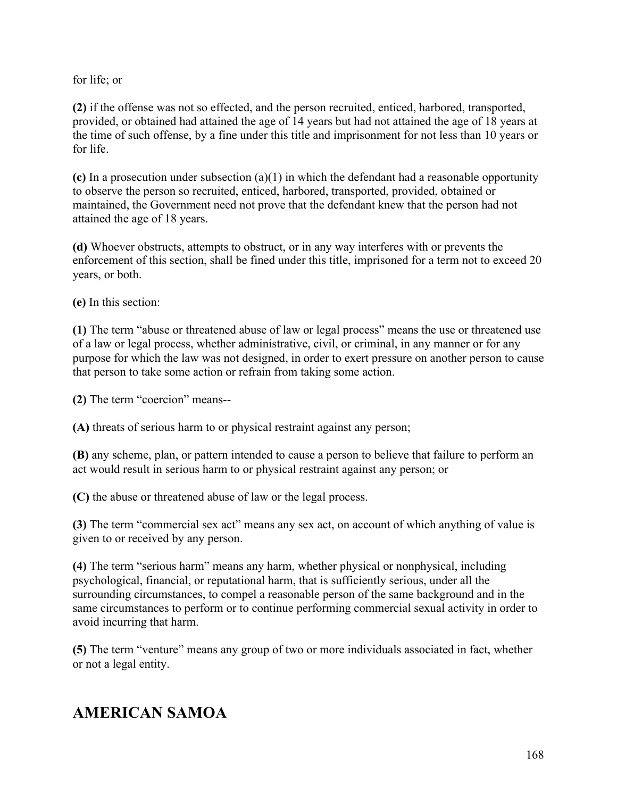for life; or

**(2)** if the offense was not so effected, and the person recruited, enticed, harbored, transported, provided, or obtained had attained the age of 14 years but had not attained the age of 18 years at the time of such offense, by a fine under this title and imprisonment for not less than 10 years or for life.

**(c)** In a prosecution under subsection (a)(1) in which the defendant had a reasonable opportunity to observe the person so recruited, enticed, harbored, transported, provided, obtained or maintained, the Government need not prove that the defendant knew that the person had not attained the age of 18 years.

**(d)** Whoever obstructs, attempts to obstruct, or in any way interferes with or prevents the enforcement of this section, shall be fined under this title, imprisoned for a term not to exceed 20 years, or both.

**(e)** In this section:

**(1)** The term "abuse or threatened abuse of law or legal process" means the use or threatened use of a law or legal process, whether administrative, civil, or criminal, in any manner or for any purpose for which the law was not designed, in order to exert pressure on another person to cause that person to take some action or refrain from taking some action.

**(2)** The term "coercion" means--

**(A)** threats of serious harm to or physical restraint against any person;

**(B)** any scheme, plan, or pattern intended to cause a person to believe that failure to perform an act would result in serious harm to or physical restraint against any person; or

**(C)** the abuse or threatened abuse of law or the legal process.

**(3)** The term "commercial sex act" means any sex act, on account of which anything of value is given to or received by any person.

**(4)** The term "serious harm" means any harm, whether physical or nonphysical, including psychological, financial, or reputational harm, that is sufficiently serious, under all the surrounding circumstances, to compel a reasonable person of the same background and in the same circumstances to perform or to continue performing commercial sexual activity in order to avoid incurring that harm.

**(5)** The term "venture" means any group of two or more individuals associated in fact, whether or not a legal entity.

# **AMERICAN SAMOA**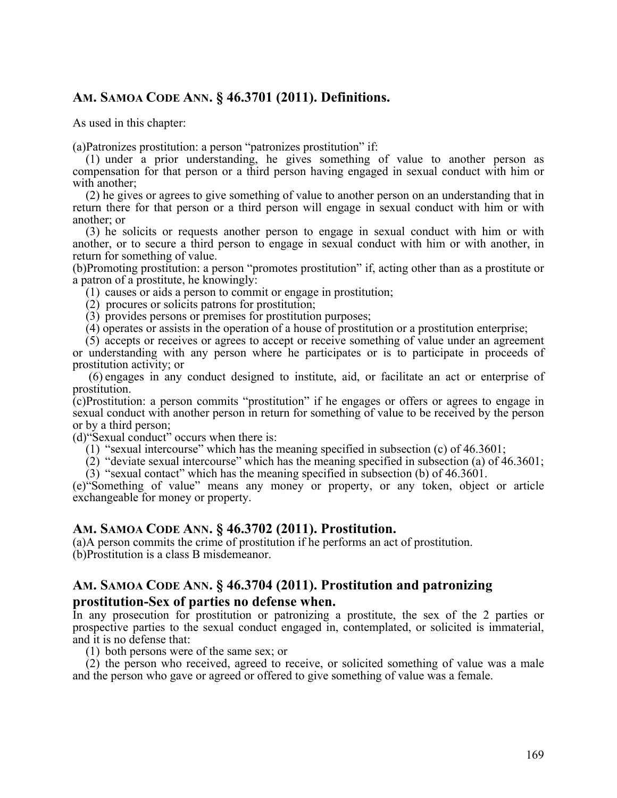#### **AM. SAMOA CODE ANN. § 46.3701 (2011). Definitions.**

As used in this chapter:

(a)Patronizes prostitution: a person "patronizes prostitution" if:

(1) under a prior understanding, he gives something of value to another person as compensation for that person or a third person having engaged in sexual conduct with him or with another;

(2) he gives or agrees to give something of value to another person on an understanding that in return there for that person or a third person will engage in sexual conduct with him or with another; or

(3) he solicits or requests another person to engage in sexual conduct with him or with another, or to secure a third person to engage in sexual conduct with him or with another, in return for something of value.

(b)Promoting prostitution: a person "promotes prostitution" if, acting other than as a prostitute or a patron of a prostitute, he knowingly:

(1) causes or aids a person to commit or engage in prostitution;

- (2) procures or solicits patrons for prostitution;
- (3) provides persons or premises for prostitution purposes;
- (4) operates or assists in the operation of a house of prostitution or a prostitution enterprise;

(5) accepts or receives or agrees to accept or receive something of value under an agreement or understanding with any person where he participates or is to participate in proceeds of prostitution activity; or

 (6) engages in any conduct designed to institute, aid, or facilitate an act or enterprise of prostitution.

(c)Prostitution: a person commits "prostitution" if he engages or offers or agrees to engage in sexual conduct with another person in return for something of value to be received by the person or by a third person;

(d)"Sexual conduct" occurs when there is:

(1) "sexual intercourse" which has the meaning specified in subsection (c) of 46.3601;

 $(2)$  "deviate sexual intercourse" which has the meaning specified in subsection (a) of 46.3601;

(3) "sexual contact" which has the meaning specified in subsection (b) of 46.3601.

(e)"Something of value" means any money or property, or any token, object or article exchangeable for money or property.

#### **AM. SAMOA CODE ANN. § 46.3702 (2011). Prostitution.**

(a)A person commits the crime of prostitution if he performs an act of prostitution. (b)Prostitution is a class B misdemeanor.

#### **AM. SAMOA CODE ANN. § 46.3704 (2011). Prostitution and patronizing prostitution-Sex of parties no defense when.**

In any prosecution for prostitution or patronizing a prostitute, the sex of the 2 parties or prospective parties to the sexual conduct engaged in, contemplated, or solicited is immaterial, and it is no defense that:

(1) both persons were of the same sex; or

(2) the person who received, agreed to receive, or solicited something of value was a male and the person who gave or agreed or offered to give something of value was a female.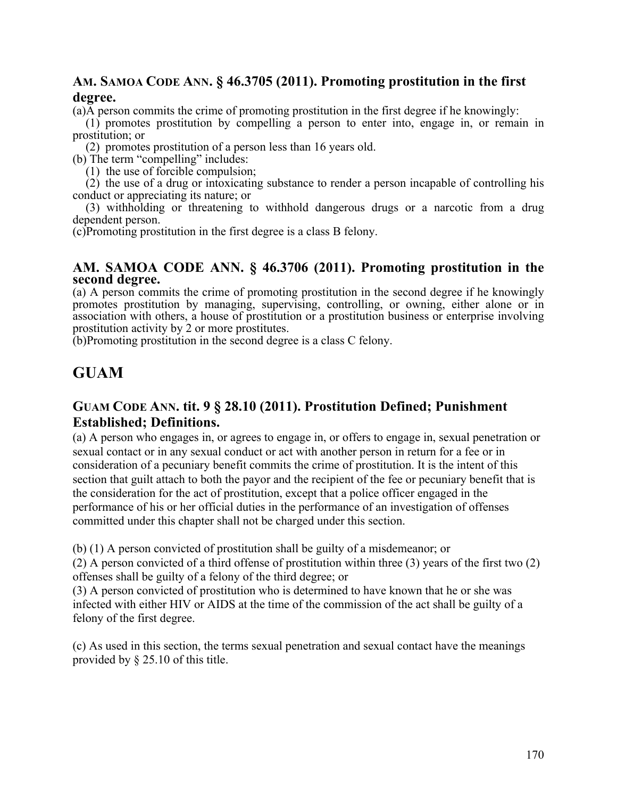#### **AM. SAMOA CODE ANN. § 46.3705 (2011). Promoting prostitution in the first degree.**

(a)A person commits the crime of promoting prostitution in the first degree if he knowingly:

(1) promotes prostitution by compelling a person to enter into, engage in, or remain in prostitution; or

(2) promotes prostitution of a person less than 16 years old.

(b) The term "compelling" includes:

(1) the use of forcible compulsion;

 $(2)$  the use of a drug or intoxicating substance to render a person incapable of controlling his conduct or appreciating its nature; or

(3) withholding or threatening to withhold dangerous drugs or a narcotic from a drug dependent person.

(c)Promoting prostitution in the first degree is a class B felony.

# **AM. SAMOA CODE ANN. § 46.3706 (2011). Promoting prostitution in the**

**second degree.** (a) A person commits the crime of promoting prostitution in the second degree if he knowingly promotes prostitution by managing, supervising, controlling, or owning, either alone or in association with others, a house of prostitution or a prostitution business or enterprise involving prostitution activity by 2 or more prostitutes.

(b)Promoting prostitution in the second degree is a class C felony.

# **GUAM**

#### **GUAM CODE ANN. tit. 9 § 28.10 (2011). Prostitution Defined; Punishment Established; Definitions.**

(a) A person who engages in, or agrees to engage in, or offers to engage in, sexual penetration or sexual contact or in any sexual conduct or act with another person in return for a fee or in consideration of a pecuniary benefit commits the crime of prostitution. It is the intent of this section that guilt attach to both the payor and the recipient of the fee or pecuniary benefit that is the consideration for the act of prostitution, except that a police officer engaged in the performance of his or her official duties in the performance of an investigation of offenses committed under this chapter shall not be charged under this section.

(b) (1) A person convicted of prostitution shall be guilty of a misdemeanor; or

(2) A person convicted of a third offense of prostitution within three (3) years of the first two (2) offenses shall be guilty of a felony of the third degree; or

(3) A person convicted of prostitution who is determined to have known that he or she was infected with either HIV or AIDS at the time of the commission of the act shall be guilty of a felony of the first degree.

(c) As used in this section, the terms sexual penetration and sexual contact have the meanings provided by § 25.10 of this title.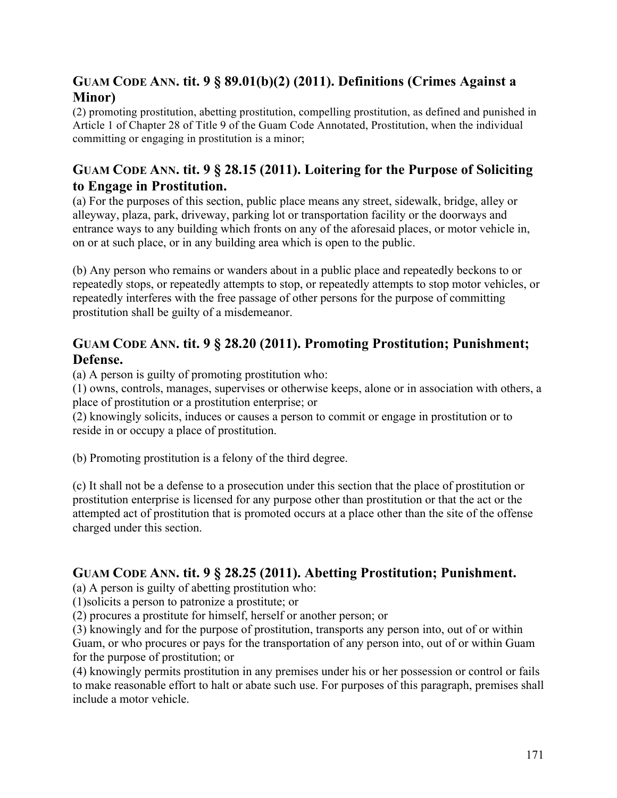# **GUAM CODE ANN. tit. 9 § 89.01(b)(2) (2011). Definitions (Crimes Against a Minor)**

(2) promoting prostitution, abetting prostitution, compelling prostitution, as defined and punished in Article 1 of Chapter 28 of Title 9 of the Guam Code Annotated, Prostitution, when the individual committing or engaging in prostitution is a minor;

## **GUAM CODE ANN. tit. 9 § 28.15 (2011). Loitering for the Purpose of Soliciting to Engage in Prostitution.**

(a) For the purposes of this section, public place means any street, sidewalk, bridge, alley or alleyway, plaza, park, driveway, parking lot or transportation facility or the doorways and entrance ways to any building which fronts on any of the aforesaid places, or motor vehicle in, on or at such place, or in any building area which is open to the public.

(b) Any person who remains or wanders about in a public place and repeatedly beckons to or repeatedly stops, or repeatedly attempts to stop, or repeatedly attempts to stop motor vehicles, or repeatedly interferes with the free passage of other persons for the purpose of committing prostitution shall be guilty of a misdemeanor.

## **GUAM CODE ANN. tit. 9 § 28.20 (2011). Promoting Prostitution; Punishment; Defense.**

(a) A person is guilty of promoting prostitution who:

(1) owns, controls, manages, supervises or otherwise keeps, alone or in association with others, a place of prostitution or a prostitution enterprise; or

(2) knowingly solicits, induces or causes a person to commit or engage in prostitution or to reside in or occupy a place of prostitution.

(b) Promoting prostitution is a felony of the third degree.

(c) It shall not be a defense to a prosecution under this section that the place of prostitution or prostitution enterprise is licensed for any purpose other than prostitution or that the act or the attempted act of prostitution that is promoted occurs at a place other than the site of the offense charged under this section.

# **GUAM CODE ANN. tit. 9 § 28.25 (2011). Abetting Prostitution; Punishment.**

(a) A person is guilty of abetting prostitution who:

(1)solicits a person to patronize a prostitute; or

(2) procures a prostitute for himself, herself or another person; or

(3) knowingly and for the purpose of prostitution, transports any person into, out of or within Guam, or who procures or pays for the transportation of any person into, out of or within Guam for the purpose of prostitution; or

(4) knowingly permits prostitution in any premises under his or her possession or control or fails to make reasonable effort to halt or abate such use. For purposes of this paragraph, premises shall include a motor vehicle.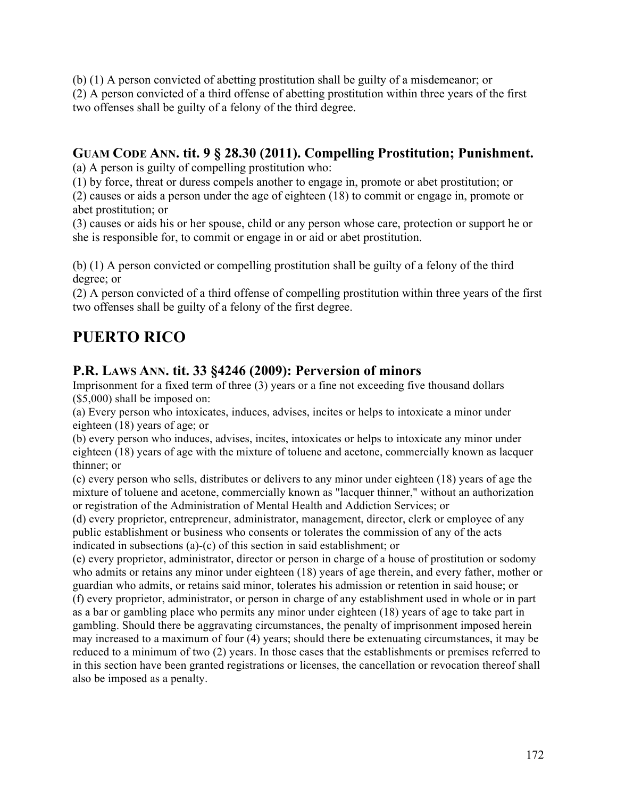(b) (1) A person convicted of abetting prostitution shall be guilty of a misdemeanor; or (2) A person convicted of a third offense of abetting prostitution within three years of the first two offenses shall be guilty of a felony of the third degree.

#### **GUAM CODE ANN. tit. 9 § 28.30 (2011). Compelling Prostitution; Punishment.**

(a) A person is guilty of compelling prostitution who:

(1) by force, threat or duress compels another to engage in, promote or abet prostitution; or

(2) causes or aids a person under the age of eighteen (18) to commit or engage in, promote or abet prostitution; or

(3) causes or aids his or her spouse, child or any person whose care, protection or support he or she is responsible for, to commit or engage in or aid or abet prostitution.

(b) (1) A person convicted or compelling prostitution shall be guilty of a felony of the third degree; or

(2) A person convicted of a third offense of compelling prostitution within three years of the first two offenses shall be guilty of a felony of the first degree.

# **PUERTO RICO**

#### **P.R. LAWS ANN. tit. 33 §4246 (2009): Perversion of minors**

Imprisonment for a fixed term of three (3) years or a fine not exceeding five thousand dollars (\$5,000) shall be imposed on:

(a) Every person who intoxicates, induces, advises, incites or helps to intoxicate a minor under eighteen (18) years of age; or

(b) every person who induces, advises, incites, intoxicates or helps to intoxicate any minor under eighteen (18) years of age with the mixture of toluene and acetone, commercially known as lacquer thinner; or

(c) every person who sells, distributes or delivers to any minor under eighteen (18) years of age the mixture of toluene and acetone, commercially known as "lacquer thinner," without an authorization or registration of the Administration of Mental Health and Addiction Services; or

(d) every proprietor, entrepreneur, administrator, management, director, clerk or employee of any public establishment or business who consents or tolerates the commission of any of the acts indicated in subsections (a)-(c) of this section in said establishment; or

(e) every proprietor, administrator, director or person in charge of a house of prostitution or sodomy who admits or retains any minor under eighteen (18) years of age therein, and every father, mother or guardian who admits, or retains said minor, tolerates his admission or retention in said house; or (f) every proprietor, administrator, or person in charge of any establishment used in whole or in part as a bar or gambling place who permits any minor under eighteen (18) years of age to take part in gambling. Should there be aggravating circumstances, the penalty of imprisonment imposed herein may increased to a maximum of four (4) years; should there be extenuating circumstances, it may be reduced to a minimum of two (2) years. In those cases that the establishments or premises referred to

in this section have been granted registrations or licenses, the cancellation or revocation thereof shall also be imposed as a penalty.